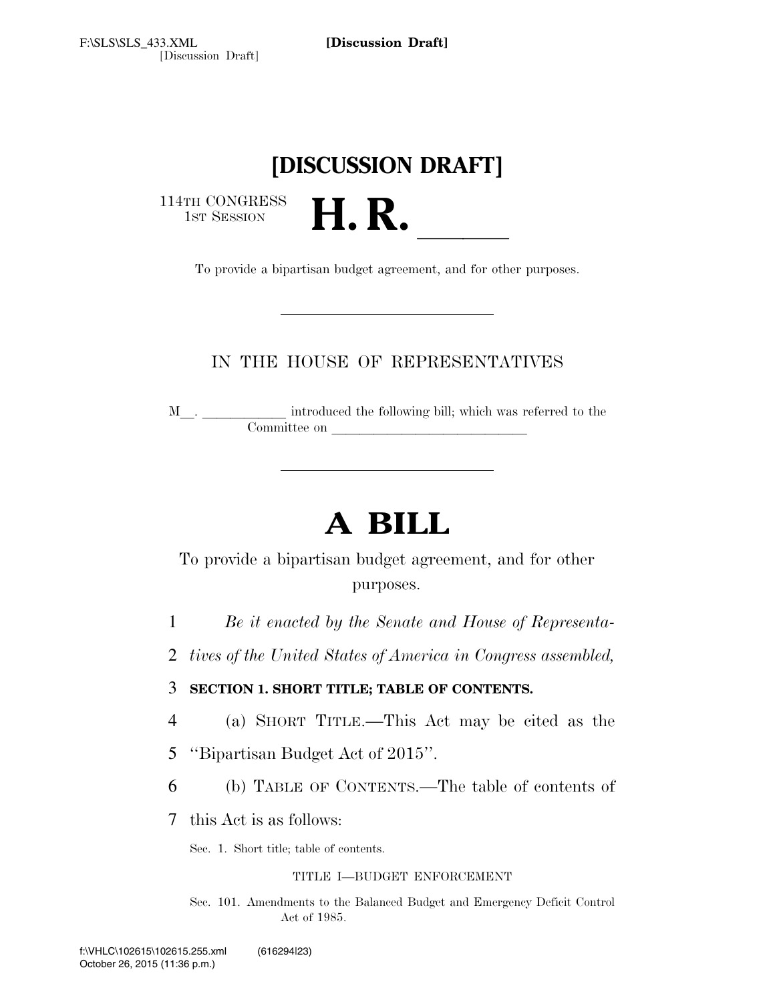# **[DISCUSSION DRAFT]**

114TH CONGRESS<br>1st Session

1ST SESSION **H. R.** ll To provide a bipartisan budget agreement, and for other purposes.

# IN THE HOUSE OF REPRESENTATIVES

M<sub>\_\_\_</sub>. \_\_\_\_\_\_\_\_\_\_\_\_\_ introduced the following bill; which was referred to the Committee on

# **A BILL**

To provide a bipartisan budget agreement, and for other purposes.

1 *Be it enacted by the Senate and House of Representa-*

2 *tives of the United States of America in Congress assembled,* 

3 **SECTION 1. SHORT TITLE; TABLE OF CONTENTS.** 

- 4 (a) SHORT TITLE.—This Act may be cited as the
- 5 ''Bipartisan Budget Act of 2015''.
- 6 (b) TABLE OF CONTENTS.—The table of contents of

7 this Act is as follows:

Sec. 1. Short title; table of contents.

## TITLE I—BUDGET ENFORCEMENT

Sec. 101. Amendments to the Balanced Budget and Emergency Deficit Control Act of 1985.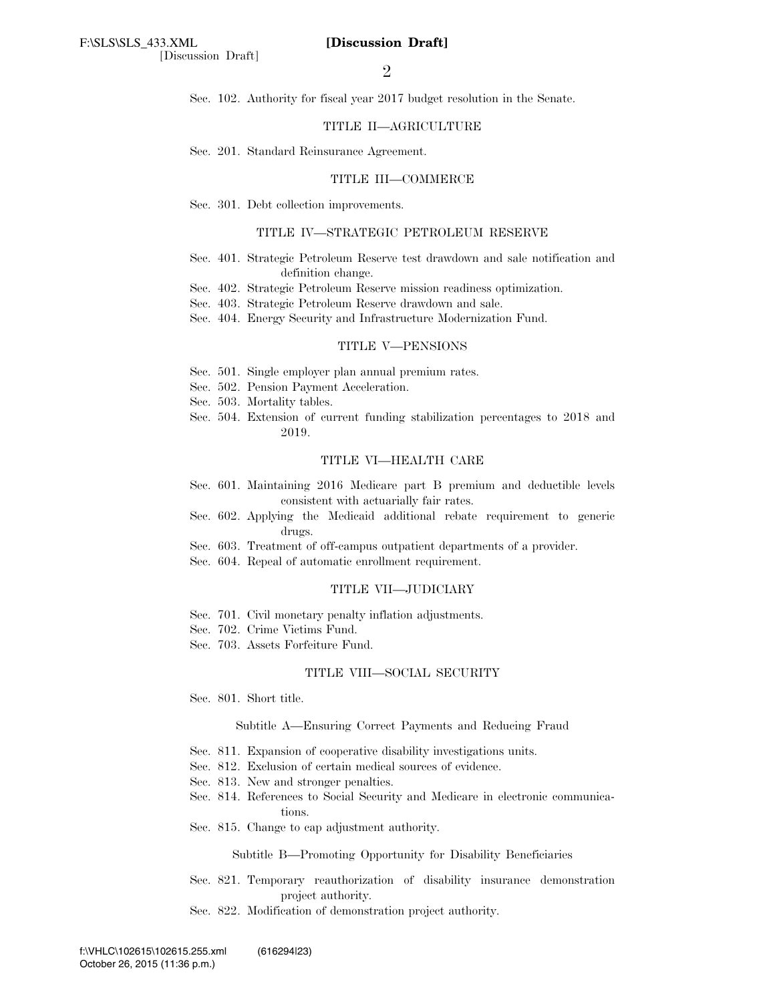Sec. 102. Authority for fiscal year 2017 budget resolution in the Senate.

### TITLE II—AGRICULTURE

Sec. 201. Standard Reinsurance Agreement.

### TITLE III—COMMERCE

Sec. 301. Debt collection improvements.

### TITLE IV—STRATEGIC PETROLEUM RESERVE

- Sec. 401. Strategic Petroleum Reserve test drawdown and sale notification and definition change.
- Sec. 402. Strategic Petroleum Reserve mission readiness optimization.
- Sec. 403. Strategic Petroleum Reserve drawdown and sale.
- Sec. 404. Energy Security and Infrastructure Modernization Fund.

### TITLE V—PENSIONS

- Sec. 501. Single employer plan annual premium rates.
- Sec. 502. Pension Payment Acceleration.
- Sec. 503. Mortality tables.
- Sec. 504. Extension of current funding stabilization percentages to 2018 and 2019.

### TITLE VI—HEALTH CARE

- Sec. 601. Maintaining 2016 Medicare part B premium and deductible levels consistent with actuarially fair rates.
- Sec. 602. Applying the Medicaid additional rebate requirement to generic drugs.
- Sec. 603. Treatment of off-campus outpatient departments of a provider.
- Sec. 604. Repeal of automatic enrollment requirement.

### TITLE VII—JUDICIARY

- Sec. 701. Civil monetary penalty inflation adjustments.
- Sec. 702. Crime Victims Fund.
- Sec. 703. Assets Forfeiture Fund.

#### TITLE VIII—SOCIAL SECURITY

Sec. 801. Short title.

### Subtitle A—Ensuring Correct Payments and Reducing Fraud

- Sec. 811. Expansion of cooperative disability investigations units.
- Sec. 812. Exclusion of certain medical sources of evidence.
- Sec. 813. New and stronger penalties.
- Sec. 814. References to Social Security and Medicare in electronic communications.
- Sec. 815. Change to cap adjustment authority.

Subtitle B—Promoting Opportunity for Disability Beneficiaries

- Sec. 821. Temporary reauthorization of disability insurance demonstration project authority.
- Sec. 822. Modification of demonstration project authority.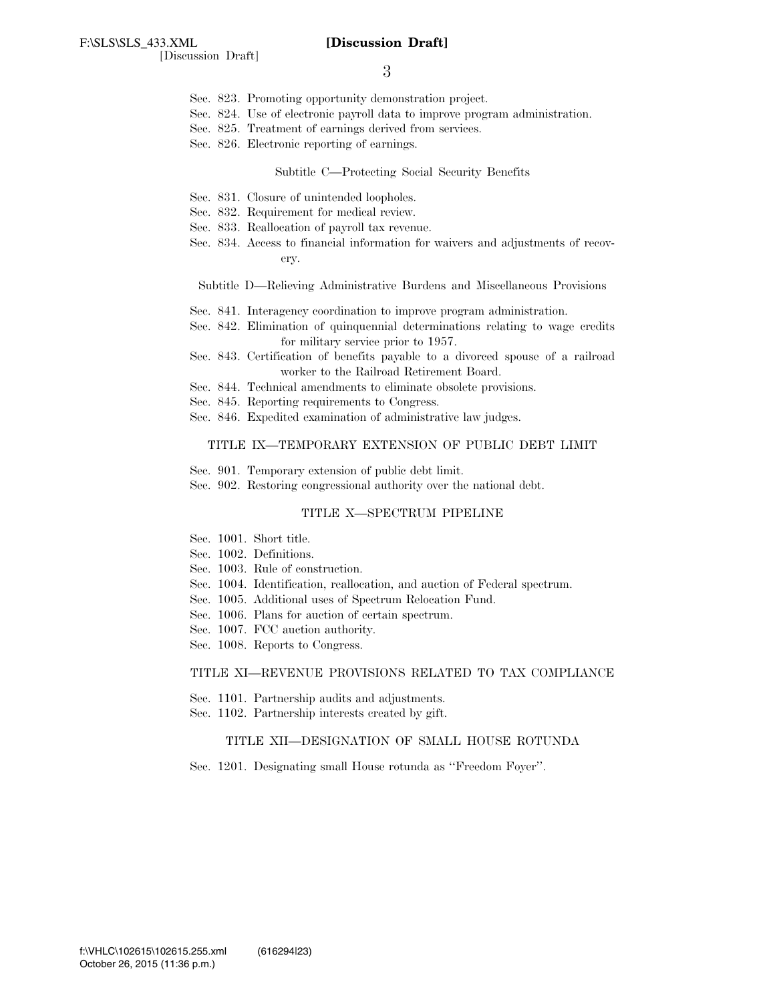- 3
- Sec. 823. Promoting opportunity demonstration project.
- Sec. 824. Use of electronic payroll data to improve program administration.
- Sec. 825. Treatment of earnings derived from services.
- Sec. 826. Electronic reporting of earnings.

### Subtitle C—Protecting Social Security Benefits

- Sec. 831. Closure of unintended loopholes.
- Sec. 832. Requirement for medical review.
- Sec. 833. Reallocation of payroll tax revenue.
- Sec. 834. Access to financial information for waivers and adjustments of recovery.

Subtitle D—Relieving Administrative Burdens and Miscellaneous Provisions

- Sec. 841. Interagency coordination to improve program administration.
- Sec. 842. Elimination of quinquennial determinations relating to wage credits for military service prior to 1957.
- Sec. 843. Certification of benefits payable to a divorced spouse of a railroad worker to the Railroad Retirement Board.
- Sec. 844. Technical amendments to eliminate obsolete provisions.
- Sec. 845. Reporting requirements to Congress.
- Sec. 846. Expedited examination of administrative law judges.

### TITLE IX—TEMPORARY EXTENSION OF PUBLIC DEBT LIMIT

- Sec. 901. Temporary extension of public debt limit.
- Sec. 902. Restoring congressional authority over the national debt.

### TITLE X—SPECTRUM PIPELINE

- Sec. 1001. Short title.
- Sec. 1002. Definitions.
- Sec. 1003. Rule of construction.
- Sec. 1004. Identification, reallocation, and auction of Federal spectrum.
- Sec. 1005. Additional uses of Spectrum Relocation Fund.
- Sec. 1006. Plans for auction of certain spectrum.
- Sec. 1007. FCC auction authority.
- Sec. 1008. Reports to Congress.

### TITLE XI—REVENUE PROVISIONS RELATED TO TAX COMPLIANCE

- Sec. 1101. Partnership audits and adjustments.
- Sec. 1102. Partnership interests created by gift.

### TITLE XII—DESIGNATION OF SMALL HOUSE ROTUNDA

Sec. 1201. Designating small House rotunda as ''Freedom Foyer''.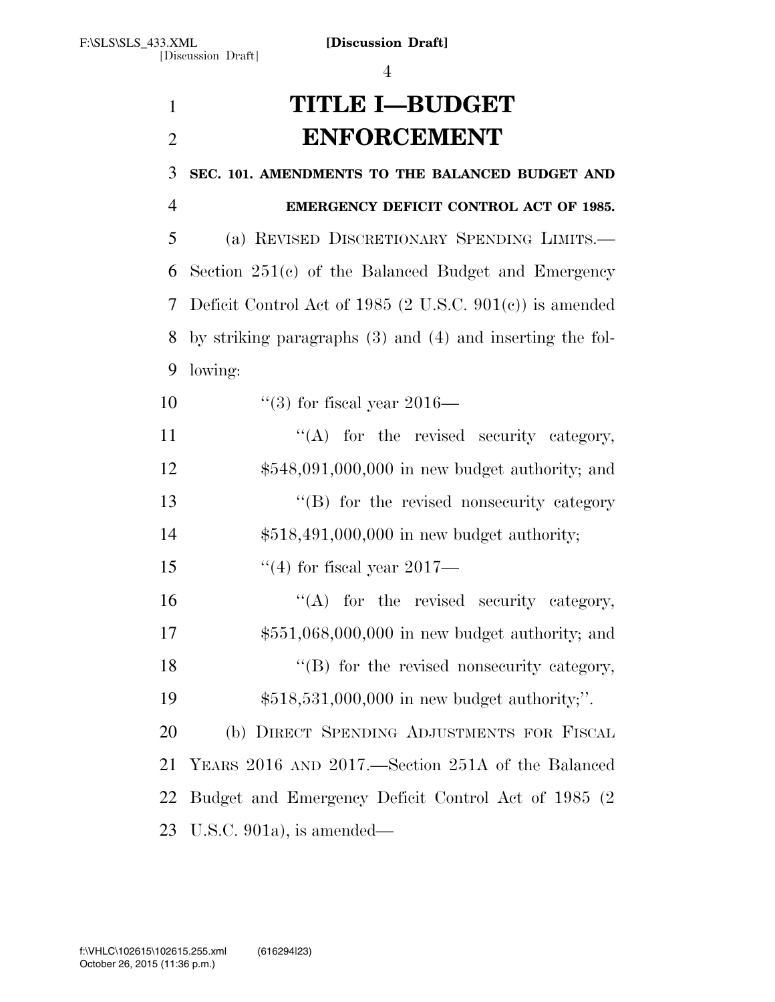# **TITLE I—BUDGET ENFORCEMENT**

| 3              | SEC. 101. AMENDMENTS TO THE BALANCED BUDGET AND               |
|----------------|---------------------------------------------------------------|
| $\overline{4}$ | EMERGENCY DEFICIT CONTROL ACT OF 1985.                        |
| 5              | (a) REVISED DISCRETIONARY SPENDING LIMITS.                    |
| 6              | Section $251(c)$ of the Balanced Budget and Emergency         |
| 7              | Deficit Control Act of 1985 (2 U.S.C. $901(e)$ ) is amended   |
| 8              | by striking paragraphs $(3)$ and $(4)$ and inserting the fol- |
| 9              | lowing:                                                       |
| 10             | $\degree$ (3) for fiscal year 2016—                           |
| 11             | $\lq\lq$ for the revised security category,                   |
| 12             | $$548,091,000,000$ in new budget authority; and               |
| 13             | "(B) for the revised nonsecurity category                     |
| 14             | \$518,491,000,000 in new budget authority;                    |
| 15             | $\degree$ (4) for fiscal year 2017—                           |
| 16             | $\lq\lq$ for the revised security category,                   |
| 17             | $$551,068,000,000$ in new budget authority; and               |
| 18             | "(B) for the revised nonsecurity category,                    |
| 19             | \$518,531,000,000 in new budget authority;".                  |
| 20             | (b) DIRECT SPENDING ADJUSTMENTS FOR FISCAL                    |
| 21             | YEARS 2016 AND 2017.—Section 251A of the Balanced             |
| 22             | Budget and Emergency Deficit Control Act of 1985 (2)          |
|                | 23 U.S.C. 901a), is amended—                                  |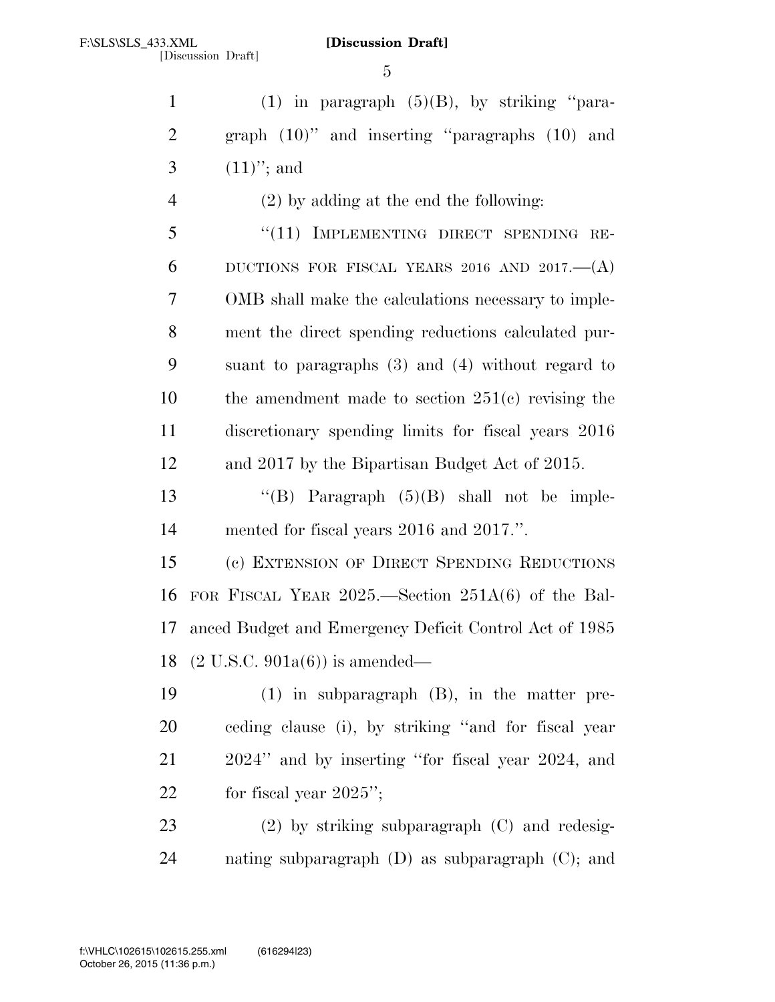1 (1) in paragraph  $(5)(B)$ , by striking "para- graph (10)'' and inserting ''paragraphs (10) and 3  $(11)$ "; and

 (2) by adding at the end the following: 5 "(11) IMPLEMENTING DIRECT SPENDING RE-6 DUCTIONS FOR FISCAL YEARS 2016 AND 2017. $-(A)$  OMB shall make the calculations necessary to imple- ment the direct spending reductions calculated pur- suant to paragraphs (3) and (4) without regard to the amendment made to section 251(c) revising the discretionary spending limits for fiscal years 2016 and 2017 by the Bipartisan Budget Act of 2015.

 ''(B) Paragraph (5)(B) shall not be imple-mented for fiscal years 2016 and 2017.''.

 (c) EXTENSION OF DIRECT SPENDING REDUCTIONS FOR FISCAL YEAR 2025.—Section 251A(6) of the Bal- anced Budget and Emergency Deficit Control Act of 1985 (2 U.S.C. 901a(6)) is amended—

 (1) in subparagraph (B), in the matter pre- ceding clause (i), by striking ''and for fiscal year 2024'' and by inserting ''for fiscal year 2024, and 22 for fiscal year ";

 (2) by striking subparagraph (C) and redesig-nating subparagraph (D) as subparagraph (C); and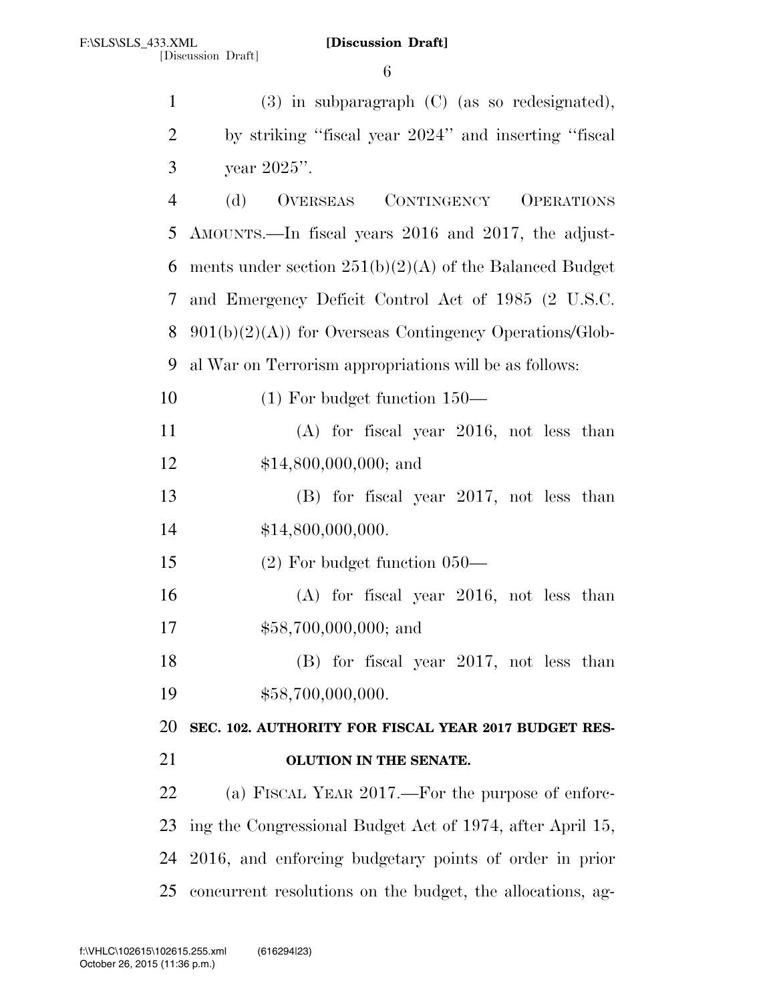| $\mathbf{1}$   | $(3)$ in subparagraph $(C)$ (as so redesignated),          |
|----------------|------------------------------------------------------------|
| $\overline{2}$ | by striking "fiscal year 2024" and inserting "fiscal       |
| 3              | year 2025".                                                |
| $\overline{4}$ | OVERSEAS CONTINGENCY OPERATIONS<br>(d)                     |
| 5              | AMOUNTS.—In fiscal years 2016 and 2017, the adjust-        |
| 6              | ments under section $251(b)(2)(A)$ of the Balanced Budget  |
| 7              | and Emergency Deficit Control Act of 1985 (2 U.S.C.        |
| 8              | $901(b)(2)(A)$ for Overseas Contingency Operations/Glob-   |
| 9              | al War on Terrorism appropriations will be as follows:     |
| 10             | $(1)$ For budget function $150-$                           |
| 11             | $(A)$ for fiscal year 2016, not less than                  |
| 12             | $$14,800,000,000;$ and                                     |
| 13             | (B) for fiscal year 2017, not less than                    |
| 14             | \$14,800,000,000.                                          |
| 15             | $(2)$ For budget function 050—                             |
| 16             | $(A)$ for fiscal year 2016, not less than                  |
| 17             | $$58,700,000,000;$ and                                     |
| 18             | $(B)$ for fiscal year 2017, not less than                  |
| 19             | \$58,700,000,000.                                          |
| 20             | SEC. 102. AUTHORITY FOR FISCAL YEAR 2017 BUDGET RES-       |
| 21             | OLUTION IN THE SENATE.                                     |
| 22             | (a) FISCAL YEAR 2017.—For the purpose of enforc-           |
| 23             | ing the Congressional Budget Act of 1974, after April 15,  |
| 24             | 2016, and enforcing budgetary points of order in prior     |
| 25             | concurrent resolutions on the budget, the allocations, ag- |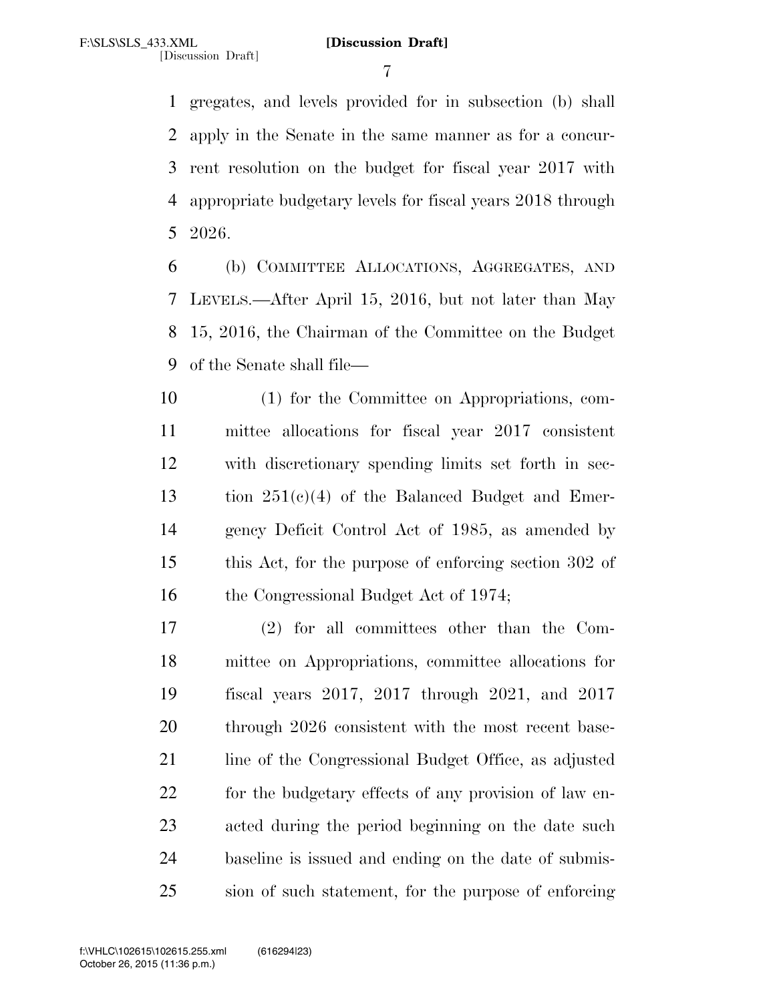gregates, and levels provided for in subsection (b) shall apply in the Senate in the same manner as for a concur- rent resolution on the budget for fiscal year 2017 with appropriate budgetary levels for fiscal years 2018 through 2026.

 (b) COMMITTEE ALLOCATIONS, AGGREGATES, AND LEVELS.—After April 15, 2016, but not later than May 15, 2016, the Chairman of the Committee on the Budget of the Senate shall file—

 (1) for the Committee on Appropriations, com- mittee allocations for fiscal year 2017 consistent with discretionary spending limits set forth in sec- tion 251(c)(4) of the Balanced Budget and Emer- gency Deficit Control Act of 1985, as amended by this Act, for the purpose of enforcing section 302 of 16 the Congressional Budget Act of 1974;

 (2) for all committees other than the Com- mittee on Appropriations, committee allocations for fiscal years 2017, 2017 through 2021, and 2017 through 2026 consistent with the most recent base-21 line of the Congressional Budget Office, as adjusted 22 for the budgetary effects of any provision of law en- acted during the period beginning on the date such baseline is issued and ending on the date of submis-sion of such statement, for the purpose of enforcing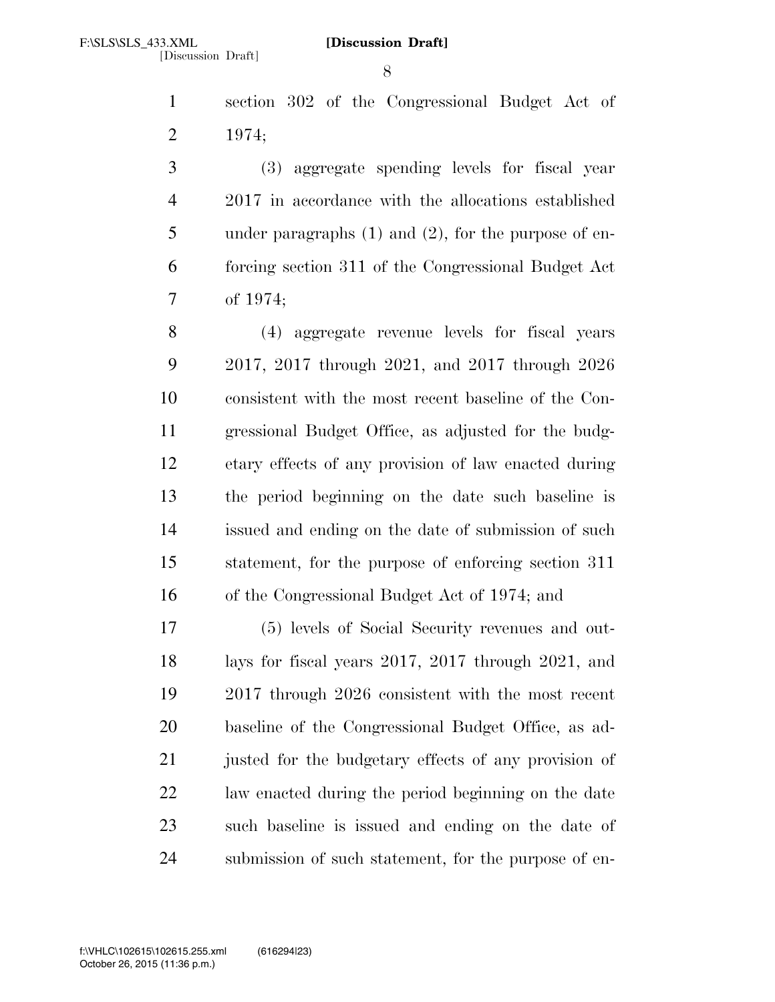section 302 of the Congressional Budget Act of 1974;

 (3) aggregate spending levels for fiscal year 2017 in accordance with the allocations established under paragraphs (1) and (2), for the purpose of en- forcing section 311 of the Congressional Budget Act of 1974;

 (4) aggregate revenue levels for fiscal years 2017, 2017 through 2021, and 2017 through 2026 consistent with the most recent baseline of the Con- gressional Budget Office, as adjusted for the budg- etary effects of any provision of law enacted during the period beginning on the date such baseline is issued and ending on the date of submission of such statement, for the purpose of enforcing section 311 of the Congressional Budget Act of 1974; and

 (5) levels of Social Security revenues and out- lays for fiscal years 2017, 2017 through 2021, and 2017 through 2026 consistent with the most recent baseline of the Congressional Budget Office, as ad-21 justed for the budgetary effects of any provision of law enacted during the period beginning on the date such baseline is issued and ending on the date of submission of such statement, for the purpose of en-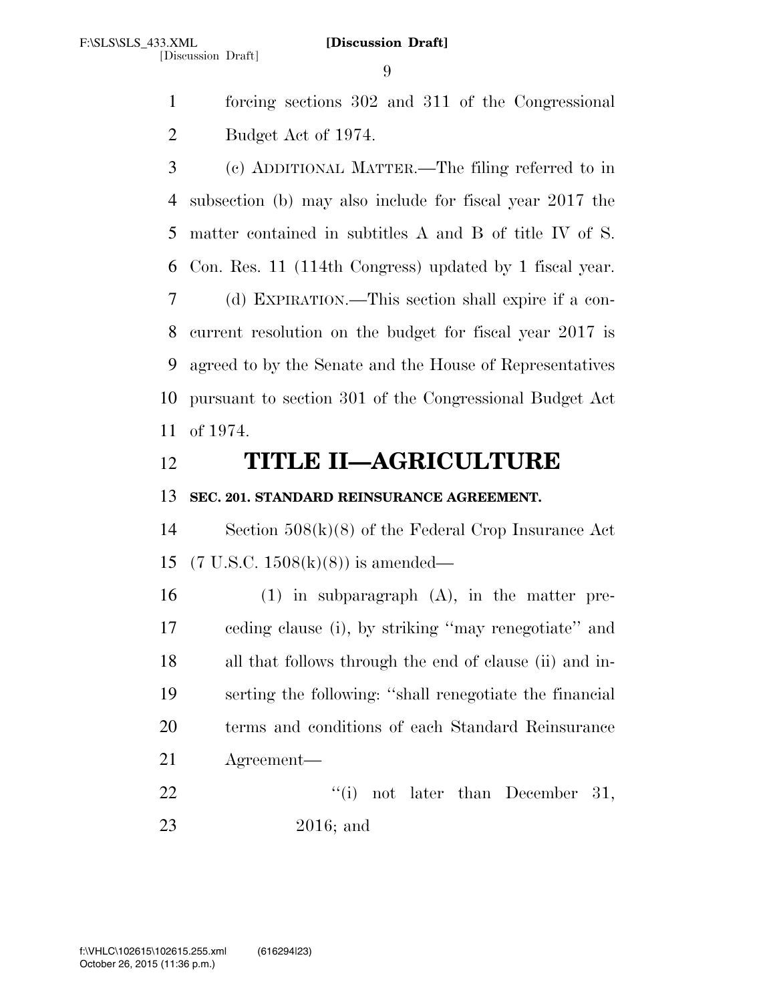forcing sections 302 and 311 of the Congressional Budget Act of 1974.

 (c) ADDITIONAL MATTER.—The filing referred to in subsection (b) may also include for fiscal year 2017 the matter contained in subtitles A and B of title IV of S. Con. Res. 11 (114th Congress) updated by 1 fiscal year. (d) EXPIRATION.—This section shall expire if a con- current resolution on the budget for fiscal year 2017 is agreed to by the Senate and the House of Representatives pursuant to section 301 of the Congressional Budget Act of 1974.

# **TITLE II—AGRICULTURE**

# **SEC. 201. STANDARD REINSURANCE AGREEMENT.**

 Section 508(k)(8) of the Federal Crop Insurance Act (7 U.S.C. 1508(k)(8)) is amended—

 (1) in subparagraph (A), in the matter pre- ceding clause (i), by striking ''may renegotiate'' and all that follows through the end of clause (ii) and in- serting the following: ''shall renegotiate the financial terms and conditions of each Standard Reinsurance Agreement—

22 ''(i) not later than December 31, 2016; and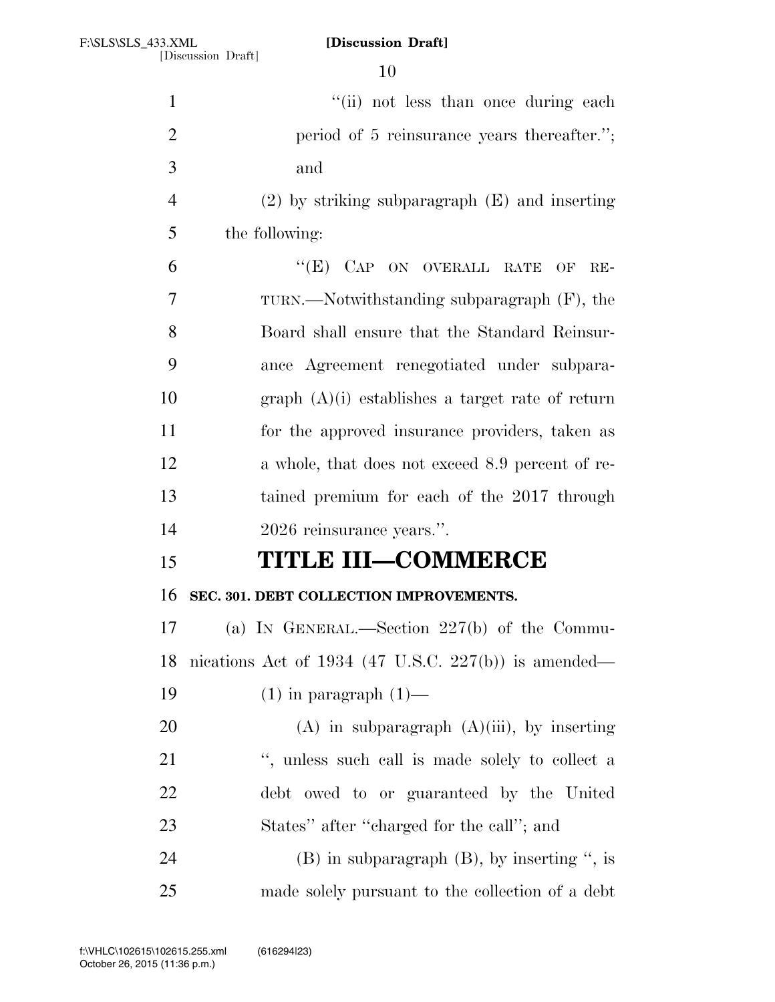| $\mathbf{1}$   | "(ii) not less than once during each                 |
|----------------|------------------------------------------------------|
| $\overline{2}$ | period of 5 reinsurance years thereafter.";          |
| 3              | and                                                  |
| $\overline{4}$ | $(2)$ by striking subparagraph $(E)$ and inserting   |
| 5              | the following:                                       |
| 6              | "(E) CAP ON OVERALL RATE OF<br>$RE-$                 |
| 7              | TURN.—Notwithstanding subparagraph (F), the          |
| 8              | Board shall ensure that the Standard Reinsur-        |
| 9              | ance Agreement renegotiated under subpara-           |
| 10             | graph $(A)(i)$ establishes a target rate of return   |
| 11             | for the approved insurance providers, taken as       |
| 12             | a whole, that does not exceed 8.9 percent of re-     |
| 13             | tained premium for each of the 2017 through          |
| 14             | 2026 reinsurance years.".                            |
| 15             | <b>TITLE III-COMMERCE</b>                            |
| 16             | SEC. 301. DEBT COLLECTION IMPROVEMENTS.              |
| 17             | (a) IN GENERAL.—Section $227(b)$ of the Commu-       |
| 18             | nications Act of 1934 (47 U.S.C. 227(b)) is amended— |
| 19             | $(1)$ in paragraph $(1)$ —                           |
| 20             | $(A)$ in subparagraph $(A)(iii)$ , by inserting      |
| 21             | ", unless such call is made solely to collect a      |
| 22             | debt owed to or guaranteed by the United             |
| 23             | States" after "charged for the call"; and            |
| 24             | $(B)$ in subparagraph $(B)$ , by inserting ", is     |
| 25             | made solely pursuant to the collection of a debt     |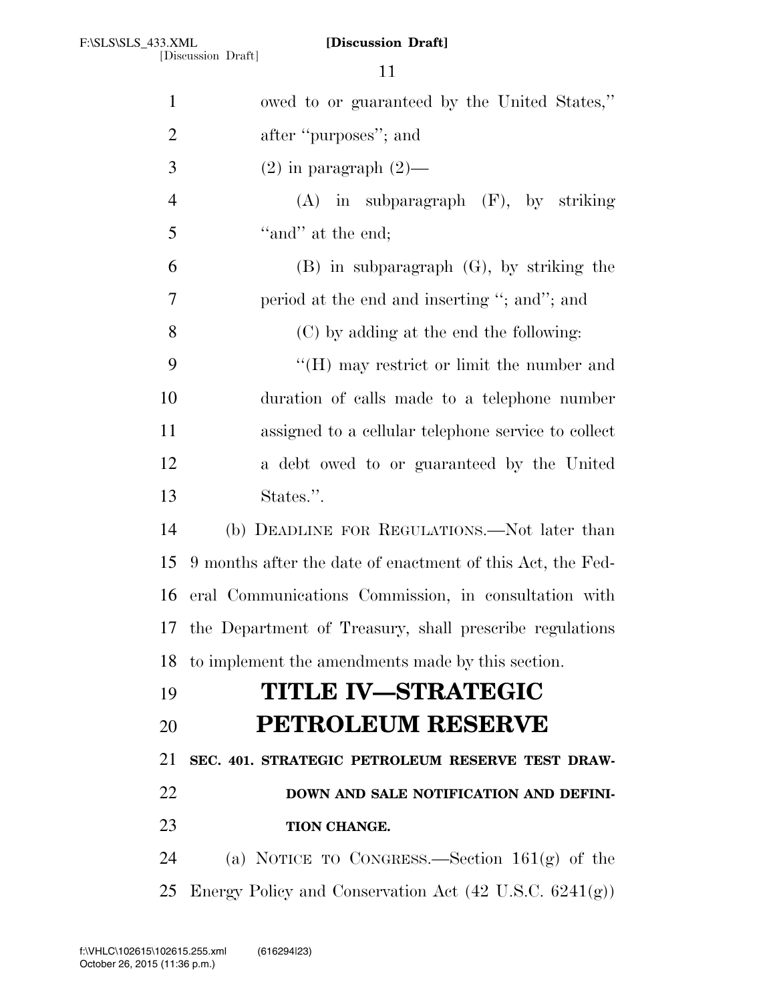[Discussion Draft]

| $\mathbf{1}$   | owed to or guaranteed by the United States,"                      |  |
|----------------|-------------------------------------------------------------------|--|
| $\overline{2}$ | after "purposes"; and                                             |  |
| 3              | $(2)$ in paragraph $(2)$ —                                        |  |
| $\overline{4}$ | $(A)$ in subparagraph $(F)$ , by striking                         |  |
| 5              | "and" at the end;                                                 |  |
| 6              | $(B)$ in subparagraph $(G)$ , by striking the                     |  |
| $\overline{7}$ | period at the end and inserting "; and"; and                      |  |
| 8              | (C) by adding at the end the following:                           |  |
| 9              | "(H) may restrict or limit the number and                         |  |
| 10             | duration of calls made to a telephone number                      |  |
| 11             | assigned to a cellular telephone service to collect               |  |
| 12             | a debt owed to or guaranteed by the United                        |  |
| 13             | States.".                                                         |  |
| 14             | (b) DEADLINE FOR REGULATIONS.—Not later than                      |  |
| 15             | 9 months after the date of enactment of this Act, the Fed-        |  |
| 16             | eral Communications Commission, in consultation with              |  |
| 17             | the Department of Treasury, shall prescribe regulations           |  |
| 18             | to implement the amendments made by this section.                 |  |
| 19             | <b>TITLE IV-STRATEGIC</b>                                         |  |
| 20             | <b>PETROLEUM RESERVE</b>                                          |  |
| 21             | SEC. 401. STRATEGIC PETROLEUM RESERVE TEST DRAW-                  |  |
| 22             | DOWN AND SALE NOTIFICATION AND DEFINI-                            |  |
| 23             | TION CHANGE.                                                      |  |
| 24             | (a) NOTICE TO CONGRESS.—Section $161(g)$ of the                   |  |
| 25             | Energy Policy and Conservation Act $(42 \text{ U.S.C. } 6241(g))$ |  |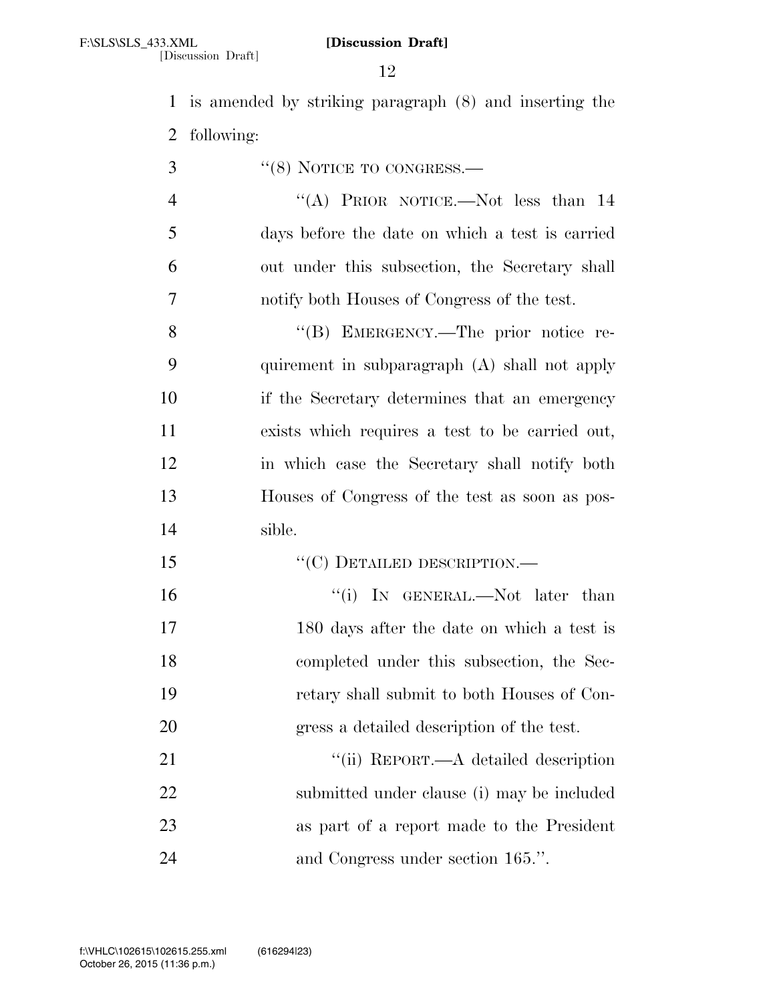[Discussion Draft]

 is amended by striking paragraph (8) and inserting the following:

''(8) NOTICE TO CONGRESS.—

4 "(A) PRIOR NOTICE.—Not less than 14 days before the date on which a test is carried out under this subsection, the Secretary shall notify both Houses of Congress of the test.

8 "(B) EMERGENCY.—The prior notice re- quirement in subparagraph (A) shall not apply if the Secretary determines that an emergency exists which requires a test to be carried out, in which case the Secretary shall notify both Houses of Congress of the test as soon as pos-sible.

- 15 "C) DETAILED DESCRIPTION.—
- 16 '(i) IN GENERAL.—Not later than 180 days after the date on which a test is completed under this subsection, the Sec- retary shall submit to both Houses of Con-gress a detailed description of the test.

21 ''(ii) REPORT.—A detailed description submitted under clause (i) may be included as part of a report made to the President 24 and Congress under section 165.".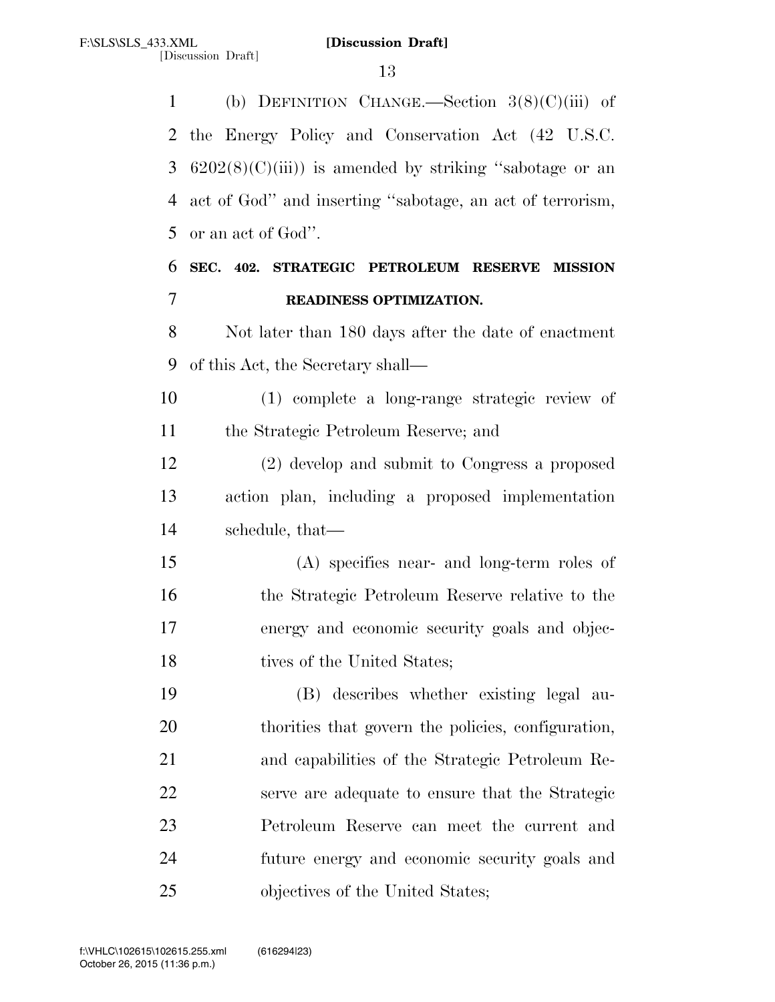(b) DEFINITION CHANGE.—Section 3(8)(C)(iii) of the Energy Policy and Conservation Act (42 U.S.C.  $6202(8)(C)(iii)$  is amended by striking "sabotage or an act of God'' and inserting ''sabotage, an act of terrorism, or an act of God''. **SEC. 402. STRATEGIC PETROLEUM RESERVE MISSION READINESS OPTIMIZATION.**  Not later than 180 days after the date of enactment of this Act, the Secretary shall— (1) complete a long-range strategic review of the Strategic Petroleum Reserve; and (2) develop and submit to Congress a proposed action plan, including a proposed implementation schedule, that— (A) specifies near- and long-term roles of the Strategic Petroleum Reserve relative to the energy and economic security goals and objec-18 tives of the United States; (B) describes whether existing legal au- thorities that govern the policies, configuration, and capabilities of the Strategic Petroleum Re- serve are adequate to ensure that the Strategic Petroleum Reserve can meet the current and future energy and economic security goals and 25 objectives of the United States;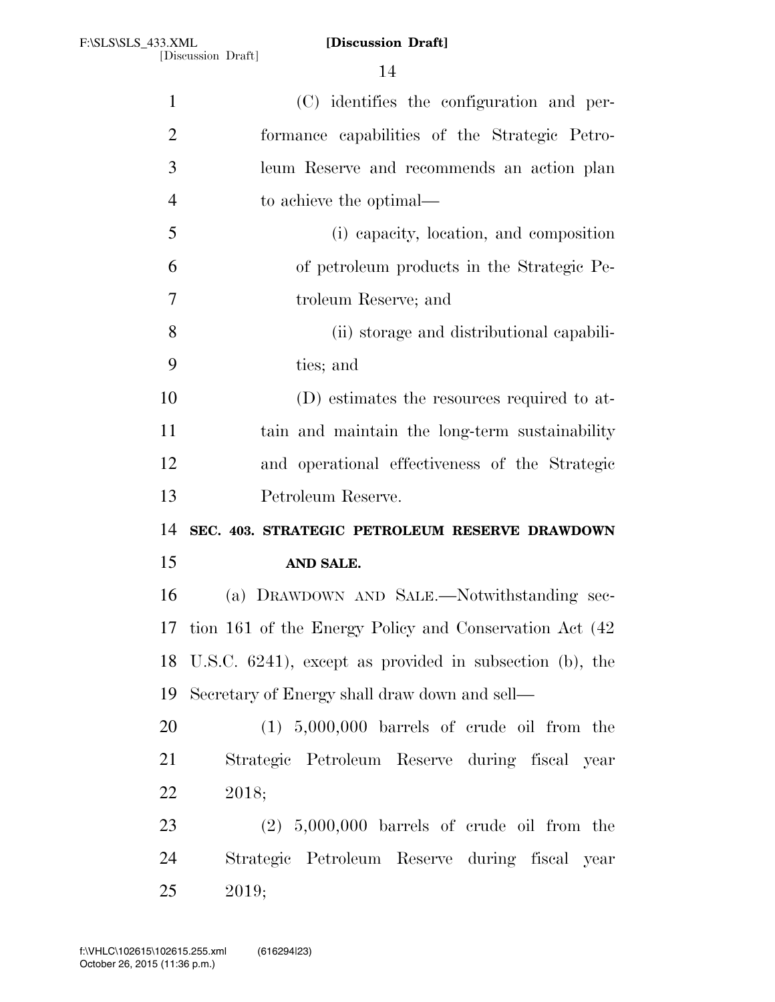| $\mathbf{1}$   | (C) identifies the configuration and per-                  |
|----------------|------------------------------------------------------------|
| $\overline{2}$ | formance capabilities of the Strategic Petro-              |
| 3              | leum Reserve and recommends an action plan                 |
| $\overline{4}$ | to achieve the optimal—                                    |
| 5              | (i) capacity, location, and composition                    |
| 6              | of petroleum products in the Strategic Pe-                 |
| 7              | troleum Reserve; and                                       |
| 8              | (ii) storage and distributional capabili-                  |
| 9              | ties; and                                                  |
| 10             | (D) estimates the resources required to at-                |
| 11             | tain and maintain the long-term sustainability             |
| 12             | and operational effectiveness of the Strategic             |
| 13             | Petroleum Reserve.                                         |
| 14             | SEC. 403. STRATEGIC PETROLEUM RESERVE DRAWDOWN             |
| 15             | AND SALE.                                                  |
| 16             | (a) DRAWDOWN AND SALE.-Notwithstanding sec-                |
| 17             | tion 161 of the Energy Policy and Conservation Act (42)    |
|                | 18 U.S.C. 6241), except as provided in subsection (b), the |
| 19             | Secretary of Energy shall draw down and sell—              |
| 20             | $(1)$ 5,000,000 barrels of crude oil from the              |
| 21             | Strategic Petroleum Reserve during fiscal year             |
| 22             | 2018;                                                      |
| 23             | $(2)$ 5,000,000 barrels of crude oil from the              |
| 24             | Strategic Petroleum Reserve during fiscal year             |
| 25             | 2019;                                                      |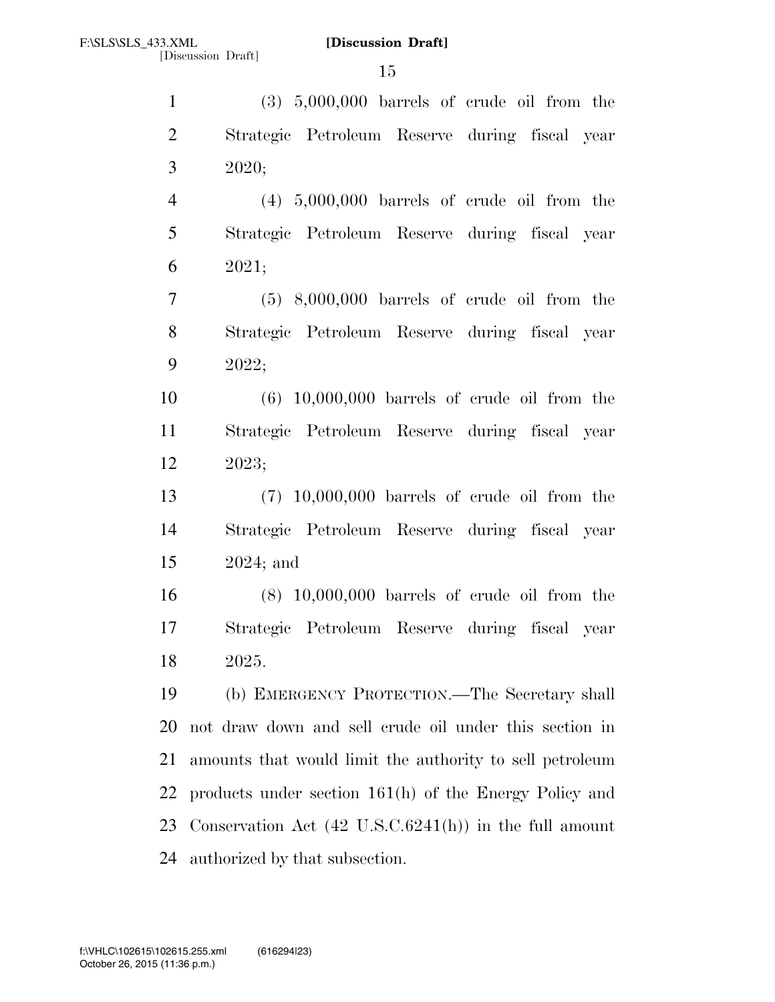(3) 5,000,000 barrels of crude oil from the Strategic Petroleum Reserve during fiscal year 2020;

 (4) 5,000,000 barrels of crude oil from the Strategic Petroleum Reserve during fiscal year 2021;

 (5) 8,000,000 barrels of crude oil from the Strategic Petroleum Reserve during fiscal year 2022;

 (6) 10,000,000 barrels of crude oil from the Strategic Petroleum Reserve during fiscal year 2023;

 (7) 10,000,000 barrels of crude oil from the Strategic Petroleum Reserve during fiscal year 2024; and

 (8) 10,000,000 barrels of crude oil from the Strategic Petroleum Reserve during fiscal year 2025.

 (b) EMERGENCY PROTECTION.—The Secretary shall not draw down and sell crude oil under this section in amounts that would limit the authority to sell petroleum products under section 161(h) of the Energy Policy and Conservation Act (42 U.S.C.6241(h)) in the full amount authorized by that subsection.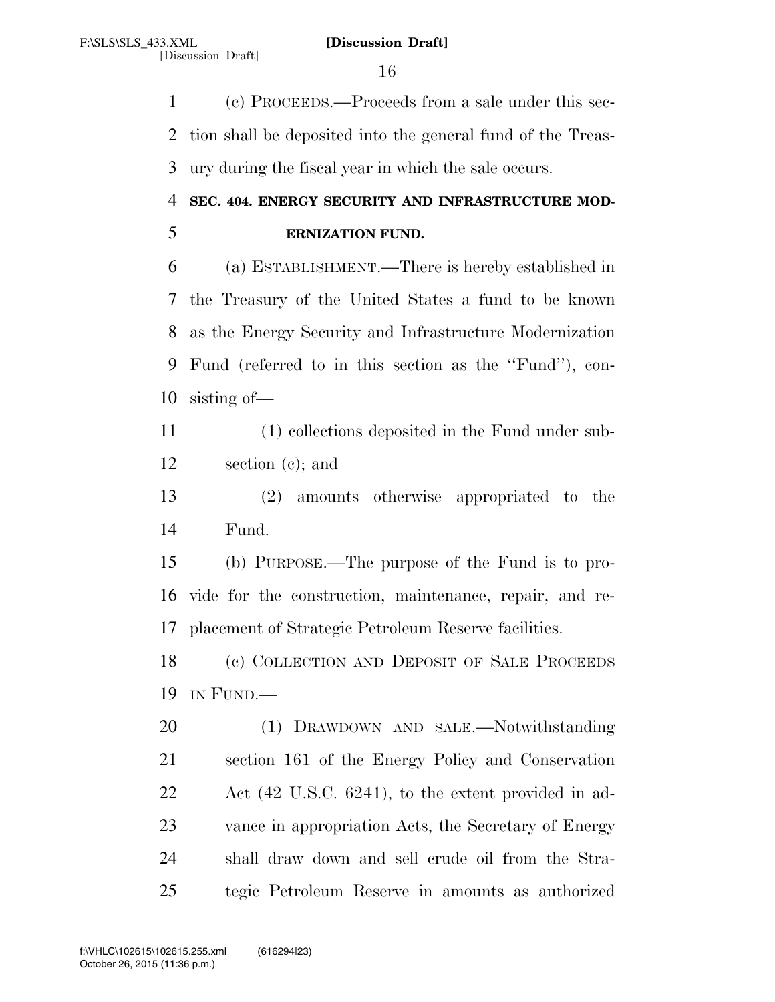(c) PROCEEDS.—Proceeds from a sale under this sec- tion shall be deposited into the general fund of the Treas-ury during the fiscal year in which the sale occurs.

# **SEC. 404. ENERGY SECURITY AND INFRASTRUCTURE MOD-**

**ERNIZATION FUND.** 

 (a) ESTABLISHMENT.—There is hereby established in the Treasury of the United States a fund to be known as the Energy Security and Infrastructure Modernization Fund (referred to in this section as the ''Fund''), con-sisting of—

 (1) collections deposited in the Fund under sub-section (c); and

 (2) amounts otherwise appropriated to the Fund.

 (b) PURPOSE.—The purpose of the Fund is to pro- vide for the construction, maintenance, repair, and re-placement of Strategic Petroleum Reserve facilities.

 (c) COLLECTION AND DEPOSIT OF SALE PROCEEDS IN FUND.—

 (1) DRAWDOWN AND SALE.—Notwithstanding section 161 of the Energy Policy and Conservation Act (42 U.S.C. 6241), to the extent provided in ad- vance in appropriation Acts, the Secretary of Energy shall draw down and sell crude oil from the Stra-tegic Petroleum Reserve in amounts as authorized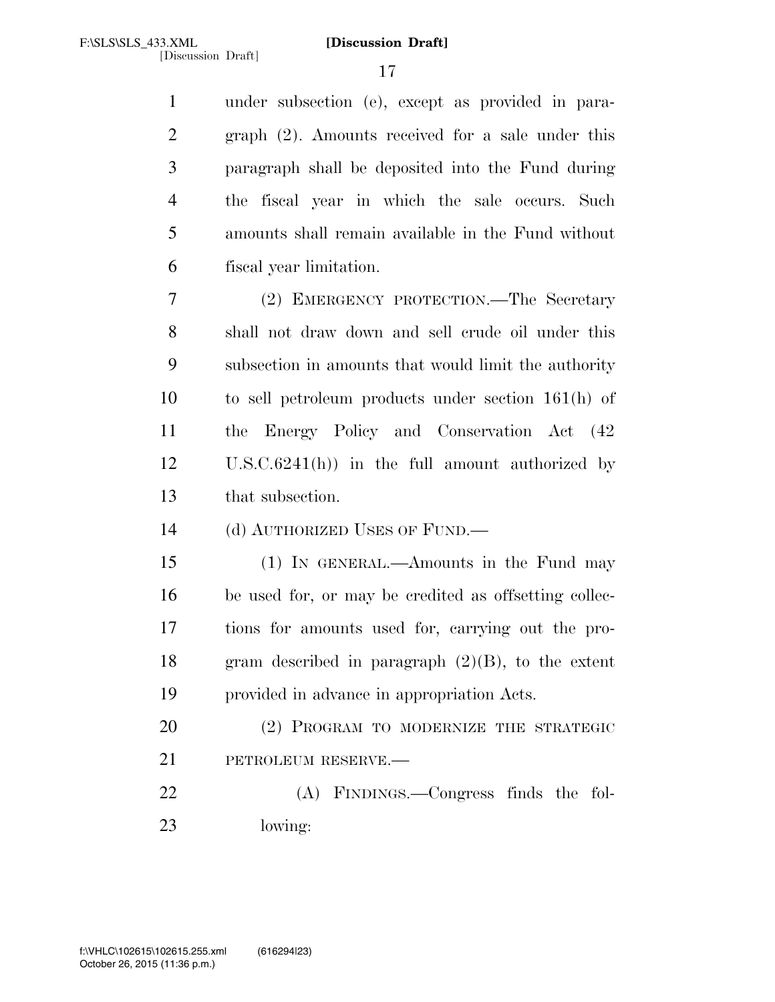under subsection (e), except as provided in para- graph (2). Amounts received for a sale under this paragraph shall be deposited into the Fund during the fiscal year in which the sale occurs. Such amounts shall remain available in the Fund without fiscal year limitation.

 (2) EMERGENCY PROTECTION.—The Secretary shall not draw down and sell crude oil under this subsection in amounts that would limit the authority to sell petroleum products under section 161(h) of the Energy Policy and Conservation Act (42 U.S.C.6241(h)) in the full amount authorized by that subsection.

(d) AUTHORIZED USES OF FUND.—

 (1) IN GENERAL.—Amounts in the Fund may be used for, or may be credited as offsetting collec- tions for amounts used for, carrying out the pro-18 gram described in paragraph  $(2)(B)$ , to the extent provided in advance in appropriation Acts.

 (2) PROGRAM TO MODERNIZE THE STRATEGIC PETROLEUM RESERVE.—

 (A) FINDINGS.—Congress finds the fol-lowing: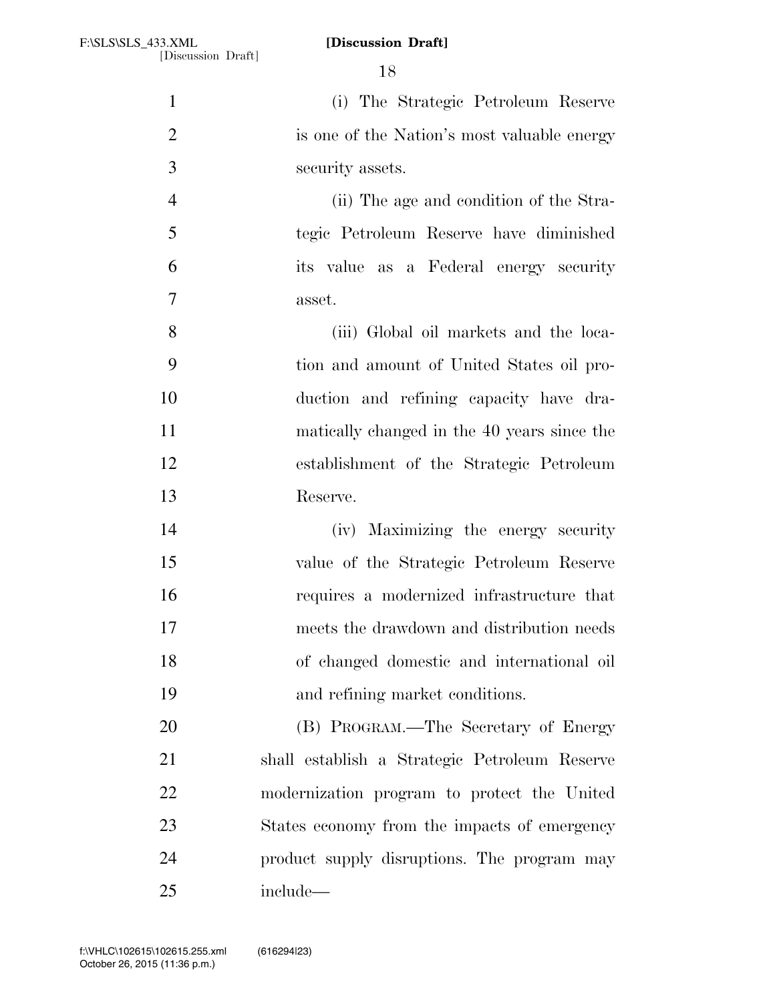(i) The Strategic Petroleum Reserve is one of the Nation's most valuable energy security assets. (ii) The age and condition of the Stra- tegic Petroleum Reserve have diminished its value as a Federal energy security asset. (iii) Global oil markets and the loca- tion and amount of United States oil pro- duction and refining capacity have dra- matically changed in the 40 years since the establishment of the Strategic Petroleum Reserve. (iv) Maximizing the energy security value of the Strategic Petroleum Reserve requires a modernized infrastructure that meets the drawdown and distribution needs of changed domestic and international oil and refining market conditions. (B) PROGRAM.—The Secretary of Energy shall establish a Strategic Petroleum Reserve modernization program to protect the United States economy from the impacts of emergency product supply disruptions. The program may include—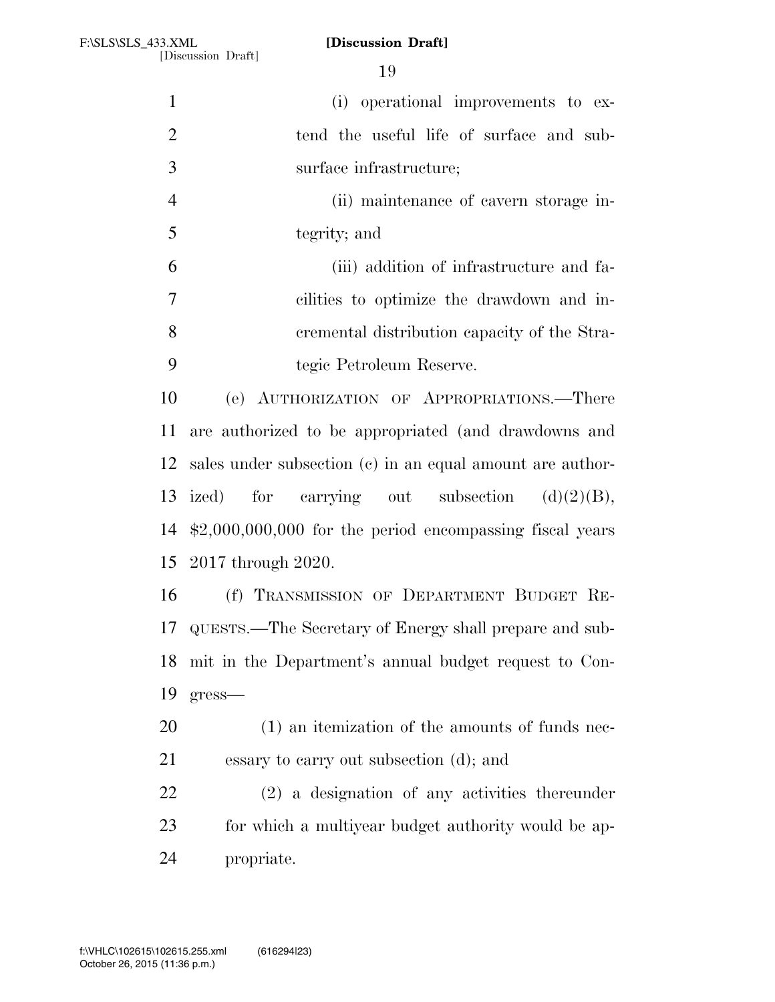(i) operational improvements to ex-2 tend the useful life of surface and sub- surface infrastructure; (ii) maintenance of cavern storage in- tegrity; and (iii) addition of infrastructure and fa- cilities to optimize the drawdown and in- cremental distribution capacity of the Stra- tegic Petroleum Reserve. (e) AUTHORIZATION OF APPROPRIATIONS.—There are authorized to be appropriated (and drawdowns and sales under subsection (c) in an equal amount are author-13 ized) for carrying out subsection  $(d)(2)(B)$ , \$2,000,000,000 for the period encompassing fiscal years 2017 through 2020. (f) TRANSMISSION OF DEPARTMENT BUDGET RE- QUESTS.—The Secretary of Energy shall prepare and sub- mit in the Department's annual budget request to Con- gress— (1) an itemization of the amounts of funds nec- essary to carry out subsection (d); and (2) a designation of any activities thereunder for which a multiyear budget authority would be ap-propriate.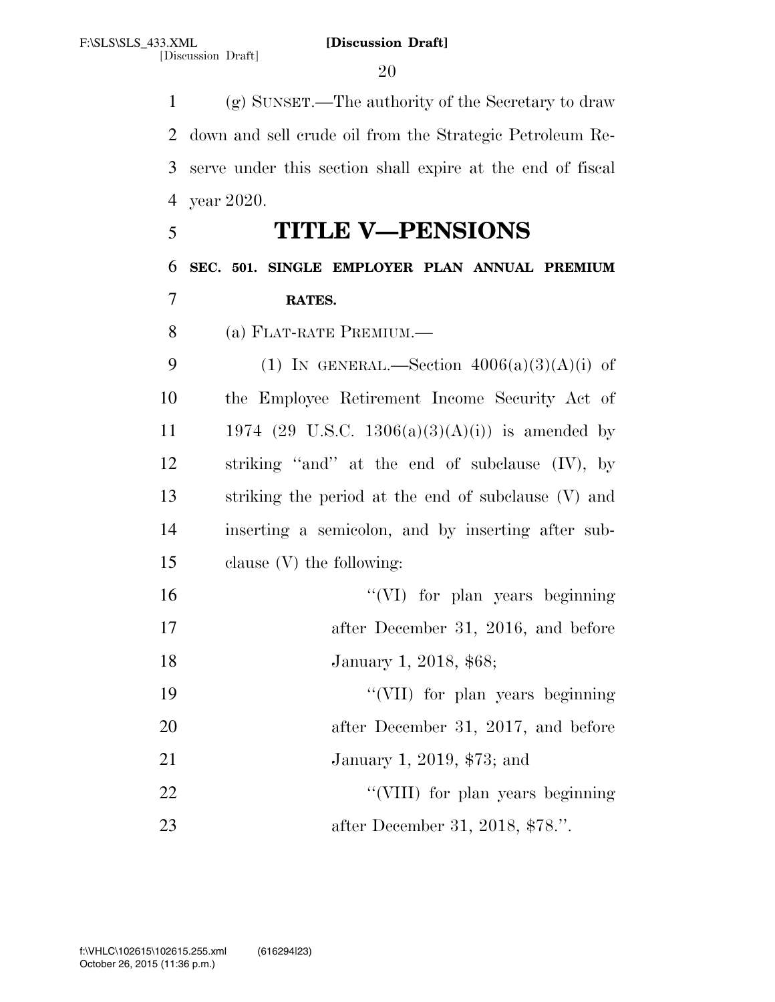(g) SUNSET.—The authority of the Secretary to draw down and sell crude oil from the Strategic Petroleum Re- serve under this section shall expire at the end of fiscal year 2020. **TITLE V—PENSIONS SEC. 501. SINGLE EMPLOYER PLAN ANNUAL PREMIUM RATES.**  (a) FLAT-RATE PREMIUM.— 9 (1) IN GENERAL.—Section  $4006(a)(3)(A)(i)$  of the Employee Retirement Income Security Act of 11 1974 (29 U.S.C. 1306(a)(3)(A)(i)) is amended by striking ''and'' at the end of subclause (IV), by striking the period at the end of subclause (V) and inserting a semicolon, and by inserting after sub- clause (V) the following: ''(VI) for plan years beginning after December 31, 2016, and before 18 January 1, 2018, \$68; 19 ''(VII) for plan years beginning 20 after December 31, 2017, and before January 1, 2019, \$73; and 22 ''(VIII) for plan years beginning after December 31, 2018, \$78.''.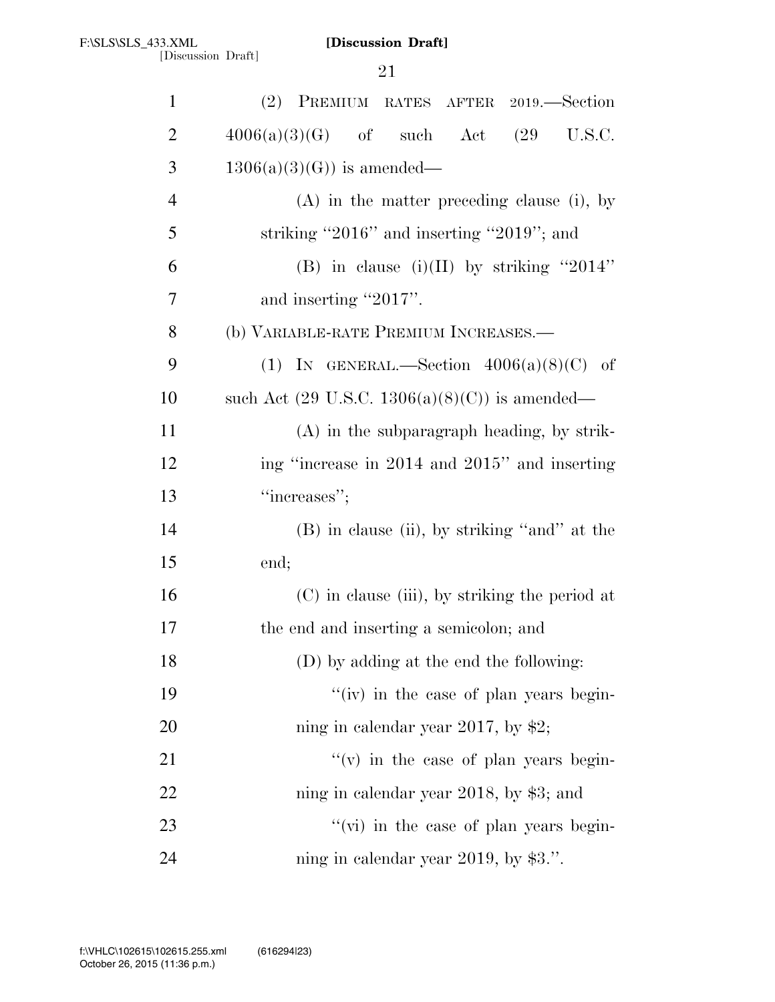| $\mathbf{1}$   | (2) PREMIUM RATES AFTER 2019.—Section                     |
|----------------|-----------------------------------------------------------|
| $\overline{2}$ | $4006(a)(3)(G)$ of such Act $(29 \text{ U.S.C.})$         |
| 3              | $1306(a)(3)(G)$ is amended—                               |
| $\overline{4}$ | $(A)$ in the matter preceding clause (i), by              |
| 5              | striking "2016" and inserting "2019"; and                 |
| 6              | (B) in clause (i)(II) by striking "2014"                  |
| 7              | and inserting "2017".                                     |
| 8              | (b) VARIABLE-RATE PREMIUM INCREASES.—                     |
| 9              | (1) IN GENERAL.—Section $4006(a)(8)(C)$ of                |
| 10             | such Act $(29 \text{ U.S.C. } 1306(a)(8)(C))$ is amended— |
| 11             | $(A)$ in the subparagraph heading, by strik-              |
| 12             | ing "increase in 2014 and 2015" and inserting             |
| 13             | "increases";                                              |
| 14             | $(B)$ in clause (ii), by striking "and" at the            |
| 15             | end;                                                      |
| 16             | (C) in clause (iii), by striking the period at            |
| 17             | the end and inserting a semicolon; and                    |
| 18             | (D) by adding at the end the following:                   |
| 19             | $f'(iv)$ in the case of plan years begin-                 |
| 20             | ning in calendar year 2017, by \$2;                       |
| 21             | $f'(v)$ in the case of plan years begin-                  |
| 22             | ning in calendar year 2018, by $$3$ ; and                 |
| 23             | "(vi) in the case of plan years begin-                    |
| 24             | ning in calendar year 2019, by $$3$ .".                   |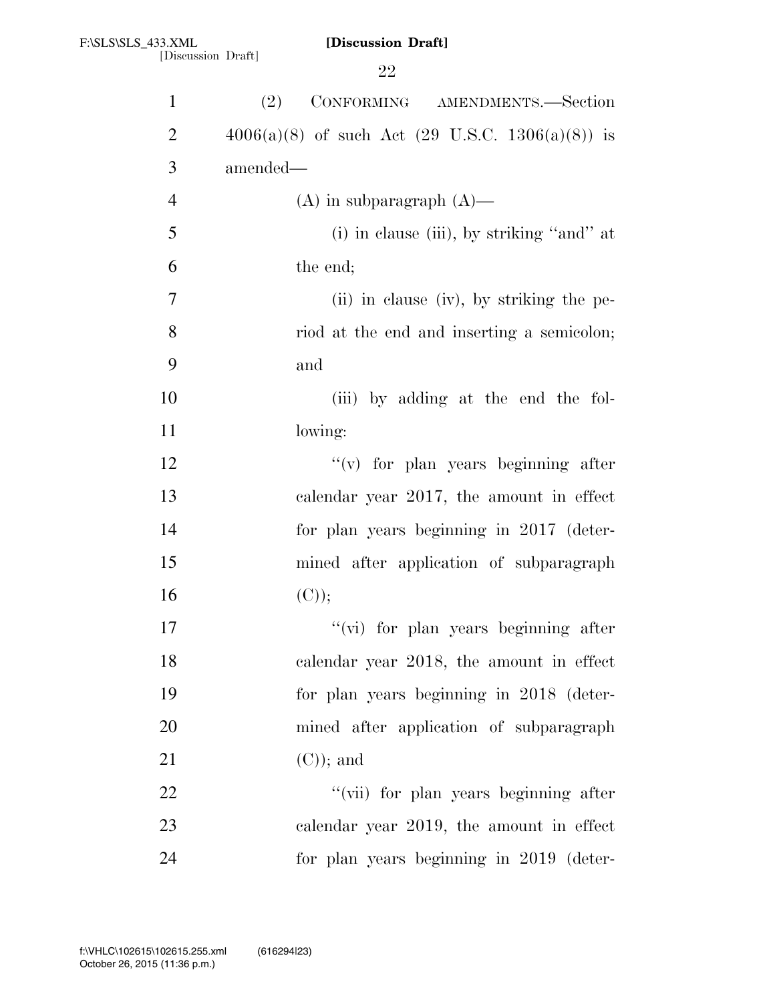| $\mathbf{1}$   | CONFORMING AMENDMENTS.—Section<br>(2)                         |
|----------------|---------------------------------------------------------------|
| $\overline{2}$ | $4006(a)(8)$ of such Act $(29 \text{ U.S.C. } 1306(a)(8))$ is |
| 3              | amended—                                                      |
| $\overline{4}$ | $(A)$ in subparagraph $(A)$ —                                 |
| 5              |                                                               |
|                | (i) in clause (iii), by striking "and" at                     |
| 6              | the end;                                                      |
| 7              | (ii) in clause (iv), by striking the pe-                      |
| 8              | riod at the end and inserting a semicolon;                    |
| 9              | and                                                           |
| 10             | (iii) by adding at the end the fol-                           |
| 11             | lowing:                                                       |
| 12             | $f'(v)$ for plan years beginning after                        |
| 13             | calendar year 2017, the amount in effect                      |
| 14             | for plan years beginning in 2017 (deter-                      |
| 15             | mined after application of subparagraph                       |
| 16             | (C));                                                         |
| 17             | "(vi) for plan years beginning after                          |
| 18             | calendar year 2018, the amount in effect                      |
| 19             | for plan years beginning in 2018 (deter-                      |
| 20             | mined after application of subparagraph                       |
| 21             | $(C)$ ; and                                                   |
| 22             | "(vii) for plan years beginning after                         |
| 23             | calendar year 2019, the amount in effect                      |
| 24             | for plan years beginning in 2019 (deter-                      |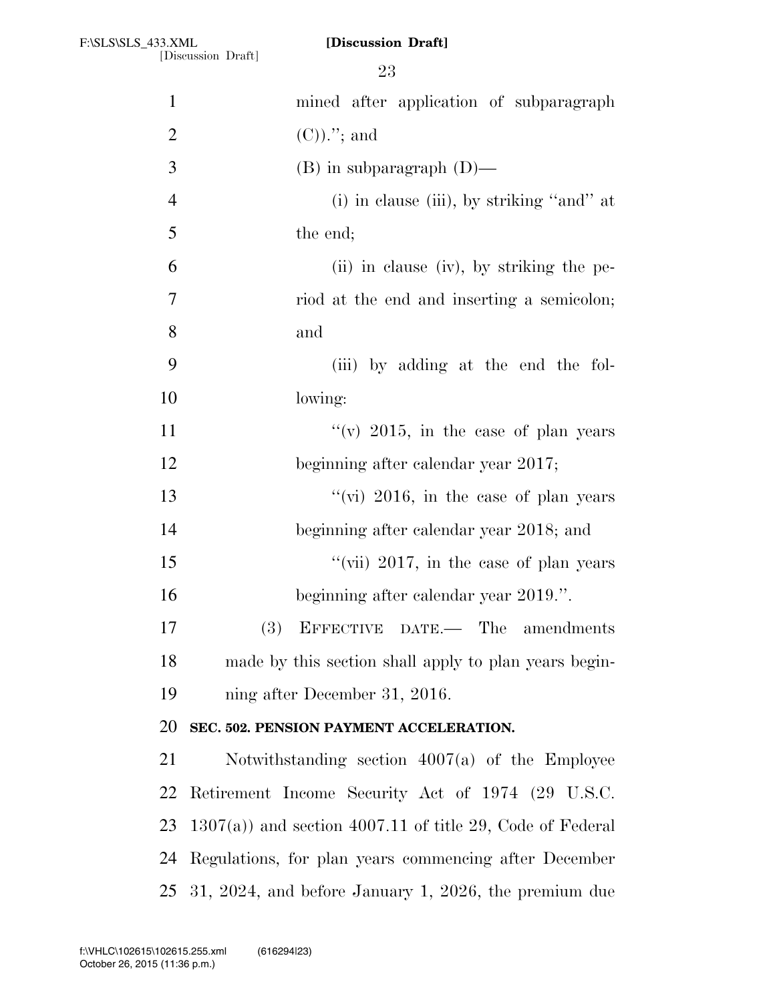[Discussion Draft]

| $\mathbf{1}$   | mined after application of subparagraph                    |
|----------------|------------------------------------------------------------|
| $\overline{2}$ | $(C)$ .''; and                                             |
| 3              | $(B)$ in subparagraph $(D)$ —                              |
| $\overline{4}$ | (i) in clause (iii), by striking "and" at                  |
| 5              | the end;                                                   |
| 6              | (ii) in clause (iv), by striking the pe-                   |
| 7              | riod at the end and inserting a semicolon;                 |
| 8              | and                                                        |
| 9              | (iii) by adding at the end the fol-                        |
| 10             | lowing:                                                    |
| 11             | "(v) 2015, in the case of plan years                       |
| 12             | beginning after calendar year 2017;                        |
| 13             | "(vi) $2016$ , in the case of plan years                   |
| 14             | beginning after calendar year 2018; and                    |
| 15             | "(vii) $2017$ , in the case of plan years                  |
| 16             | beginning after calendar year 2019.".                      |
| 17             | EFFECTIVE DATE.— The amendments<br>(3)                     |
| 18             | made by this section shall apply to plan years begin-      |
| 19             | ning after December 31, 2016.                              |
| 20             | SEC. 502. PENSION PAYMENT ACCELERATION.                    |
| 21             | Notwithstanding section $4007(a)$ of the Employee          |
| 22             | Retirement Income Security Act of 1974 (29 U.S.C.          |
| 23             | $1307(a)$ and section 4007.11 of title 29, Code of Federal |
| 24             | Regulations, for plan years commencing after December      |
| 25             | $31, 2024,$ and before January 1, 2026, the premium due    |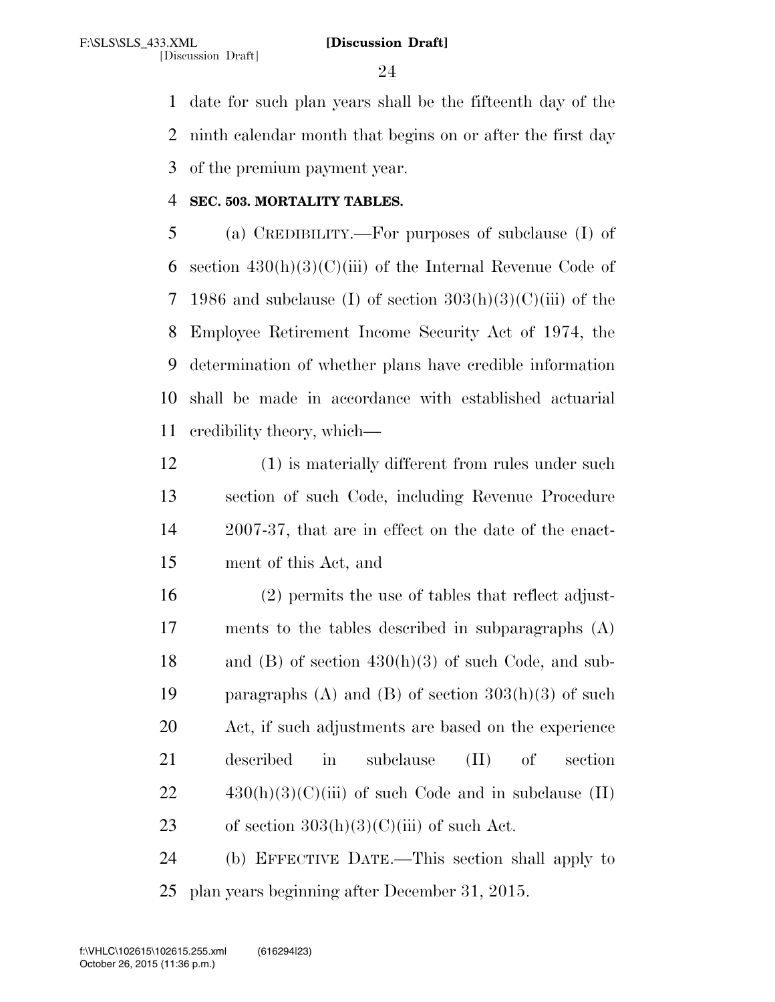[Discussion Draft]

 date for such plan years shall be the fifteenth day of the ninth calendar month that begins on or after the first day of the premium payment year.

# **SEC. 503. MORTALITY TABLES.**

 (a) CREDIBILITY.—For purposes of subclause (I) of 6 section  $430(h)(3)(C)(iii)$  of the Internal Revenue Code of 7 1986 and subclause (I) of section  $303(h)(3)(C)(iii)$  of the Employee Retirement Income Security Act of 1974, the determination of whether plans have credible information shall be made in accordance with established actuarial credibility theory, which—

- (1) is materially different from rules under such section of such Code, including Revenue Procedure 2007-37, that are in effect on the date of the enact-ment of this Act, and
- (2) permits the use of tables that reflect adjust- ments to the tables described in subparagraphs (A) 18 and (B) of section  $430(h)(3)$  of such Code, and sub-19 paragraphs (A) and (B) of section  $303(h)(3)$  of such Act, if such adjustments are based on the experience described in subclause (II) of section  $22 \qquad \qquad 430(h)(3)(C)(iii)$  of such Code and in subclause (II) 23 of section  $303(h)(3)(C)(iii)$  of such Act.
- (b) EFFECTIVE DATE.—This section shall apply to plan years beginning after December 31, 2015.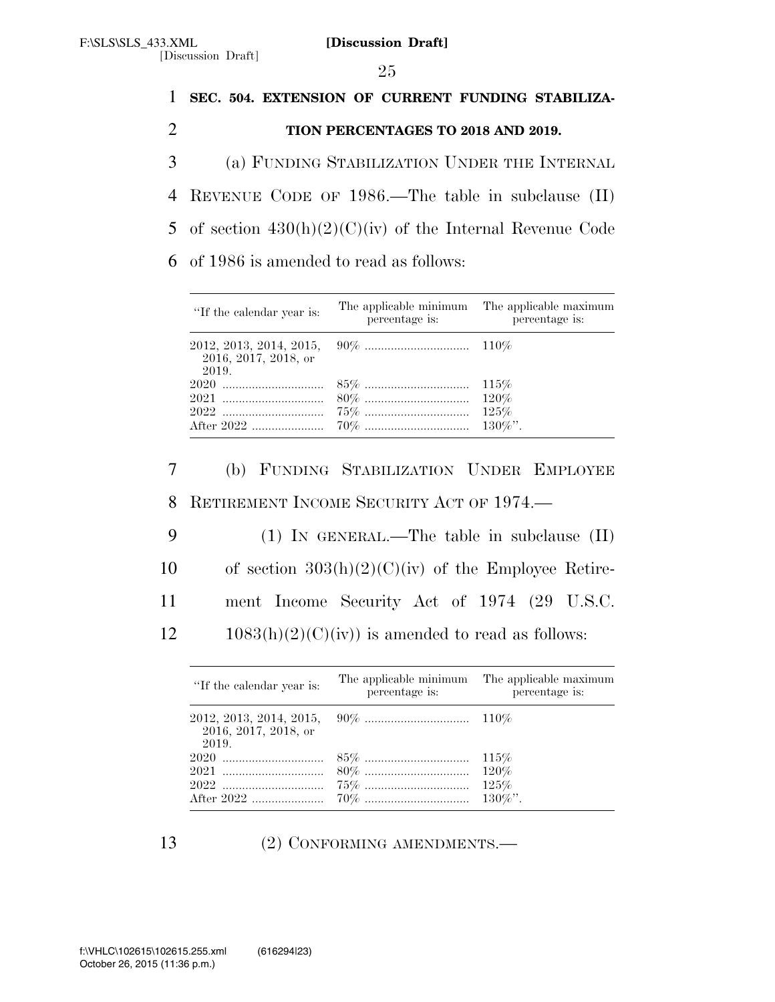25

[Discussion Draft]

 **SEC. 504. EXTENSION OF CURRENT FUNDING STABILIZA- TION PERCENTAGES TO 2018 AND 2019.**  (a) FUNDING STABILIZATION UNDER THE INTERNAL REVENUE CODE OF 1986.—The table in subclause (II) 5 of section  $430(h)(2)(C)(iv)$  of the Internal Revenue Code of 1986 is amended to read as follows:

| "If the calendar year is:     | percentage is: | The applicable minimum The applicable maximum<br>percentage is: |
|-------------------------------|----------------|-----------------------------------------------------------------|
| 2016, 2017, 2018, or<br>2019. |                |                                                                 |
|                               |                |                                                                 |
|                               |                |                                                                 |
|                               |                |                                                                 |
|                               |                |                                                                 |

7 (b) FUNDING STABILIZATION UNDER EMPLOYEE 8 RETIREMENT INCOME SECURITY ACT OF 1974.—

9 (1) IN GENERAL.—The table in subclause (II) 10 of section  $303(h)(2)(C)(iv)$  of the Employee Retire-11 ment Income Security Act of 1974 (29 U.S.C.  $12 \qquad 1083(h)(2)(C)(iv)$  is amended to read as follows:

| "If the calendar year is:     | percentage is: | The applicable minimum The applicable maximum<br>percentage is: |
|-------------------------------|----------------|-----------------------------------------------------------------|
| 2016, 2017, 2018, or<br>2019. |                |                                                                 |
|                               |                |                                                                 |
|                               |                |                                                                 |
|                               |                |                                                                 |
|                               |                |                                                                 |

13 (2) CONFORMING AMENDMENTS.—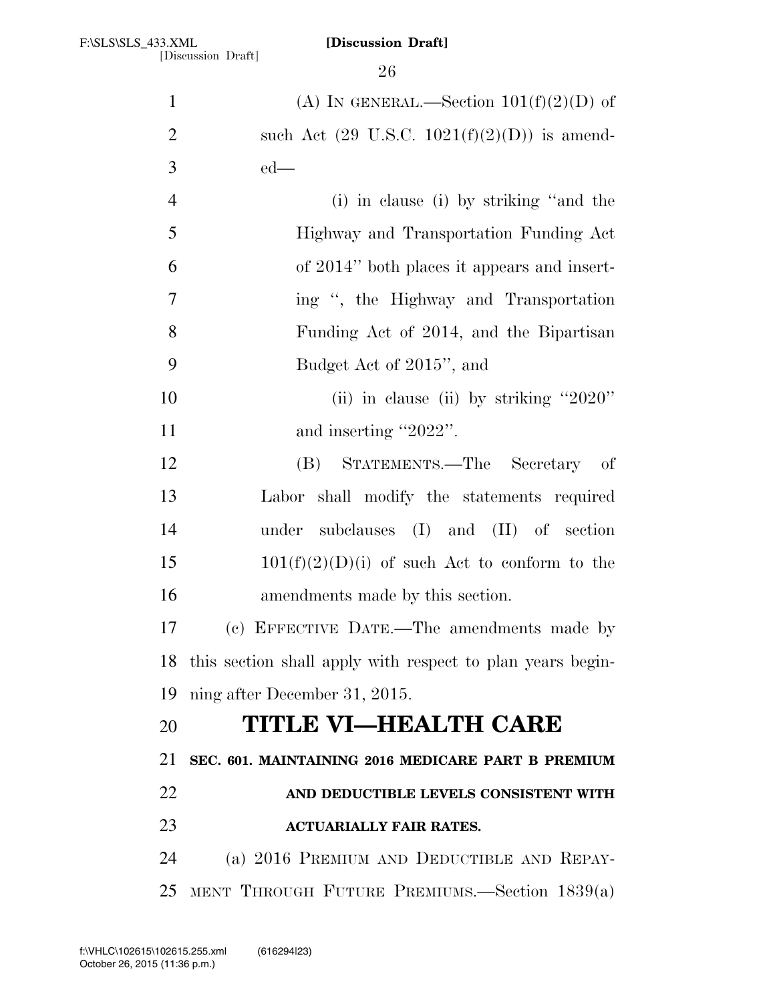| $\mathbf{1}$   | (A) IN GENERAL.—Section $101(f)(2)(D)$ of                     |
|----------------|---------------------------------------------------------------|
| $\overline{2}$ | such Act $(29 \text{ U.S.C. } 1021(f)(2)(D))$ is amend-       |
| 3              | $ed$ —                                                        |
| $\overline{4}$ | (i) in clause (i) by striking "and the                        |
| 5              | Highway and Transportation Funding Act                        |
| 6              | of 2014" both places it appears and insert-                   |
| $\overline{7}$ | ing ", the Highway and Transportation                         |
| 8              | Funding Act of 2014, and the Bipartisan                       |
| 9              | Budget Act of 2015", and                                      |
| 10             | (ii) in clause (ii) by striking " $2020$ "                    |
| 11             | and inserting "2022".                                         |
| 12             | STATEMENTS.—The Secretary<br>(B)<br>- of                      |
| 13             | Labor shall modify the statements required                    |
| 14             | subclauses (I) and (II) of section<br>under                   |
| 15             | $101(f)(2)(D)(i)$ of such Act to conform to the               |
| 16             | amendments made by this section.                              |
| 17             | (c) EFFECTIVE DATE.—The amendments made by                    |
|                | 18 this section shall apply with respect to plan years begin- |
| 19             | ning after December 31, 2015.                                 |
| 20             | <b>TITLE VI—HEALTH CARE</b>                                   |
| 21             | SEC. 601. MAINTAINING 2016 MEDICARE PART B PREMIUM            |
| 22             | AND DEDUCTIBLE LEVELS CONSISTENT WITH                         |
| 23             | <b>ACTUARIALLY FAIR RATES.</b>                                |
| 24             | (a) 2016 PREMIUM AND DEDUCTIBLE AND REPAY-                    |
| 25             | MENT THROUGH FUTURE PREMIUMS.—Section 1839(a)                 |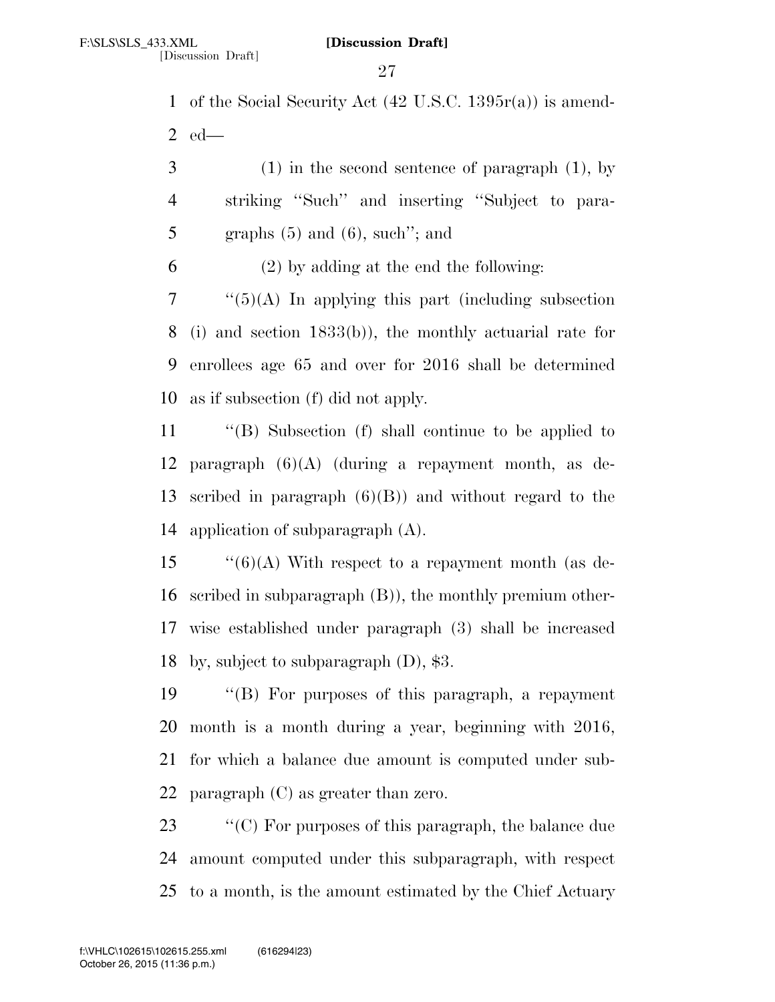of the Social Security Act (42 U.S.C. 1395r(a)) is amend-ed—

 (1) in the second sentence of paragraph (1), by striking ''Such'' and inserting ''Subject to para-5 graphs  $(5)$  and  $(6)$ , such''; and

(2) by adding at the end the following:

 "(5)(A) In applying this part (including subsection (i) and section 1833(b)), the monthly actuarial rate for enrollees age 65 and over for 2016 shall be determined as if subsection (f) did not apply.

 ''(B) Subsection (f) shall continue to be applied to 12 paragraph  $(6)(A)$  (during a repayment month, as de- scribed in paragraph (6)(B)) and without regard to the application of subparagraph (A).

 $\cdot$  (6)(A) With respect to a repayment month (as de- scribed in subparagraph (B)), the monthly premium other- wise established under paragraph (3) shall be increased by, subject to subparagraph (D), \$3.

 ''(B) For purposes of this paragraph, a repayment month is a month during a year, beginning with 2016, for which a balance due amount is computed under sub-paragraph (C) as greater than zero.

 ''(C) For purposes of this paragraph, the balance due amount computed under this subparagraph, with respect to a month, is the amount estimated by the Chief Actuary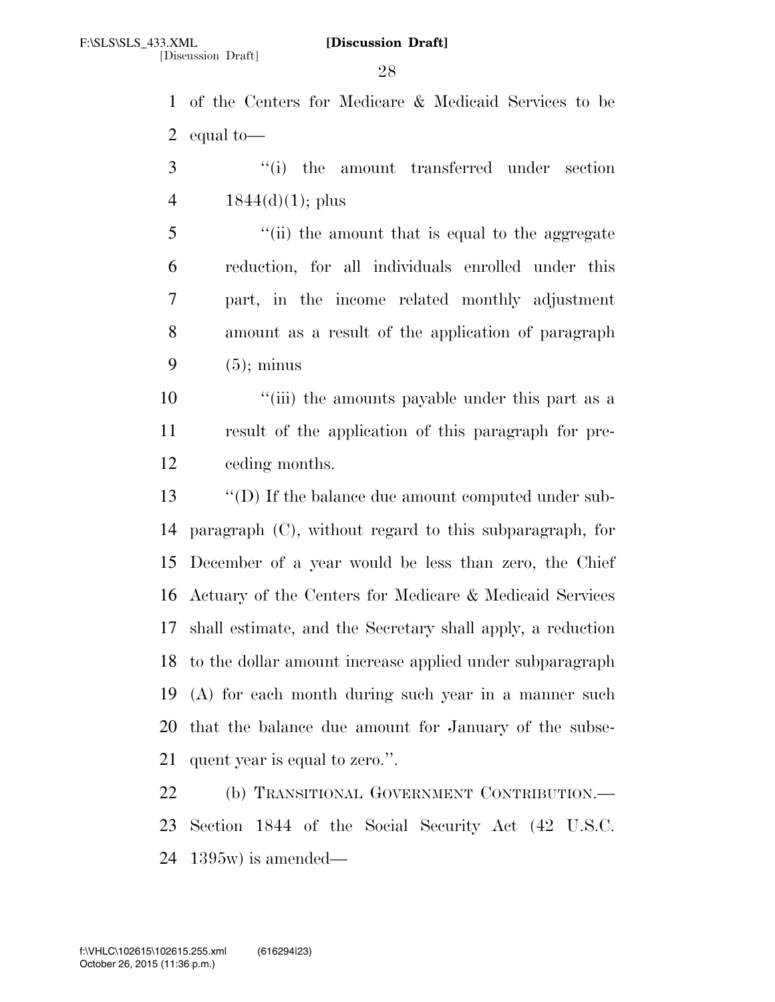of the Centers for Medicare & Medicaid Services to be equal to—

3 ''(i) the amount transferred under section 4  $1844(d)(1)$ ; plus

 ''(ii) the amount that is equal to the aggregate reduction, for all individuals enrolled under this part, in the income related monthly adjustment amount as a result of the application of paragraph  $(5)$ ; minus

10 ''(iii) the amounts payable under this part as a result of the application of this paragraph for pre-ceding months.

 ''(D) If the balance due amount computed under sub- paragraph (C), without regard to this subparagraph, for December of a year would be less than zero, the Chief Actuary of the Centers for Medicare & Medicaid Services shall estimate, and the Secretary shall apply, a reduction to the dollar amount increase applied under subparagraph (A) for each month during such year in a manner such that the balance due amount for January of the subse-quent year is equal to zero.''.

 (b) TRANSITIONAL GOVERNMENT CONTRIBUTION.— Section 1844 of the Social Security Act (42 U.S.C. 1395w) is amended—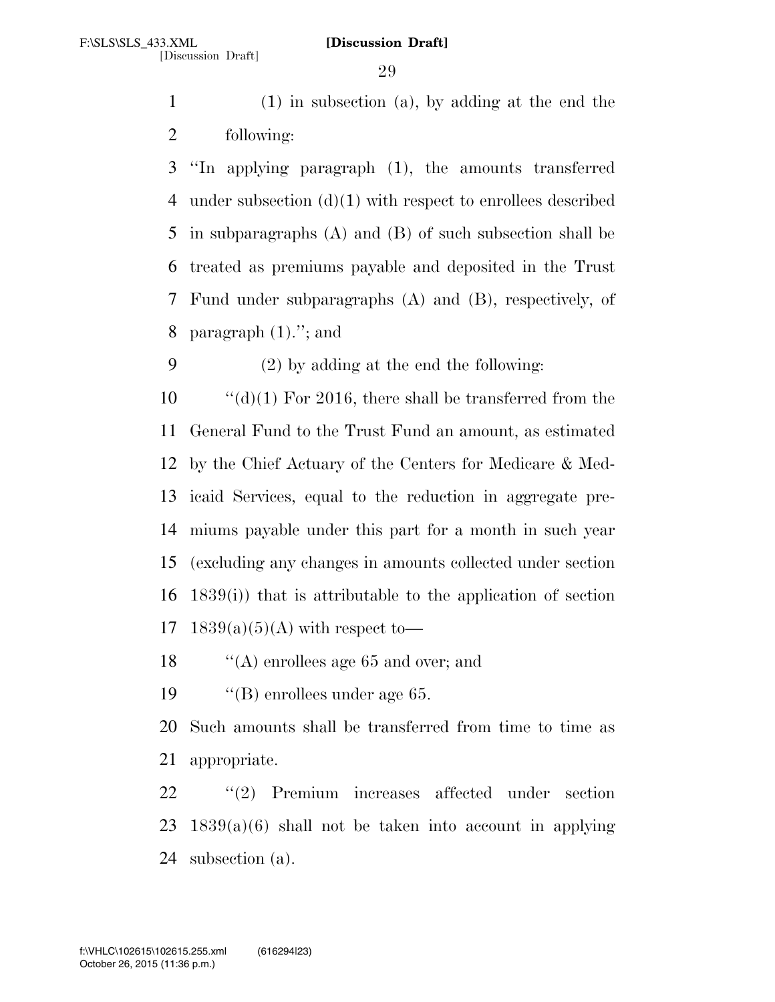(1) in subsection (a), by adding at the end the following:

 ''In applying paragraph (1), the amounts transferred under subsection (d)(1) with respect to enrollees described in subparagraphs (A) and (B) of such subsection shall be treated as premiums payable and deposited in the Trust Fund under subparagraphs (A) and (B), respectively, of 8 paragraph  $(1)$ ."; and

(2) by adding at the end the following:

 $\frac{10}{10}$  (d)(1) For 2016, there shall be transferred from the General Fund to the Trust Fund an amount, as estimated by the Chief Actuary of the Centers for Medicare & Med- icaid Services, equal to the reduction in aggregate pre- miums payable under this part for a month in such year (excluding any changes in amounts collected under section 1839(i)) that is attributable to the application of section 17 1839(a)(5)(A) with respect to  $-$ 

''(A) enrollees age 65 and over; and

''(B) enrollees under age 65.

 Such amounts shall be transferred from time to time as appropriate.

 ''(2) Premium increases affected under section 23  $1839(a)(6)$  shall not be taken into account in applying subsection (a).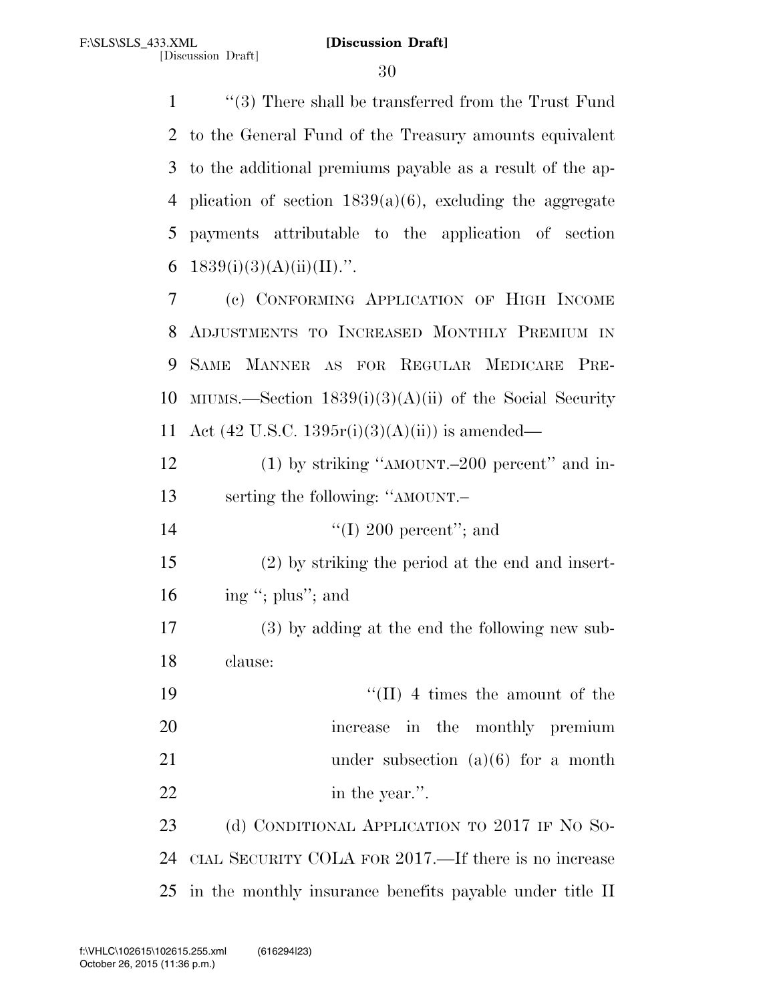''(3) There shall be transferred from the Trust Fund to the General Fund of the Treasury amounts equivalent to the additional premiums payable as a result of the ap-4 plication of section  $1839(a)(6)$ , excluding the aggregate payments attributable to the application of section  $1839(i)(3)(A)(ii)(II)$ .".

7 (c) CONFORMING APPLICATION OF HIGH INCOME 8 ADJUSTMENTS TO INCREASED MONTHLY PREMIUM IN 9 SAME MANNER AS FOR REGULAR MEDICARE PRE-10 MIUMS.—Section  $1839(i)(3)(A)(ii)$  of the Social Security 11 Act (42 U.S.C. 1395 $r(i)(3)(A)(ii)$ ) is amended—

12 (1) by striking "AMOUNT.–200 percent" and in-13 serting the following: ''AMOUNT.–

14  $\text{``(I)}\ 200\ \text{percent''};$  and

15 (2) by striking the period at the end and insert-16 ing "; plus"; and

17 (3) by adding at the end the following new sub-18 clause:

19  $\frac{1}{2}$  The state amount of the 20 increase in the monthly premium 21 under subsection (a)(6) for a month 22 in the year.".

23 (d) CONDITIONAL APPLICATION TO 2017 IF NO SO-24 CIAL SECURITY COLA FOR 2017.—If there is no increase 25 in the monthly insurance benefits payable under title II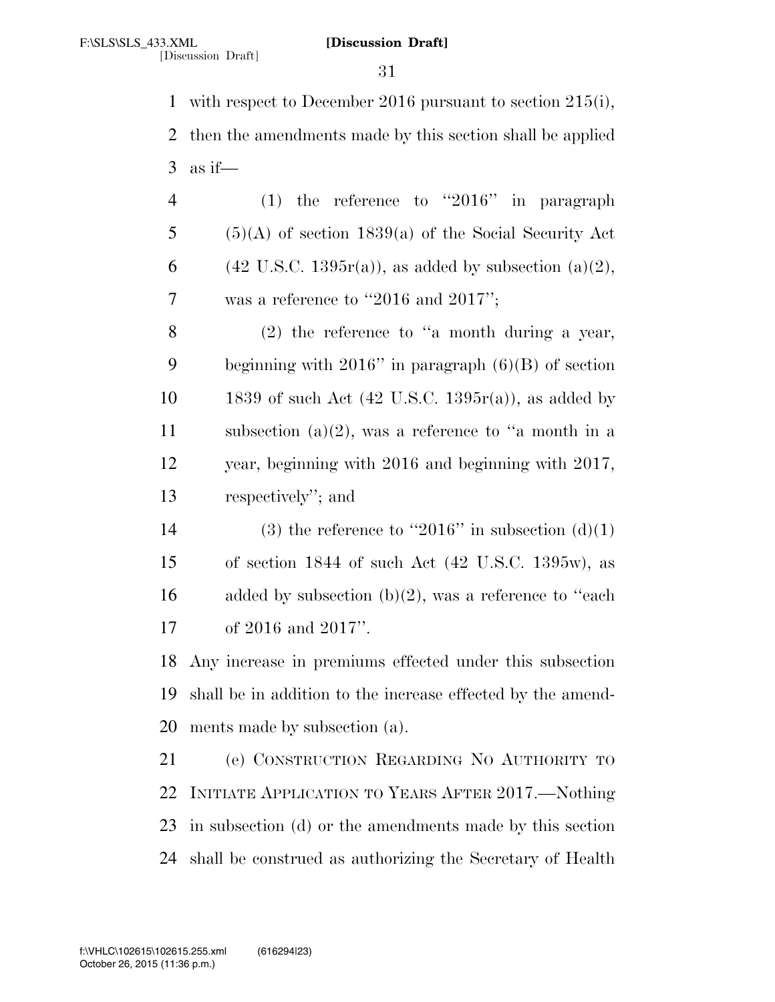with respect to December 2016 pursuant to section 215(i), then the amendments made by this section shall be applied 3 as if—

| $\overline{4}$ | (1) the reference to "2016" in paragraph                            |
|----------------|---------------------------------------------------------------------|
| 5 <sup>5</sup> | $(5)(A)$ of section 1839(a) of the Social Security Act              |
| 6              | $(42 \text{ U.S.C. } 1395r(a))$ , as added by subsection $(a)(2)$ , |
| 7              | was a reference to "2016 and 2017";                                 |

 (2) the reference to ''a month during a year, beginning with 2016'' in paragraph (6)(B) of section 10 1839 of such Act  $(42 \text{ U.S.C. } 1395r(a))$ , as added by 11 subsection  $(a)(2)$ , was a reference to "a month in a year, beginning with 2016 and beginning with 2017, respectively''; and

14 (3) the reference to "2016" in subsection  $(d)(1)$  of section 1844 of such Act (42 U.S.C. 1395w), as 16 added by subsection  $(b)(2)$ , was a reference to "each" of 2016 and 2017''.

 Any increase in premiums effected under this subsection shall be in addition to the increase effected by the amend-ments made by subsection (a).

 (e) CONSTRUCTION REGARDING NO AUTHORITY TO INITIATE APPLICATION TO YEARS AFTER 2017.—Nothing in subsection (d) or the amendments made by this section shall be construed as authorizing the Secretary of Health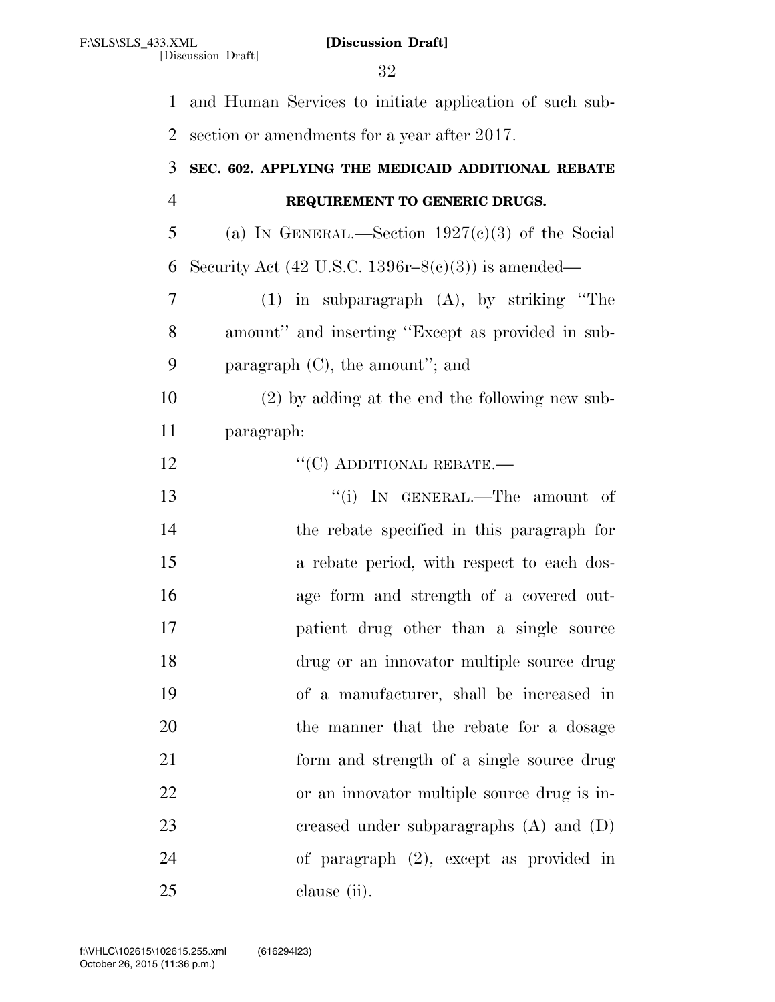[Discussion Draft]

 and Human Services to initiate application of such sub- section or amendments for a year after 2017. **SEC. 602. APPLYING THE MEDICAID ADDITIONAL REBATE REQUIREMENT TO GENERIC DRUGS.**  5 (a) IN GENERAL.—Section  $1927(c)(3)$  of the Social 6 Security Act (42 U.S.C. 1396 $r-8(c)(3)$ ) is amended— (1) in subparagraph (A), by striking ''The amount'' and inserting ''Except as provided in sub- paragraph (C), the amount''; and (2) by adding at the end the following new sub- paragraph:  $C(C)$  ADDITIONAL REBATE.— 13 ''(i) IN GENERAL.—The amount of the rebate specified in this paragraph for a rebate period, with respect to each dos- age form and strength of a covered out- patient drug other than a single source drug or an innovator multiple source drug of a manufacturer, shall be increased in the manner that the rebate for a dosage form and strength of a single source drug or an innovator multiple source drug is in- creased under subparagraphs (A) and (D) of paragraph (2), except as provided in clause (ii).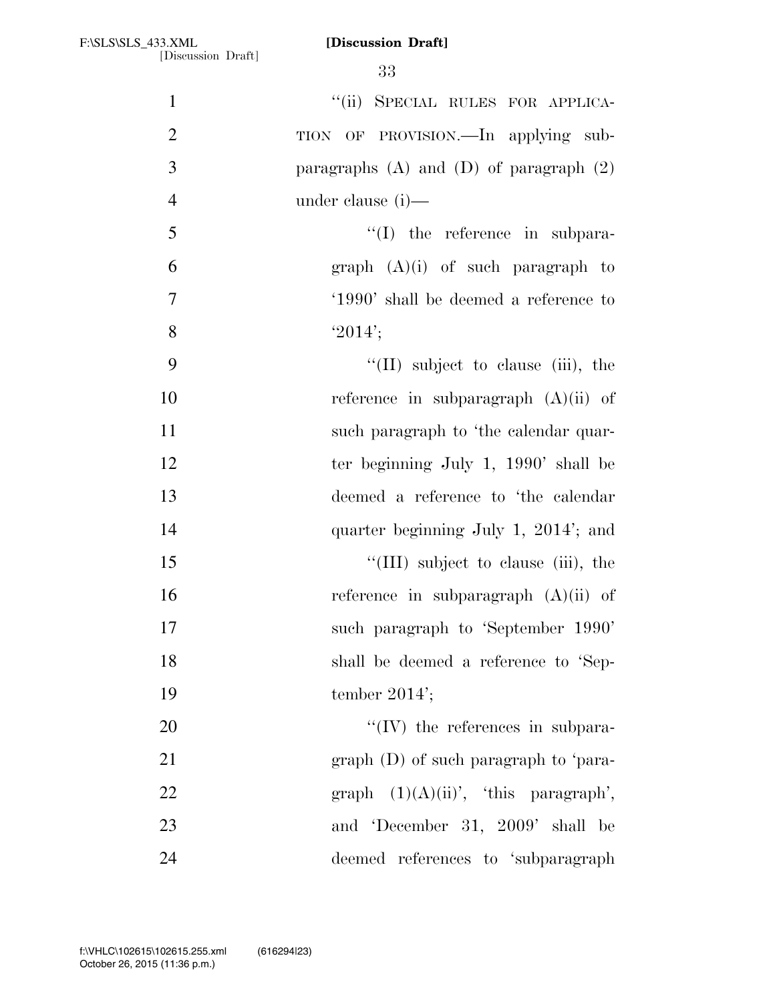|                | 33                                            |
|----------------|-----------------------------------------------|
| $\mathbf{1}$   | "(ii) SPECIAL RULES FOR APPLICA-              |
| $\overline{2}$ | TION OF PROVISION.—In applying sub-           |
| 3              | paragraphs $(A)$ and $(D)$ of paragraph $(2)$ |
| $\overline{4}$ | under clause (i)—                             |
| 5              | $\lq\lq$ the reference in subpara-            |
| 6              | graph $(A)(i)$ of such paragraph to           |
| 7              | '1990' shall be deemed a reference to         |
| 8              | $'2014'$ ;                                    |
| 9              | $\lq\lq$ (II) subject to clause (iii), the    |
| 10             | reference in subparagraph $(A)(ii)$ of        |
| 11             | such paragraph to 'the calendar quar-         |
| 12             | ter beginning July 1, $1990'$ shall be        |
| 13             | deemed a reference to 'the calendar           |
| 14             | quarter beginning July 1, 2014'; and          |
| 15             | "(III) subject to clause (iii), the           |
| 16             | reference in subparagraph $(A)(ii)$ of        |
| 17             | such paragraph to 'September 1990'            |
| 18             | shall be deemed a reference to 'Sep-          |
| 19             | tember $2014$ ;                               |
| 20             | $\lq\lq$ (IV) the references in subpara-      |
| 21             | $graph$ (D) of such paragraph to 'para-       |
| 22             | graph $(1)(A)(ii)$ , 'this paragraph',        |
| 23             | and 'December 31, 2009' shall be              |
| 24             | deemed references to 'subparagraph            |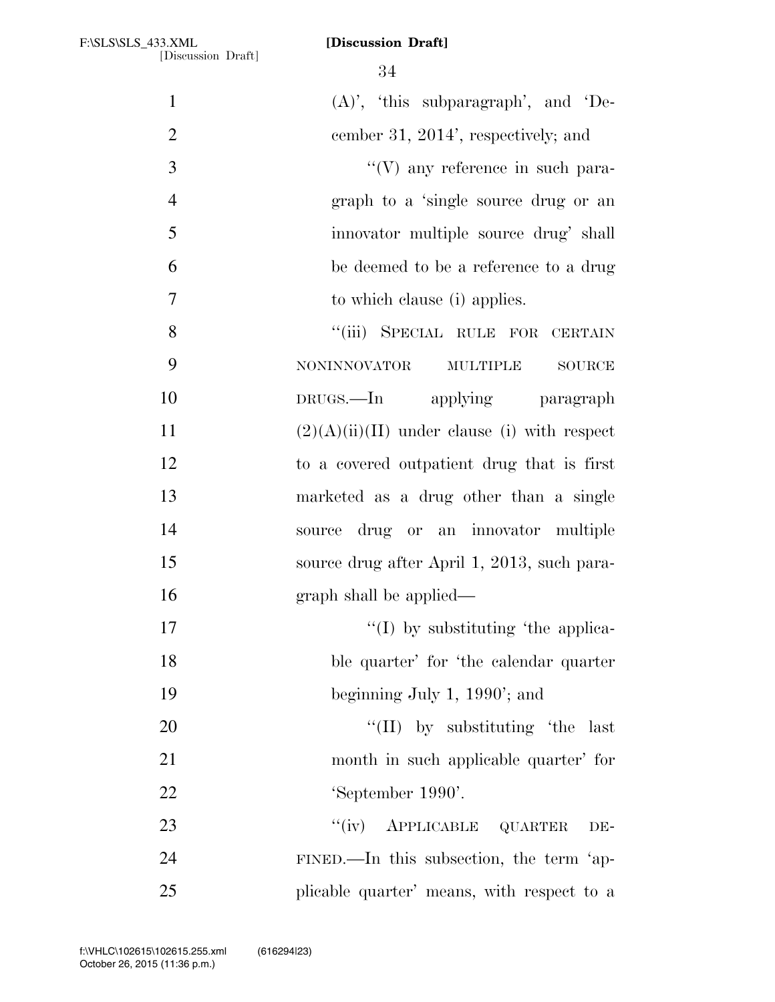| $\mathbf{1}$   | $(A)$ ', 'this subparagraph', and 'De-                  |
|----------------|---------------------------------------------------------|
| $\overline{2}$ | cember 31, 2014', respectively; and                     |
| 3              | $\lq\lq(V)$ any reference in such para-                 |
| $\overline{4}$ | graph to a 'single source drug or an                    |
| 5              | innovator multiple source drug' shall                   |
| 6              | be deemed to be a reference to a drug                   |
| $\tau$         | to which clause (i) applies.                            |
| $8\,$          | "(iii) SPECIAL RULE FOR CERTAIN                         |
| 9              | <b>NONINNOVATOR</b><br><b>MULTIPLE</b><br><b>SOURCE</b> |
| 10             | DRUGS.—In applying paragraph                            |
| 11             | $(2)(A)(ii)(II)$ under clause (i) with respect          |
| 12             | to a covered outpatient drug that is first              |
| 13             | marketed as a drug other than a single                  |
| 14             | source drug or an innovator multiple                    |
| 15             | source drug after April 1, 2013, such para-             |
| 16             | graph shall be applied—                                 |
| 17             | $\lq\lq$ (I) by substituting the applica-               |
| 18             | ble quarter' for 'the calendar quarter                  |
| 19             | beginning July 1, $1990'$ ; and                         |
| 20             | "(II) by substituting 'the last                         |
| 21             | month in such applicable quarter' for                   |
| 22             | 'September 1990'.                                       |
| 23             | "(iv) APPLICABLE QUARTER<br>DE-                         |
| 24             | FINED.—In this subsection, the term 'ap-                |
| 25             | plicable quarter' means, with respect to a              |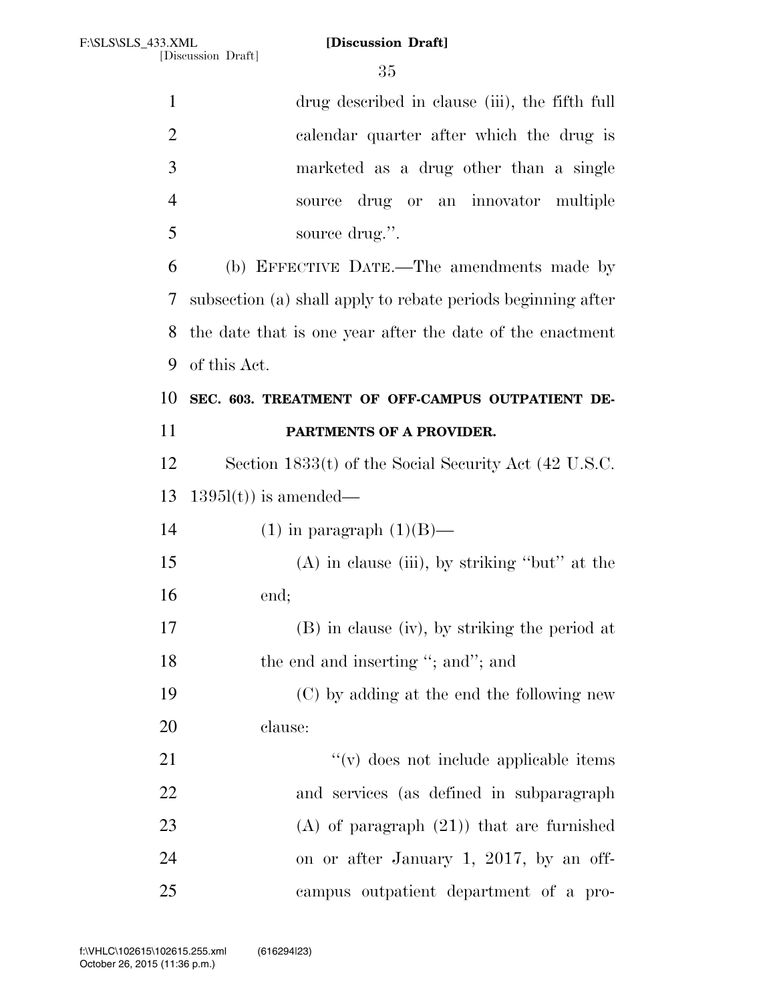| $\mathbf{1}$   | drug described in clause (iii), the fifth full               |
|----------------|--------------------------------------------------------------|
| $\overline{2}$ | calendar quarter after which the drug is                     |
| 3              | marketed as a drug other than a single                       |
| $\overline{4}$ | drug or an innovator multiple<br>source                      |
| 5              | source drug.".                                               |
| 6              | (b) EFFECTIVE DATE.—The amendments made by                   |
| 7              | subsection (a) shall apply to rebate periods beginning after |
| 8              | the date that is one year after the date of the enactment    |
| 9              | of this Act.                                                 |
| 10             | SEC. 603. TREATMENT OF OFF-CAMPUS OUTPATIENT DE-             |
| 11             | PARTMENTS OF A PROVIDER.                                     |
| 12             | Section 1833(t) of the Social Security Act (42 U.S.C.        |
| 13             | $1395l(t)$ is amended—                                       |
| 14             | $(1)$ in paragraph $(1)(B)$ —                                |
| 15             | $(A)$ in clause (iii), by striking "but" at the              |
| 16             | end;                                                         |
| 17             | (B) in clause (iv), by striking the period at                |
| 18             | the end and inserting "; and"; and                           |
| 19             | (C) by adding at the end the following new                   |
| 20             | clause:                                                      |
| 21             | "(v) does not include applicable items                       |
| 22             | and services (as defined in subparagraph                     |
| 23             | $(A)$ of paragraph $(21)$ that are furnished                 |
| 24             | on or after January 1, 2017, by an off-                      |
| 25             | campus outpatient department of a pro-                       |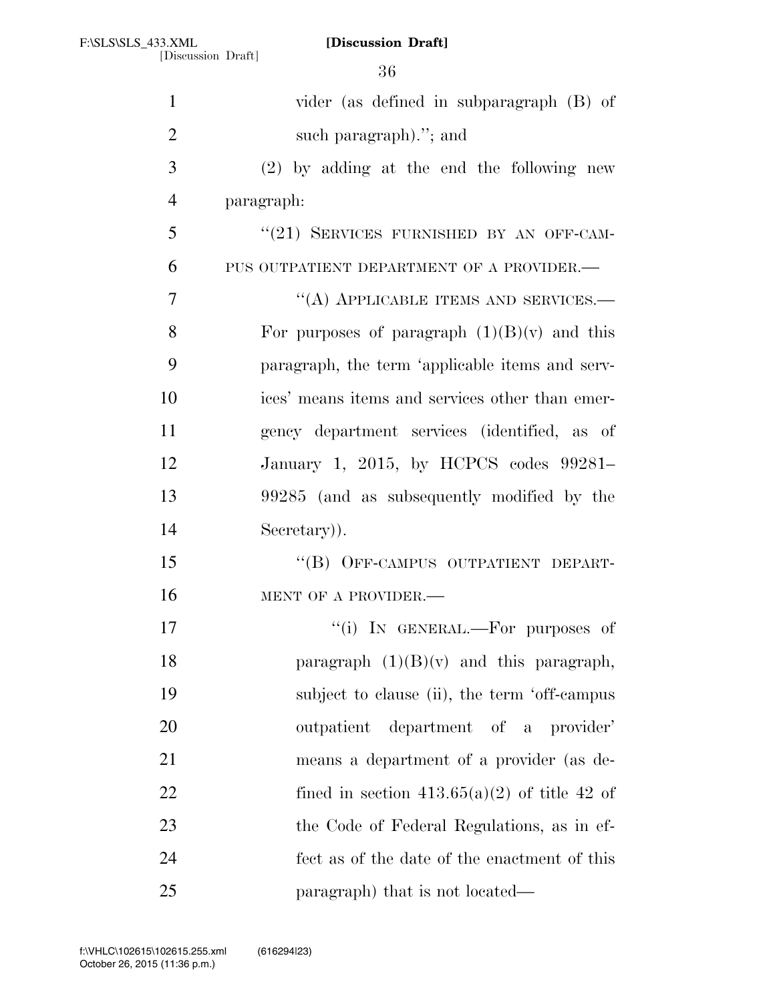[Discussion Draft]

| $\mathbf{1}$   | vider (as defined in subparagraph (B) of        |
|----------------|-------------------------------------------------|
| $\overline{2}$ | such paragraph)."; and                          |
| 3              | $(2)$ by adding at the end the following new    |
| $\overline{4}$ | paragraph:                                      |
| 5              | "(21) SERVICES FURNISHED BY AN OFF-CAM-         |
| 6              | PUS OUTPATIENT DEPARTMENT OF A PROVIDER.-       |
| 7              | "(A) APPLICABLE ITEMS AND SERVICES.-            |
| 8              | For purposes of paragraph $(1)(B)(v)$ and this  |
| 9              | paragraph, the term 'applicable items and serv- |
| 10             | ices' means items and services other than emer- |
| 11             | gency department services (identified, as of    |
| 12             | January 1, 2015, by HCPCS codes 99281–          |
| 13             | 99285 (and as subsequently modified by the      |
| 14             | Secretary).                                     |
| 15             | "(B) OFF-CAMPUS OUTPATIENT DEPART-              |
| 16             | MENT OF A PROVIDER.-                            |
| 17             | "(i) IN GENERAL.—For purposes of                |
| 18             | paragraph $(1)(B)(v)$ and this paragraph,       |
| 19             | subject to clause (ii), the term 'off-campus    |
| 20             | outpatient department of a provider'            |
| 21             | means a department of a provider (as de-        |
| 22             | fined in section $413.65(a)(2)$ of title 42 of  |
| 23             | the Code of Federal Regulations, as in ef-      |
| 24             | fect as of the date of the enactment of this    |
| 25             | paragraph) that is not located—                 |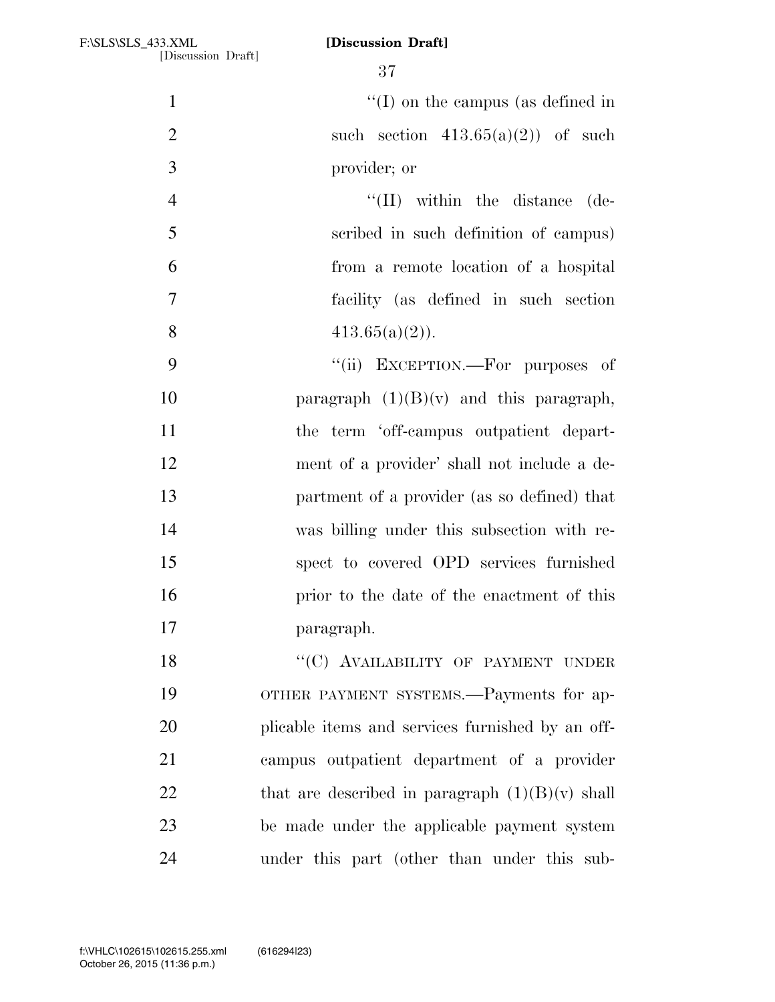| $\mathbf{1}$   | $\lq\lq$ (I) on the campus (as defined in         |
|----------------|---------------------------------------------------|
| $\overline{2}$ | such section $413.65(a)(2)$ of such               |
| 3              | provider; or                                      |
| $\overline{4}$ | $\lq\lq$ (II) within the distance<br>(de-         |
| 5              | scribed in such definition of campus)             |
| 6              | from a remote location of a hospital              |
| $\tau$         | facility (as defined in such section              |
| 8              | $413.65(a)(2)$ .                                  |
| 9              | "(ii) EXCEPTION.—For purposes of                  |
| 10             | paragraph $(1)(B)(v)$ and this paragraph,         |
| 11             | the term 'off-campus outpatient depart-           |
| 12             | ment of a provider' shall not include a de-       |
| 13             | partment of a provider (as so defined) that       |
| 14             | was billing under this subsection with re-        |
| 15             | spect to covered OPD services furnished           |
| 16             | prior to the date of the enactment of this        |
| 17             | paragraph.                                        |
| 18             | "(C) AVAILABILITY OF PAYMENT UNDER                |
| 19             | OTHER PAYMENT SYSTEMS.—Payments for ap-           |
| 20             | plicable items and services furnished by an off-  |
| 21             | campus outpatient department of a provider        |
| 22             | that are described in paragraph $(1)(B)(v)$ shall |
| 23             | be made under the applicable payment system       |
| 24             | under this part (other than under this sub-       |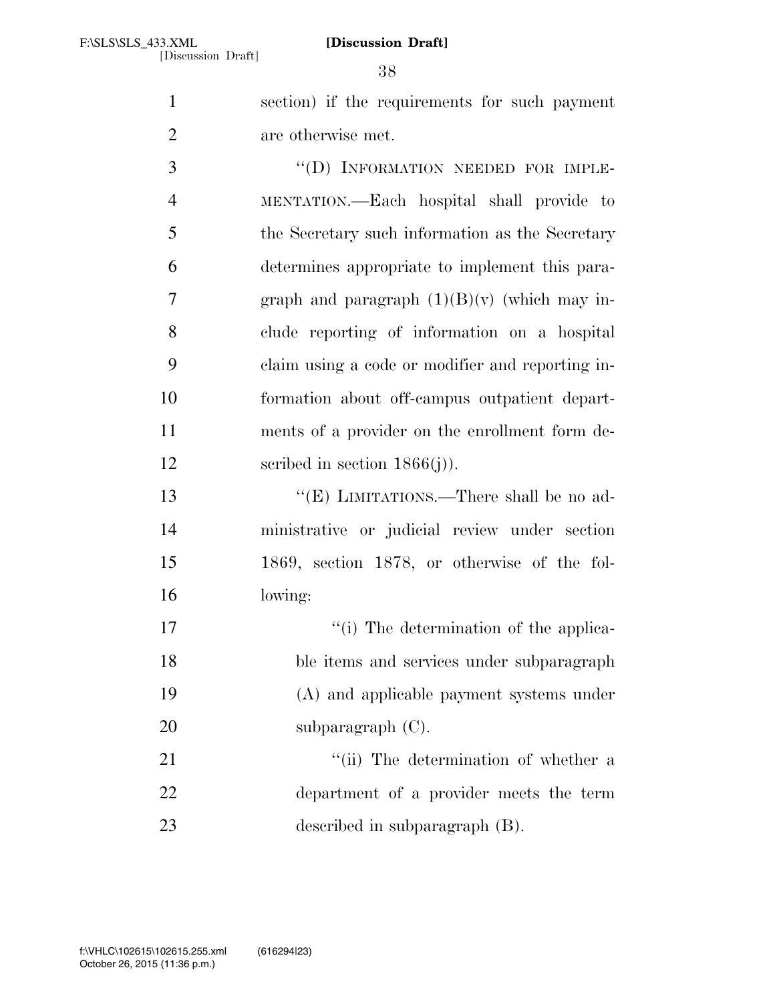section) if the requirements for such payment are otherwise met.

3 "(D) INFORMATION NEEDED FOR IMPLE- MENTATION.—Each hospital shall provide to the Secretary such information as the Secretary determines appropriate to implement this para-7 graph and paragraph  $(1)(B)(v)$  (which may in- clude reporting of information on a hospital claim using a code or modifier and reporting in- formation about off-campus outpatient depart- ments of a provider on the enrollment form de-12 seribed in section 1866(j)).

 ''(E) LIMITATIONS.—There shall be no ad- ministrative or judicial review under section 1869, section 1878, or otherwise of the fol-lowing:

 ''(i) The determination of the applica- ble items and services under subparagraph (A) and applicable payment systems under 20 subparagraph (C).

21 ''(ii) The determination of whether a department of a provider meets the term described in subparagraph (B).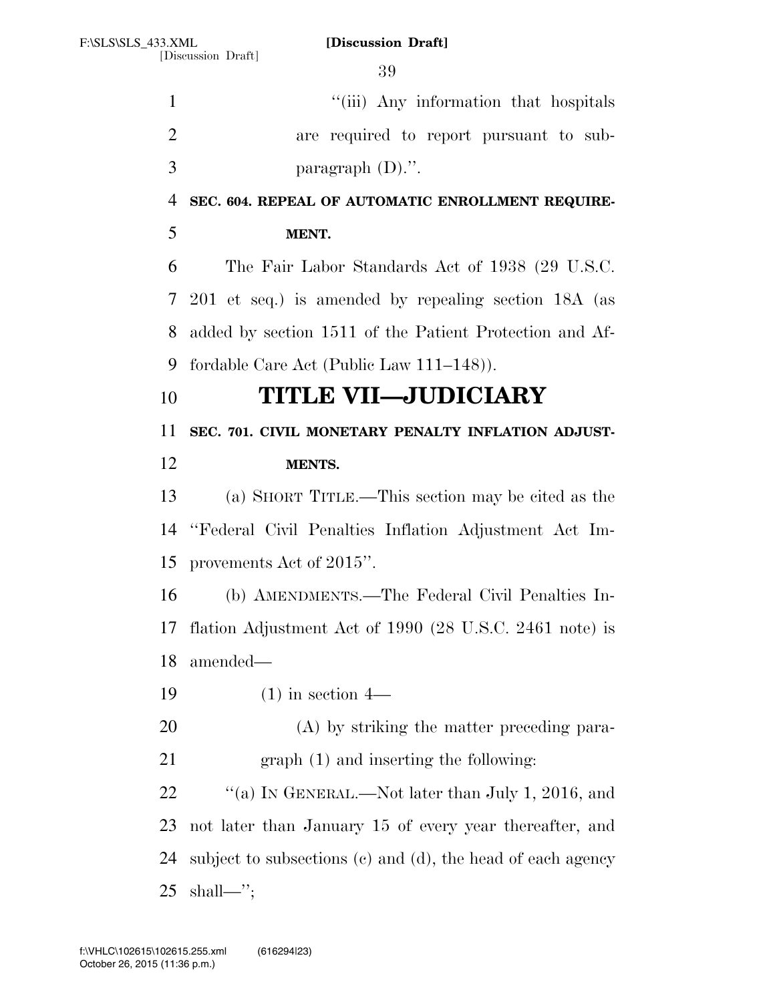1 ''(iii) Any information that hospitals are required to report pursuant to sub- paragraph (D).''. **SEC. 604. REPEAL OF AUTOMATIC ENROLLMENT REQUIRE- MENT.**  The Fair Labor Standards Act of 1938 (29 U.S.C. 201 et seq.) is amended by repealing section 18A (as added by section 1511 of the Patient Protection and Af- fordable Care Act (Public Law 111–148)). **TITLE VII—JUDICIARY SEC. 701. CIVIL MONETARY PENALTY INFLATION ADJUST- MENTS.**  (a) SHORT TITLE.—This section may be cited as the ''Federal Civil Penalties Inflation Adjustment Act Im- provements Act of 2015''. (b) AMENDMENTS.—The Federal Civil Penalties In- flation Adjustment Act of 1990 (28 U.S.C. 2461 note) is amended— (1) in section 4— (A) by striking the matter preceding para- graph (1) and inserting the following: 22 "(a) IN GENERAL.—Not later than July 1, 2016, and not later than January 15 of every year thereafter, and subject to subsections (c) and (d), the head of each agency shall—'';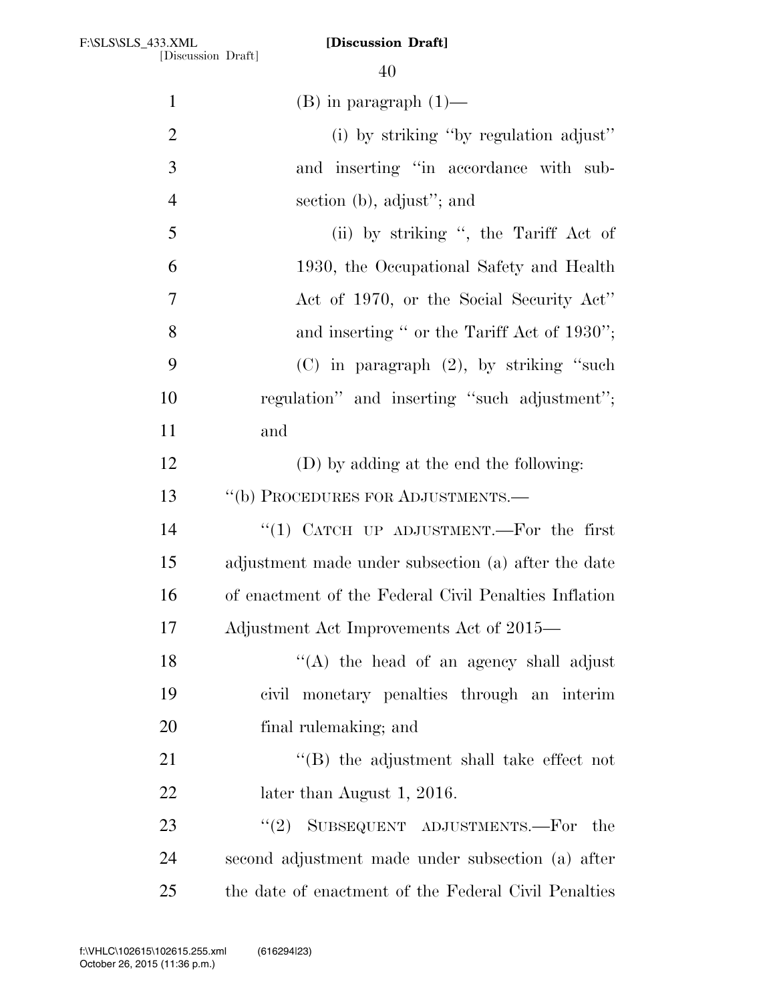| $\mathbf{1}$   | $(B)$ in paragraph $(1)$ —                            |
|----------------|-------------------------------------------------------|
| $\overline{2}$ | (i) by striking "by regulation adjust"                |
| 3              | and inserting "in accordance with sub-                |
| $\overline{4}$ | section (b), adjust"; and                             |
| 5              | (ii) by striking ", the Tariff Act of                 |
| 6              | 1930, the Occupational Safety and Health              |
| 7              | Act of 1970, or the Social Security Act"              |
| 8              | and inserting " or the Tariff Act of 1930";           |
| 9              | $(C)$ in paragraph $(2)$ , by striking "such          |
| 10             | regulation" and inserting "such adjustment";          |
| 11             | and                                                   |
| 12             | (D) by adding at the end the following:               |
| 13             | "(b) PROCEDURES FOR ADJUSTMENTS.-                     |
| 14             | "(1) CATCH UP ADJUSTMENT.—For the first               |
| 15             | adjustment made under subsection (a) after the date   |
| 16             | of enactment of the Federal Civil Penalties Inflation |
| 17             | Adjustment Act Improvements Act of 2015—              |
| 18             | "(A) the head of an agency shall adjust               |
| 19             | civil monetary penalties through an interim           |
| 20             | final rulemaking; and                                 |
| 21             | $\lq\lq$ the adjustment shall take effect not         |
| 22             | later than August 1, 2016.                            |
| 23             | SUBSEQUENT ADJUSTMENTS.—For the<br>(2)                |
| 24             | second adjustment made under subsection (a) after     |
| 25             | the date of enactment of the Federal Civil Penalties  |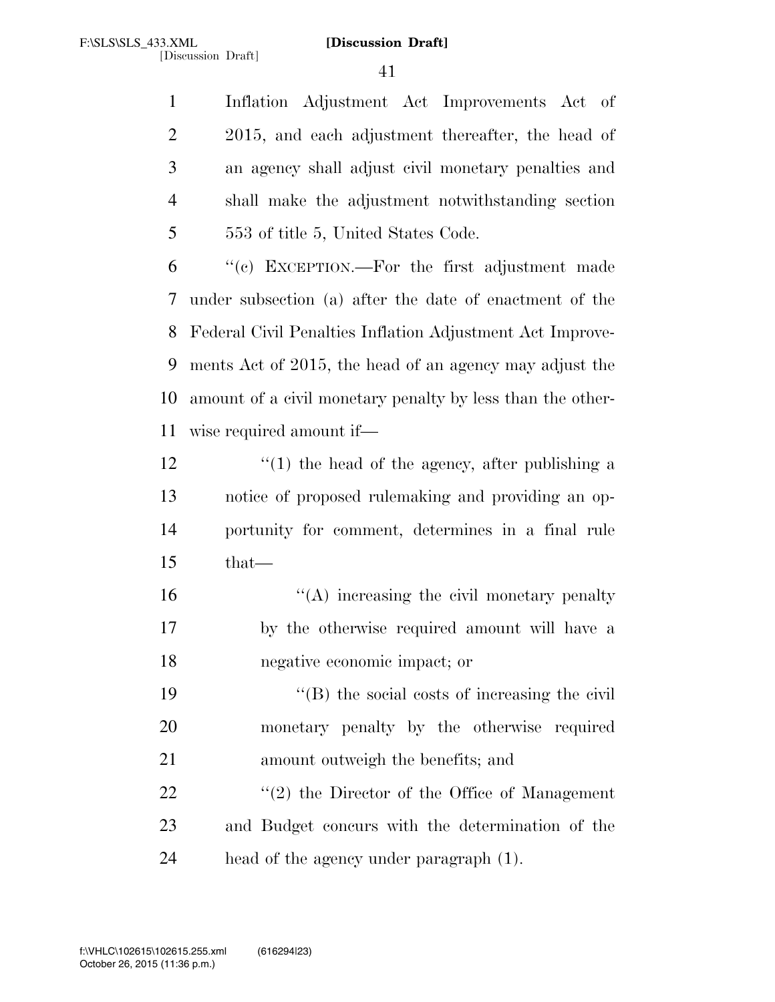Inflation Adjustment Act Improvements Act of 2 2015, and each adjustment thereafter, the head of an agency shall adjust civil monetary penalties and shall make the adjustment notwithstanding section 553 of title 5, United States Code.

 ''(c) EXCEPTION.—For the first adjustment made under subsection (a) after the date of enactment of the Federal Civil Penalties Inflation Adjustment Act Improve- ments Act of 2015, the head of an agency may adjust the amount of a civil monetary penalty by less than the other-wise required amount if—

 $\frac{1}{2}$   $\frac{1}{2}$   $\frac{1}{2}$  the head of the agency, after publishing a notice of proposed rulemaking and providing an op- portunity for comment, determines in a final rule that—

16  $\langle A \rangle$  increasing the civil monetary penalty by the otherwise required amount will have a negative economic impact; or

 ''(B) the social costs of increasing the civil monetary penalty by the otherwise required amount outweigh the benefits; and

22  $\frac{1}{2}$   $\frac{1}{2}$  the Director of the Office of Management and Budget concurs with the determination of the head of the agency under paragraph (1).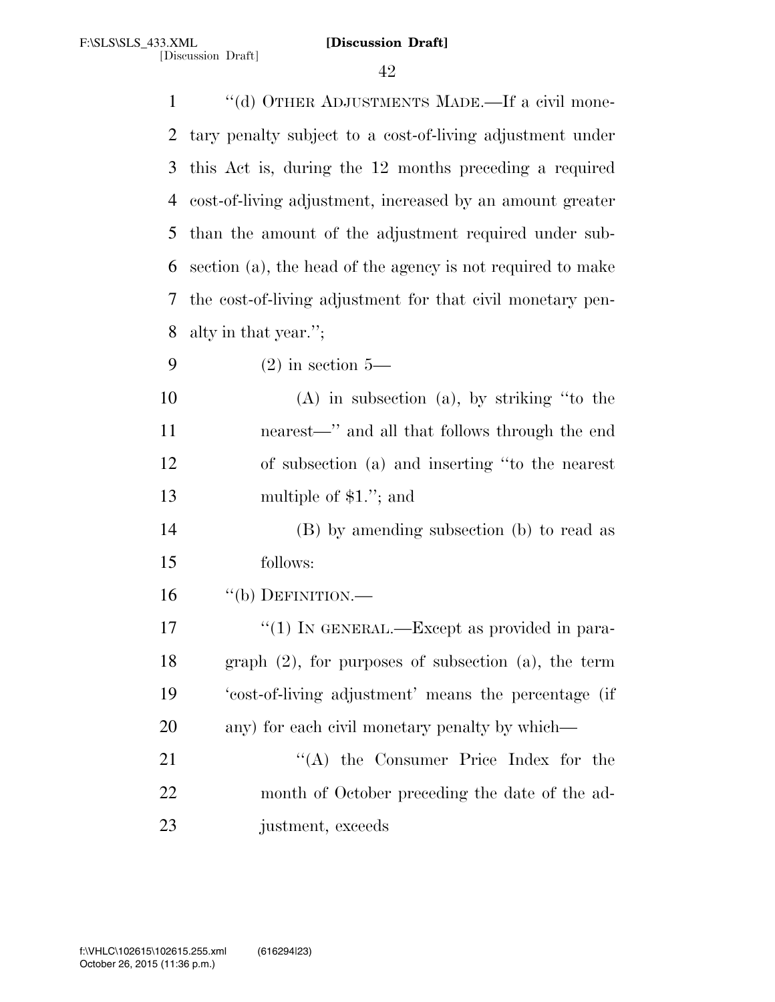| $\mathbf{1}$ | "(d) OTHER ADJUSTMENTS MADE.—If a civil mone-               |
|--------------|-------------------------------------------------------------|
| 2            | tary penalty subject to a cost-of-living adjustment under   |
| 3            | this Act is, during the 12 months preceding a required      |
| 4            | cost-of-living adjustment, increased by an amount greater   |
| 5            | than the amount of the adjustment required under sub-       |
| 6            | section (a), the head of the agency is not required to make |
| 7            | the cost-of-living adjustment for that civil monetary pen-  |
| 8            | alty in that year.";                                        |
| 9            | $(2)$ in section 5—                                         |
| 10           | $(A)$ in subsection $(a)$ , by striking "to the             |
| 11           | nearest—" and all that follows through the end              |
| 12           | of subsection (a) and inserting "to the nearest             |
| 13           | multiple of $$1.'$ ; and                                    |
| 14           | (B) by amending subsection (b) to read as                   |
| 15           | follows:                                                    |
| 16           | $``$ (b) DEFINITION.—                                       |
| 17           | "(1) IN GENERAL.—Except as provided in para-                |
| 18           | graph $(2)$ , for purposes of subsection $(a)$ , the term   |
| 19           | 'cost-of-living adjustment' means the percentage (if        |
| 20           | any) for each civil monetary penalty by which—              |
| 21           | "(A) the Consumer Price Index for the                       |
| 22           | month of October preceding the date of the ad-              |
| 23           | justment, exceeds                                           |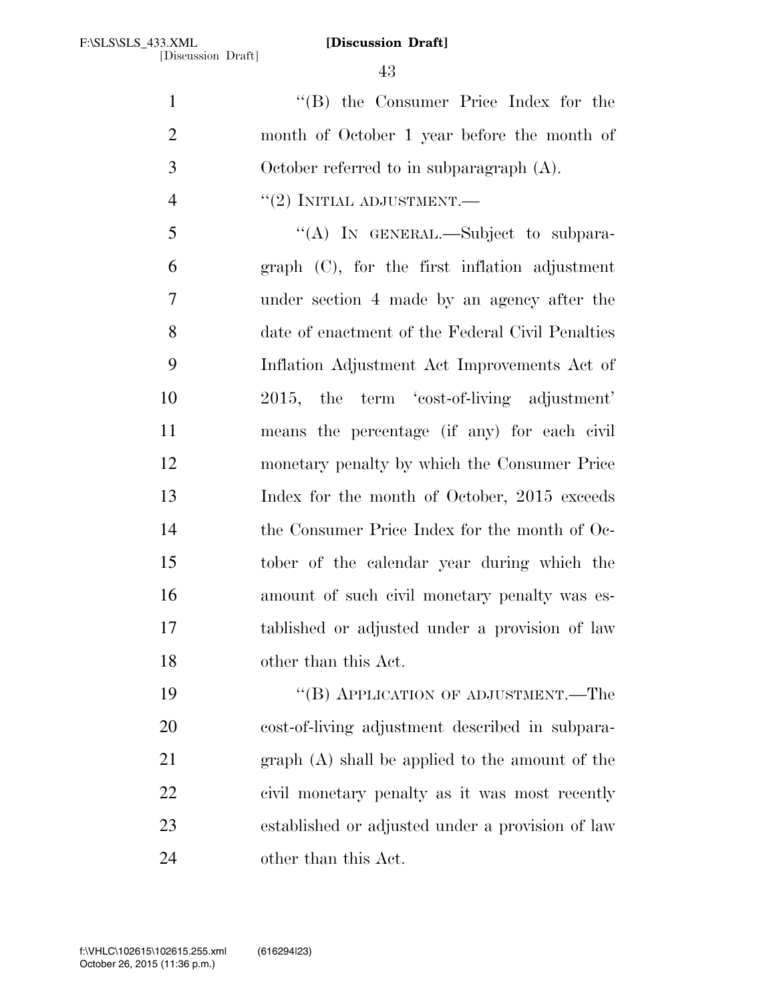''(B) the Consumer Price Index for the month of October 1 year before the month of October referred to in subparagraph (A).

# $\frac{u(2)}{v(2)}$  INITIAL ADJUSTMENT.

 ''(A) IN GENERAL.—Subject to subpara- graph (C), for the first inflation adjustment under section 4 made by an agency after the date of enactment of the Federal Civil Penalties Inflation Adjustment Act Improvements Act of 2015, the term 'cost-of-living adjustment' means the percentage (if any) for each civil monetary penalty by which the Consumer Price 13 Index for the month of October, 2015 exceeds the Consumer Price Index for the month of Oc- tober of the calendar year during which the amount of such civil monetary penalty was es- tablished or adjusted under a provision of law other than this Act.

19 "(B) APPLICATION OF ADJUSTMENT.—The cost-of-living adjustment described in subpara- graph (A) shall be applied to the amount of the civil monetary penalty as it was most recently established or adjusted under a provision of law other than this Act.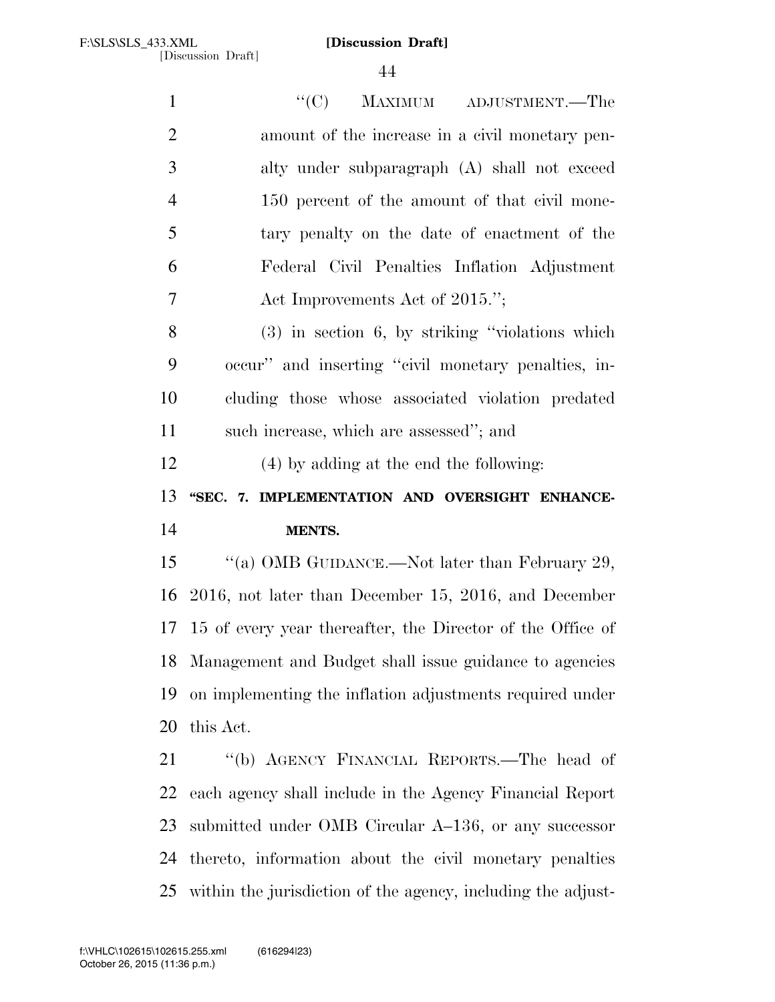| $\mathbf{1}$   | ``(C)<br>MAXIMUM ADJUSTMENT.—The                              |
|----------------|---------------------------------------------------------------|
| $\overline{2}$ | amount of the increase in a civil monetary pen-               |
| 3              | alty under subparagraph (A) shall not exceed                  |
| $\overline{4}$ | 150 percent of the amount of that civil mone-                 |
| 5              | tary penalty on the date of enactment of the                  |
| 6              | Federal Civil Penalties Inflation Adjustment                  |
| 7              | Act Improvements Act of 2015.";                               |
| 8              | $(3)$ in section 6, by striking "violations which             |
| 9              | occur" and inserting "civil monetary penalties, in-           |
| 10             | cluding those whose associated violation predated             |
| 11             | such increase, which are assessed"; and                       |
| 12             | (4) by adding at the end the following:                       |
|                |                                                               |
| 13             | "SEC. 7. IMPLEMENTATION AND OVERSIGHT ENHANCE-                |
|                | MENTS.                                                        |
| 14<br>15       | "(a) OMB GUIDANCE.—Not later than February 29,                |
| 16             | 2016, not later than December 15, 2016, and December          |
|                | 17 15 of every year thereafter, the Director of the Office of |
| 18             | Management and Budget shall issue guidance to agencies        |
| 19             | on implementing the inflation adjustments required under      |
|                | this Act.                                                     |
| 20<br>21       | "(b) AGENCY FINANCIAL REPORTS.—The head of                    |
| 22             | each agency shall include in the Agency Financial Report      |
| 23             | submitted under OMB Circular A-136, or any successor          |

within the jurisdiction of the agency, including the adjust-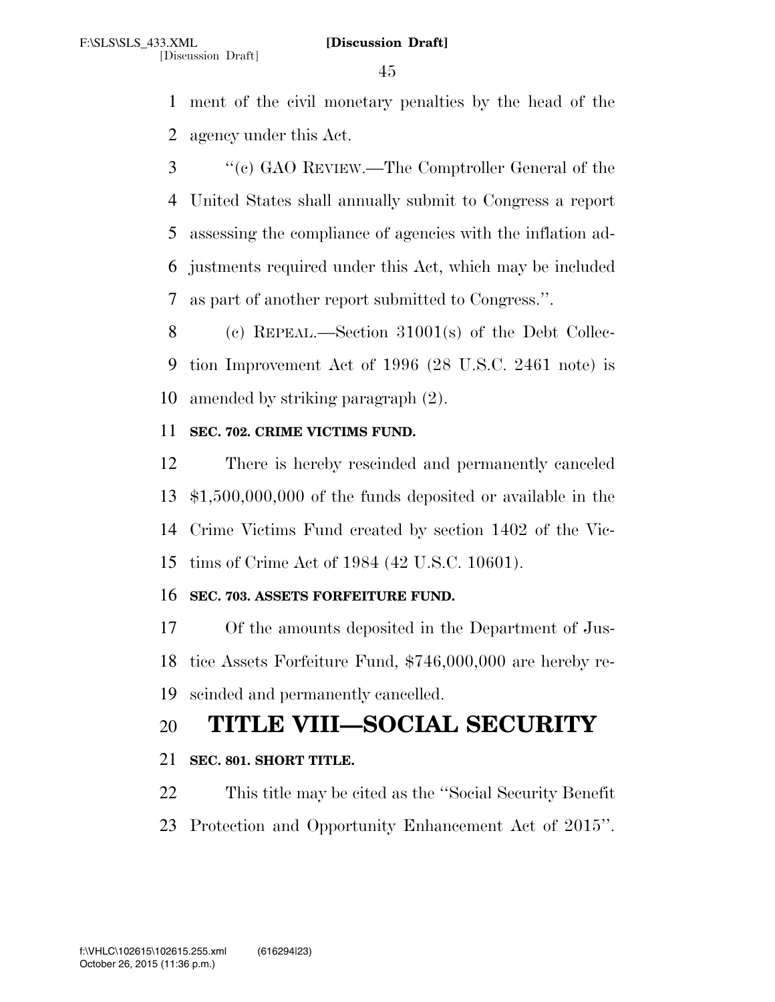ment of the civil monetary penalties by the head of the agency under this Act.

 ''(c) GAO REVIEW.—The Comptroller General of the United States shall annually submit to Congress a report assessing the compliance of agencies with the inflation ad- justments required under this Act, which may be included as part of another report submitted to Congress.''.

 (c) REPEAL.—Section 31001(s) of the Debt Collec- tion Improvement Act of 1996 (28 U.S.C. 2461 note) is amended by striking paragraph (2).

## **SEC. 702. CRIME VICTIMS FUND.**

 There is hereby rescinded and permanently canceled \$1,500,000,000 of the funds deposited or available in the Crime Victims Fund created by section 1402 of the Vic-tims of Crime Act of 1984 (42 U.S.C. 10601).

# **SEC. 703. ASSETS FORFEITURE FUND.**

 Of the amounts deposited in the Department of Jus- tice Assets Forfeiture Fund, \$746,000,000 are hereby re-scinded and permanently cancelled.

# **TITLE VIII—SOCIAL SECURITY**

# **SEC. 801. SHORT TITLE.**

 This title may be cited as the ''Social Security Benefit Protection and Opportunity Enhancement Act of 2015''.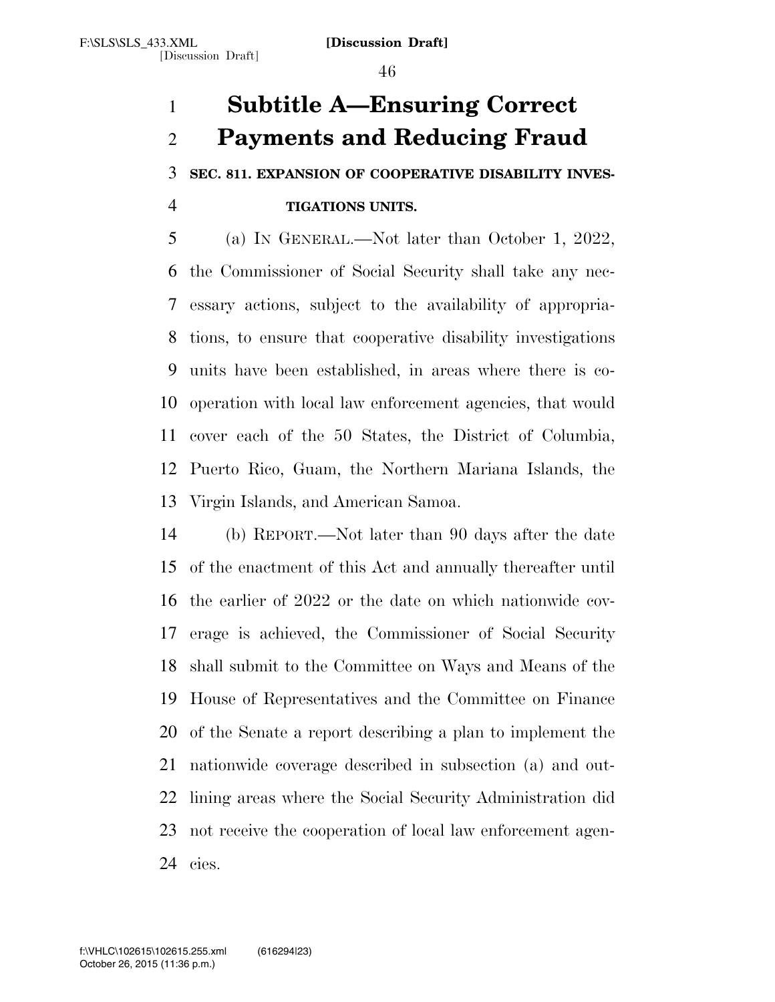# **Subtitle A—Ensuring Correct Payments and Reducing Fraud**

**SEC. 811. EXPANSION OF COOPERATIVE DISABILITY INVES-**

# **TIGATIONS UNITS.**

 (a) IN GENERAL.—Not later than October 1, 2022, the Commissioner of Social Security shall take any nec- essary actions, subject to the availability of appropria- tions, to ensure that cooperative disability investigations units have been established, in areas where there is co- operation with local law enforcement agencies, that would cover each of the 50 States, the District of Columbia, Puerto Rico, Guam, the Northern Mariana Islands, the Virgin Islands, and American Samoa.

 (b) REPORT.—Not later than 90 days after the date of the enactment of this Act and annually thereafter until the earlier of 2022 or the date on which nationwide cov- erage is achieved, the Commissioner of Social Security shall submit to the Committee on Ways and Means of the House of Representatives and the Committee on Finance of the Senate a report describing a plan to implement the nationwide coverage described in subsection (a) and out- lining areas where the Social Security Administration did not receive the cooperation of local law enforcement agen-cies.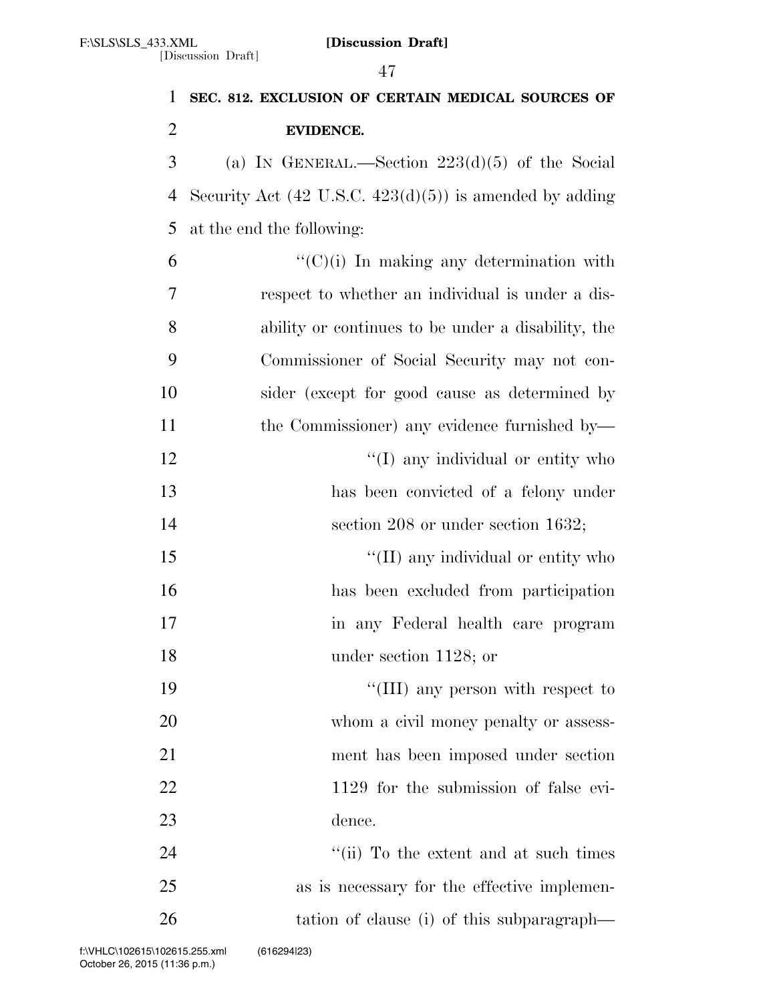|                | 47                                                                 |
|----------------|--------------------------------------------------------------------|
| 1              | SEC. 812. EXCLUSION OF CERTAIN MEDICAL SOURCES OF                  |
| $\overline{2}$ | <b>EVIDENCE.</b>                                                   |
| 3              | (a) IN GENERAL.—Section $223(d)(5)$ of the Social                  |
| 4              | Security Act $(42 \text{ U.S.C. } 423(d)(5))$ is amended by adding |
| 5              | at the end the following:                                          |
| 6              | $\lq\lq$ (C)(i) In making any determination with                   |
| 7              | respect to whether an individual is under a dis-                   |
| 8              | ability or continues to be under a disability, the                 |
| 9              | Commissioner of Social Security may not con-                       |
| 10             | sider (except for good cause as determined by                      |
| 11             | the Commissioner) any evidence furnished by—                       |
| 12             | "(I) any individual or entity who                                  |
| 13             | has been convicted of a felony under                               |
| 14             | section $208$ or under section $1632$ ;                            |
| 15             | "(II) any individual or entity who                                 |
| 16             | has been excluded from participation                               |
| 17             | in any Federal health care program                                 |
| 18             | under section $1128$ ; or                                          |
| 19             | "(III) any person with respect to                                  |
| 20             | whom a civil money penalty or assess-                              |
| 21             | ment has been imposed under section                                |
| 22             | 1129 for the submission of false evi-                              |
| 23             | dence.                                                             |
| 24             | "(ii) To the extent and at such times                              |
| 25             | as is necessary for the effective implemen-                        |
| 26             | tation of clause (i) of this subparagraph—                         |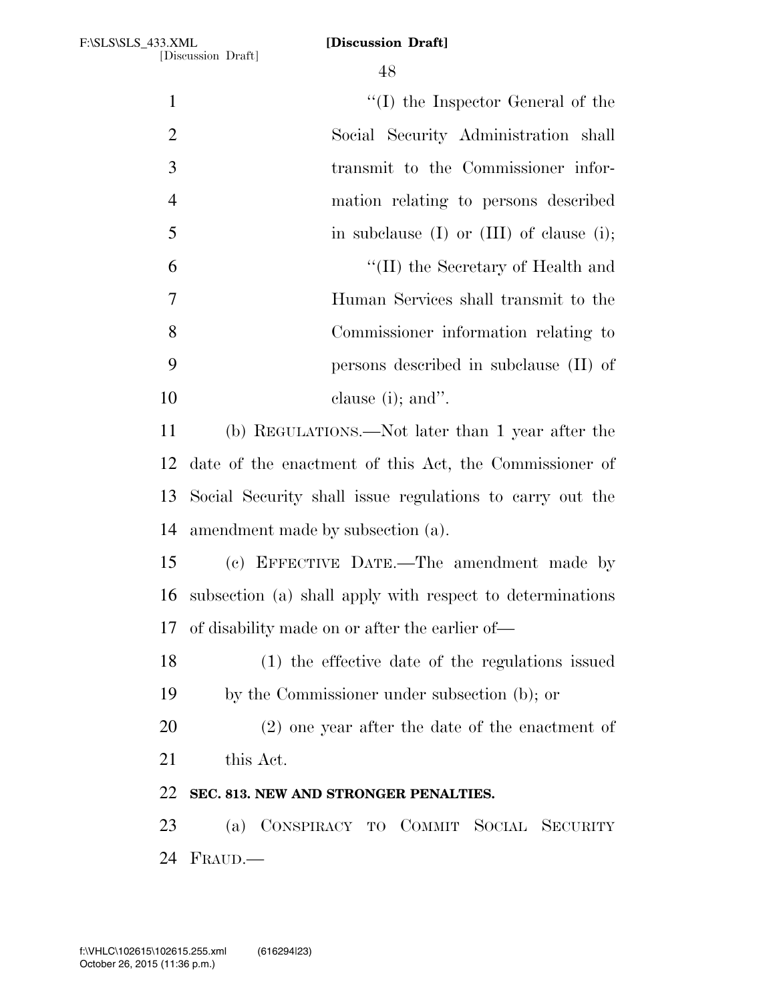| $\mathbf{1}$   | $\lq\lq$ the Inspector General of the                     |
|----------------|-----------------------------------------------------------|
| $\overline{2}$ | Social Security Administration shall                      |
| 3              | transmit to the Commissioner infor-                       |
| $\overline{4}$ | mation relating to persons described                      |
| $\mathfrak{S}$ | in subclause $(I)$ or $(III)$ of clause $(i)$ ;           |
| 6              | "(II) the Secretary of Health and                         |
| 7              | Human Services shall transmit to the                      |
| 8              | Commissioner information relating to                      |
| 9              | persons described in subclause $(II)$ of                  |
| 10             | clause $(i)$ ; and".                                      |
| 11             | (b) REGULATIONS.—Not later than 1 year after the          |
| 12             | date of the enactment of this Act, the Commissioner of    |
| 13             | Social Security shall issue regulations to carry out the  |
| 14             | amendment made by subsection (a).                         |
| 15             | (c) EFFECTIVE DATE.—The amendment made by                 |
| 16             | subsection (a) shall apply with respect to determinations |
|                | 17 of disability made on or after the earlier of—         |
| 18             | (1) the effective date of the regulations issued          |
| 19             | by the Commissioner under subsection (b); or              |
| 20             | $(2)$ one year after the date of the enactment of         |
| 21             | this Act.                                                 |
| 22             | SEC. 813. NEW AND STRONGER PENALTIES.                     |
| 23             | (a) CONSPIRACY TO COMMIT SOCIAL SECURITY                  |
| 24             | FRAUD.                                                    |
|                |                                                           |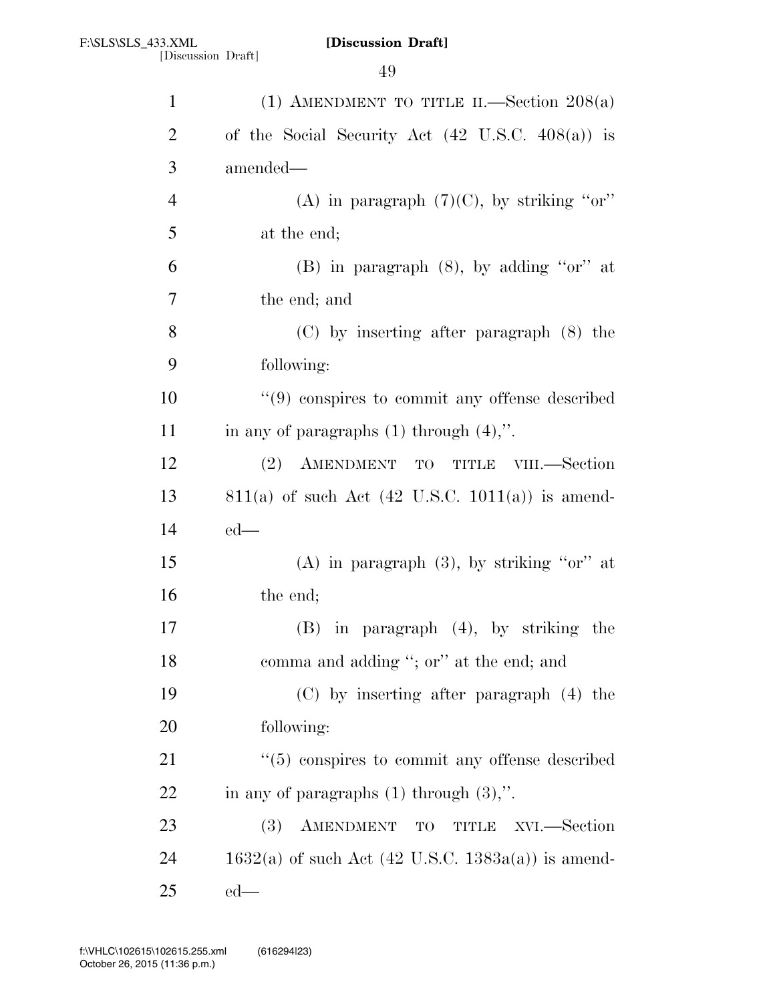| $\mathbf{1}$             | (1) AMENDMENT TO TITLE II.—Section $208(a)$          |
|--------------------------|------------------------------------------------------|
| $\overline{2}$           | of the Social Security Act (42 U.S.C. 408(a)) is     |
| 3                        | amended—                                             |
| $\overline{\mathcal{A}}$ | (A) in paragraph $(7)(C)$ , by striking "or"         |
| 5                        | at the end;                                          |
| 6                        | (B) in paragraph $(8)$ , by adding "or" at           |
| $\tau$                   | the end; and                                         |
| 8                        | $(C)$ by inserting after paragraph $(8)$ the         |
| 9                        | following:                                           |
| 10                       | $(9)$ conspires to commit any offense described      |
| 11                       | in any of paragraphs $(1)$ through $(4)$ ,".         |
| 12                       | (2) AMENDMENT TO TITLE<br>VIII.—Section              |
| 13                       | $811(a)$ of such Act (42 U.S.C. 1011(a)) is amend-   |
| 14                       | $ed$ —                                               |
| 15                       | (A) in paragraph $(3)$ , by striking "or" at         |
| 16                       | the end;                                             |
| 17                       | in paragraph $(4)$ , by striking the<br>(B)          |
| 18                       | comma and adding "; or" at the end; and              |
| 19                       | $(C)$ by inserting after paragraph $(4)$ the         |
| 20                       | following:                                           |
| 21                       | $\lq(5)$ conspires to commit any offense described   |
| 22                       | in any of paragraphs $(1)$ through $(3)$ ,".         |
| 23                       | AMENDMENT TO TITLE<br>XVI.—Section<br><b>(3)</b>     |
| 24                       | $1632(a)$ of such Act (42 U.S.C. 1383a(a)) is amend- |
| 25                       | $ed$ —                                               |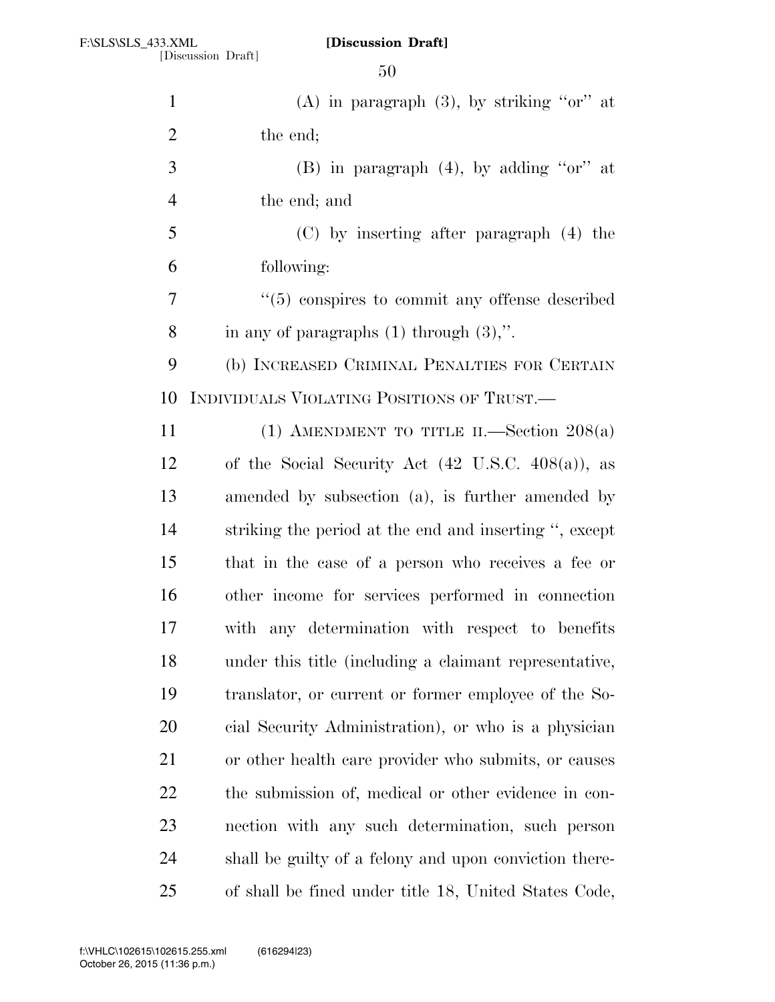| $\mathbf{1}$   | (A) in paragraph $(3)$ , by striking "or" at                  |
|----------------|---------------------------------------------------------------|
| $\overline{2}$ | the end;                                                      |
| 3              | (B) in paragraph $(4)$ , by adding "or" at                    |
| $\overline{4}$ | the end; and                                                  |
| 5              | (C) by inserting after paragraph (4) the                      |
| 6              | following:                                                    |
| 7              | $\lq(5)$ conspires to commit any offense described            |
| 8              | in any of paragraphs $(1)$ through $(3)$ ,".                  |
| 9              | (b) INCREASED CRIMINAL PENALTIES FOR CERTAIN                  |
| 10             | INDIVIDUALS VIOLATING POSITIONS OF TRUST.                     |
| 11             | (1) AMENDMENT TO TITLE II.—Section $208(a)$                   |
| 12             | of the Social Security Act $(42 \text{ U.S.C. } 408(a))$ , as |
| 13             | amended by subsection (a), is further amended by              |
| 14             | striking the period at the end and inserting ", except        |
| 15             | that in the case of a person who receives a fee or            |
| 16             | other income for services performed in connection             |
| 17             | with any determination with respect to benefits               |
| 18             | under this title (including a claimant representative,        |
| 19             | translator, or current or former employee of the So-          |
| 20             | cial Security Administration), or who is a physician          |
| 21             | or other health care provider who submits, or causes          |
| 22             | the submission of, medical or other evidence in con-          |
| 23             | nection with any such determination, such person              |
| 24             | shall be guilty of a felony and upon conviction there-        |
| 25             | of shall be fined under title 18, United States Code,         |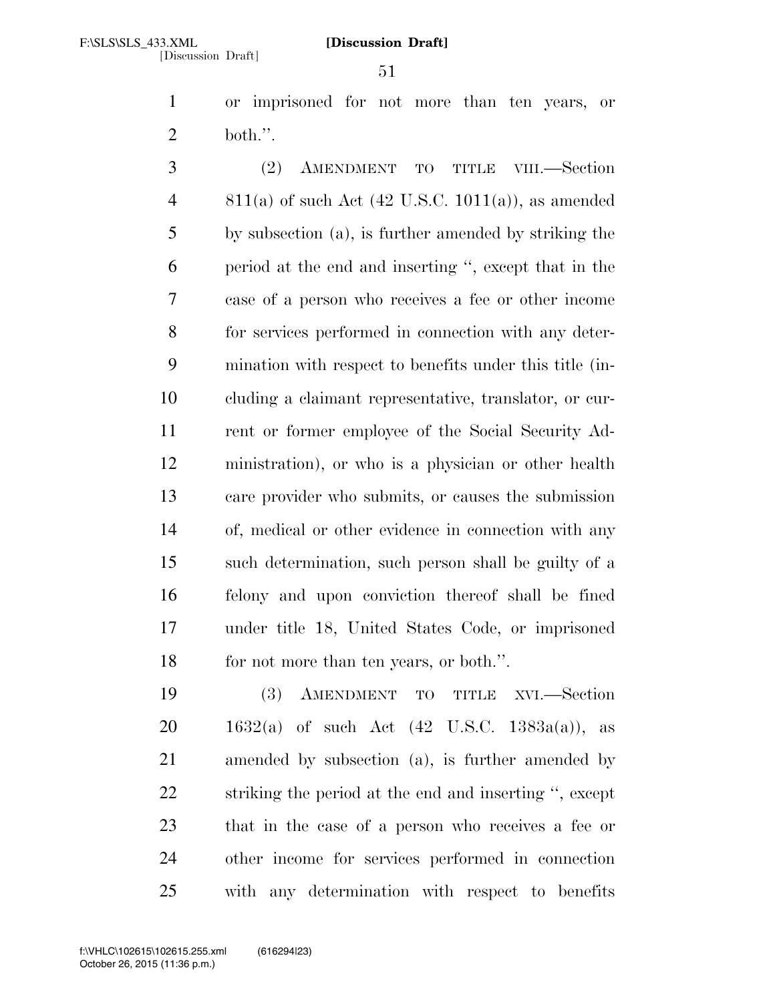or imprisoned for not more than ten years, or both.''.

 (2) AMENDMENT TO TITLE VIII.—Section 4 811(a) of such Act (42 U.S.C. 1011(a)), as amended by subsection (a), is further amended by striking the period at the end and inserting '', except that in the case of a person who receives a fee or other income for services performed in connection with any deter- mination with respect to benefits under this title (in- cluding a claimant representative, translator, or cur- rent or former employee of the Social Security Ad- ministration), or who is a physician or other health care provider who submits, or causes the submission of, medical or other evidence in connection with any such determination, such person shall be guilty of a felony and upon conviction thereof shall be fined under title 18, United States Code, or imprisoned for not more than ten years, or both.''.

 (3) AMENDMENT TO TITLE XVI.—Section  $1632(a)$  of such Act  $(42 \text{ U.S.C. } 1383a(a))$ , as amended by subsection (a), is further amended by striking the period at the end and inserting '', except that in the case of a person who receives a fee or other income for services performed in connection with any determination with respect to benefits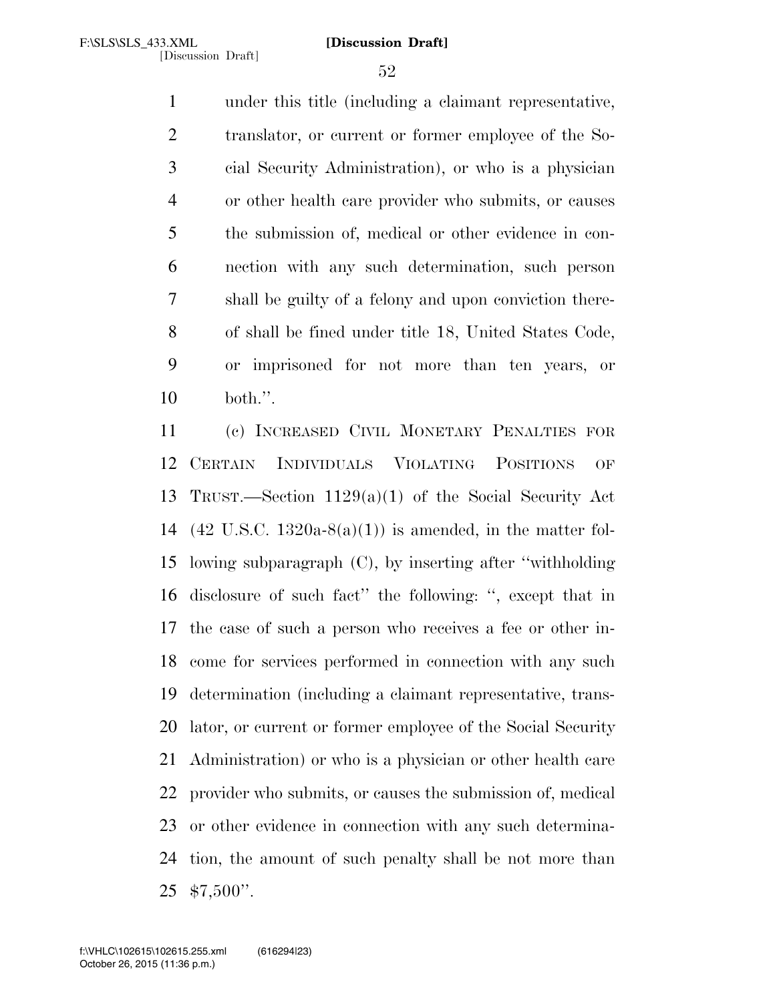under this title (including a claimant representative, translator, or current or former employee of the So- cial Security Administration), or who is a physician or other health care provider who submits, or causes the submission of, medical or other evidence in con- nection with any such determination, such person shall be guilty of a felony and upon conviction there- of shall be fined under title 18, United States Code, or imprisoned for not more than ten years, or both.''.

 (c) INCREASED CIVIL MONETARY PENALTIES FOR CERTAIN INDIVIDUALS VIOLATING POSITIONS OF TRUST.—Section 1129(a)(1) of the Social Security Act (42 U.S.C. 1320a-8(a)(1)) is amended, in the matter fol- lowing subparagraph (C), by inserting after ''withholding disclosure of such fact'' the following: '', except that in the case of such a person who receives a fee or other in- come for services performed in connection with any such determination (including a claimant representative, trans- lator, or current or former employee of the Social Security Administration) or who is a physician or other health care provider who submits, or causes the submission of, medical or other evidence in connection with any such determina- tion, the amount of such penalty shall be not more than \$7,500''.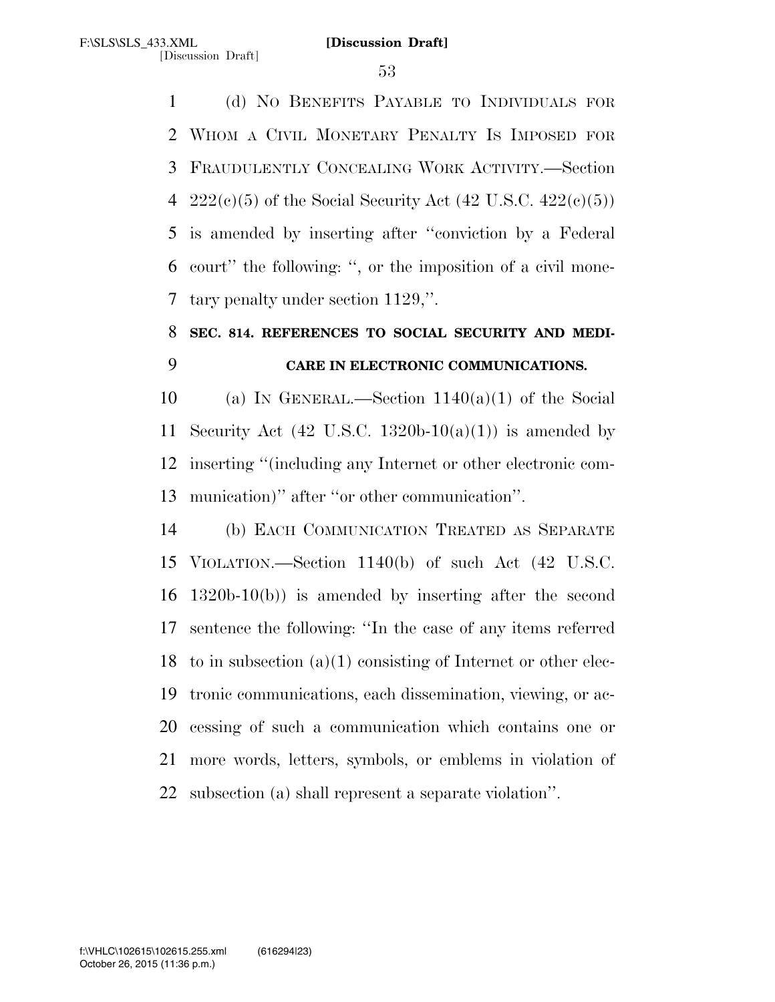(d) NO BENEFITS PAYABLE TO INDIVIDUALS FOR WHOM A CIVIL MONETARY PENALTY IS IMPOSED FOR FRAUDULENTLY CONCEALING WORK ACTIVITY.—Section 4 222(c)(5) of the Social Security Act  $(42 \text{ U.S.C. } 422(c)(5))$  is amended by inserting after ''conviction by a Federal court'' the following: '', or the imposition of a civil mone-tary penalty under section 1129,''.

# **SEC. 814. REFERENCES TO SOCIAL SECURITY AND MEDI-CARE IN ELECTRONIC COMMUNICATIONS.**

10 (a) IN GENERAL.—Section  $1140(a)(1)$  of the Social 11 Security Act (42 U.S.C. 1320b-10(a)(1)) is amended by inserting ''(including any Internet or other electronic com-munication)'' after ''or other communication''.

 (b) EACH COMMUNICATION TREATED AS SEPARATE VIOLATION.—Section 1140(b) of such Act (42 U.S.C. 1320b-10(b)) is amended by inserting after the second sentence the following: ''In the case of any items referred 18 to in subsection  $(a)(1)$  consisting of Internet or other elec- tronic communications, each dissemination, viewing, or ac- cessing of such a communication which contains one or more words, letters, symbols, or emblems in violation of subsection (a) shall represent a separate violation''.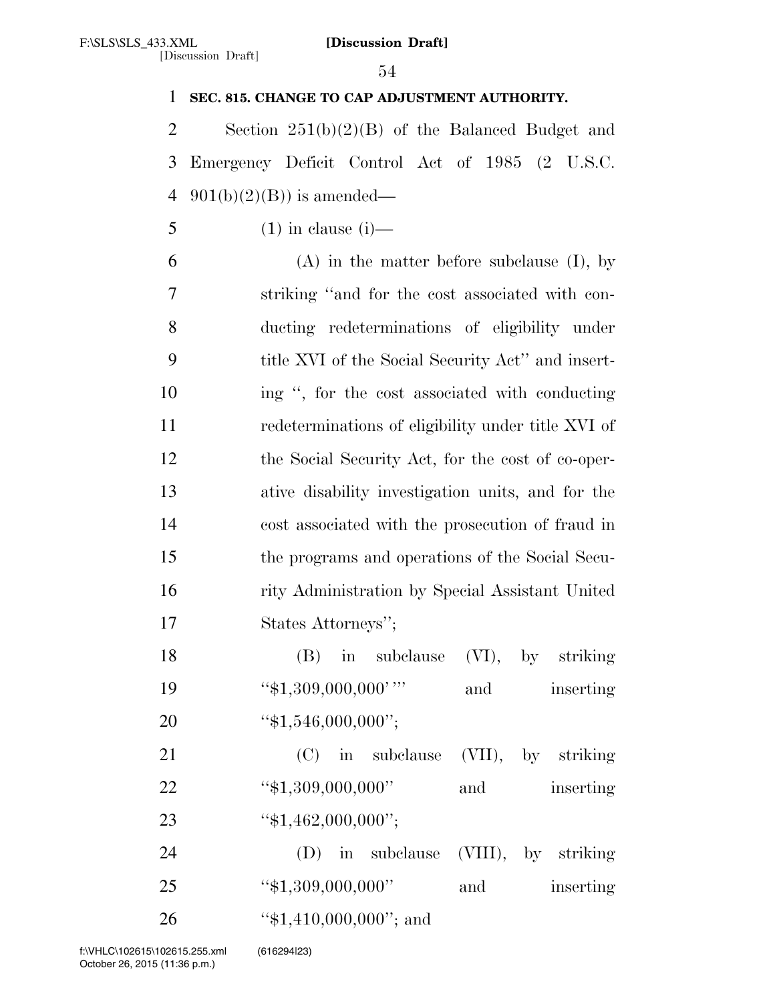| $\mathbf{1}$   | SEC. 815. CHANGE TO CAP ADJUSTMENT AUTHORITY.      |
|----------------|----------------------------------------------------|
| $\overline{2}$ | Section $251(b)(2)(B)$ of the Balanced Budget and  |
| 3              | Emergency Deficit Control Act of 1985 (2 U.S.C.    |
| $\overline{4}$ | $901(b)(2)(B)$ is amended—                         |
| 5              | $(1)$ in clause $(i)$ —                            |
| 6              | $(A)$ in the matter before subclause $(I)$ , by    |
| 7              | striking "and for the cost associated with con-    |
| 8              | ducting redeterminations of eligibility under      |
| 9              | title XVI of the Social Security Act" and insert-  |
| 10             | ing ", for the cost associated with conducting     |
| 11             | redeterminations of eligibility under title XVI of |
| 12             | the Social Security Act, for the cost of co-oper-  |
| 13             | ative disability investigation units, and for the  |
| 14             | cost associated with the prosecution of fraud in   |
| 15             | the programs and operations of the Social Secu-    |
| 16             | rity Administration by Special Assistant United    |
| 17             | States Attorneys";                                 |
| 18             | (B) in subclause (VI), by striking                 |
| 19             | " $$1,309,000,000$ "<br>inserting<br>and           |
| 20             | " $$1,546,000,000$ ";                              |
| 21             | (C) in subclause (VII), by striking                |
| 22             | " $$1,309,000,000"$<br>inserting<br>and            |
| 23             | " $$1,462,000,000$ ";                              |
| 24             | (D) in subclause (VIII), by striking               |
| 25             | "\$1,309,000,000"<br>inserting<br>and              |
| 26             | " $$1,410,000,000"$ ; and                          |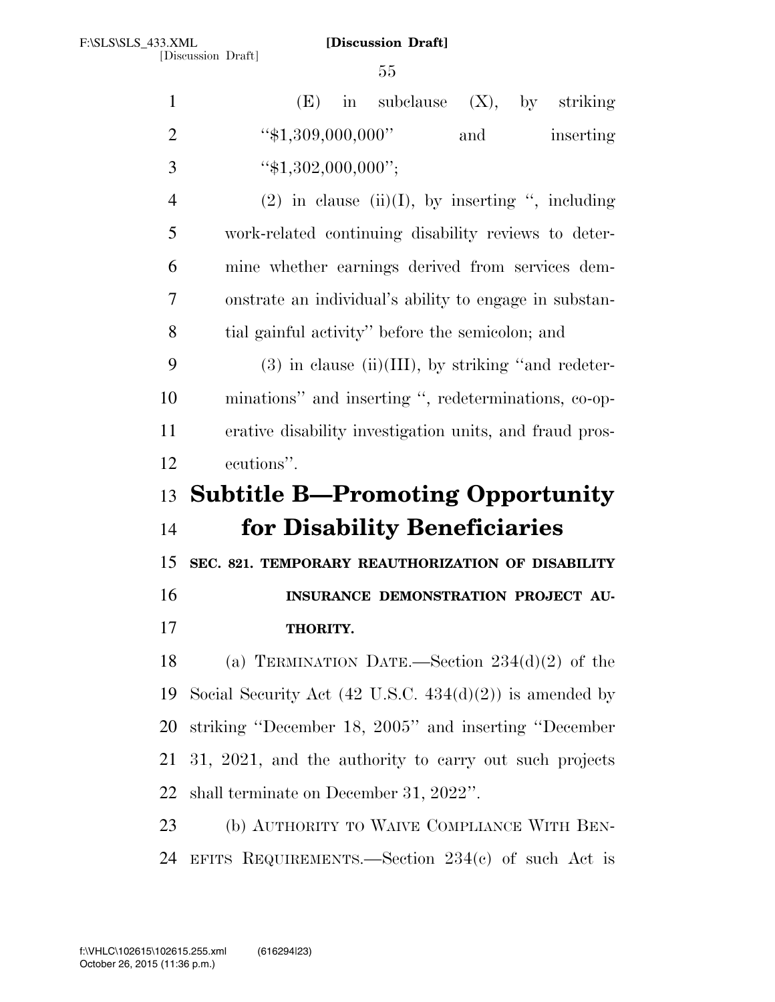| $\mathbf{1}$   | subclause $(X)$ , by striking<br>(E)<br>$\sin$                     |
|----------------|--------------------------------------------------------------------|
| $\overline{2}$ | "\$1,309,000,000"<br>and<br>inserting                              |
| 3              | " $$1,302,000,000$ ";                                              |
| $\overline{4}$ | $(2)$ in clause $(ii)(I)$ , by inserting ", including              |
| 5              | work-related continuing disability reviews to deter-               |
| 6              | mine whether earnings derived from services dem-                   |
| 7              | onstrate an individual's ability to engage in substan-             |
| 8              | tial gainful activity" before the semicolon; and                   |
| 9              | $(3)$ in clause (ii)(III), by striking "and redeter-               |
| 10             | minations" and inserting ", redeterminations, co-op-               |
| 11             | erative disability investigation units, and fraud pros-            |
|                | ecutions".                                                         |
| 12             |                                                                    |
| 13             | <b>Subtitle B—Promoting Opportunity</b>                            |
| 14             | for Disability Beneficiaries                                       |
| 15             | SEC. 821. TEMPORARY REAUTHORIZATION OF DISABILITY                  |
| 16             | INSURANCE DEMONSTRATION PROJECT AU-                                |
| 17             | THORITY.                                                           |
| 18             | (a) TERMINATION DATE.—Section $234(d)(2)$ of the                   |
| 19             | Social Security Act $(42 \text{ U.S.C. } 434(d)(2))$ is amended by |
| 20             | striking "December 18, 2005" and inserting "December               |
| 21             | 31, 2021, and the authority to carry out such projects             |
| 22             | shall terminate on December 31, 2022".                             |
| 23             | (b) AUTHORITY TO WAIVE COMPLIANCE WITH BEN-                        |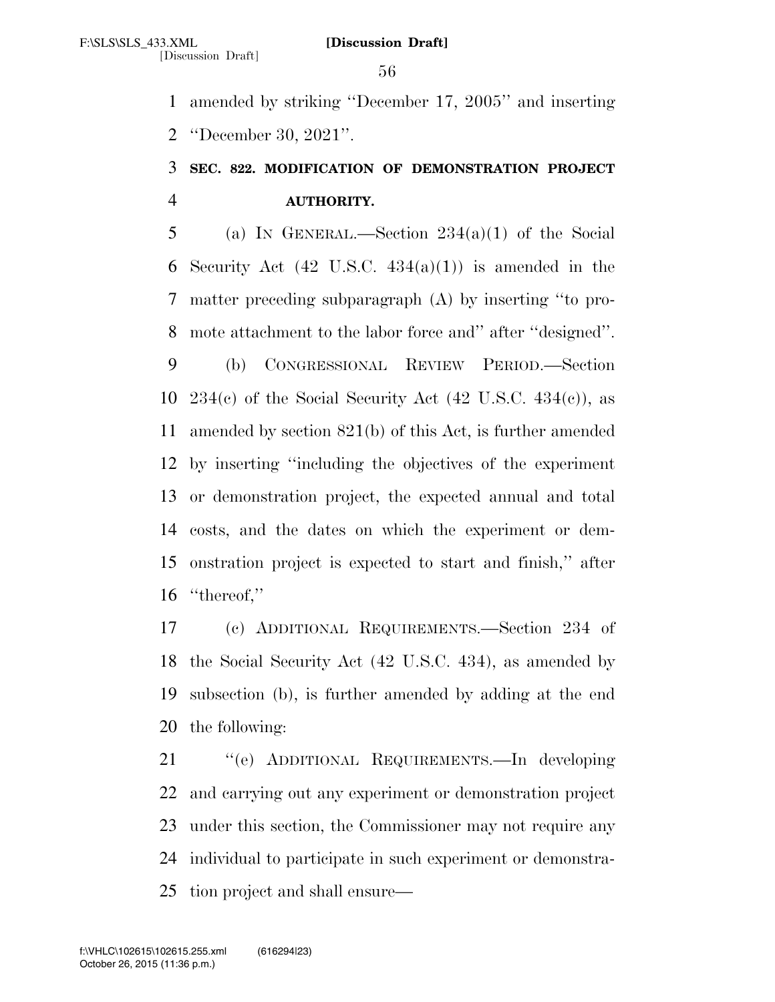amended by striking ''December 17, 2005'' and inserting ''December 30, 2021''.

# **SEC. 822. MODIFICATION OF DEMONSTRATION PROJECT AUTHORITY.**

5 (a) IN GENERAL.—Section  $234(a)(1)$  of the Social 6 Security Act  $(42 \text{ U.S.C. } 434(a)(1))$  is amended in the matter preceding subparagraph (A) by inserting ''to pro- mote attachment to the labor force and'' after ''designed''. (b) CONGRESSIONAL REVIEW PERIOD.—Section 10 234 $(c)$  of the Social Security Act  $(42 \text{ U.S.C. } 434(c))$ , as amended by section 821(b) of this Act, is further amended by inserting ''including the objectives of the experiment or demonstration project, the expected annual and total costs, and the dates on which the experiment or dem- onstration project is expected to start and finish,'' after ''thereof,''

 (c) ADDITIONAL REQUIREMENTS.—Section 234 of the Social Security Act (42 U.S.C. 434), as amended by subsection (b), is further amended by adding at the end the following:

 ''(e) ADDITIONAL REQUIREMENTS.—In developing and carrying out any experiment or demonstration project under this section, the Commissioner may not require any individual to participate in such experiment or demonstra-tion project and shall ensure—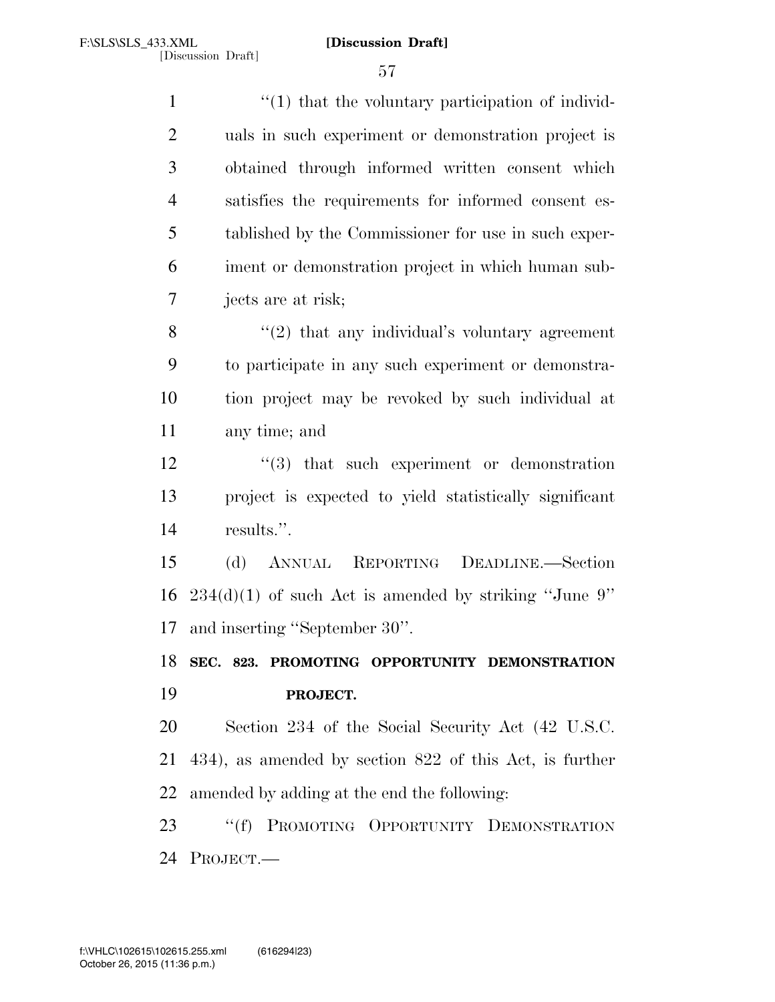$\frac{1}{1}$   $\frac{1}{1}$  that the voluntary participation of individ- uals in such experiment or demonstration project is obtained through informed written consent which satisfies the requirements for informed consent es- tablished by the Commissioner for use in such exper- iment or demonstration project in which human sub- jects are at risk; ''(2) that any individual's voluntary agreement to participate in any such experiment or demonstra- tion project may be revoked by such individual at any time; and

12 ''(3) that such experiment or demonstration project is expected to yield statistically significant results.''.

 (d) ANNUAL REPORTING DEADLINE.—Section 16  $234(d)(1)$  of such Act is amended by striking "June 9" and inserting ''September 30''.

 **SEC. 823. PROMOTING OPPORTUNITY DEMONSTRATION PROJECT.** 

 Section 234 of the Social Security Act (42 U.S.C. 434), as amended by section 822 of this Act, is further amended by adding at the end the following:

 ''(f) PROMOTING OPPORTUNITY DEMONSTRATION PROJECT.—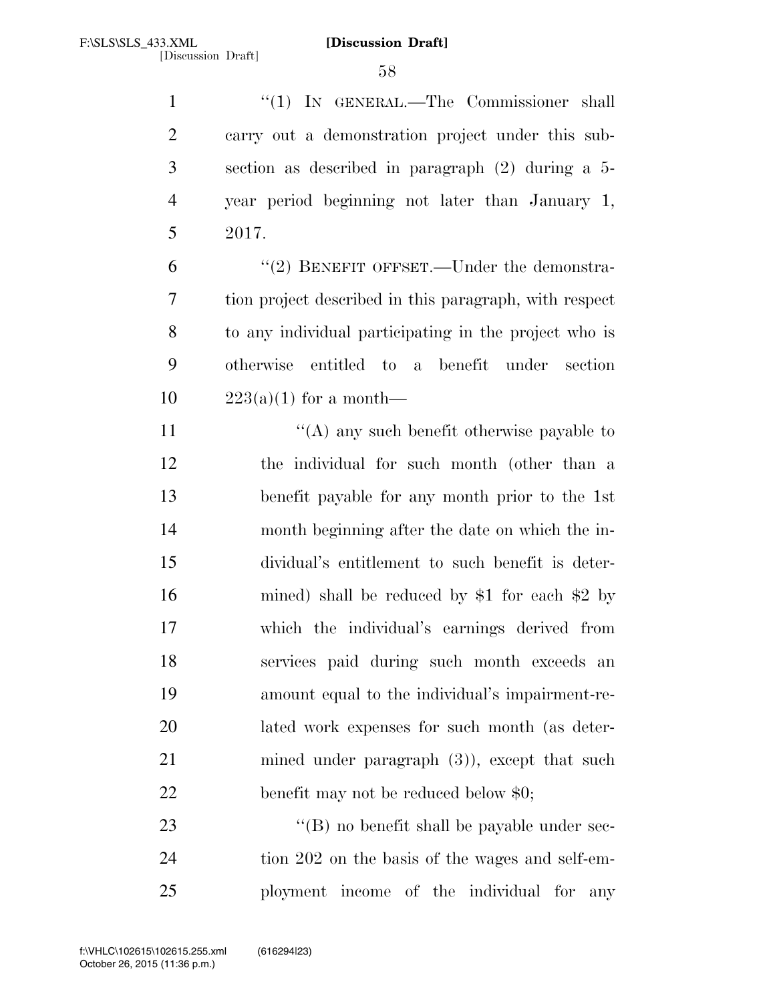1 "(1) IN GENERAL.—The Commissioner shall carry out a demonstration project under this sub- section as described in paragraph (2) during a 5- year period beginning not later than January 1, 2017.

6 "(2) BENEFIT OFFSET.—Under the demonstra- tion project described in this paragraph, with respect to any individual participating in the project who is otherwise entitled to a benefit under section  $223(a)(1)$  for a month—

 $\langle (A)$  any such benefit otherwise payable to the individual for such month (other than a benefit payable for any month prior to the 1st month beginning after the date on which the in- dividual's entitlement to such benefit is deter- mined) shall be reduced by \$1 for each \$2 by which the individual's earnings derived from services paid during such month exceeds an amount equal to the individual's impairment-re- lated work expenses for such month (as deter-21 mined under paragraph (3)), except that such 22 benefit may not be reduced below \$0;

23  $\langle (B) \rangle$  no benefit shall be payable under sec- tion 202 on the basis of the wages and self-em-ployment income of the individual for any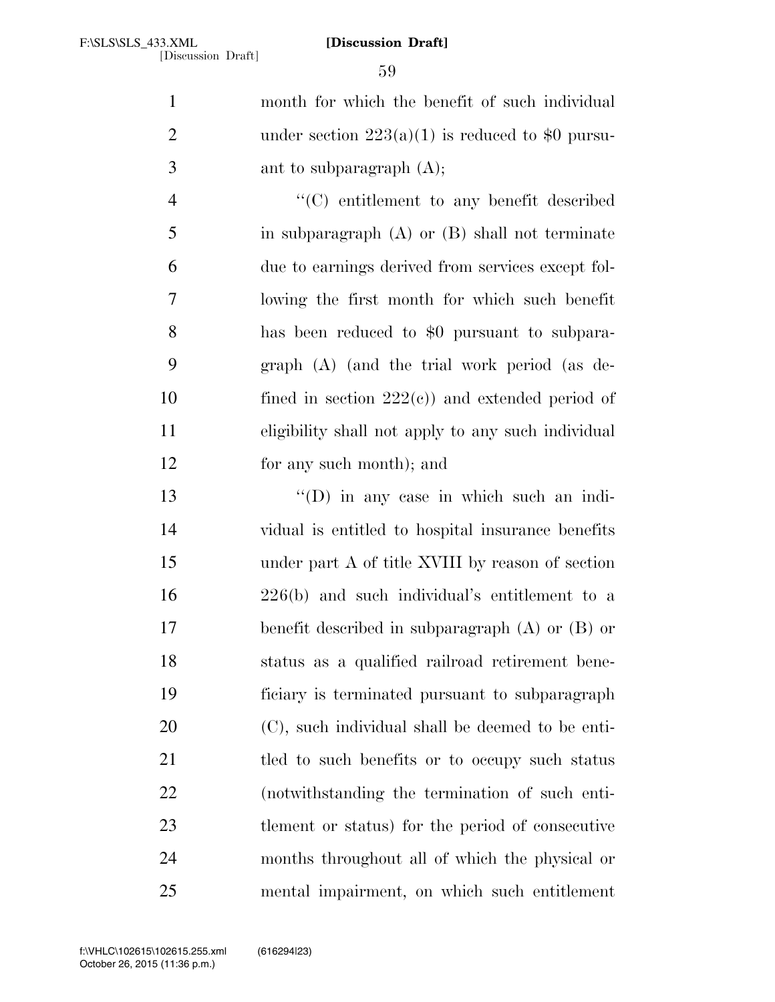month for which the benefit of such individual 2 under section  $223(a)(1)$  is reduced to \$0 pursu- ant to subparagraph (A); ''(C) entitlement to any benefit described

 in subparagraph (A) or (B) shall not terminate due to earnings derived from services except fol- lowing the first month for which such benefit has been reduced to \$0 pursuant to subpara- graph (A) (and the trial work period (as de-10 fined in section  $222(e)$  and extended period of eligibility shall not apply to any such individual for any such month); and

 ''(D) in any case in which such an indi- vidual is entitled to hospital insurance benefits under part A of title XVIII by reason of section 226(b) and such individual's entitlement to a benefit described in subparagraph (A) or (B) or status as a qualified railroad retirement bene- ficiary is terminated pursuant to subparagraph (C), such individual shall be deemed to be enti-21 tled to such benefits or to occupy such status (notwithstanding the termination of such enti- tlement or status) for the period of consecutive months throughout all of which the physical or mental impairment, on which such entitlement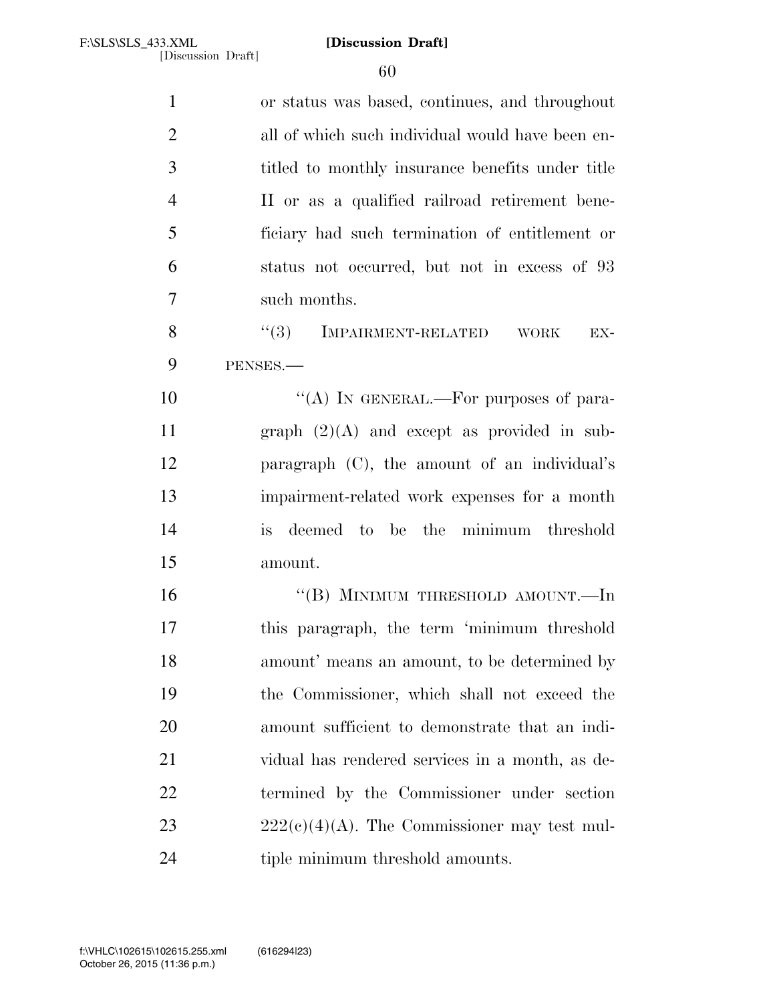| $\mathbf{1}$   | or status was based, continues, and throughout         |
|----------------|--------------------------------------------------------|
| $\overline{2}$ | all of which such individual would have been en-       |
| 3              | titled to monthly insurance benefits under title       |
| $\overline{4}$ | II or as a qualified railroad retirement bene-         |
| 5              | ficiary had such termination of entitlement or         |
| 6              | status not occurred, but not in excess of 93           |
| $\overline{7}$ | such months.                                           |
| 8              | (3)<br><b>IMPAIRMENT-RELATED</b><br><b>WORK</b><br>EX- |
| 9              | PENSES.                                                |
| 10             | "(A) IN GENERAL.—For purposes of para-                 |
| 11             | graph $(2)(A)$ and except as provided in sub-          |
| 12             | paragraph $(C)$ , the amount of an individual's        |
| 13             | impairment-related work expenses for a month           |
| 14             | deemed to be the minimum threshold<br><i>is</i>        |
| 15             | amount.                                                |
| 16             | "(B) MINIMUM THRESHOLD AMOUNT.—In                      |
| 17             | this paragraph, the term 'minimum threshold            |
| 18             | amount' means an amount, to be determined by           |
| 19             | the Commissioner, which shall not exceed the           |
| 20             | amount sufficient to demonstrate that an indi-         |
| 21             | vidual has rendered services in a month, as de-        |
| <u>22</u>      | termined by the Commissioner under section             |
| 23             | $222(c)(4)(A)$ . The Commissioner may test mul-        |
| 24             | tiple minimum threshold amounts.                       |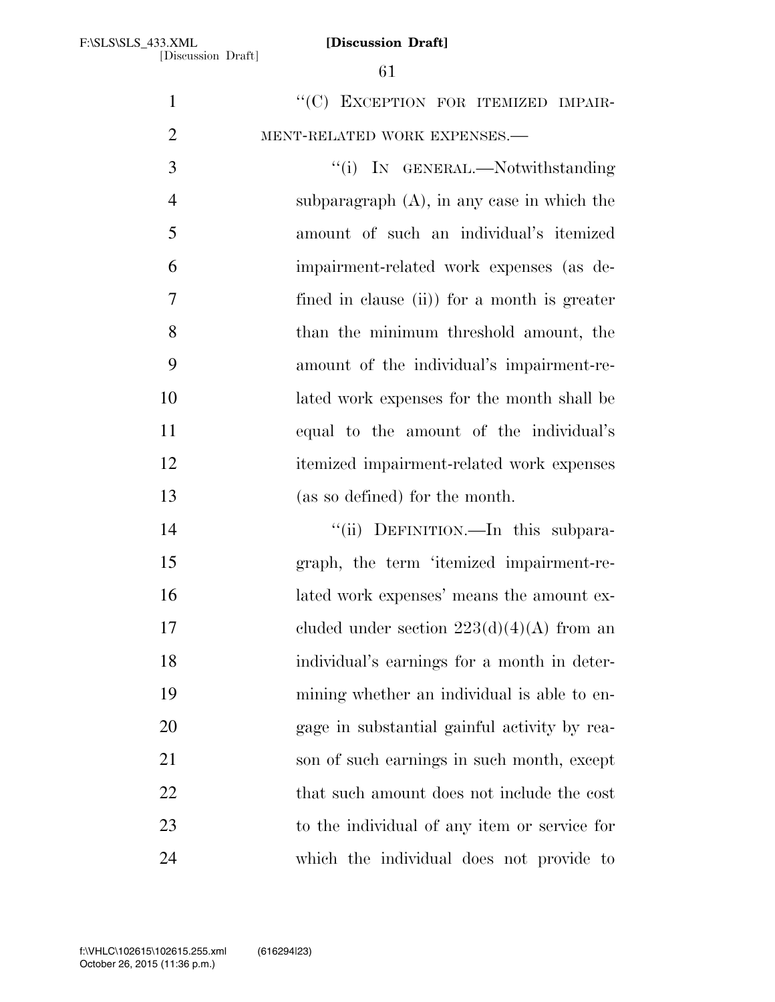1 ""(C) EXCEPTION FOR ITEMIZED IMPAIR-MENT-RELATED WORK EXPENSES.—

3 "(i) IN GENERAL.—Notwithstanding subparagraph (A), in any case in which the amount of such an individual's itemized impairment-related work expenses (as de- fined in clause (ii)) for a month is greater than the minimum threshold amount, the amount of the individual's impairment-re- lated work expenses for the month shall be equal to the amount of the individual's itemized impairment-related work expenses (as so defined) for the month.

14 ''(ii) DEFINITION.—In this subpara- graph, the term 'itemized impairment-re- lated work expenses' means the amount ex-17 cluded under section  $223(d)(4)(A)$  from an individual's earnings for a month in deter- mining whether an individual is able to en- gage in substantial gainful activity by rea- son of such earnings in such month, except 22 that such amount does not include the cost to the individual of any item or service for which the individual does not provide to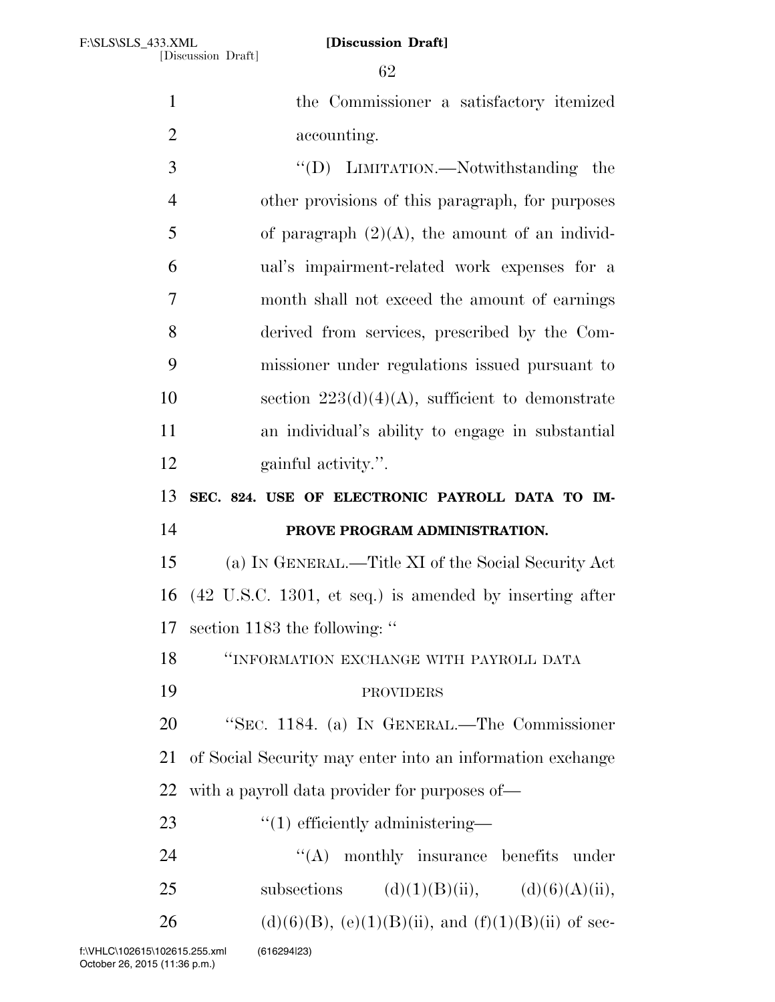the Commissioner a satisfactory itemized accounting. 3  $\text{``(D)}$  LIMITATION.—Notwithstanding the

 other provisions of this paragraph, for purposes 5 of paragraph  $(2)(A)$ , the amount of an individ- ual's impairment-related work expenses for a month shall not exceed the amount of earnings derived from services, prescribed by the Com- missioner under regulations issued pursuant to 10 section  $223(d)(4)(A)$ , sufficient to demonstrate an individual's ability to engage in substantial gainful activity.''.

**SEC. 824. USE OF ELECTRONIC PAYROLL DATA TO IM-**

## **PROVE PROGRAM ADMINISTRATION.**

 (a) IN GENERAL.—Title XI of the Social Security Act (42 U.S.C. 1301, et seq.) is amended by inserting after section 1183 the following: ''

''INFORMATION EXCHANGE WITH PAYROLL DATA

# PROVIDERS

 ''SEC. 1184. (a) IN GENERAL.—The Commissioner of Social Security may enter into an information exchange with a payroll data provider for purposes of—

23  $\frac{1}{2}$   $\frac{1}{2}$  efficiently administering—

24 "'(A) monthly insurance benefits under

25 subsections  $(d)(1)(B)(ii)$ ,  $(d)(6)(A)(ii)$ ,

26 (d)(6)(B), (e)(1)(B)(ii), and (f)(1)(B)(ii) of sec-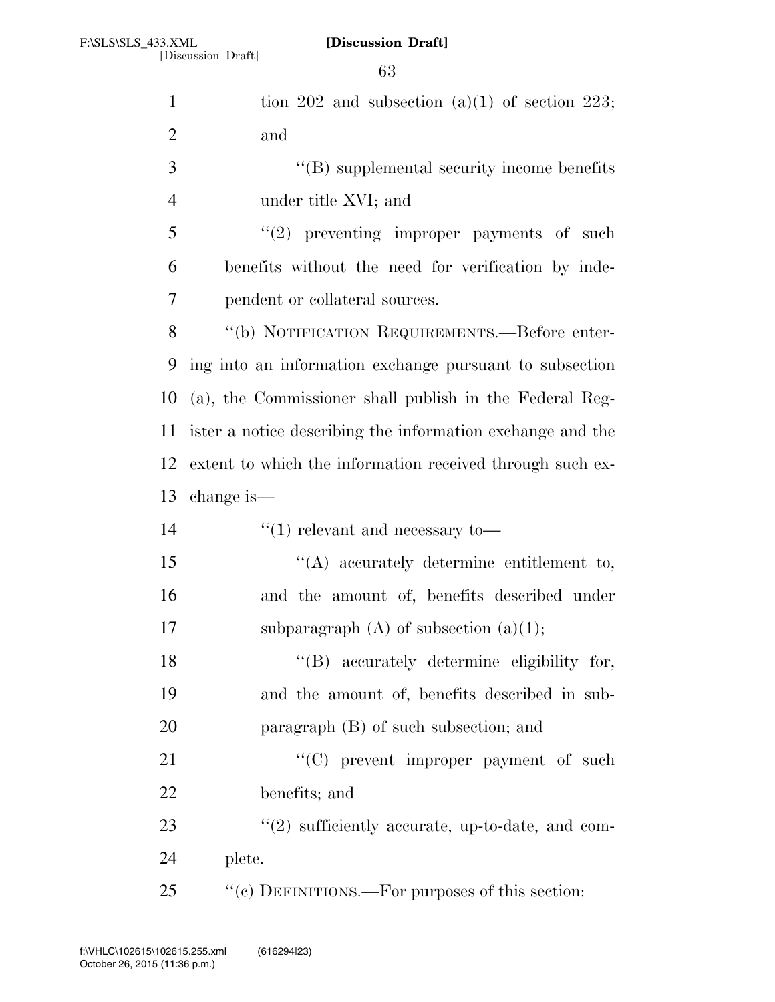| $\mathbf{1}$   | tion 202 and subsection $(a)(1)$ of section 223;           |
|----------------|------------------------------------------------------------|
| $\overline{2}$ | and                                                        |
| 3              | $\lq\lq$ (B) supplemental security income benefits         |
| $\overline{4}$ | under title XVI; and                                       |
| 5              | $(2)$ preventing improper payments of such                 |
| 6              | benefits without the need for verification by inde-        |
| 7              | pendent or collateral sources.                             |
| 8              | "(b) NOTIFICATION REQUIREMENTS.—Before enter-              |
| 9              | ing into an information exchange pursuant to subsection    |
| 10             | (a), the Commissioner shall publish in the Federal Reg-    |
| 11             | ister a notice describing the information exchange and the |
| 12             | extent to which the information received through such ex-  |
|                |                                                            |
| 13             | change is—                                                 |
| 14             | $\cdot$ (1) relevant and necessary to —                    |
| 15             | $\lq\lq$ accurately determine entitlement to,              |
| 16             | and the amount of, benefits described under                |
| 17             | subparagraph $(A)$ of subsection $(a)(1)$ ;                |
| 18             | "(B) accurately determine eligibility for,                 |
| 19             | and the amount of, benefits described in sub-              |
| 20             | paragraph (B) of such subsection; and                      |
| 21             | "(C) prevent improper payment of such                      |
| 22             | benefits; and                                              |
| 23             | $\lq(2)$ sufficiently accurate, up-to-date, and com-       |
| 24             | plete.                                                     |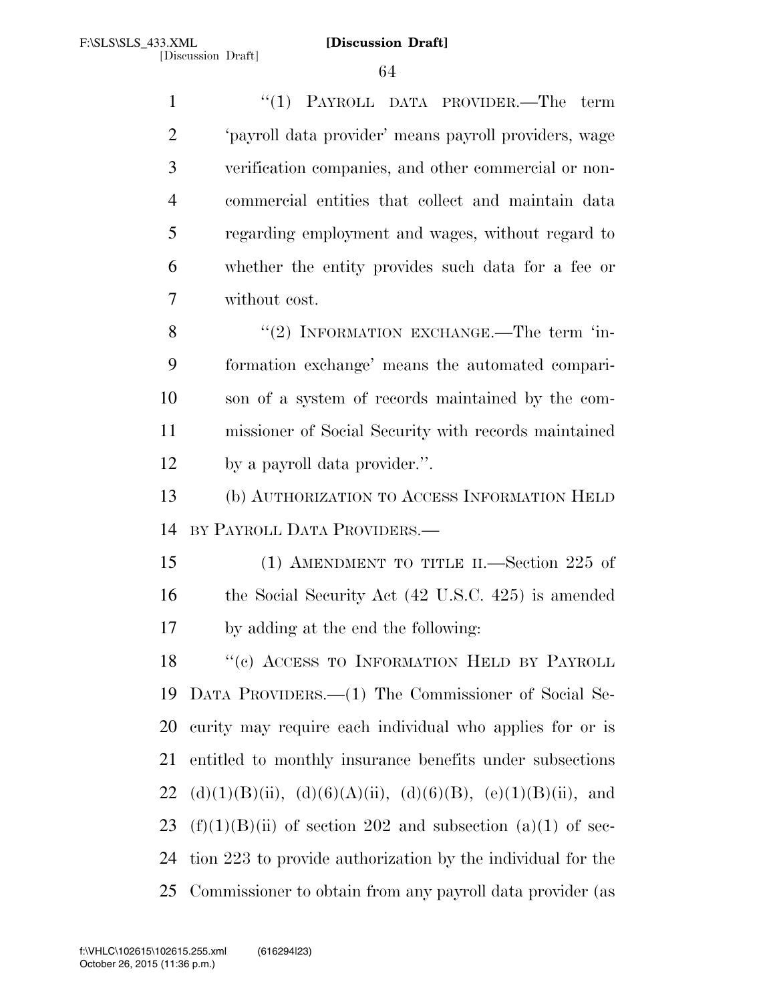1 ''(1) PAYROLL DATA PROVIDER.—The term 'payroll data provider' means payroll providers, wage verification companies, and other commercial or non- commercial entities that collect and maintain data regarding employment and wages, without regard to whether the entity provides such data for a fee or without cost.

8 "(2) INFORMATION EXCHANGE.—The term 'in- formation exchange' means the automated compari- son of a system of records maintained by the com- missioner of Social Security with records maintained by a payroll data provider.''.

 (b) AUTHORIZATION TO ACCESS INFORMATION HELD BY PAYROLL DATA PROVIDERS.—

 (1) AMENDMENT TO TITLE II.—Section 225 of 16 the Social Security Act (42 U.S.C. 425) is amended by adding at the end the following:

18 "(c) ACCESS TO INFORMATION HELD BY PAYROLL DATA PROVIDERS.—(1) The Commissioner of Social Se- curity may require each individual who applies for or is entitled to monthly insurance benefits under subsections 22 (d)(1)(B)(ii), (d)(6)(A)(ii), (d)(6)(B), (e)(1)(B)(ii), and 23 (f)(1)(B)(ii) of section 202 and subsection (a)(1) of sec- tion 223 to provide authorization by the individual for the Commissioner to obtain from any payroll data provider (as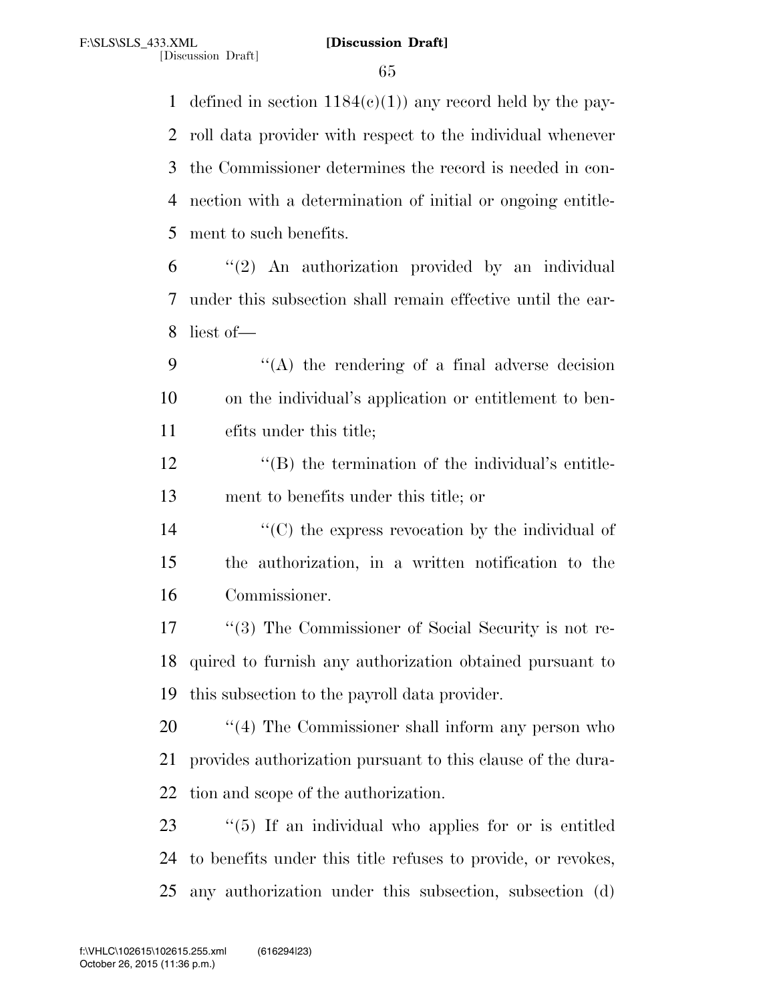1 defined in section  $1184(c)(1)$  any record held by the pay- roll data provider with respect to the individual whenever the Commissioner determines the record is needed in con- nection with a determination of initial or ongoing entitle-ment to such benefits.

 "(2) An authorization provided by an individual under this subsection shall remain effective until the ear-liest of—

 ''(A) the rendering of a final adverse decision on the individual's application or entitlement to ben-efits under this title;

12 ''(B) the termination of the individual's entitle-ment to benefits under this title; or

14  $\langle ^{\prime}(C) \rangle$  the express revocation by the individual of the authorization, in a written notification to the Commissioner.

17 ''(3) The Commissioner of Social Security is not re- quired to furnish any authorization obtained pursuant to this subsection to the payroll data provider.

20  $\frac{1}{20}$  (4) The Commissioner shall inform any person who provides authorization pursuant to this clause of the dura-tion and scope of the authorization.

 ''(5) If an individual who applies for or is entitled to benefits under this title refuses to provide, or revokes, any authorization under this subsection, subsection (d)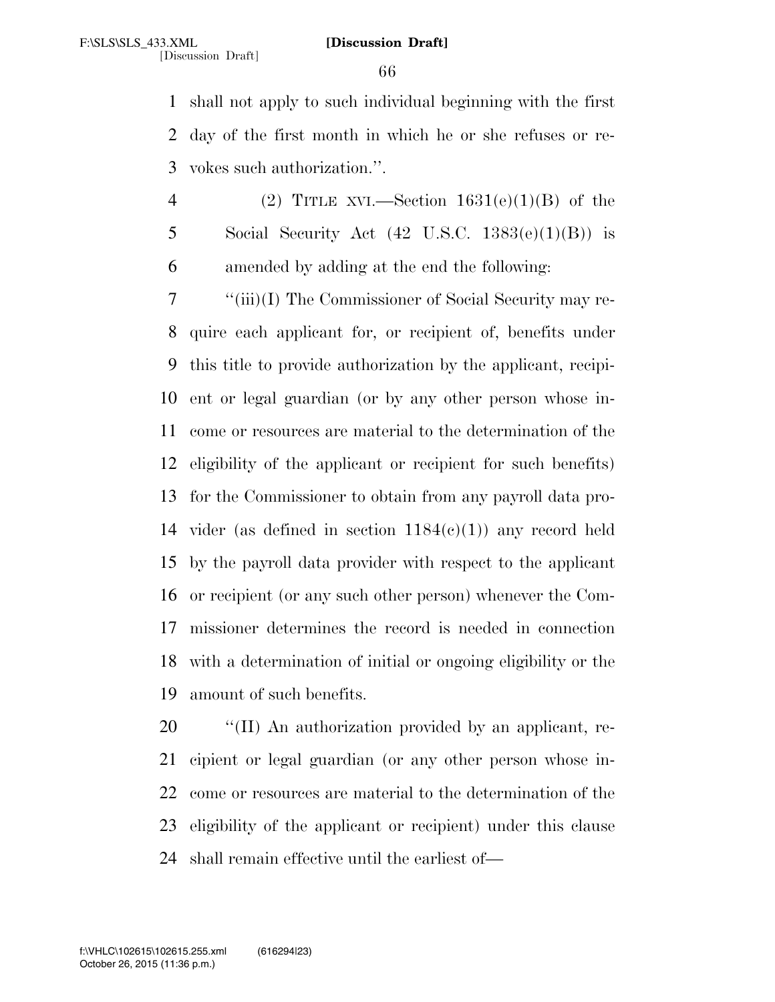shall not apply to such individual beginning with the first day of the first month in which he or she refuses or re-vokes such authorization.''.

4 (2) TITLE XVI.—Section  $1631(e)(1)(B)$  of the 5 Social Security Act  $(42 \text{ U.S.C. } 1383(e)(1)(B))$  is amended by adding at the end the following:

 ''(iii)(I) The Commissioner of Social Security may re- quire each applicant for, or recipient of, benefits under this title to provide authorization by the applicant, recipi- ent or legal guardian (or by any other person whose in- come or resources are material to the determination of the eligibility of the applicant or recipient for such benefits) for the Commissioner to obtain from any payroll data pro-14 vider (as defined in section  $1184(c)(1)$ ) any record held by the payroll data provider with respect to the applicant or recipient (or any such other person) whenever the Com- missioner determines the record is needed in connection with a determination of initial or ongoing eligibility or the amount of such benefits.

 ''(II) An authorization provided by an applicant, re- cipient or legal guardian (or any other person whose in- come or resources are material to the determination of the eligibility of the applicant or recipient) under this clause shall remain effective until the earliest of—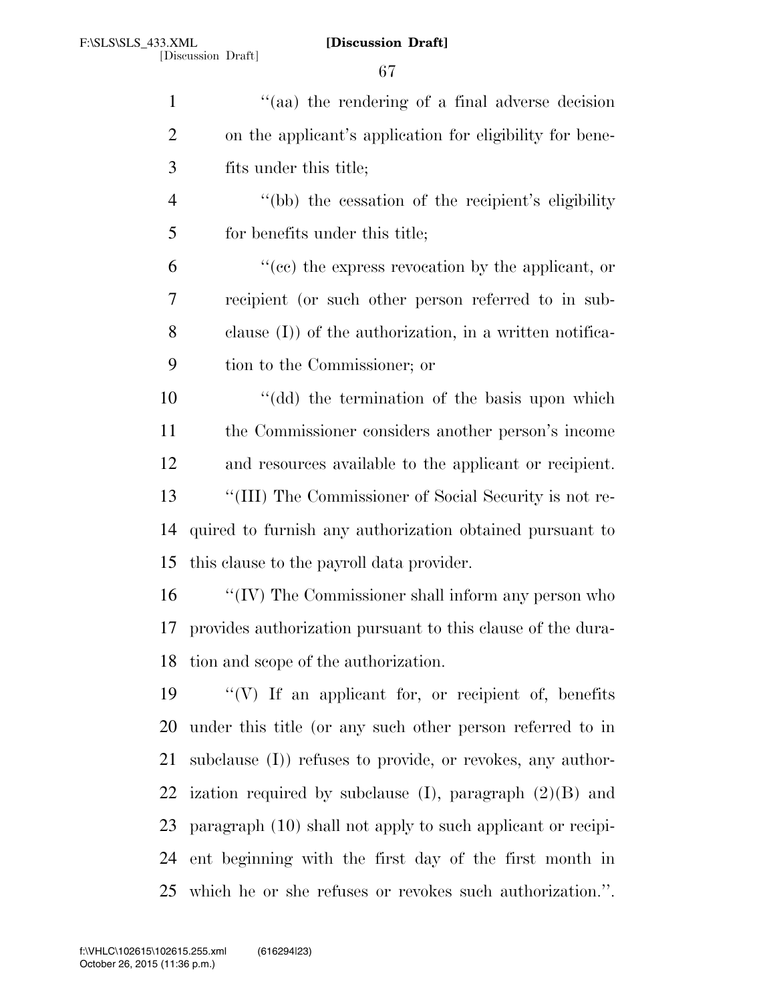| $\mathbf{1}$   | "(aa) the rendering of a final adverse decision              |
|----------------|--------------------------------------------------------------|
| $\overline{2}$ | on the applicant's application for eligibility for bene-     |
| 3              | fits under this title;                                       |
| $\overline{4}$ | "(bb) the cessation of the recipient's eligibility           |
| 5              | for benefits under this title;                               |
| 6              | "(cc) the express revocation by the applicant, or            |
| 7              | recipient (or such other person referred to in sub-          |
| 8              | clause $(I)$ ) of the authorization, in a written notifica-  |
| 9              | tion to the Commissioner; or                                 |
| 10             | "(dd) the termination of the basis upon which                |
| 11             | the Commissioner considers another person's income           |
| 12             | and resources available to the applicant or recipient.       |
| 13             | "(III) The Commissioner of Social Security is not re-        |
| 14             | quired to furnish any authorization obtained pursuant to     |
| 15             | this clause to the payroll data provider.                    |
| 16             | "(IV) The Commissioner shall inform any person who           |
| 17             | provides authorization pursuant to this clause of the dura-  |
| 18             | tion and scope of the authorization.                         |
| 19             | "(V) If an applicant for, or recipient of, benefits          |
| 20             | under this title (or any such other person referred to in    |
| 21             | subclause $(I)$ refuses to provide, or revokes, any author-  |
| 22             | ization required by subclause $(I)$ , paragraph $(2)(B)$ and |
| 23             | paragraph (10) shall not apply to such applicant or recipi-  |
| 24             | ent beginning with the first day of the first month in       |

which he or she refuses or revokes such authorization.''.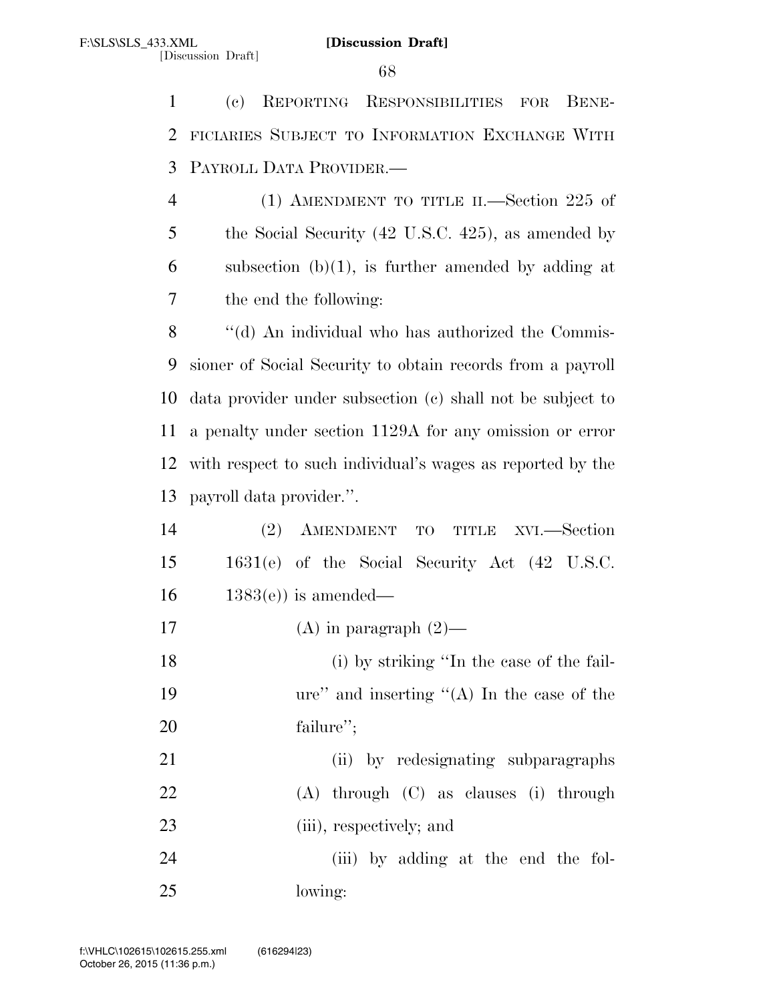(c) REPORTING RESPONSIBILITIES FOR BENE- FICIARIES SUBJECT TO INFORMATION EXCHANGE WITH PAYROLL DATA PROVIDER.—

 (1) AMENDMENT TO TITLE II.—Section 225 of the Social Security (42 U.S.C. 425), as amended by 6 subsection  $(b)(1)$ , is further amended by adding at the end the following:

8 "(d) An individual who has authorized the Commis- sioner of Social Security to obtain records from a payroll data provider under subsection (c) shall not be subject to a penalty under section 1129A for any omission or error with respect to such individual's wages as reported by the payroll data provider.''.

| 14 |                                               | (2) AMENDMENT TO TITLE XVI.—Section |  |  |  |
|----|-----------------------------------------------|-------------------------------------|--|--|--|
| 15 | 1631(e) of the Social Security Act (42 U.S.C. |                                     |  |  |  |
| 16 | $1383(e)$ is amended—                         |                                     |  |  |  |

17 (A) in paragraph  $(2)$ —

 (i) by striking ''In the case of the fail- ure'' and inserting ''(A) In the case of the failure'';

21 (ii) by redesignating subparagraphs (A) through (C) as clauses (i) through (iii), respectively; and

 (iii) by adding at the end the fol-lowing: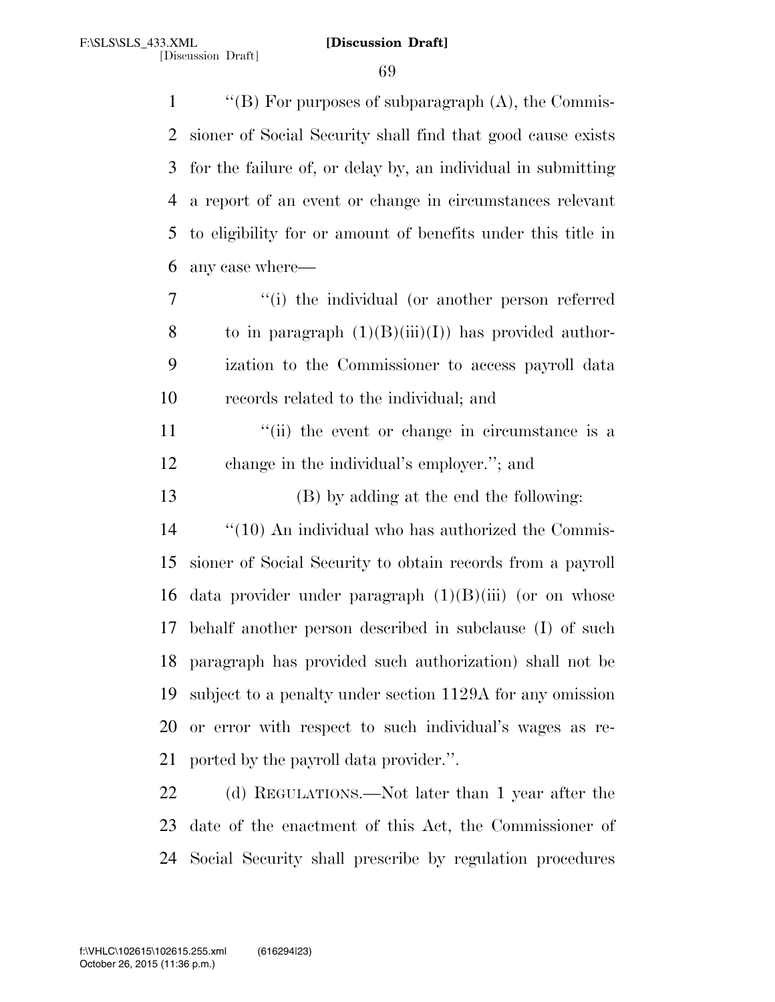''(B) For purposes of subparagraph (A), the Commis- sioner of Social Security shall find that good cause exists for the failure of, or delay by, an individual in submitting a report of an event or change in circumstances relevant to eligibility for or amount of benefits under this title in any case where—

 ''(i) the individual (or another person referred 8 to in paragraph  $(1)(B)(iii)(I)$  has provided author- ization to the Commissioner to access payroll data records related to the individual; and

11 ''(ii) the event or change in circumstance is a change in the individual's employer.''; and

(B) by adding at the end the following:

14 "(10) An individual who has authorized the Commis- sioner of Social Security to obtain records from a payroll 16 data provider under paragraph  $(1)(B)(iii)$  (or on whose behalf another person described in subclause (I) of such paragraph has provided such authorization) shall not be subject to a penalty under section 1129A for any omission or error with respect to such individual's wages as re-ported by the payroll data provider.''.

22 (d) REGULATIONS.—Not later than 1 year after the date of the enactment of this Act, the Commissioner of Social Security shall prescribe by regulation procedures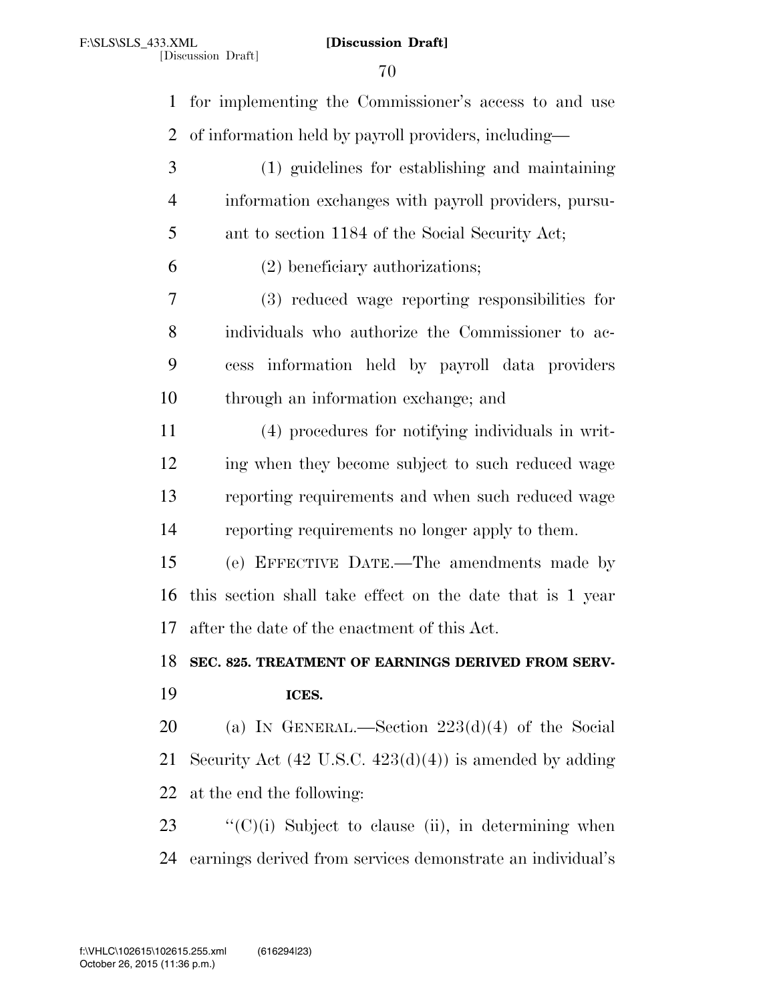for implementing the Commissioner's access to and use of information held by payroll providers, including—

- (1) guidelines for establishing and maintaining information exchanges with payroll providers, pursu-ant to section 1184 of the Social Security Act;
- (2) beneficiary authorizations;

 (3) reduced wage reporting responsibilities for individuals who authorize the Commissioner to ac- cess information held by payroll data providers through an information exchange; and

 (4) procedures for notifying individuals in writ- ing when they become subject to such reduced wage reporting requirements and when such reduced wage reporting requirements no longer apply to them.

 (e) EFFECTIVE DATE.—The amendments made by this section shall take effect on the date that is 1 year after the date of the enactment of this Act.

**SEC. 825. TREATMENT OF EARNINGS DERIVED FROM SERV-**

## **ICES.**

 (a) IN GENERAL.—Section 223(d)(4) of the Social Security Act (42 U.S.C. 423(d)(4)) is amended by adding at the end the following:

23  $\frac{1}{2}$  (C)(i) Subject to clause (ii), in determining when earnings derived from services demonstrate an individual's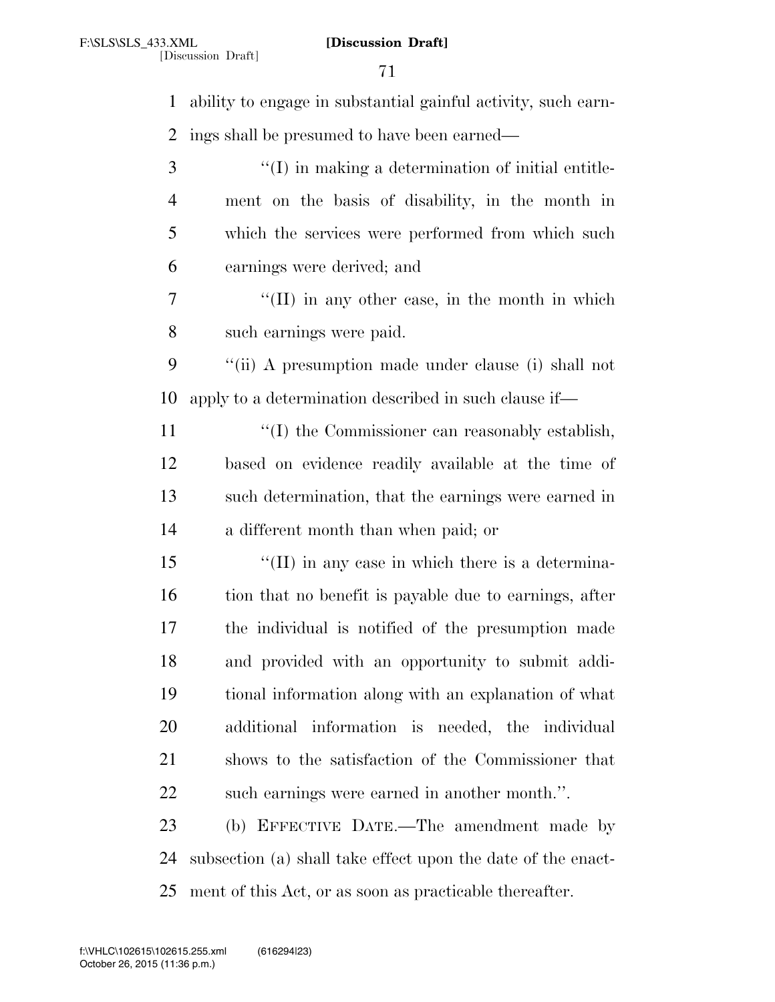| $\mathbf{1}$   | ability to engage in substantial gainful activity, such earn- |
|----------------|---------------------------------------------------------------|
| $\overline{2}$ | ings shall be presumed to have been earned—                   |
| 3              | $\lq\lq$ (I) in making a determination of initial entitle-    |
| 4              | ment on the basis of disability, in the month in              |
| 5              | which the services were performed from which such             |
| 6              | earnings were derived; and                                    |
| 7              | $\lq\lq$ (II) in any other case, in the month in which        |
| 8              | such earnings were paid.                                      |
| 9              | "(ii) A presumption made under clause (i) shall not           |
| 10             | apply to a determination described in such clause if—         |
| 11             | "(I) the Commissioner can reasonably establish,               |
| 12             | based on evidence readily available at the time of            |
| 13             | such determination, that the earnings were earned in          |
| 14             | a different month than when paid; or                          |
| 15             | $\lq\lq$ (II) in any case in which there is a determina-      |
| 16             | tion that no benefit is payable due to earnings, after        |
| 17             | the individual is notified of the presumption made            |
| 18             | and provided with an opportunity to submit addi-              |
| 19             | tional information along with an explanation of what          |
| 20             | additional information is needed, the individual              |
| 21             | shows to the satisfaction of the Commissioner that            |
| 22             | such earnings were earned in another month.".                 |
| 23             | (b) EFFECTIVE DATE.—The amendment made by                     |
| 24             | subsection (a) shall take effect upon the date of the enact-  |
| 25             | ment of this Act, or as soon as practicable thereafter.       |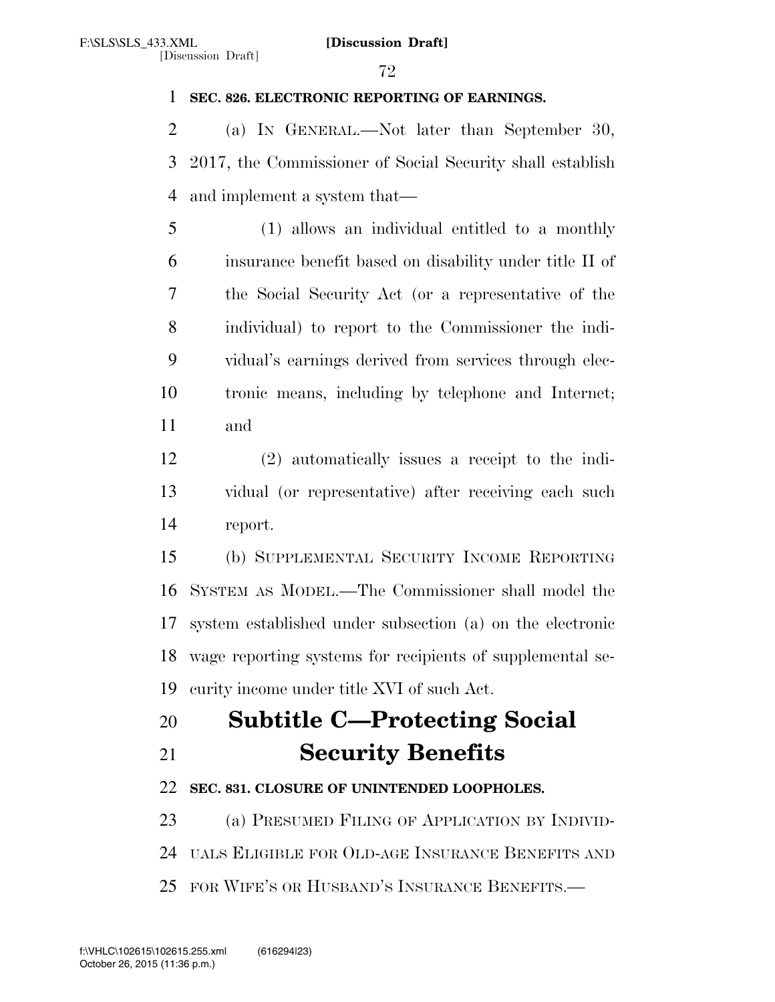### **SEC. 826. ELECTRONIC REPORTING OF EARNINGS.**

 (a) IN GENERAL.—Not later than September 30, 2017, the Commissioner of Social Security shall establish and implement a system that—

 (1) allows an individual entitled to a monthly insurance benefit based on disability under title II of the Social Security Act (or a representative of the individual) to report to the Commissioner the indi- vidual's earnings derived from services through elec- tronic means, including by telephone and Internet; and

 (2) automatically issues a receipt to the indi- vidual (or representative) after receiving each such report.

 (b) SUPPLEMENTAL SECURITY INCOME REPORTING SYSTEM AS MODEL.—The Commissioner shall model the system established under subsection (a) on the electronic wage reporting systems for recipients of supplemental se-curity income under title XVI of such Act.

# **Subtitle C—Protecting Social Security Benefits**

## **SEC. 831. CLOSURE OF UNINTENDED LOOPHOLES.**

23 (a) PRESUMED FILING OF APPLICATION BY INDIVID-UALS ELIGIBLE FOR OLD-AGE INSURANCE BENEFITS AND

FOR WIFE'S OR HUSBAND'S INSURANCE BENEFITS.—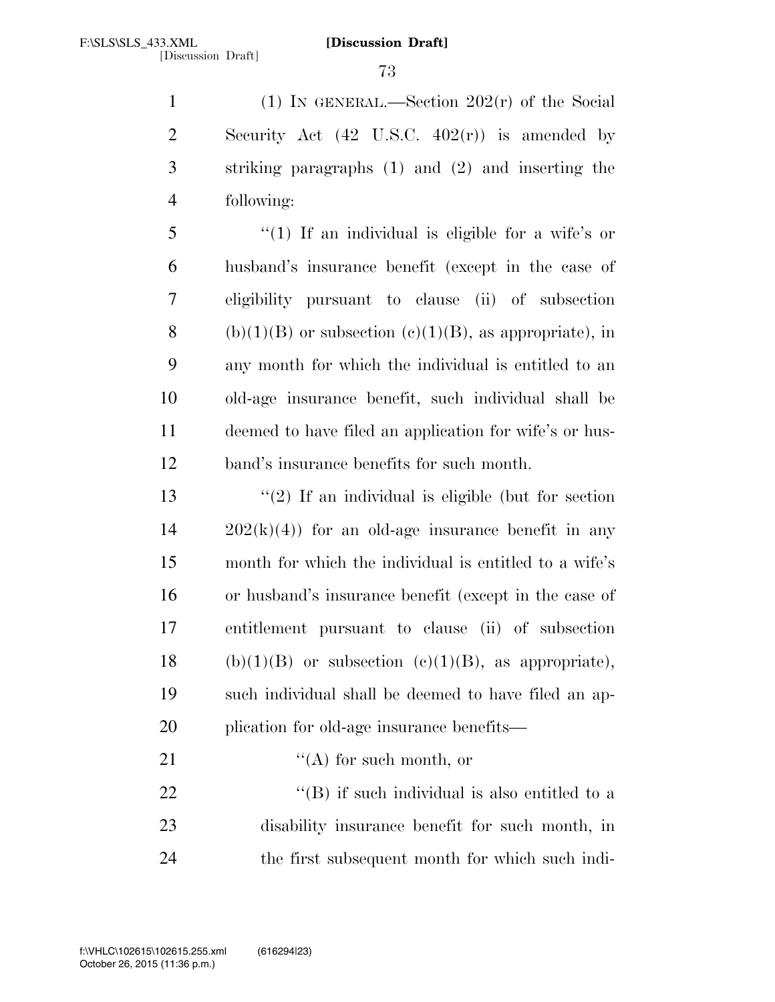(1) IN GENERAL.—Section 202(r) of the Social Security Act (42 U.S.C. 402(r)) is amended by striking paragraphs (1) and (2) and inserting the following:

 ''(1) If an individual is eligible for a wife's or husband's insurance benefit (except in the case of eligibility pursuant to clause (ii) of subsection 8 (b)(1)(B) or subsection (c)(1)(B), as appropriate), in any month for which the individual is entitled to an old-age insurance benefit, such individual shall be deemed to have filed an application for wife's or hus-band's insurance benefits for such month.

 $\frac{1}{2}$  If an individual is eligible (but for section  $14 \qquad 202(k)(4)$  for an old-age insurance benefit in any month for which the individual is entitled to a wife's or husband's insurance benefit (except in the case of entitlement pursuant to clause (ii) of subsection 18 (b)(1)(B) or subsection (c)(1)(B), as appropriate), such individual shall be deemed to have filed an ap-plication for old-age insurance benefits—

21  $\langle (A)$  for such month, or "(B) if such individual is also entitled to a

 disability insurance benefit for such month, in the first subsequent month for which such indi-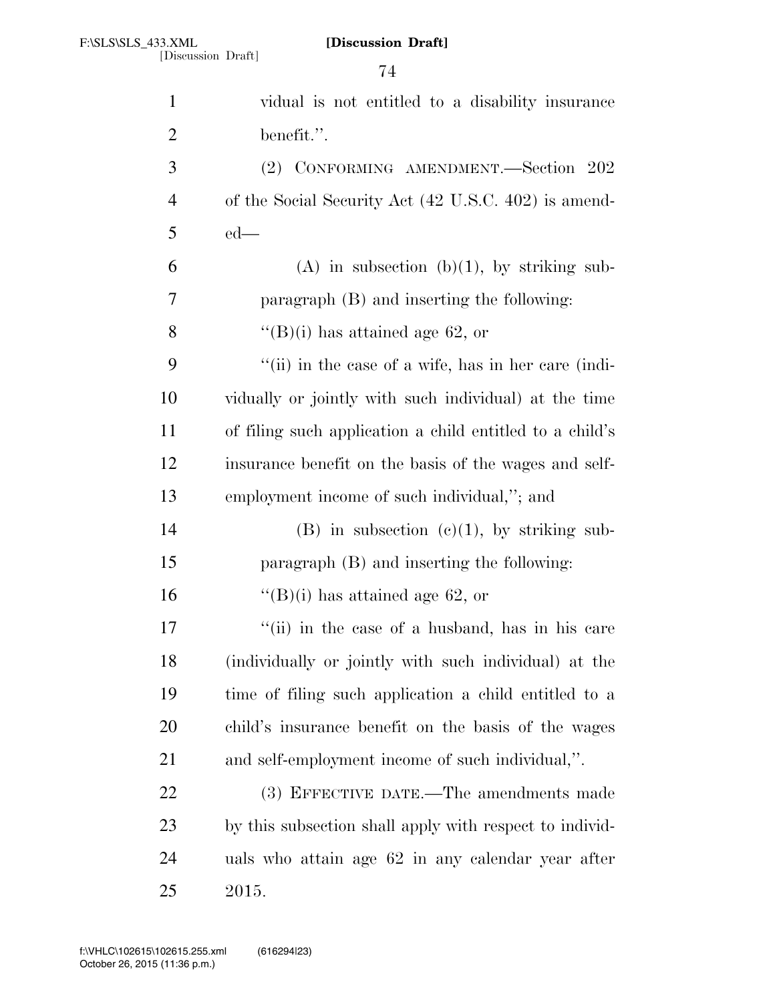| $\mathbf{1}$   | vidual is not entitled to a disability insurance         |
|----------------|----------------------------------------------------------|
| $\overline{2}$ | benefit.".                                               |
| 3              | (2) CONFORMING AMENDMENT.-Section 202                    |
| $\overline{4}$ | of the Social Security Act (42 U.S.C. 402) is amend-     |
| 5              | $ed$ —                                                   |
| 6              | (A) in subsection (b)(1), by striking sub-               |
| $\overline{7}$ | paragraph (B) and inserting the following:               |
| 8              | "(B)(i) has attained age 62, or                          |
| 9              | "(ii) in the case of a wife, has in her care (indi-      |
| 10             | vidually or jointly with such individual) at the time    |
| 11             | of filing such application a child entitled to a child's |
| 12             | insurance benefit on the basis of the wages and self-    |
| 13             | employment income of such individual,"; and              |
| 14             | $(B)$ in subsection $(c)(1)$ , by striking sub-          |
| 15             | paragraph (B) and inserting the following:               |
| 16             | "(B)(i) has attained age 62, or                          |
| 17             | "(ii) in the case of a husband, has in his care          |
| 18             | (individually or jointly with such individual) at the    |
| 19             | time of filing such application a child entitled to a    |
| 20             | child's insurance benefit on the basis of the wages      |
| 21             | and self-employment income of such individual,".         |
| 22             | (3) EFFECTIVE DATE.—The amendments made                  |
| 23             | by this subsection shall apply with respect to individ-  |
| 24             | uals who attain age 62 in any calendar year after        |
| 25             | 2015.                                                    |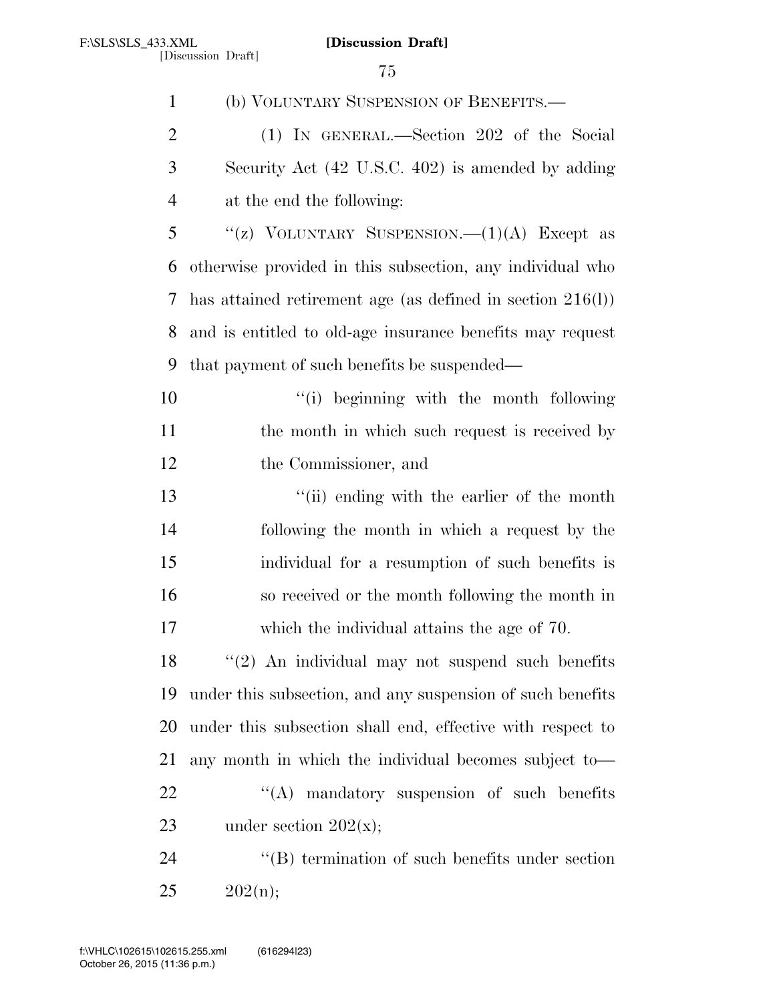| $\mathbf{1}$   | (b) VOLUNTARY SUSPENSION OF BENEFITS.—                        |
|----------------|---------------------------------------------------------------|
| $\overline{2}$ | (1) IN GENERAL.—Section 202 of the Social                     |
| 3              | Security Act (42 U.S.C. 402) is amended by adding             |
| $\overline{4}$ | at the end the following:                                     |
| 5              | "(z) VOLUNTARY SUSPENSION.— $(1)(A)$ Except as                |
| 6              | otherwise provided in this subsection, any individual who     |
| 7              | has attained retirement age (as defined in section $216(l)$ ) |
| 8              | and is entitled to old-age insurance benefits may request     |
| 9              | that payment of such benefits be suspended—                   |
| 10             | "(i) beginning with the month following                       |
| 11             | the month in which such request is received by                |
| 12             | the Commissioner, and                                         |
| 13             | "(ii) ending with the earlier of the month                    |
| 14             | following the month in which a request by the                 |
| 15             | individual for a resumption of such benefits is               |
| 16             | so received or the month following the month in               |
| 17             | which the individual attains the age of 70.                   |
| 18             | $"(2)$ An individual may not suspend such benefits            |
| 19             | under this subsection, and any suspension of such benefits    |
| 20             | under this subsection shall end, effective with respect to    |
| 21             | any month in which the individual becomes subject to-         |
| 22             | "(A) mandatory suspension of such benefits                    |
| 23             | under section $202(x);$                                       |
| 24             | "(B) termination of such benefits under section               |
| 25             | 202(n);                                                       |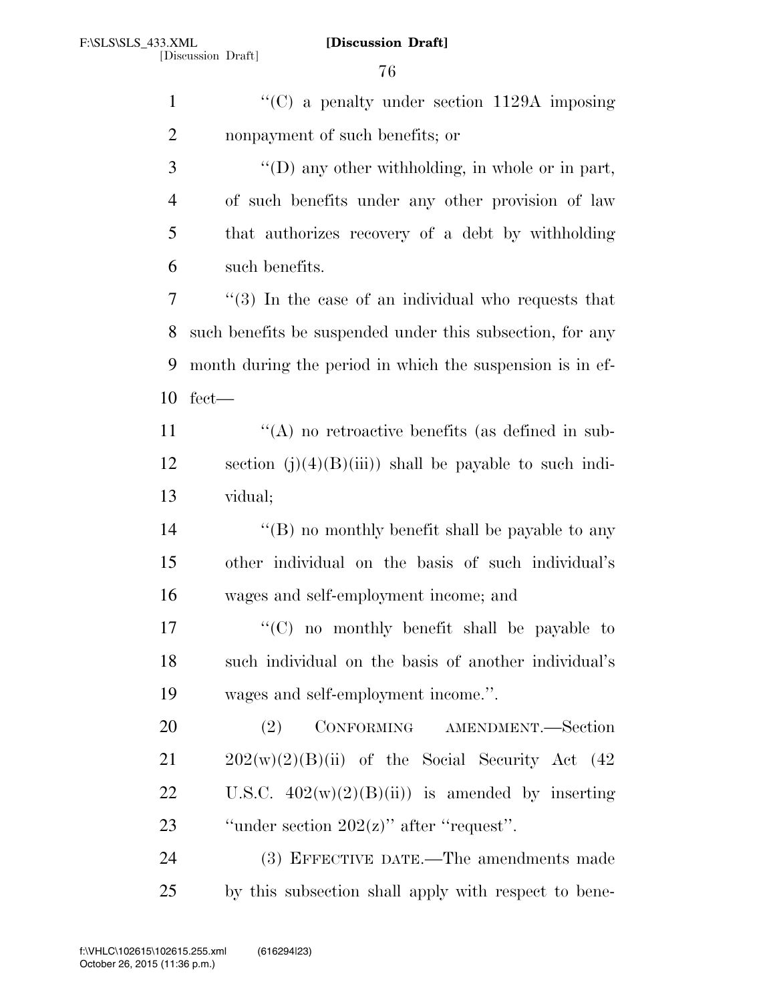| $\mathbf{1}$   | "(C) a penalty under section $1129A$ imposing             |
|----------------|-----------------------------------------------------------|
| $\overline{2}$ | nonpayment of such benefits; or                           |
| 3              | "(D) any other withholding, in whole or in part,          |
| $\overline{4}$ | of such benefits under any other provision of law         |
| 5              | that authorizes recovery of a debt by withholding         |
| 6              | such benefits.                                            |
| 7              | $(3)$ In the case of an individual who requests that      |
| 8              | such benefits be suspended under this subsection, for any |
| 9              | month during the period in which the suspension is in ef- |
| 10             | $fect$ —                                                  |
| 11             | "(A) no retroactive benefits (as defined in sub-          |
| 12             | section $(j)(4)(B)(iii)$ shall be payable to such indi-   |
| 13             | vidual;                                                   |
| 14             | "(B) no monthly benefit shall be payable to any           |
| 15             | other individual on the basis of such individual's        |
| 16             | wages and self-employment income; and                     |
| 17             | " $(C)$ no monthly benefit shall be payable to            |
| 18             | such individual on the basis of another individual's      |
| 19             | wages and self-employment income.".                       |
| 20             | CONFORMING AMENDMENT.-Section<br>(2)                      |
| 21             | $202(w)(2)(B)(ii)$ of the Social Security Act (42)        |
| 22             | U.S.C. $402(w)(2)(B(ii))$ is amended by inserting         |
| 23             | "under section $202(z)$ " after "request".                |
| 24             | (3) EFFECTIVE DATE.—The amendments made                   |
| 25             | by this subsection shall apply with respect to be e-      |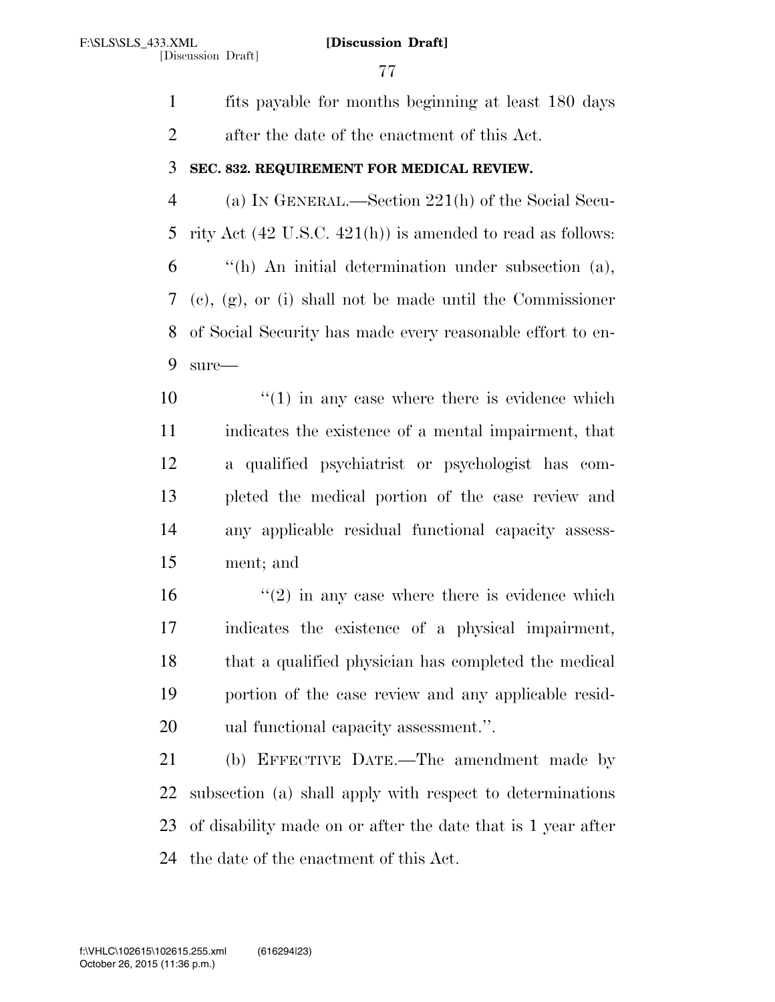fits payable for months beginning at least 180 days after the date of the enactment of this Act. **SEC. 832. REQUIREMENT FOR MEDICAL REVIEW.**  (a) IN GENERAL.—Section 221(h) of the Social Secu- rity Act (42 U.S.C. 421(h)) is amended to read as follows: ''(h) An initial determination under subsection (a), (c), (g), or (i) shall not be made until the Commissioner of Social Security has made every reasonable effort to en- sure— ''(1) in any case where there is evidence which indicates the existence of a mental impairment, that a qualified psychiatrist or psychologist has com- pleted the medical portion of the case review and any applicable residual functional capacity assess- ment; and  $(2)$  in any case where there is evidence which indicates the existence of a physical impairment, that a qualified physician has completed the medical portion of the case review and any applicable resid- ual functional capacity assessment.''. (b) EFFECTIVE DATE.—The amendment made by subsection (a) shall apply with respect to determinations of disability made on or after the date that is 1 year after the date of the enactment of this Act.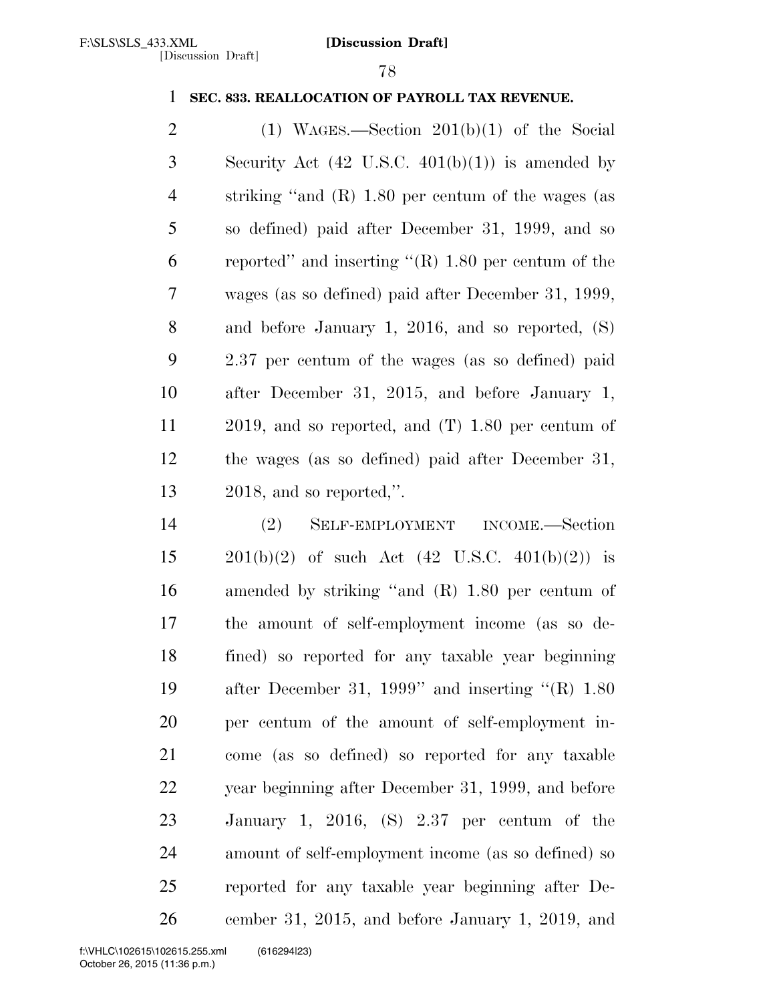# **SEC. 833. REALLOCATION OF PAYROLL TAX REVENUE.**

2 (1) WAGES.—Section  $201(b)(1)$  of the Social Security Act (42 U.S.C. 401(b)(1)) is amended by striking ''and (R) 1.80 per centum of the wages (as so defined) paid after December 31, 1999, and so reported'' and inserting ''(R) 1.80 per centum of the wages (as so defined) paid after December 31, 1999, and before January 1, 2016, and so reported, (S) 2.37 per centum of the wages (as so defined) paid after December 31, 2015, and before January 1, 2019, and so reported, and (T) 1.80 per centum of the wages (as so defined) paid after December 31, 2018, and so reported,''.

 (2) SELF-EMPLOYMENT INCOME.—Section  $201(b)(2)$  of such Act  $(42 \text{ U.S.C. } 401(b)(2))$  is amended by striking ''and (R) 1.80 per centum of the amount of self-employment income (as so de- fined) so reported for any taxable year beginning after December 31, 1999'' and inserting ''(R) 1.80 per centum of the amount of self-employment in- come (as so defined) so reported for any taxable year beginning after December 31, 1999, and before January 1, 2016, (S) 2.37 per centum of the amount of self-employment income (as so defined) so reported for any taxable year beginning after De-cember 31, 2015, and before January 1, 2019, and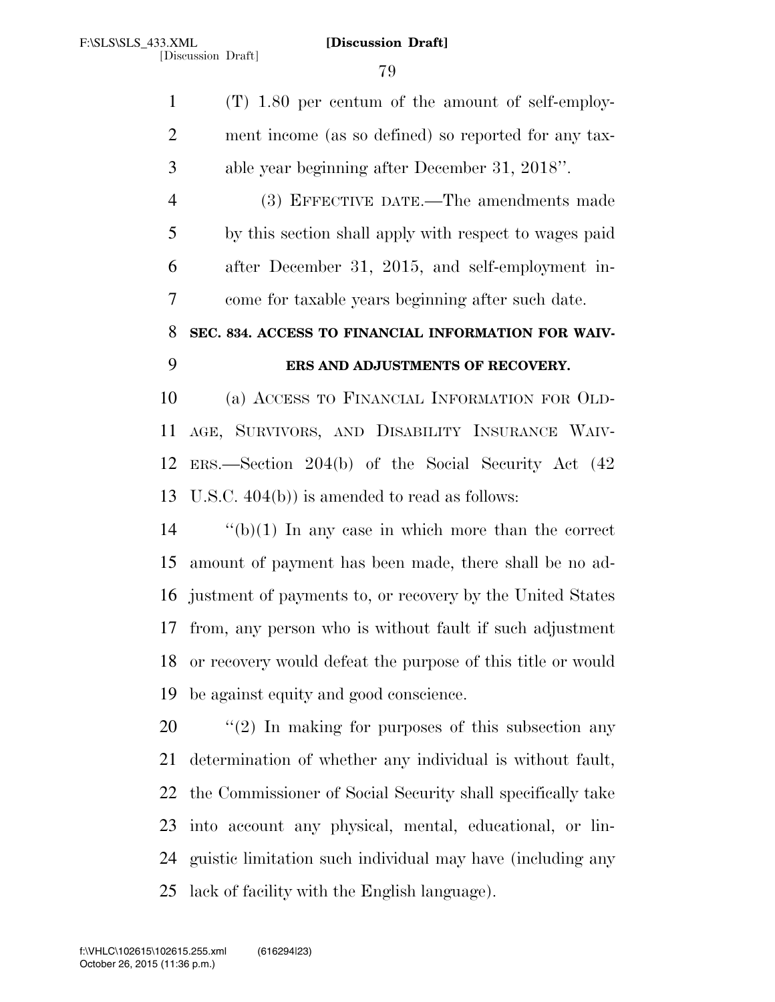(T) 1.80 per centum of the amount of self-employ- ment income (as so defined) so reported for any tax- able year beginning after December 31, 2018''. (3) EFFECTIVE DATE.—The amendments made by this section shall apply with respect to wages paid after December 31, 2015, and self-employment in- come for taxable years beginning after such date. **SEC. 834. ACCESS TO FINANCIAL INFORMATION FOR WAIV- ERS AND ADJUSTMENTS OF RECOVERY.**  (a) ACCESS TO FINANCIAL INFORMATION FOR OLD- AGE, SURVIVORS, AND DISABILITY INSURANCE WAIV- ERS.—Section 204(b) of the Social Security Act (42 U.S.C. 404(b)) is amended to read as follows: ''(b)(1) In any case in which more than the correct amount of payment has been made, there shall be no ad- justment of payments to, or recovery by the United States from, any person who is without fault if such adjustment

 or recovery would defeat the purpose of this title or would be against equity and good conscience.

 $\frac{1}{2}$  (2) In making for purposes of this subsection any determination of whether any individual is without fault, the Commissioner of Social Security shall specifically take into account any physical, mental, educational, or lin- guistic limitation such individual may have (including any lack of facility with the English language).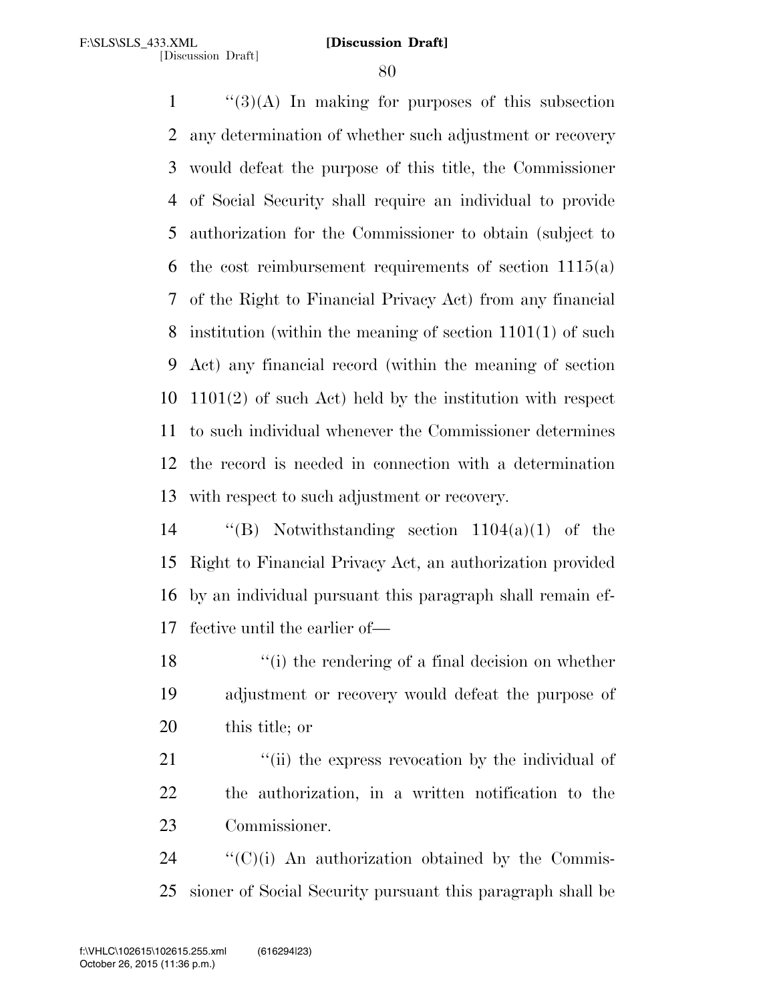''(3)(A) In making for purposes of this subsection any determination of whether such adjustment or recovery would defeat the purpose of this title, the Commissioner of Social Security shall require an individual to provide authorization for the Commissioner to obtain (subject to the cost reimbursement requirements of section 1115(a) of the Right to Financial Privacy Act) from any financial institution (within the meaning of section 1101(1) of such Act) any financial record (within the meaning of section 1101(2) of such Act) held by the institution with respect to such individual whenever the Commissioner determines the record is needed in connection with a determination with respect to such adjustment or recovery.

 ''(B) Notwithstanding section 1104(a)(1) of the Right to Financial Privacy Act, an authorization provided by an individual pursuant this paragraph shall remain ef-fective until the earlier of—

18 ''(i) the rendering of a final decision on whether adjustment or recovery would defeat the purpose of this title; or

21 "(ii) the express revocation by the individual of the authorization, in a written notification to the Commissioner.

  $\text{``(C)(i)}$  An authorization obtained by the Commis-sioner of Social Security pursuant this paragraph shall be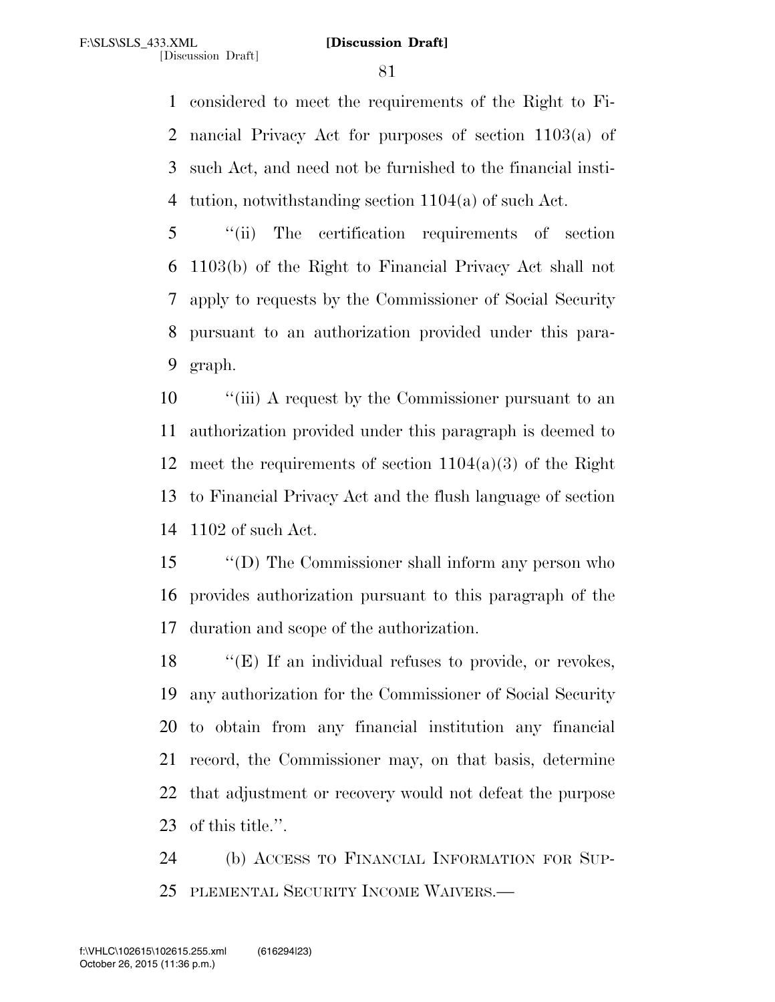considered to meet the requirements of the Right to Fi- nancial Privacy Act for purposes of section 1103(a) of such Act, and need not be furnished to the financial insti-tution, notwithstanding section 1104(a) of such Act.

 ''(ii) The certification requirements of section 1103(b) of the Right to Financial Privacy Act shall not apply to requests by the Commissioner of Social Security pursuant to an authorization provided under this para-graph.

 ''(iii) A request by the Commissioner pursuant to an authorization provided under this paragraph is deemed to 12 meet the requirements of section  $1104(a)(3)$  of the Right to Financial Privacy Act and the flush language of section 1102 of such Act.

 ''(D) The Commissioner shall inform any person who provides authorization pursuant to this paragraph of the duration and scope of the authorization.

18 "(E) If an individual refuses to provide, or revokes, any authorization for the Commissioner of Social Security to obtain from any financial institution any financial record, the Commissioner may, on that basis, determine that adjustment or recovery would not defeat the purpose of this title.''.

 (b) ACCESS TO FINANCIAL INFORMATION FOR SUP-PLEMENTAL SECURITY INCOME WAIVERS.—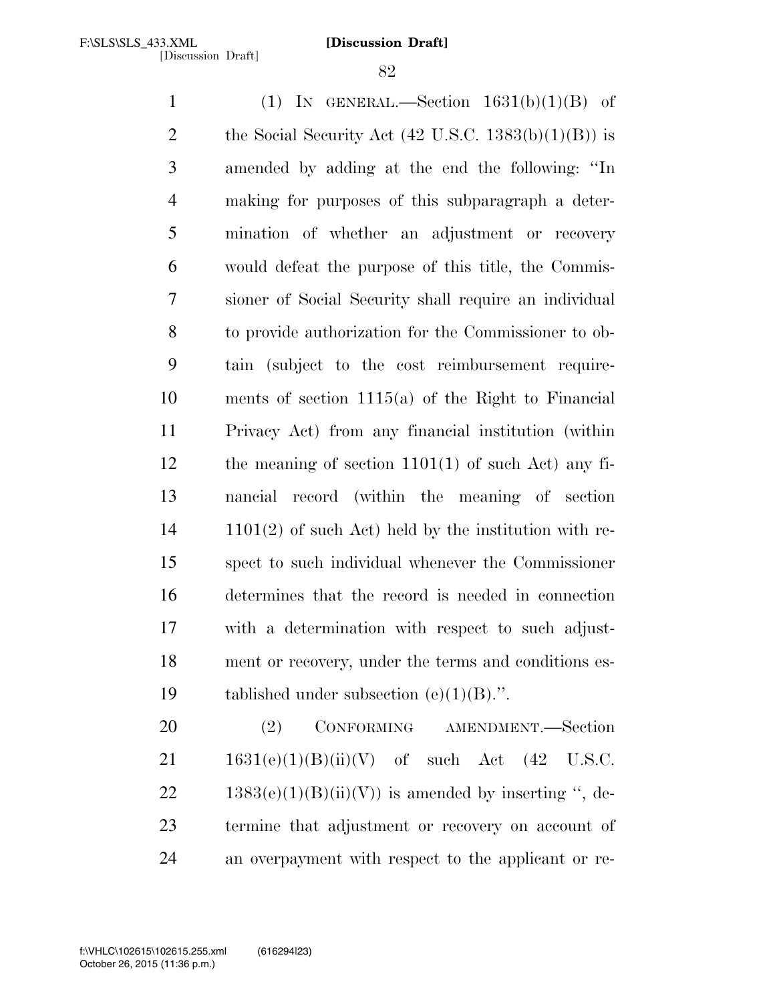1 (1) IN GENERAL.—Section  $1631(b)(1)(B)$  of 2 the Social Security Act  $(42 \text{ U.S.C. } 1383(b)(1)(B))$  is amended by adding at the end the following: ''In making for purposes of this subparagraph a deter- mination of whether an adjustment or recovery would defeat the purpose of this title, the Commis- sioner of Social Security shall require an individual to provide authorization for the Commissioner to ob- tain (subject to the cost reimbursement require- ments of section 1115(a) of the Right to Financial Privacy Act) from any financial institution (within the meaning of section 1101(1) of such Act) any fi- nancial record (within the meaning of section 1101(2) of such Act) held by the institution with re- spect to such individual whenever the Commissioner determines that the record is needed in connection with a determination with respect to such adjust- ment or recovery, under the terms and conditions es-19 tablished under subsection  $(e)(1)(B)$ .".

 (2) CONFORMING AMENDMENT.—Section  $1631(e)(1)(B)(ii)(V)$  of such Act (42 U.S.C. 22 1383(e)(1)(B)(ii)(V)) is amended by inserting ", de- termine that adjustment or recovery on account of an overpayment with respect to the applicant or re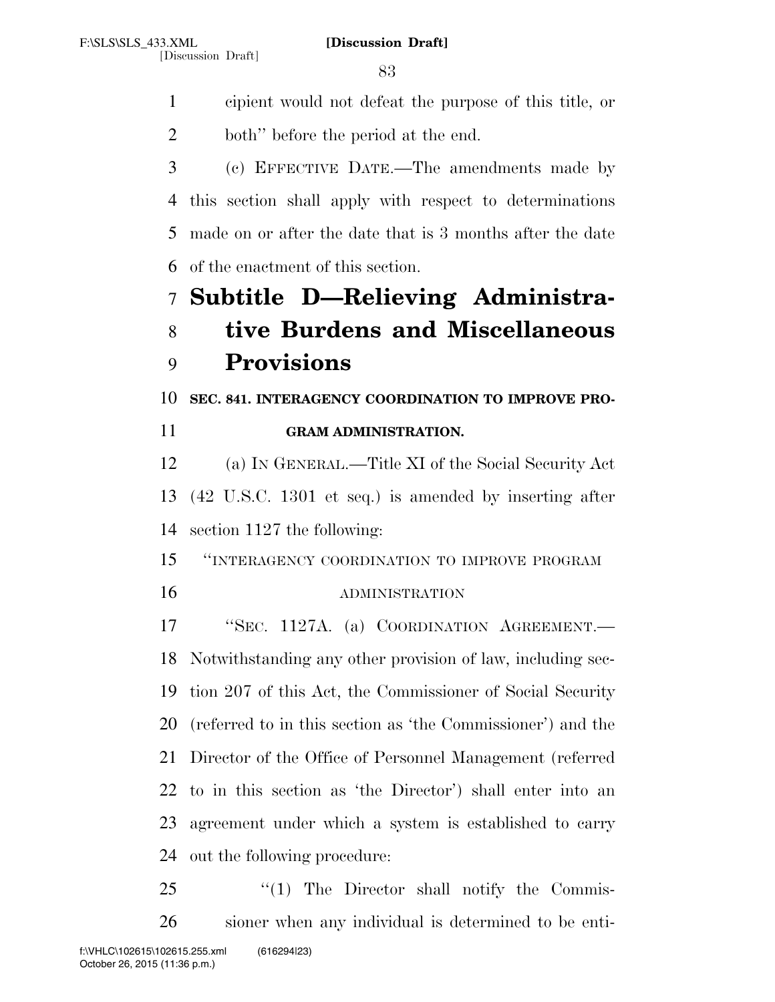cipient would not defeat the purpose of this title, or both'' before the period at the end.

 (c) EFFECTIVE DATE.—The amendments made by this section shall apply with respect to determinations made on or after the date that is 3 months after the date of the enactment of this section.

# **Subtitle D—Relieving Administra-tive Burdens and Miscellaneous**

# **Provisions**

**SEC. 841. INTERAGENCY COORDINATION TO IMPROVE PRO-**

| 11<br><b>GRAM ADMINISTRATION.</b> |  |
|-----------------------------------|--|
|                                   |  |

 (a) IN GENERAL.—Title XI of the Social Security Act (42 U.S.C. 1301 et seq.) is amended by inserting after section 1127 the following:

''INTERAGENCY COORDINATION TO IMPROVE PROGRAM

# ADMINISTRATION

 ''SEC. 1127A. (a) COORDINATION AGREEMENT.— Notwithstanding any other provision of law, including sec- tion 207 of this Act, the Commissioner of Social Security (referred to in this section as 'the Commissioner') and the Director of the Office of Personnel Management (referred to in this section as 'the Director') shall enter into an agreement under which a system is established to carry out the following procedure:

25 "(1) The Director shall notify the Commis-sioner when any individual is determined to be enti-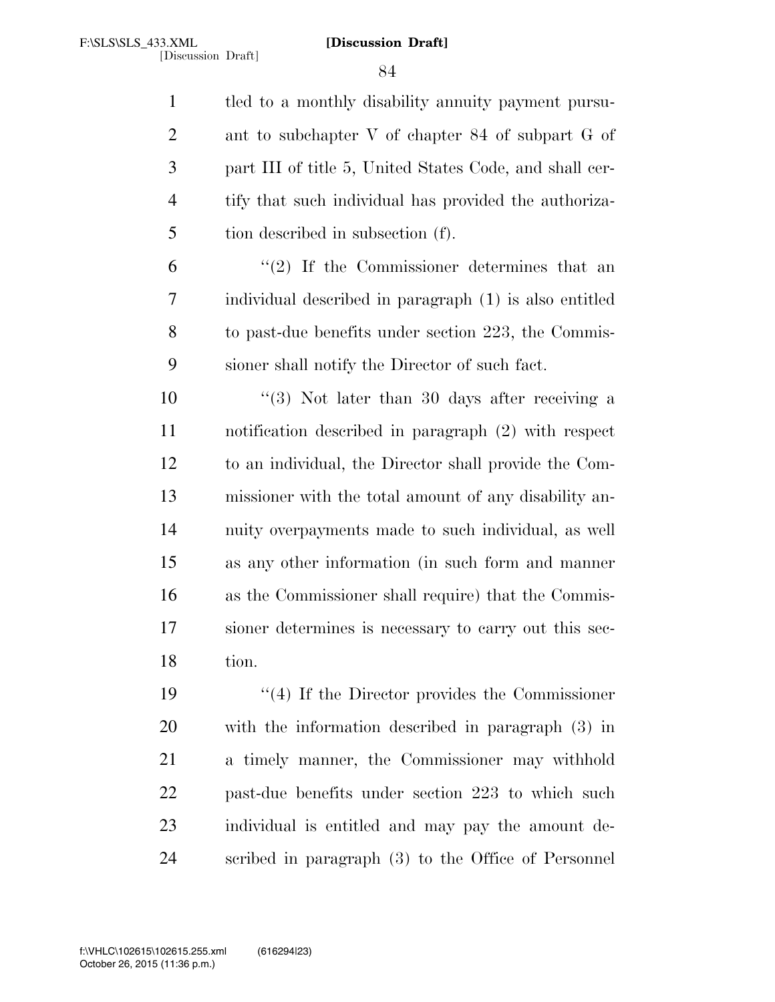tled to a monthly disability annuity payment pursu- ant to subchapter V of chapter 84 of subpart G of part III of title 5, United States Code, and shall cer- tify that such individual has provided the authoriza-tion described in subsection (f).

 $(2)$  If the Commissioner determines that an individual described in paragraph (1) is also entitled to past-due benefits under section 223, the Commis-sioner shall notify the Director of such fact.

10 ''(3) Not later than 30 days after receiving a notification described in paragraph (2) with respect to an individual, the Director shall provide the Com- missioner with the total amount of any disability an- nuity overpayments made to such individual, as well as any other information (in such form and manner as the Commissioner shall require) that the Commis- sioner determines is necessary to carry out this sec-tion.

 ''(4) If the Director provides the Commissioner with the information described in paragraph (3) in a timely manner, the Commissioner may withhold past-due benefits under section 223 to which such individual is entitled and may pay the amount de-scribed in paragraph (3) to the Office of Personnel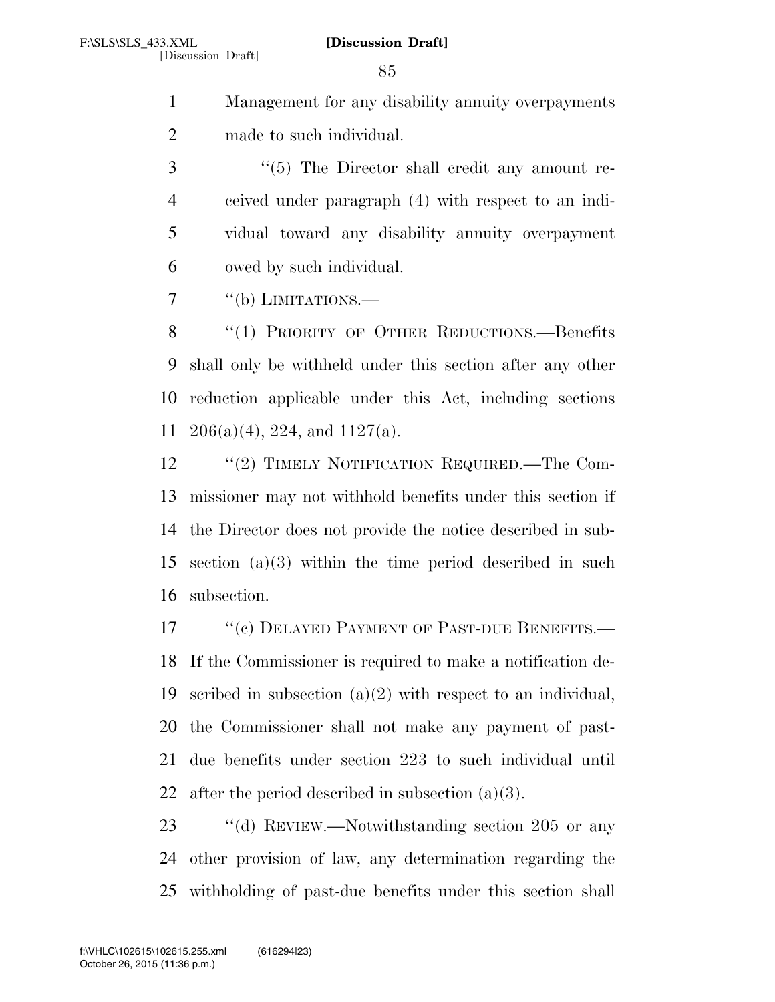Management for any disability annuity overpayments made to such individual.

3 "(5) The Director shall credit any amount re- ceived under paragraph (4) with respect to an indi- vidual toward any disability annuity overpayment owed by such individual.

7 "(b) LIMITATIONS.—

8 "(1) PRIORITY OF OTHER REDUCTIONS.—Benefits shall only be withheld under this section after any other reduction applicable under this Act, including sections 206(a)(4), 224, and 1127(a).

12 "(2) TIMELY NOTIFICATION REQUIRED.—The Com- missioner may not withhold benefits under this section if the Director does not provide the notice described in sub- section (a)(3) within the time period described in such subsection.

17 <sup>"</sup>(c) DELAYED PAYMENT OF PAST-DUE BENEFITS.— If the Commissioner is required to make a notification de- scribed in subsection (a)(2) with respect to an individual, the Commissioner shall not make any payment of past- due benefits under section 223 to such individual until 22 after the period described in subsection  $(a)(3)$ .

23 "(d) REVIEW.—Notwithstanding section 205 or any other provision of law, any determination regarding the withholding of past-due benefits under this section shall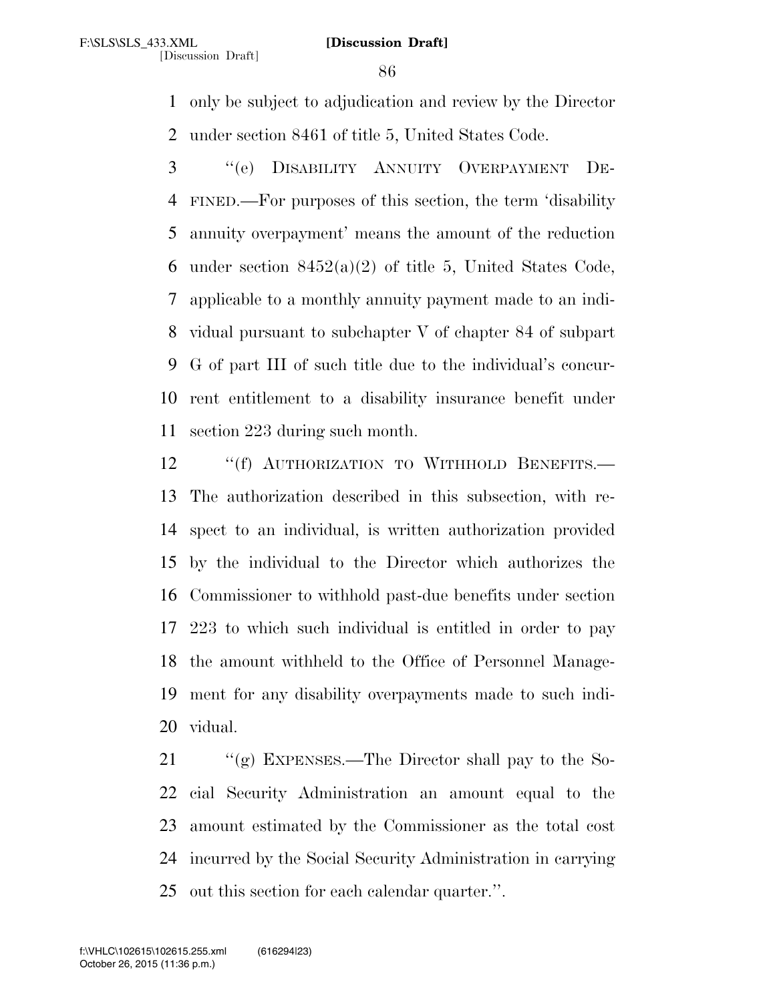[Discussion Draft]

 only be subject to adjudication and review by the Director under section 8461 of title 5, United States Code.

 ''(e) DISABILITY ANNUITY OVERPAYMENT DE- FINED.—For purposes of this section, the term 'disability annuity overpayment' means the amount of the reduction 6 under section  $8452(a)(2)$  of title 5, United States Code, applicable to a monthly annuity payment made to an indi- vidual pursuant to subchapter V of chapter 84 of subpart G of part III of such title due to the individual's concur- rent entitlement to a disability insurance benefit under section 223 during such month.

12 "(f) AUTHORIZATION TO WITHHOLD BENEFITS.— The authorization described in this subsection, with re- spect to an individual, is written authorization provided by the individual to the Director which authorizes the Commissioner to withhold past-due benefits under section 223 to which such individual is entitled in order to pay the amount withheld to the Office of Personnel Manage- ment for any disability overpayments made to such indi-vidual.

21 "(g) EXPENSES.—The Director shall pay to the So- cial Security Administration an amount equal to the amount estimated by the Commissioner as the total cost incurred by the Social Security Administration in carrying out this section for each calendar quarter.''.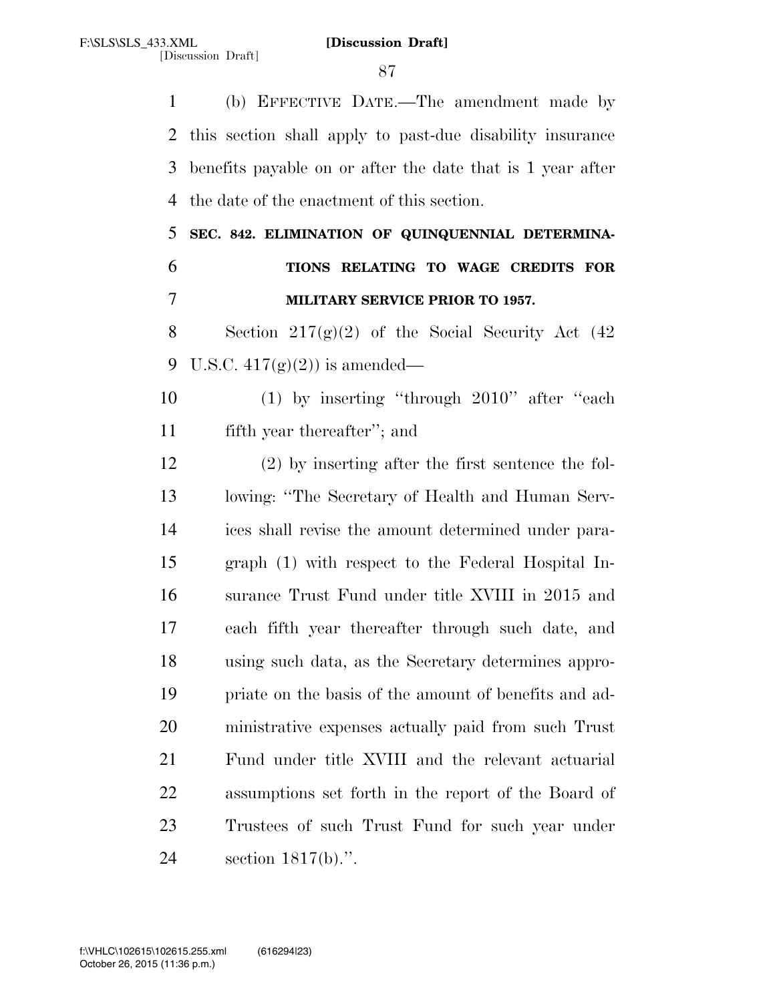(b) EFFECTIVE DATE.—The amendment made by this section shall apply to past-due disability insurance benefits payable on or after the date that is 1 year after the date of the enactment of this section.

 **SEC. 842. ELIMINATION OF QUINQUENNIAL DETERMINA- TIONS RELATING TO WAGE CREDITS FOR MILITARY SERVICE PRIOR TO 1957.** 

8 Section  $217(g)(2)$  of the Social Security Act  $(42)$ 9 U.S.C.  $417(g)(2)$  is amended—

 (1) by inserting ''through 2010'' after ''each fifth year thereafter''; and

 (2) by inserting after the first sentence the fol- lowing: ''The Secretary of Health and Human Serv- ices shall revise the amount determined under para- graph (1) with respect to the Federal Hospital In- surance Trust Fund under title XVIII in 2015 and each fifth year thereafter through such date, and using such data, as the Secretary determines appro- priate on the basis of the amount of benefits and ad- ministrative expenses actually paid from such Trust Fund under title XVIII and the relevant actuarial assumptions set forth in the report of the Board of Trustees of such Trust Fund for such year under section 1817(b).''.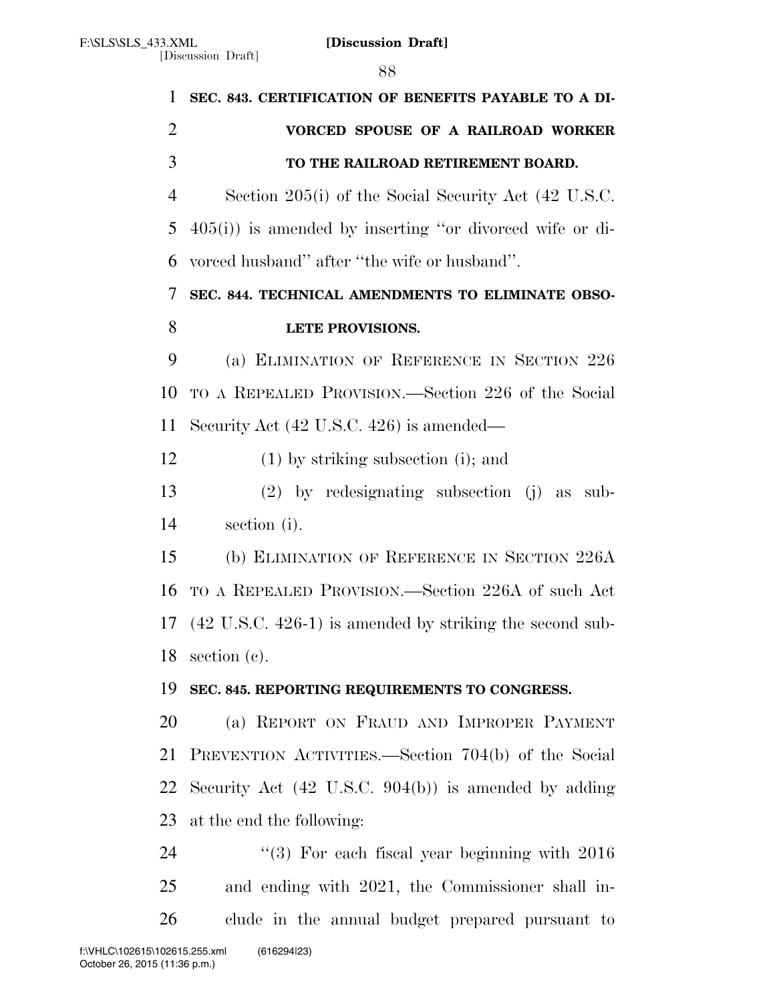| $\mathbf{1}$   | SEC. 843. CERTIFICATION OF BENEFITS PAYABLE TO A DI-            |
|----------------|-----------------------------------------------------------------|
| $\overline{2}$ | VORCED SPOUSE OF A RAILROAD WORKER                              |
| 3              | TO THE RAILROAD RETIREMENT BOARD.                               |
| $\overline{4}$ | Section 205(i) of the Social Security Act (42 U.S.C.            |
| 5              | $405(i)$ ) is amended by inserting "or divorced wife or di-     |
| 6              | vorced husband" after "the wife or husband".                    |
| 7              | SEC. 844. TECHNICAL AMENDMENTS TO ELIMINATE OBSO-               |
| 8              | LETE PROVISIONS.                                                |
| 9              | (a) ELIMINATION OF REFERENCE IN SECTION 226                     |
| 10             | TO A REPEALED PROVISION.—Section 226 of the Social              |
| 11             | Security Act $(42 \text{ U.S.C. } 426)$ is amended—             |
| 12             | $(1)$ by striking subsection (i); and                           |
| 13             | $(2)$ by redesignating subsection $(j)$ as sub-                 |
| 14             | section (i).                                                    |
| 15             | (b) ELIMINATION OF REFERENCE IN SECTION 226A                    |
| 16             | TO A REPEALED PROVISION.—Section 226A of such Act               |
|                | 17 (42 U.S.C. 426-1) is amended by striking the second sub-     |
| 18             | section $(c)$ .                                                 |
| 19             | SEC. 845. REPORTING REQUIREMENTS TO CONGRESS.                   |
| 20             | (a) REPORT ON FRAUD AND IMPROPER PAYMENT                        |
| 21             | PREVENTION ACTIVITIES.—Section 704(b) of the Social             |
| 22             | Security Act $(42 \text{ U.S.C. } 904(b))$ is amended by adding |
| 23             | at the end the following:                                       |
| 24             | $(3)$ For each fiscal year beginning with $2016$                |
| 25             | and ending with 2021, the Commissioner shall in-                |
| 26             | clude in the annual budget prepared pursuant to                 |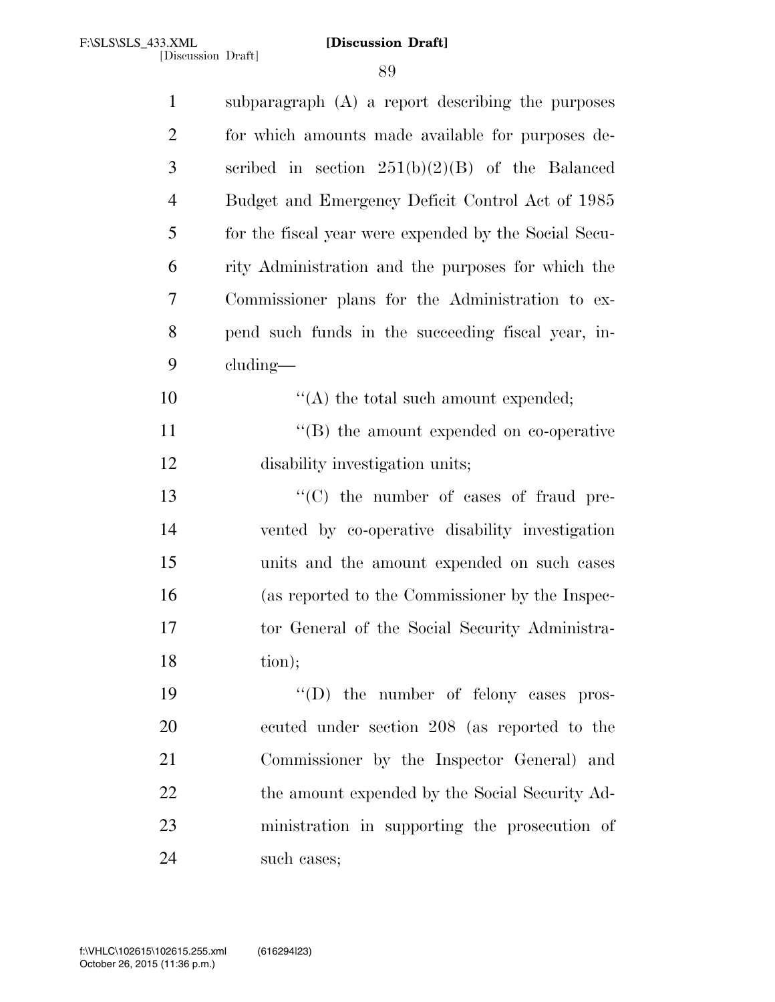| $\mathbf{1}$   | subparagraph (A) a report describing the purposes     |
|----------------|-------------------------------------------------------|
| $\overline{2}$ | for which amounts made available for purposes de-     |
| 3              | scribed in section $251(b)(2)(B)$ of the Balanced     |
| $\overline{4}$ | Budget and Emergency Deficit Control Act of 1985      |
| 5              | for the fiscal year were expended by the Social Secu- |
| 6              | rity Administration and the purposes for which the    |
| 7              | Commissioner plans for the Administration to ex-      |
| 8              | pend such funds in the succeeding fiscal year, in-    |
| 9              | cluding—                                              |
| 10             | $\lq\lq$ the total such amount expended;              |
| 11             | $\lq\lq$ the amount expended on co-operative          |
| 12             | disability investigation units;                       |
| 13             | $\cdot$ (C) the number of cases of fraud pre-         |
| 14             | vented by co-operative disability investigation       |
| 15             | units and the amount expended on such cases           |
| 16             | (as reported to the Commissioner by the Inspec-       |
| 17             | tor General of the Social Security Administra-        |
| 18             | tion);                                                |
| 19             | "(D) the number of felony cases pros-                 |
| 20             | ecuted under section 208 (as reported to the          |
| 21             | Commissioner by the Inspector General) and            |
| 22             | the amount expended by the Social Security Ad-        |
| 23             | ministration in supporting the prosecution of         |
| 24             | such cases;                                           |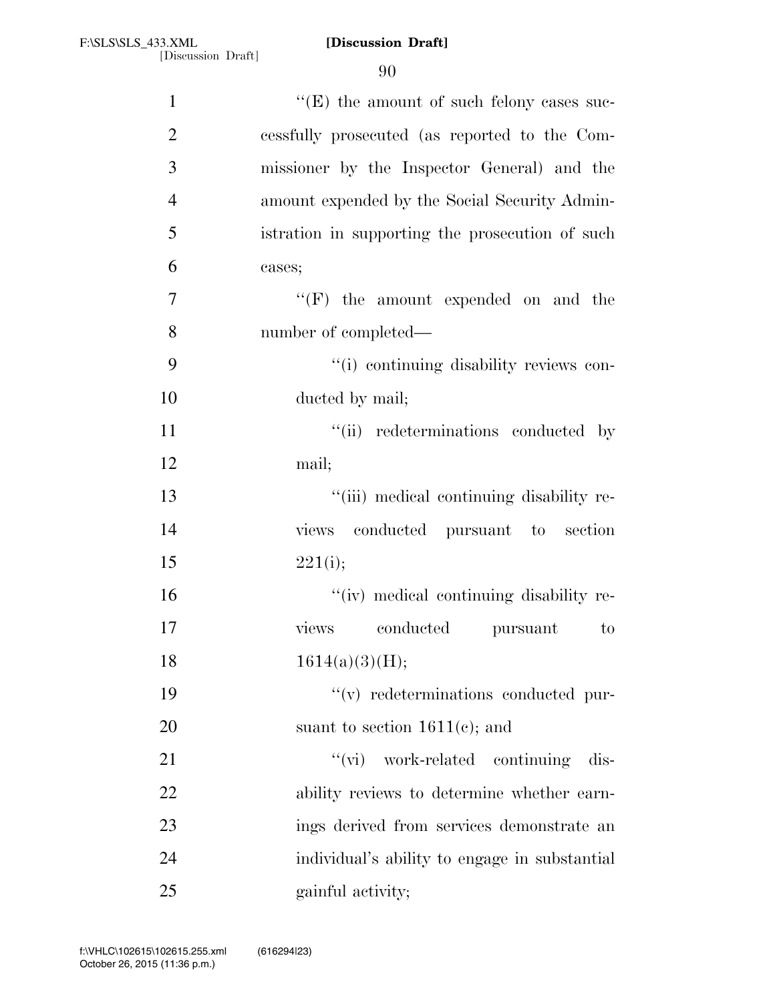| $\mathbf{1}$   | $\lq\lq(E)$ the amount of such felony cases suc-         |
|----------------|----------------------------------------------------------|
| $\overline{2}$ | cessfully prosecuted (as reported to the Com-            |
| 3              | missioner by the Inspector General) and the              |
| $\overline{4}$ | amount expended by the Social Security Admin-            |
| 5              | istration in supporting the prosecution of such          |
| 6              | cases;                                                   |
| $\overline{7}$ | $``(F)$ the amount expended on and the                   |
| 8              | number of completed—                                     |
| 9              | "(i) continuing disability reviews con-                  |
| 10             | ducted by mail;                                          |
| 11             | "(ii) redeterminations conducted by                      |
| 12             | mail;                                                    |
| 13             | "(iii) medical continuing disability re-                 |
| 14             | views conducted pursuant to section                      |
| 15             | 221(i);                                                  |
| 16             | "(iv) medical continuing disability re-                  |
| 17             | $\mathop{\mathrm{conducted}}$<br>views<br>pursuant<br>to |
| 18             | 1614(a)(3)(H);                                           |
| 19             | $\lq\lq$ redeterminations conducted pur-                 |
| 20             | suant to section $1611(e)$ ; and                         |
| 21             | "(vi) work-related continuing<br>dis-                    |
| 22             | ability reviews to determine whether earn-               |
| 23             | ings derived from services demonstrate an                |
| 24             | individual's ability to engage in substantial            |
| 25             | gainful activity;                                        |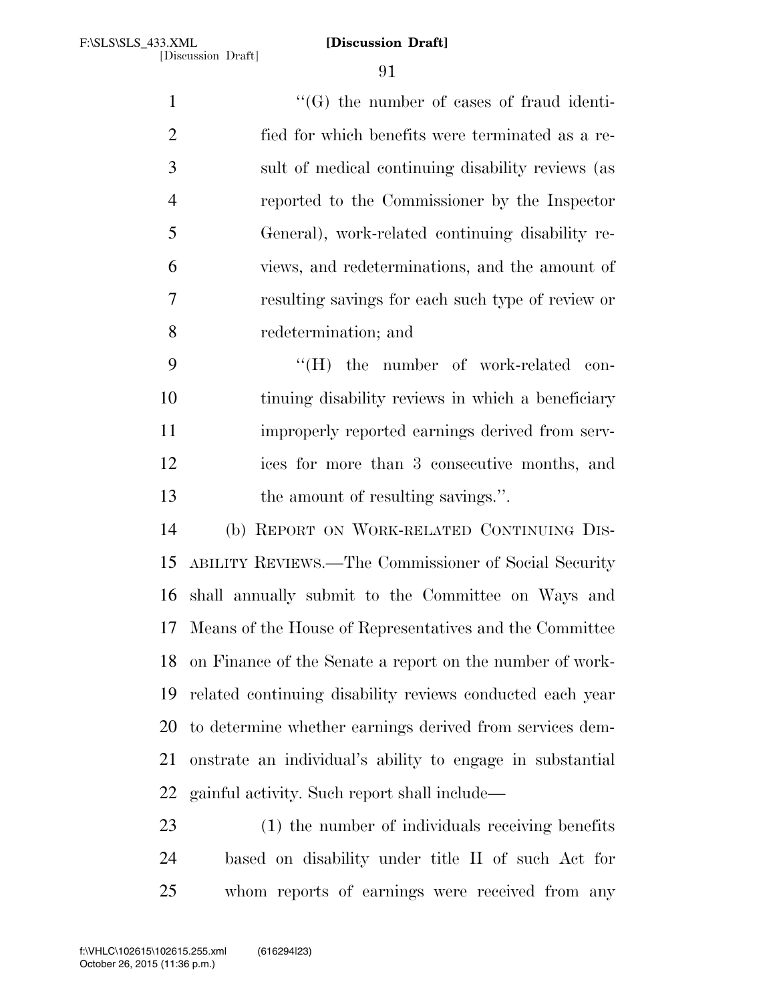$\lq(0)$  the number of cases of fraud identi- fied for which benefits were terminated as a re- sult of medical continuing disability reviews (as reported to the Commissioner by the Inspector General), work-related continuing disability re- views, and redeterminations, and the amount of resulting savings for each such type of review or redetermination; and

9 "'(H) the number of work-related con- tinuing disability reviews in which a beneficiary improperly reported earnings derived from serv- ices for more than 3 consecutive months, and 13 the amount of resulting savings.".

 (b) REPORT ON WORK-RELATED CONTINUING DIS- ABILITY REVIEWS.—The Commissioner of Social Security shall annually submit to the Committee on Ways and Means of the House of Representatives and the Committee on Finance of the Senate a report on the number of work- related continuing disability reviews conducted each year to determine whether earnings derived from services dem- onstrate an individual's ability to engage in substantial gainful activity. Such report shall include—

 (1) the number of individuals receiving benefits based on disability under title II of such Act for whom reports of earnings were received from any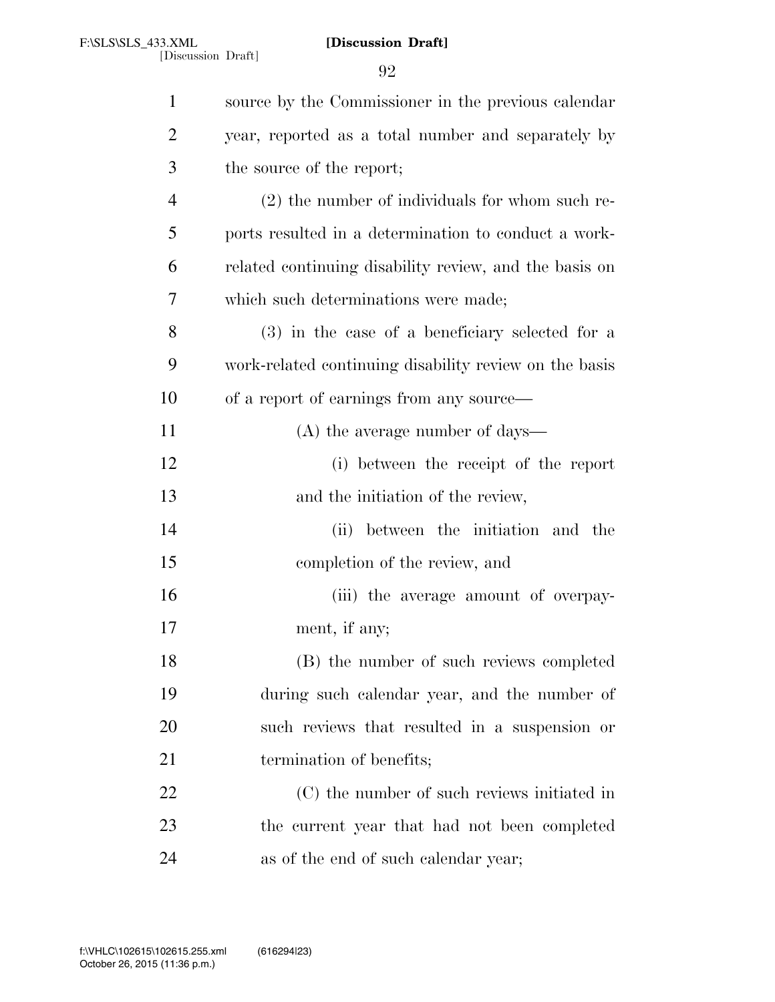|                | 92                                                     |
|----------------|--------------------------------------------------------|
| $\mathbf{1}$   | source by the Commissioner in the previous calendar    |
| $\overline{2}$ | year, reported as a total number and separately by     |
| 3              | the source of the report;                              |
| $\overline{4}$ | $(2)$ the number of individuals for whom such re-      |
| 5              | ports resulted in a determination to conduct a work-   |
| 6              | related continuing disability review, and the basis on |
| 7              | which such determinations were made;                   |
| 8              | (3) in the case of a beneficiary selected for a        |
| 9              | work-related continuing disability review on the basis |
| 10             | of a report of earnings from any source—               |
| 11             | $(A)$ the average number of days—                      |
| 12             | (i) between the receipt of the report                  |
| 13             | and the initiation of the review,                      |
| 14             | (ii) between the initiation and the                    |
| 15             | completion of the review, and                          |
| 16             | (iii) the average amount of overpay-                   |
| 17             | ment, if any;                                          |
| 18             | (B) the number of such reviews completed               |
| 19             | during such calendar year, and the number of           |
| 20             | such reviews that resulted in a suspension or          |
| 21             | termination of benefits;                               |
| 22             | (C) the number of such reviews initiated in            |
| 23             | the current year that had not been completed           |
| 24             | as of the end of such calendar year;                   |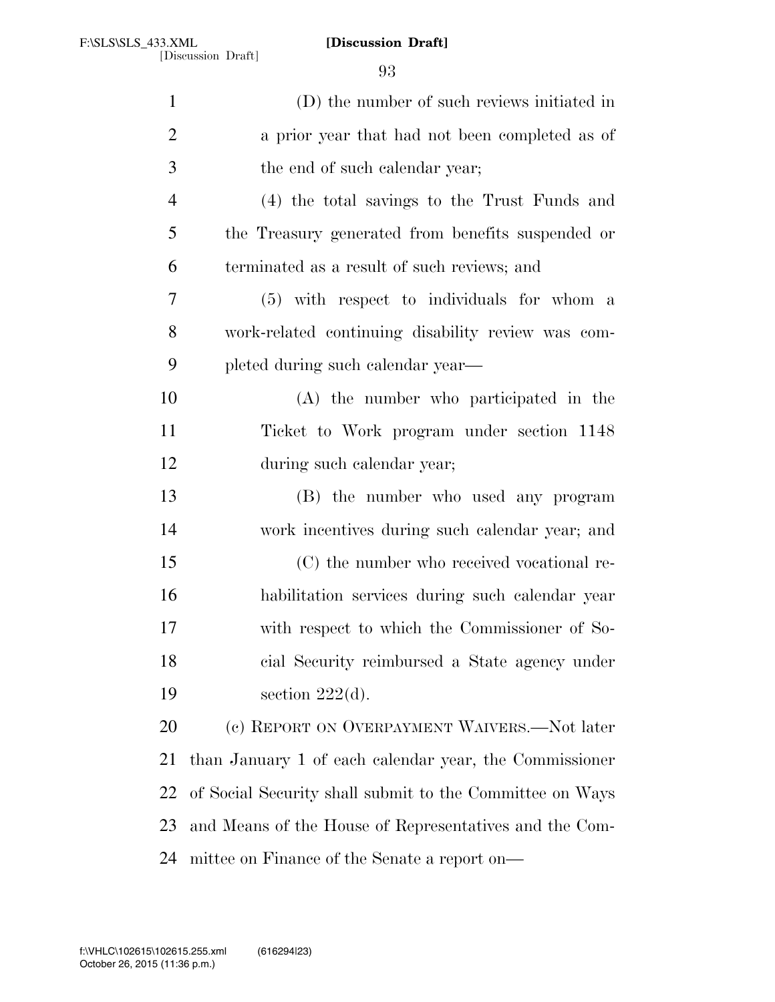| $\mathbf{1}$   | (D) the number of such reviews initiated in              |
|----------------|----------------------------------------------------------|
| $\overline{2}$ | a prior year that had not been completed as of           |
| 3              | the end of such calendar year;                           |
| $\overline{4}$ | (4) the total savings to the Trust Funds and             |
| 5              | the Treasury generated from benefits suspended or        |
| 6              | terminated as a result of such reviews; and              |
| 7              | (5) with respect to individuals for whom a               |
| 8              | work-related continuing disability review was com-       |
| 9              | pleted during such calendar year—                        |
| 10             | (A) the number who participated in the                   |
| 11             | Ticket to Work program under section 1148                |
| 12             | during such calendar year;                               |
| 13             | (B) the number who used any program                      |
| 14             | work incentives during such calendar year; and           |
| 15             | (C) the number who received vocational re-               |
| 16             | habilitation services during such calendar year          |
| 17             | with respect to which the Commissioner of So-            |
| 18             | cial Security reimbursed a State agency under            |
| 19             | section $222(d)$ .                                       |
| 20             | (c) REPORT ON OVERPAYMENT WAIVERS.—Not later             |
| 21             | than January 1 of each calendar year, the Commissioner   |
| 22             | of Social Security shall submit to the Committee on Ways |
| 23             | and Means of the House of Representatives and the Com-   |
| 24             | mittee on Finance of the Senate a report on—             |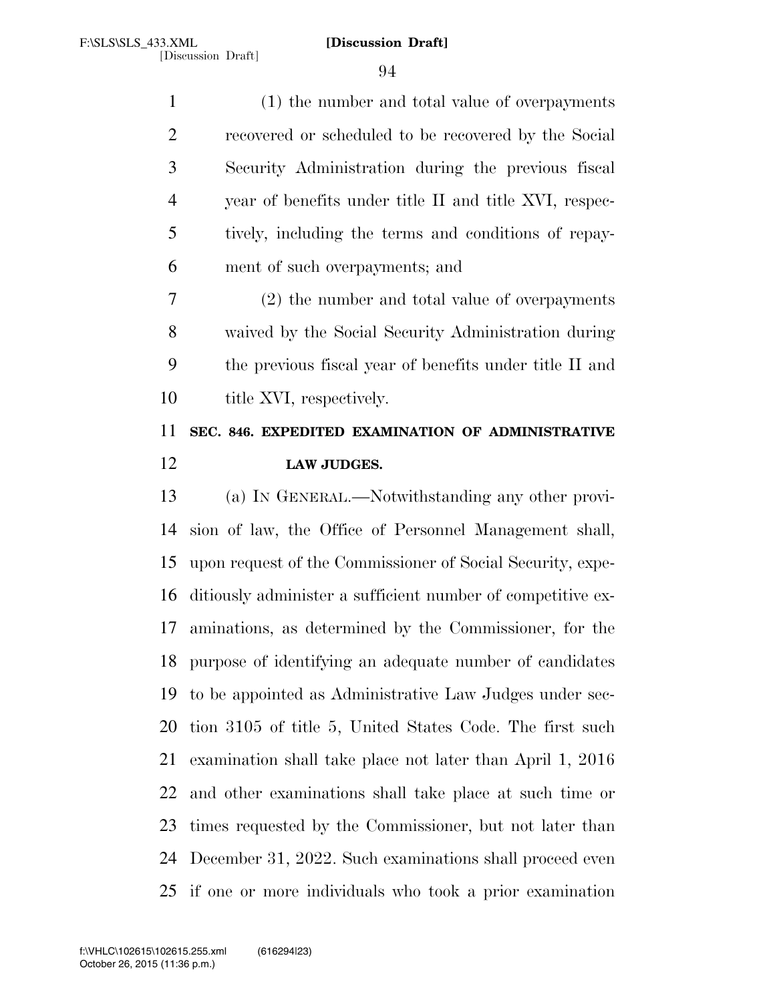(1) the number and total value of overpayments recovered or scheduled to be recovered by the Social Security Administration during the previous fiscal year of benefits under title II and title XVI, respec- tively, including the terms and conditions of repay-ment of such overpayments; and

 (2) the number and total value of overpayments waived by the Social Security Administration during the previous fiscal year of benefits under title II and 10 title XVI, respectively.

# **SEC. 846. EXPEDITED EXAMINATION OF ADMINISTRATIVE LAW JUDGES.**

 (a) IN GENERAL.—Notwithstanding any other provi- sion of law, the Office of Personnel Management shall, upon request of the Commissioner of Social Security, expe- ditiously administer a sufficient number of competitive ex- aminations, as determined by the Commissioner, for the purpose of identifying an adequate number of candidates to be appointed as Administrative Law Judges under sec- tion 3105 of title 5, United States Code. The first such examination shall take place not later than April 1, 2016 and other examinations shall take place at such time or times requested by the Commissioner, but not later than December 31, 2022. Such examinations shall proceed even if one or more individuals who took a prior examination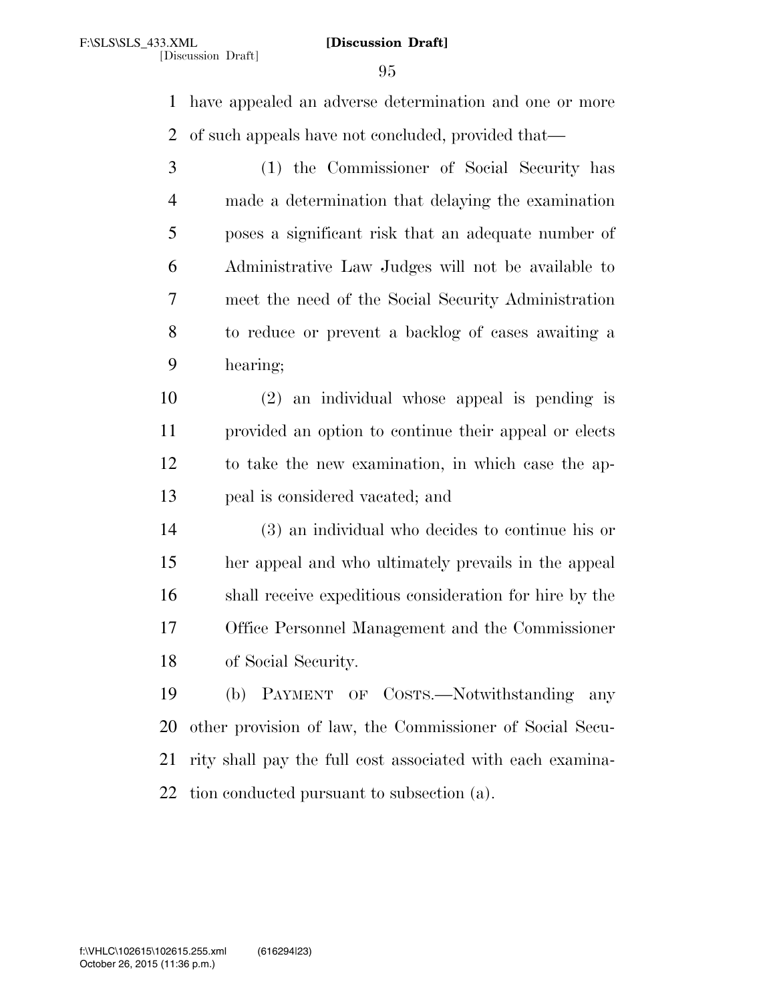have appealed an adverse determination and one or more of such appeals have not concluded, provided that—

- (1) the Commissioner of Social Security has made a determination that delaying the examination poses a significant risk that an adequate number of Administrative Law Judges will not be available to meet the need of the Social Security Administration to reduce or prevent a backlog of cases awaiting a hearing;
- (2) an individual whose appeal is pending is provided an option to continue their appeal or elects to take the new examination, in which case the ap-peal is considered vacated; and
- (3) an individual who decides to continue his or her appeal and who ultimately prevails in the appeal shall receive expeditious consideration for hire by the Office Personnel Management and the Commissioner of Social Security.
- (b) PAYMENT OF COSTS.—Notwithstanding any other provision of law, the Commissioner of Social Secu- rity shall pay the full cost associated with each examina-tion conducted pursuant to subsection (a).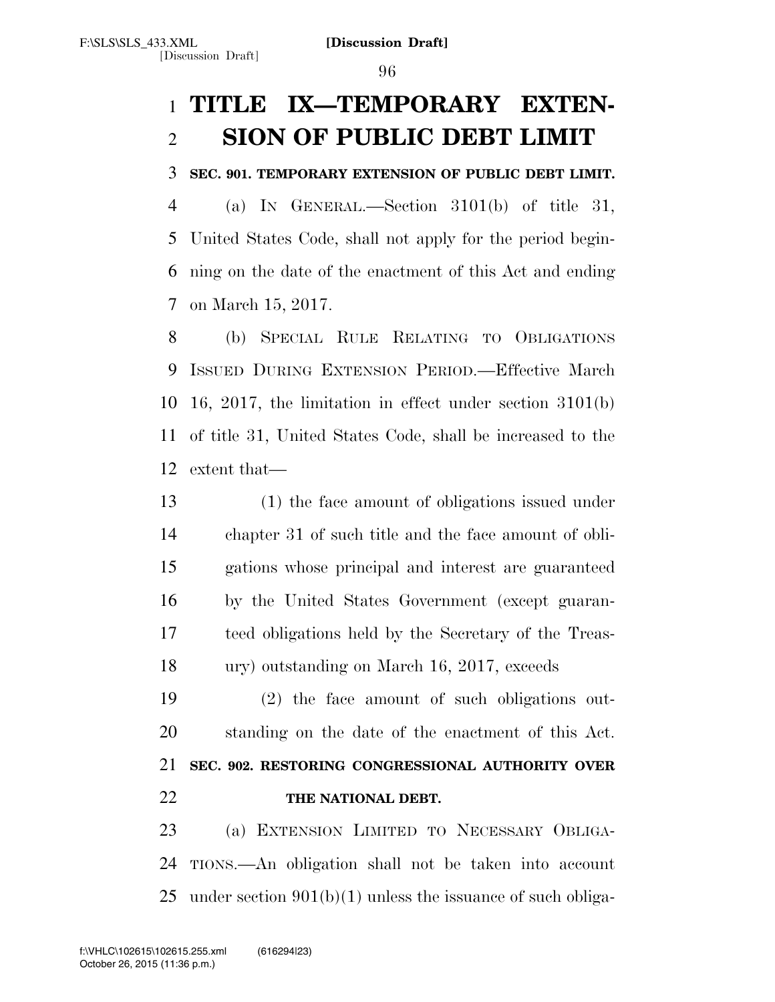# **TITLE IX—TEMPORARY EXTEN-SION OF PUBLIC DEBT LIMIT**

# **SEC. 901. TEMPORARY EXTENSION OF PUBLIC DEBT LIMIT.**

 (a) IN GENERAL.—Section 3101(b) of title 31, United States Code, shall not apply for the period begin- ning on the date of the enactment of this Act and ending on March 15, 2017.

 (b) SPECIAL RULE RELATING TO OBLIGATIONS ISSUED DURING EXTENSION PERIOD.—Effective March 16, 2017, the limitation in effect under section 3101(b) of title 31, United States Code, shall be increased to the extent that—

 (1) the face amount of obligations issued under chapter 31 of such title and the face amount of obli- gations whose principal and interest are guaranteed by the United States Government (except guaran- teed obligations held by the Secretary of the Treas-ury) outstanding on March 16, 2017, exceeds

 (2) the face amount of such obligations out- standing on the date of the enactment of this Act. **SEC. 902. RESTORING CONGRESSIONAL AUTHORITY OVER THE NATIONAL DEBT.** 

 (a) EXTENSION LIMITED TO NECESSARY OBLIGA- TIONS.—An obligation shall not be taken into account under section 901(b)(1) unless the issuance of such obliga-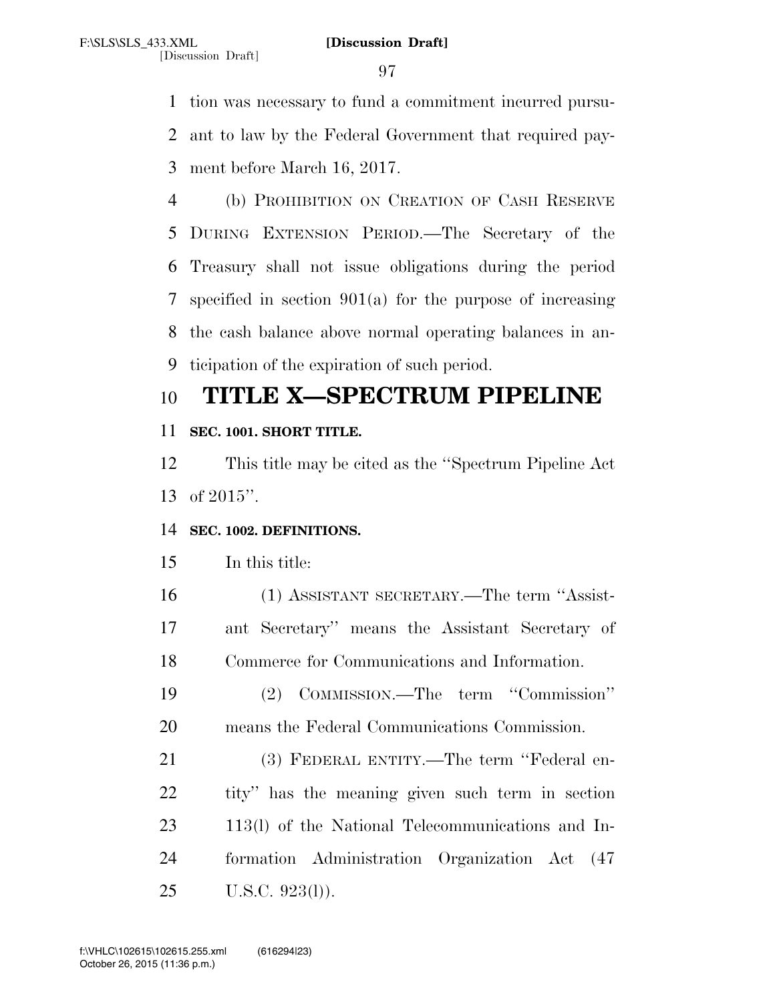tion was necessary to fund a commitment incurred pursu- ant to law by the Federal Government that required pay-ment before March 16, 2017.

 (b) PROHIBITION ON CREATION OF CASH RESERVE DURING EXTENSION PERIOD.—The Secretary of the Treasury shall not issue obligations during the period specified in section 901(a) for the purpose of increasing the cash balance above normal operating balances in an-ticipation of the expiration of such period.

# **TITLE X—SPECTRUM PIPELINE**

# **SEC. 1001. SHORT TITLE.**

 This title may be cited as the ''Spectrum Pipeline Act of 2015''.

# **SEC. 1002. DEFINITIONS.**

In this title:

 (1) ASSISTANT SECRETARY.—The term ''Assist- ant Secretary'' means the Assistant Secretary of Commerce for Communications and Information.

 (2) COMMISSION.—The term ''Commission'' means the Federal Communications Commission.

 (3) FEDERAL ENTITY.—The term ''Federal en- tity'' has the meaning given such term in section 113(l) of the National Telecommunications and In- formation Administration Organization Act (47 U.S.C. 923(l)).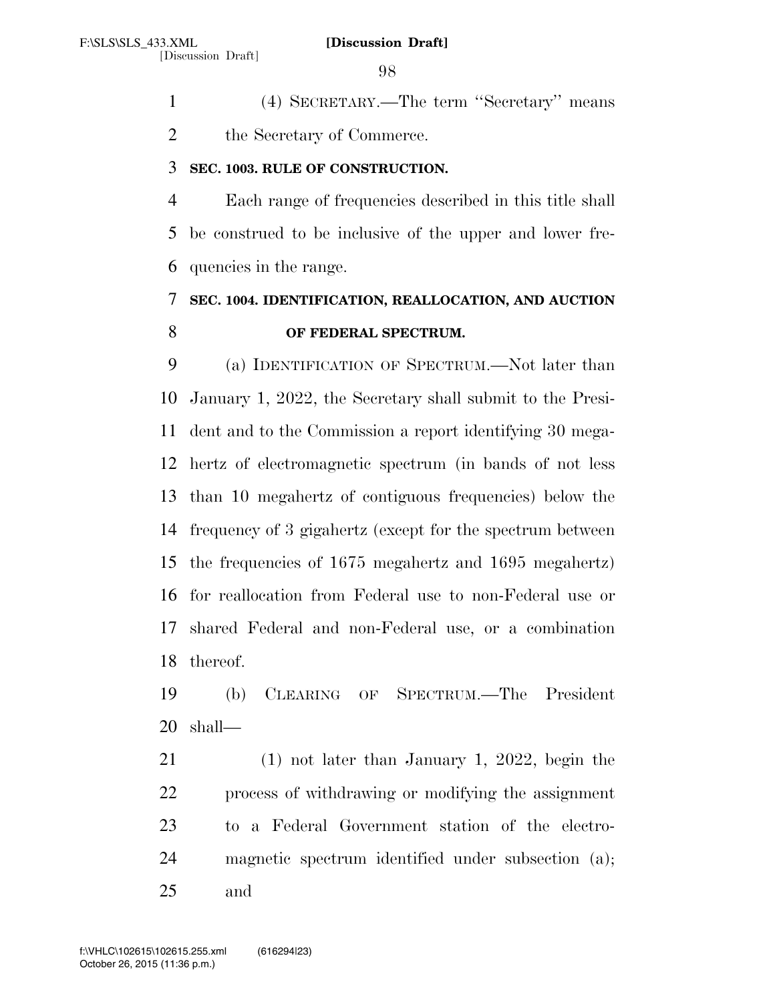(4) SECRETARY.—The term ''Secretary'' means the Secretary of Commerce.

# **SEC. 1003. RULE OF CONSTRUCTION.**

 Each range of frequencies described in this title shall be construed to be inclusive of the upper and lower fre-quencies in the range.

# **SEC. 1004. IDENTIFICATION, REALLOCATION, AND AUCTION OF FEDERAL SPECTRUM.**

 (a) IDENTIFICATION OF SPECTRUM.—Not later than January 1, 2022, the Secretary shall submit to the Presi- dent and to the Commission a report identifying 30 mega- hertz of electromagnetic spectrum (in bands of not less than 10 megahertz of contiguous frequencies) below the frequency of 3 gigahertz (except for the spectrum between the frequencies of 1675 megahertz and 1695 megahertz) for reallocation from Federal use to non-Federal use or shared Federal and non-Federal use, or a combination thereof.

 (b) CLEARING OF SPECTRUM.—The President shall—

 (1) not later than January 1, 2022, begin the process of withdrawing or modifying the assignment to a Federal Government station of the electro- magnetic spectrum identified under subsection (a); and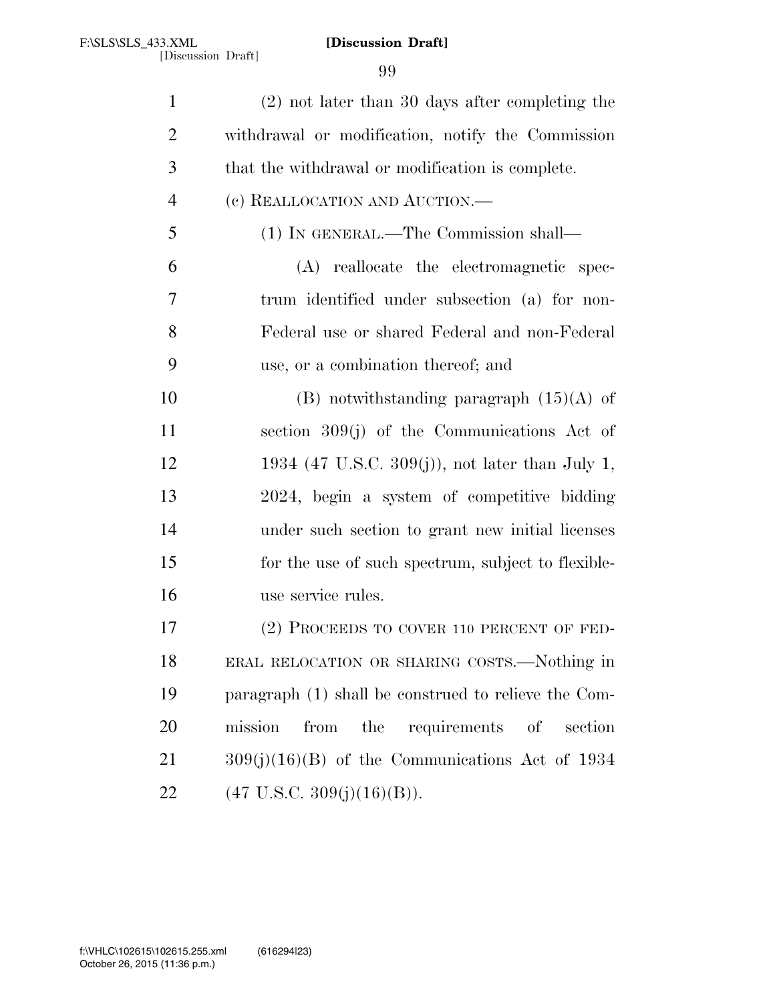| $\mathbf{1}$   | $(2)$ not later than 30 days after completing the    |
|----------------|------------------------------------------------------|
| $\overline{2}$ | withdrawal or modification, notify the Commission    |
| 3              | that the withdrawal or modification is complete.     |
| $\overline{4}$ | (c) REALLOCATION AND AUCTION.—                       |
| 5              | (1) IN GENERAL.—The Commission shall—                |
| 6              | (A) reallocate the electromagnetic spec-             |
| 7              | trum identified under subsection (a) for non-        |
| 8              | Federal use or shared Federal and non-Federal        |
| 9              | use, or a combination thereof; and                   |
| 10             | (B) notwithstanding paragraph $(15)(A)$ of           |
| 11             | section $309(j)$ of the Communications Act of        |
| 12             | 1934 (47 U.S.C. 309(j)), not later than July 1,      |
| 13             | 2024, begin a system of competitive bidding          |
| 14             | under such section to grant new initial licenses     |
| 15             | for the use of such spectrum, subject to flexible-   |
| 16             | use service rules.                                   |
| 17             | (2) PROCEEDS TO COVER 110 PERCENT OF FED-            |
| 18             | ERAL RELOCATION OR SHARING COSTS.—Nothing in         |
| 19             | paragraph (1) shall be construed to relieve the Com- |
| 20             | requirements of<br>mission<br>from<br>the<br>section |
| 21             | $309(j)(16)(B)$ of the Communications Act of 1934    |
| 22             | $(47 \text{ U.S.C. } 309(j)(16)(B)).$                |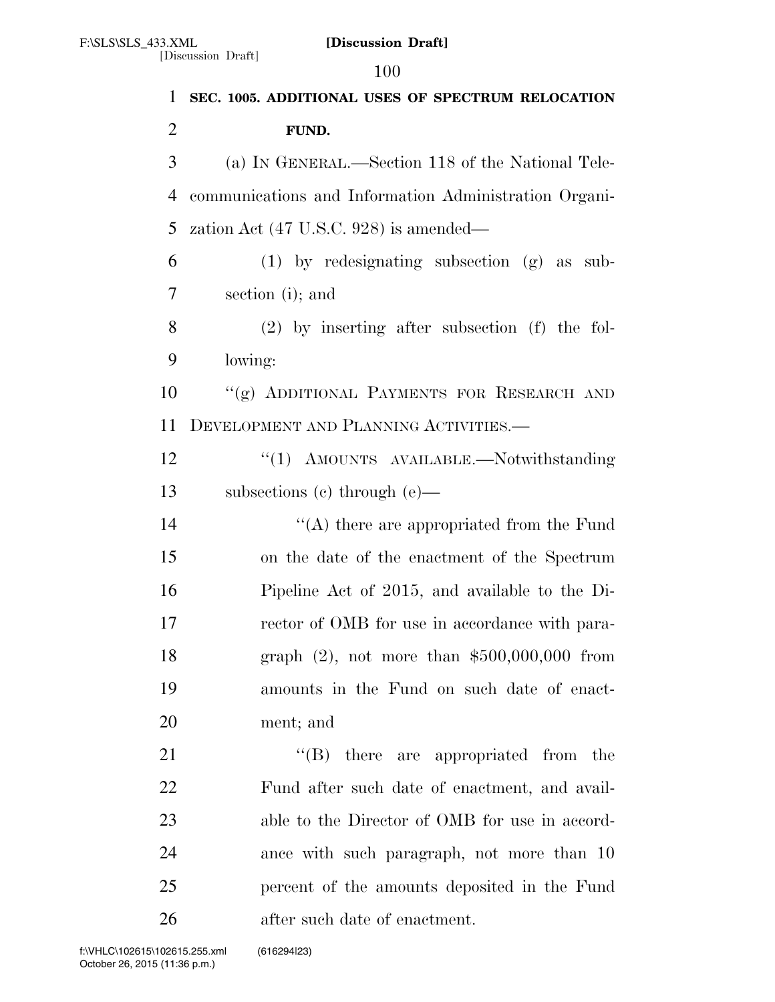[Discussion Draft]

 **SEC. 1005. ADDITIONAL USES OF SPECTRUM RELOCATION FUND.**  (a) IN GENERAL.—Section 118 of the National Tele- communications and Information Administration Organi- zation Act (47 U.S.C. 928) is amended— (1) by redesignating subsection (g) as sub- section (i); and (2) by inserting after subsection (f) the fol- lowing: ''(g) ADDITIONAL PAYMENTS FOR RESEARCH AND DEVELOPMENT AND PLANNING ACTIVITIES.— 12 "(1) AMOUNTS AVAILABLE.—Notwithstanding subsections (c) through (e)— 14 ''(A) there are appropriated from the Fund on the date of the enactment of the Spectrum Pipeline Act of 2015, and available to the Di-17 rector of OMB for use in accordance with para- graph (2), not more than \$500,000,000 from amounts in the Fund on such date of enact- ment; and  $\text{``(B)}$  there are appropriated from the Fund after such date of enactment, and avail-23 able to the Director of OMB for use in accord- ance with such paragraph, not more than 10 percent of the amounts deposited in the Fund after such date of enactment.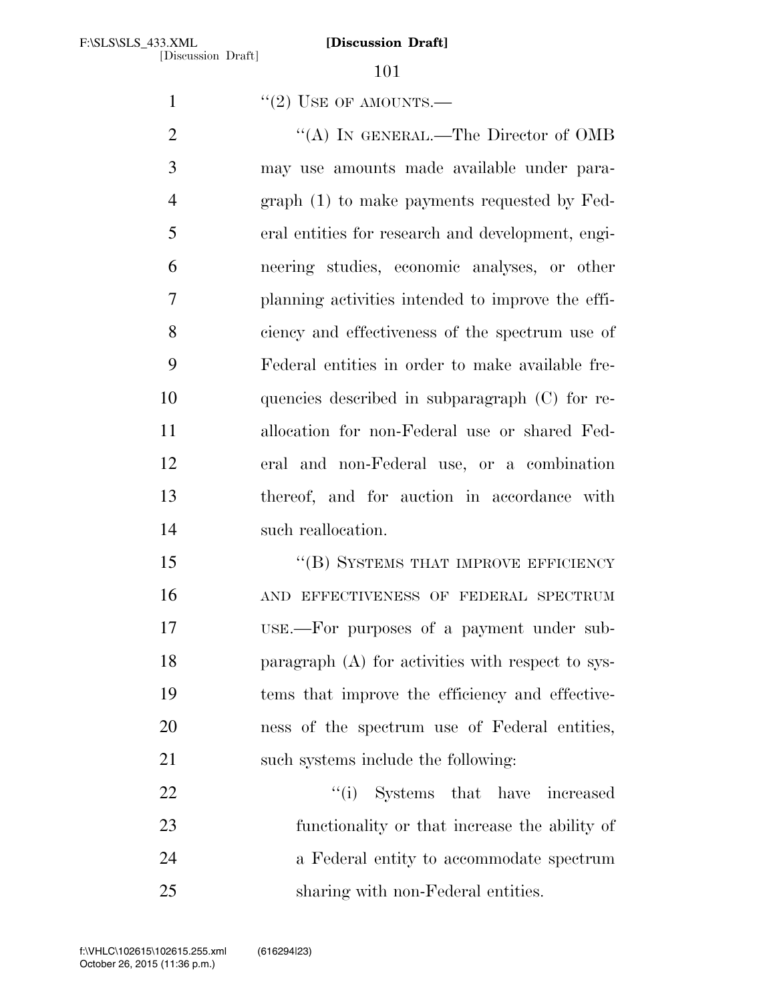$'$ (2) USE OF AMOUNTS.—

2 "(A) IN GENERAL.—The Director of OMB may use amounts made available under para- graph (1) to make payments requested by Fed- eral entities for research and development, engi- neering studies, economic analyses, or other planning activities intended to improve the effi- ciency and effectiveness of the spectrum use of Federal entities in order to make available fre- quencies described in subparagraph (C) for re- allocation for non-Federal use or shared Fed- eral and non-Federal use, or a combination thereof, and for auction in accordance with such reallocation.

15 "(B) SYSTEMS THAT IMPROVE EFFICIENCY AND EFFECTIVENESS OF FEDERAL SPECTRUM USE.—For purposes of a payment under sub- paragraph (A) for activities with respect to sys- tems that improve the efficiency and effective- ness of the spectrum use of Federal entities, 21 such systems include the following:

22 ''(i) Systems that have increased functionality or that increase the ability of a Federal entity to accommodate spectrum sharing with non-Federal entities.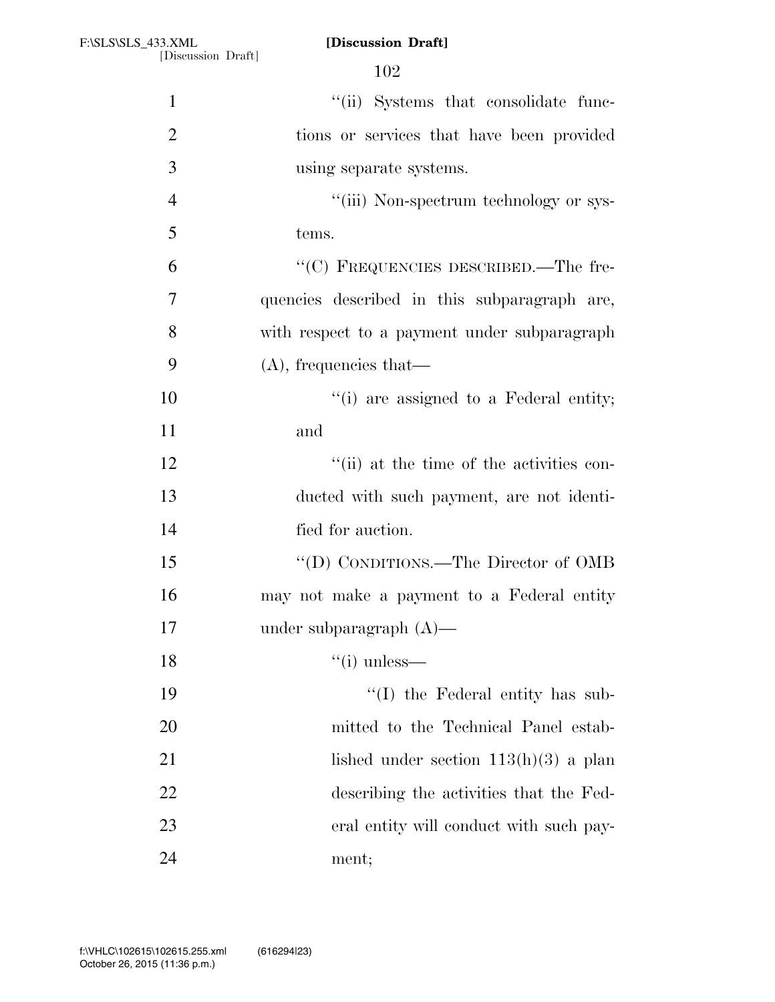| $\mathbf{1}$   | "(ii) Systems that consolidate func-         |
|----------------|----------------------------------------------|
| $\overline{2}$ | tions or services that have been provided    |
| 3              | using separate systems.                      |
| $\overline{4}$ | "(iii) Non-spectrum technology or sys-       |
| 5              | tems.                                        |
| 6              | "(C) FREQUENCIES DESCRIBED.—The fre-         |
| $\overline{7}$ | quencies described in this subparagraph are, |
| 8              | with respect to a payment under subparagraph |
| 9              | $(A)$ , frequencies that—                    |
| 10             | "(i) are assigned to a Federal entity;       |
| 11             | and                                          |
| 12             | "(ii) at the time of the activities con-     |
| 13             | ducted with such payment, are not identi-    |
| 14             | fied for auction.                            |
| 15             | "(D) CONDITIONS.—The Director of OMB         |
| 16             | may not make a payment to a Federal entity   |
| 17             | under subparagraph $(A)$ —                   |
| 18             | $\lq\lq$ (i) unless—                         |
| 19             | $\lq\lq$ the Federal entity has sub-         |
| 20             | mitted to the Technical Panel estab-         |
| 21             | lished under section $113(h)(3)$ a plan      |
| 22             | describing the activities that the Fed-      |
| 23             | eral entity will conduct with such pay-      |
| 24             | ment;                                        |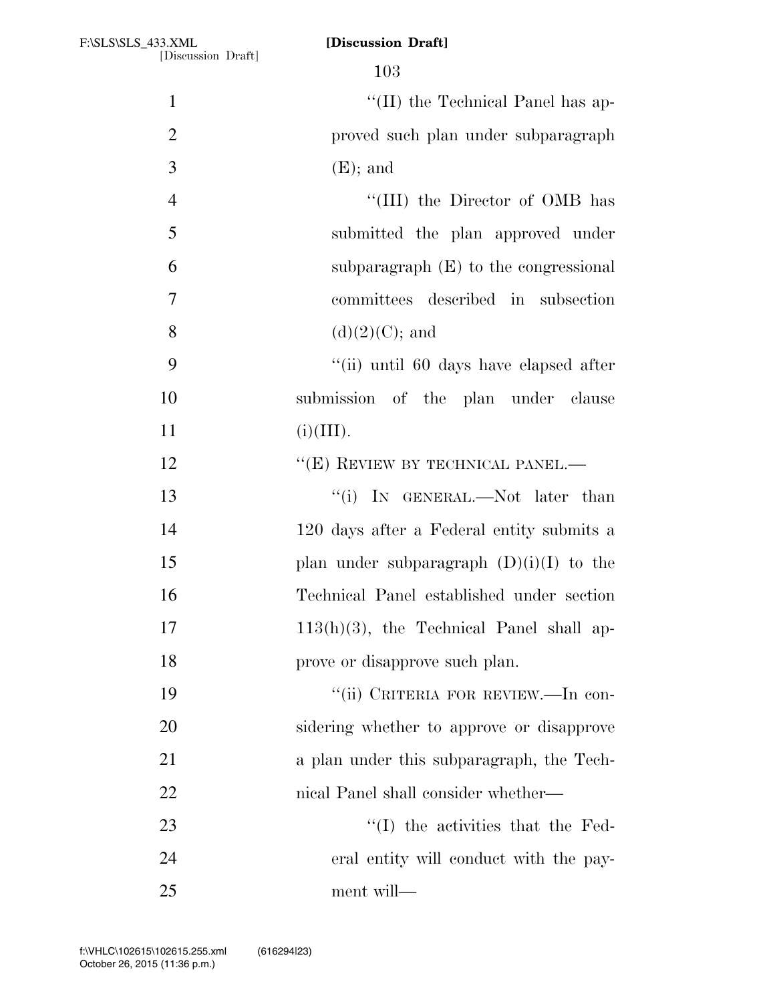| $\mathbf{1}$   | "(II) the Technical Panel has ap-           |
|----------------|---------------------------------------------|
| $\overline{2}$ | proved such plan under subparagraph         |
| 3              | $(E)$ ; and                                 |
| $\overline{4}$ | "(III) the Director of OMB has              |
| 5              | submitted the plan approved under           |
| 6              | subparagraph $(E)$ to the congressional     |
| $\tau$         | committees described in subsection          |
| 8              | $(d)(2)(C)$ ; and                           |
| 9              | "(ii) until 60 days have elapsed after      |
| 10             | submission of the plan under clause         |
| 11             | (i)(III).                                   |
| 12             | "(E) REVIEW BY TECHNICAL PANEL.—            |
| 13             | "(i) IN GENERAL.—Not later than             |
| 14             | 120 days after a Federal entity submits a   |
| 15             | plan under subparagraph $(D)(i)(I)$ to the  |
| 16             | Technical Panel established under section   |
| 17             | $113(h)(3)$ , the Technical Panel shall ap- |
| 18             | prove or disapprove such plan.              |
| 19             | "(ii) CRITERIA FOR REVIEW.—In con-          |
| 20             | sidering whether to approve or disapprove   |
| 21             | a plan under this subparagraph, the Tech-   |
| 22             | nical Panel shall consider whether—         |
| 23             | "(I) the activities that the Fed-           |
| 24             | eral entity will conduct with the pay-      |
| 25             | ment will-                                  |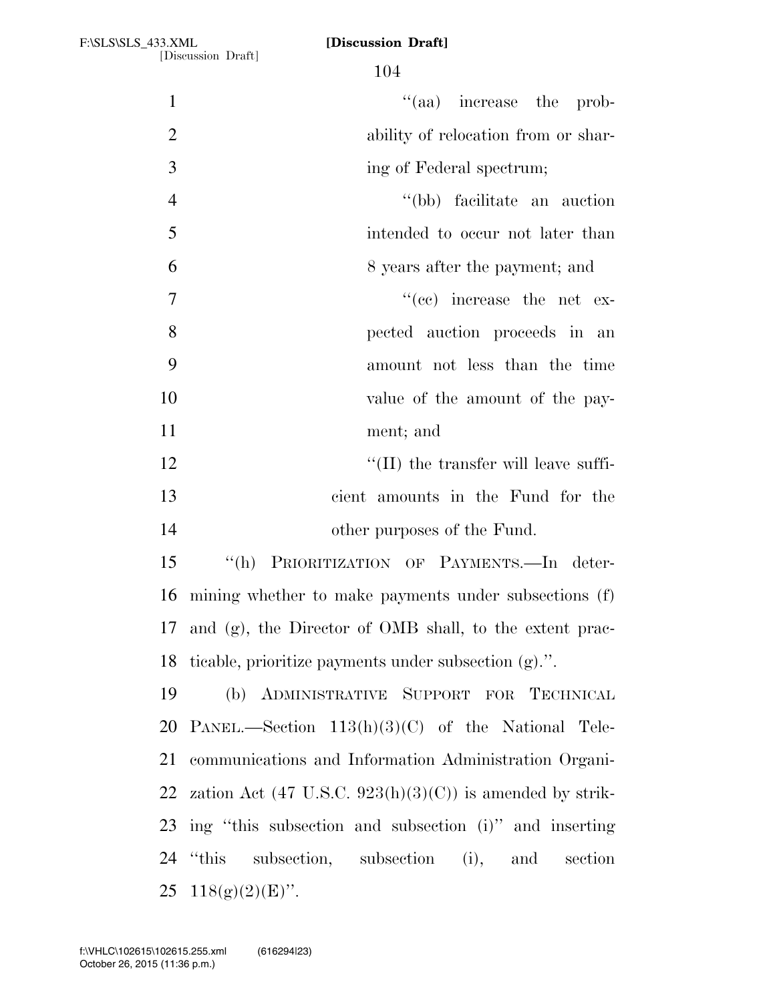| $\mathbf{1}$   | "(aa) increase the prob-                                            |
|----------------|---------------------------------------------------------------------|
| $\overline{2}$ | ability of relocation from or shar-                                 |
| 3              | ing of Federal spectrum;                                            |
| $\overline{4}$ | "(bb) facilitate an auction                                         |
| 5              | intended to occur not later than                                    |
| 6              | 8 years after the payment; and                                      |
| $\tau$         | $\cdot$ (cc) increase the net ex-                                   |
| 8              | pected auction proceeds in an                                       |
| 9              | amount not less than the time                                       |
| 10             | value of the amount of the pay-                                     |
| 11             | ment; and                                                           |
| 12             | $\lq\lq$ (II) the transfer will leave suffi-                        |
| 13             | cient amounts in the Fund for the                                   |
| 14             | other purposes of the Fund.                                         |
| 15             | "(h) PRIORITIZATION OF PAYMENTS.—In deter-                          |
| 16             | mining whether to make payments under subsections (f)               |
|                | 17 and (g), the Director of OMB shall, to the extent prac-          |
|                | 18 ticable, prioritize payments under subsection (g).".             |
| 19             | (b) ADMINISTRATIVE SUPPORT FOR TECHNICAL                            |
|                | 20 PANEL.—Section $113(h)(3)(C)$ of the National Tele-              |
| 21             | communications and Information Administration Organi-               |
| 22             | zation Act $(47 \text{ U.S.C. } 923(h)(3)(C))$ is amended by strik- |
|                | 23 ing "this subsection and subsection (i)" and inserting           |
|                | 24 "this subsection, subsection (i), and section                    |
|                | 25 $118(g)(2)(E)$ ".                                                |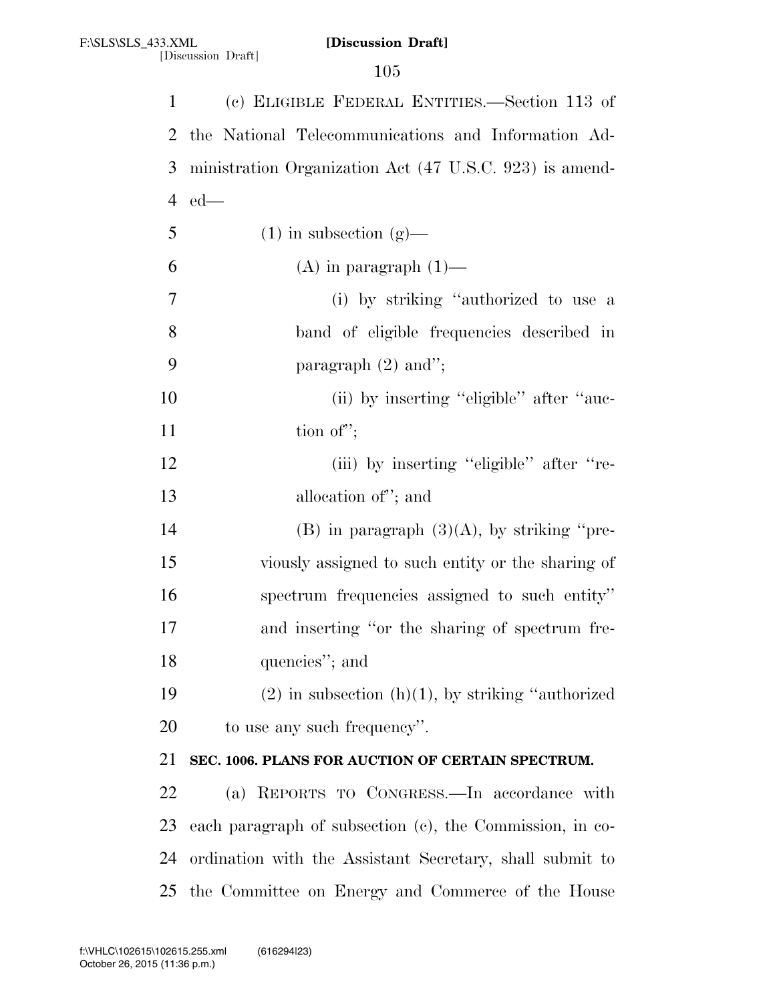| $\mathbf{1}$ | (c) ELIGIBLE FEDERAL ENTITIES.—Section 113 of            |
|--------------|----------------------------------------------------------|
| 2            | the National Telecommunications and Information Ad-      |
| 3            | ministration Organization Act (47 U.S.C. 923) is amend-  |
| 4            | $ed$ —                                                   |
| 5            | $(1)$ in subsection $(g)$ —                              |
| 6            | $(A)$ in paragraph $(1)$ —                               |
| 7            | (i) by striking "authorized to use a                     |
| 8            | band of eligible frequencies described in                |
| 9            | paragraph $(2)$ and";                                    |
| 10           | (ii) by inserting "eligible" after "auc-                 |
| 11           | tion of";                                                |
| 12           | (iii) by inserting "eligible" after "re-                 |
| 13           | allocation of"; and                                      |
| 14           | $(B)$ in paragraph $(3)(A)$ , by striking "pre-          |
| 15           | viously assigned to such entity or the sharing of        |
| 16           | spectrum frequencies assigned to such entity"            |
| 17           | and inserting "or the sharing of spectrum fre-           |
| 18           | quencies"; and                                           |
| 19           | $(2)$ in subsection $(h)(1)$ , by striking "authorized"  |
| 20           | to use any such frequency".                              |
| 21           | SEC. 1006. PLANS FOR AUCTION OF CERTAIN SPECTRUM.        |
| 22           | (a) REPORTS TO CONGRESS.—In accordance with              |
| 23           | each paragraph of subsection (c), the Commission, in co- |
| 24           | ordination with the Assistant Secretary, shall submit to |
| 25           | the Committee on Energy and Commerce of the House        |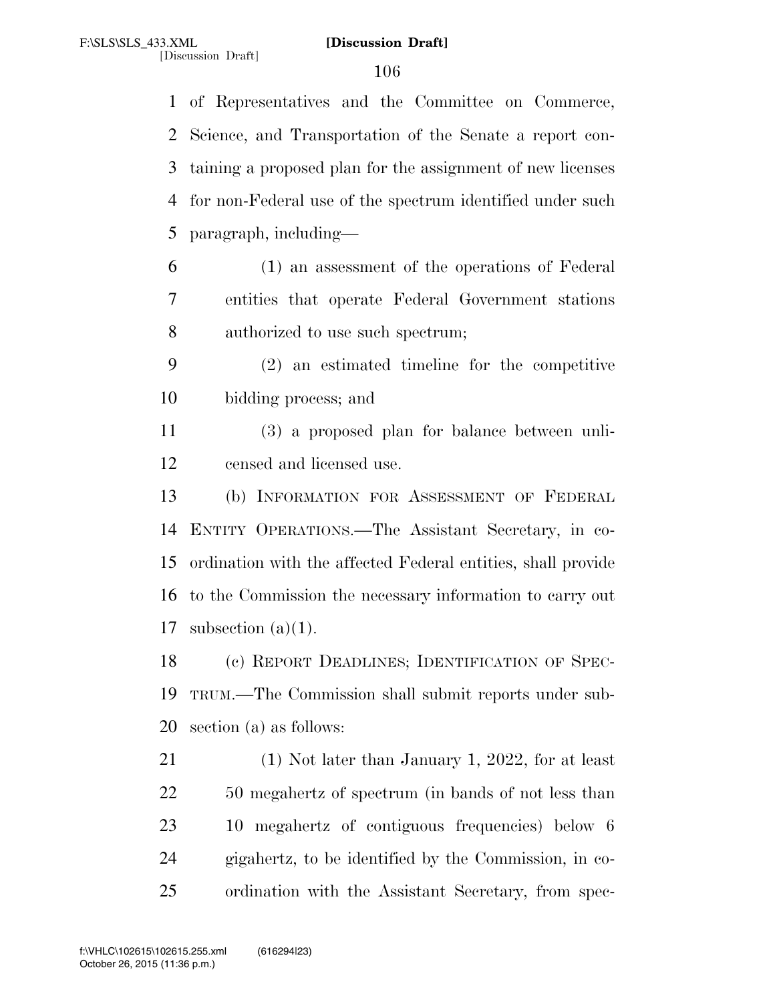of Representatives and the Committee on Commerce, Science, and Transportation of the Senate a report con- taining a proposed plan for the assignment of new licenses for non-Federal use of the spectrum identified under such paragraph, including— (1) an assessment of the operations of Federal entities that operate Federal Government stations authorized to use such spectrum; (2) an estimated timeline for the competitive bidding process; and (3) a proposed plan for balance between unli- censed and licensed use. (b) INFORMATION FOR ASSESSMENT OF FEDERAL

 ENTITY OPERATIONS.—The Assistant Secretary, in co- ordination with the affected Federal entities, shall provide to the Commission the necessary information to carry out 17 subsection  $(a)(1)$ .

 (c) REPORT DEADLINES; IDENTIFICATION OF SPEC- TRUM.—The Commission shall submit reports under sub-section (a) as follows:

 (1) Not later than January 1, 2022, for at least 50 megahertz of spectrum (in bands of not less than 10 megahertz of contiguous frequencies) below 6 gigahertz, to be identified by the Commission, in co-ordination with the Assistant Secretary, from spec-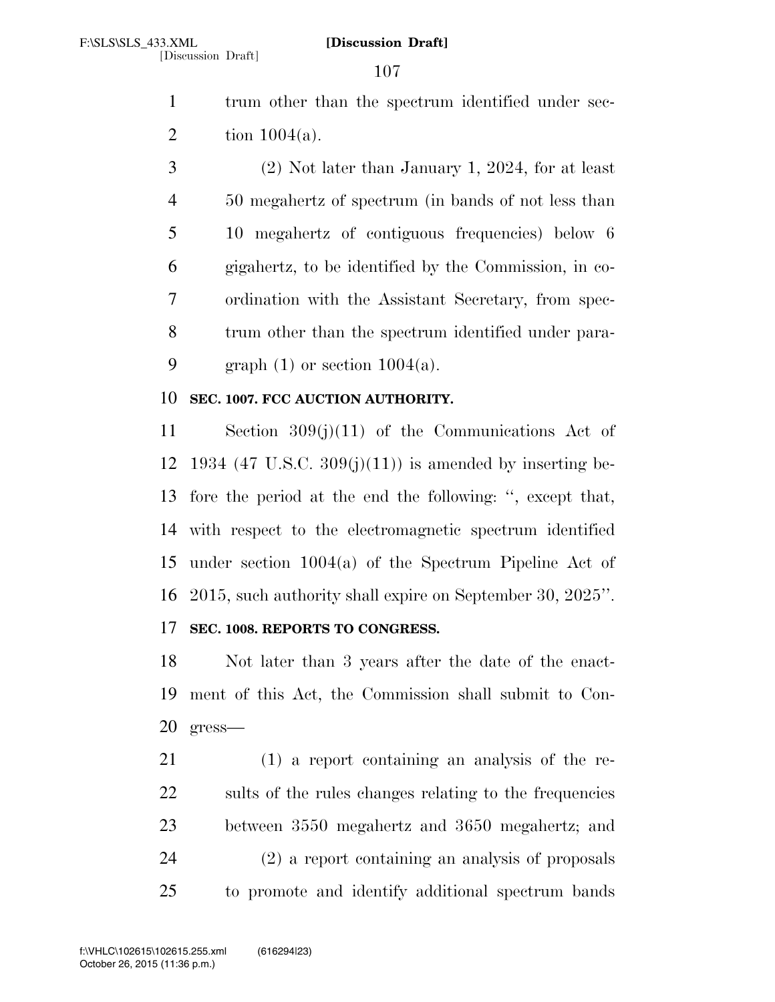1 trum other than the spectrum identified under sec-2 tion  $1004(a)$ .

 (2) Not later than January 1, 2024, for at least 50 megahertz of spectrum (in bands of not less than 10 megahertz of contiguous frequencies) below 6 gigahertz, to be identified by the Commission, in co- ordination with the Assistant Secretary, from spec- trum other than the spectrum identified under para-9 graph  $(1)$  or section  $1004(a)$ .

# **SEC. 1007. FCC AUCTION AUTHORITY.**

 Section 309(j)(11) of the Communications Act of 12 1934 (47 U.S.C.  $309(j)(11)$ ) is amended by inserting be- fore the period at the end the following: '', except that, with respect to the electromagnetic spectrum identified under section 1004(a) of the Spectrum Pipeline Act of 2015, such authority shall expire on September 30, 2025''.

# **SEC. 1008. REPORTS TO CONGRESS.**

 Not later than 3 years after the date of the enact- ment of this Act, the Commission shall submit to Con-gress—

 (1) a report containing an analysis of the re- sults of the rules changes relating to the frequencies between 3550 megahertz and 3650 megahertz; and (2) a report containing an analysis of proposals to promote and identify additional spectrum bands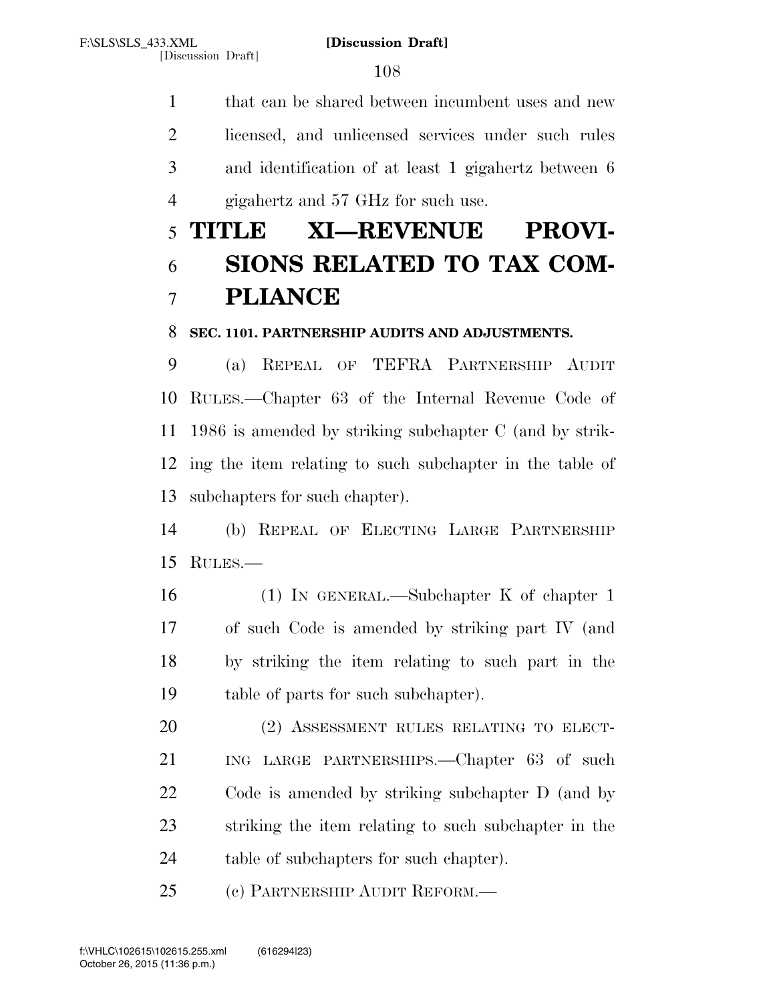that can be shared between incumbent uses and new licensed, and unlicensed services under such rules and identification of at least 1 gigahertz between 6 4 gigahertz and 57 GHz for such use.

# **TITLE XI—REVENUE PROVI- SIONS RELATED TO TAX COM-PLIANCE**

# **SEC. 1101. PARTNERSHIP AUDITS AND ADJUSTMENTS.**

 (a) REPEAL OF TEFRA PARTNERSHIP AUDIT RULES.—Chapter 63 of the Internal Revenue Code of 1986 is amended by striking subchapter C (and by strik- ing the item relating to such subchapter in the table of subchapters for such chapter).

 (b) REPEAL OF ELECTING LARGE PARTNERSHIP RULES.—

 (1) IN GENERAL.—Subchapter K of chapter 1 of such Code is amended by striking part IV (and by striking the item relating to such part in the table of parts for such subchapter).

 (2) ASSESSMENT RULES RELATING TO ELECT- ING LARGE PARTNERSHIPS.—Chapter 63 of such Code is amended by striking subchapter D (and by striking the item relating to such subchapter in the 24 table of subchapters for such chapter).

(c) PARTNERSHIP AUDIT REFORM.—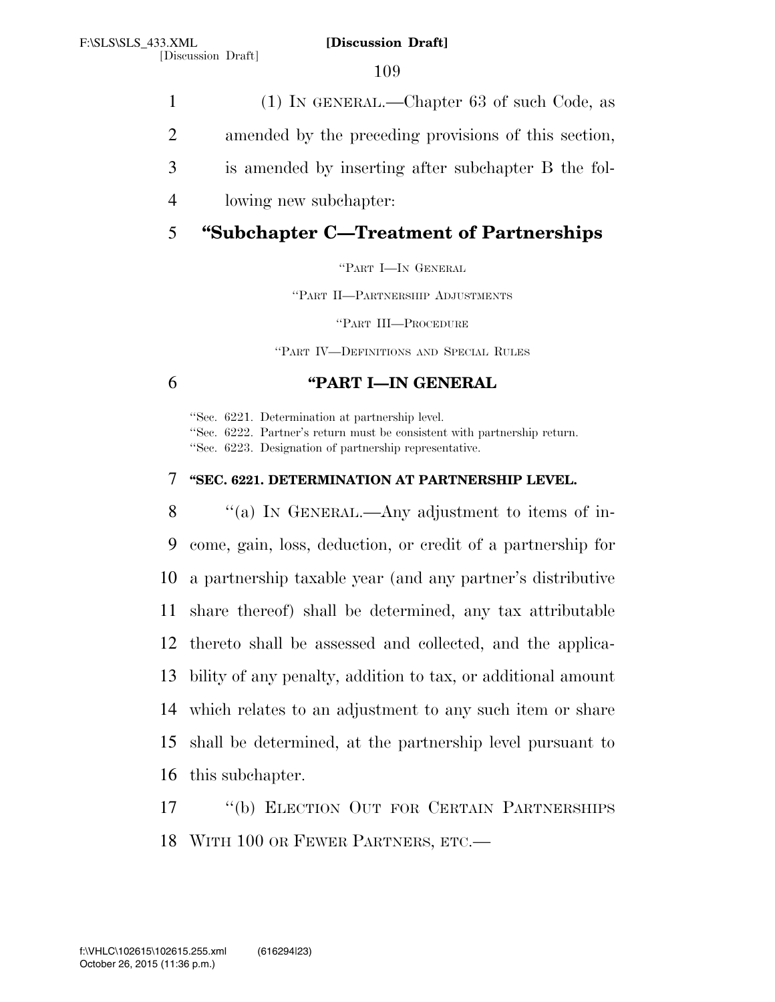109

- 1 (1) IN GENERAL.—Chapter 63 of such Code, as
- 2 amended by the preceding provisions of this section,
- 3 is amended by inserting after subchapter B the fol-
- 4 lowing new subchapter:

# 5 **''Subchapter C—Treatment of Partnerships**

''PART I—IN GENERAL

''PART II—PARTNERSHIP ADJUSTMENTS

''PART III—PROCEDURE

''PART IV—DEFINITIONS AND SPECIAL RULES

# 6 **''PART I—IN GENERAL**

''Sec. 6221. Determination at partnership level. ''Sec. 6222. Partner's return must be consistent with partnership return. ''Sec. 6223. Designation of partnership representative.

## 7 **''SEC. 6221. DETERMINATION AT PARTNERSHIP LEVEL.**

8 "(a) IN GENERAL.—Any adjustment to items of in- come, gain, loss, deduction, or credit of a partnership for a partnership taxable year (and any partner's distributive share thereof) shall be determined, any tax attributable thereto shall be assessed and collected, and the applica- bility of any penalty, addition to tax, or additional amount which relates to an adjustment to any such item or share shall be determined, at the partnership level pursuant to this subchapter.

17 ''(b) ELECTION OUT FOR CERTAIN PARTNERSHIPS 18 WITH 100 OR FEWER PARTNERS, ETC.—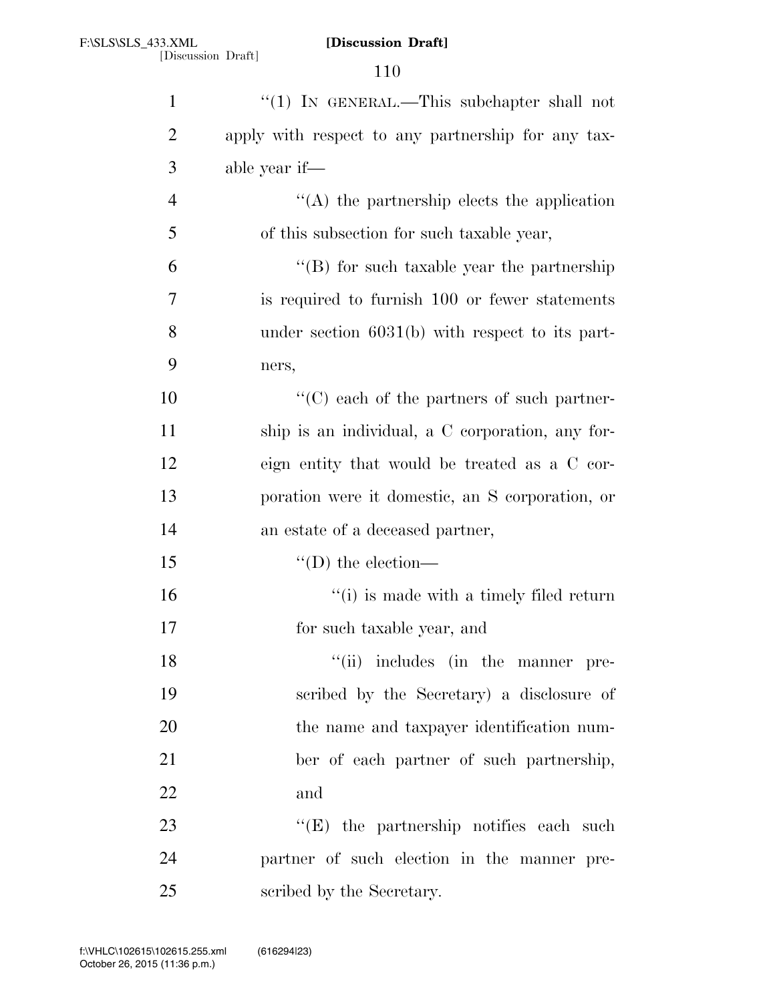| $\mathbf{1}$   | "(1) IN GENERAL.—This subchapter shall not         |
|----------------|----------------------------------------------------|
| $\overline{2}$ | apply with respect to any partnership for any tax- |
| 3              | able year if—                                      |
| $\overline{4}$ | "(A) the partnership elects the application        |
| 5              | of this subsection for such taxable year,          |
| 6              | $\lq\lq (B)$ for such taxable year the partnership |
| 7              | is required to furnish 100 or fewer statements     |
| 8              | under section $6031(b)$ with respect to its part-  |
| 9              | ners,                                              |
| 10             | "(C) each of the partners of such partner-         |
| 11             | ship is an individual, a C corporation, any for-   |
| 12             | eign entity that would be treated as a C cor-      |
| 13             | poration were it domestic, an S corporation, or    |
| 14             | an estate of a deceased partner,                   |
| 15             | $\lq\lq$ (D) the election—                         |
| 16             | "(i) is made with a timely filed return            |
| 17             | for such taxable year, and                         |
| 18             | "(ii) includes (in the manner pre-                 |
| 19             | scribed by the Secretary) a disclosure of          |
| 20             | the name and taxpayer identification num-          |
| 21             | ber of each partner of such partnership,           |
| 22             | and                                                |
| 23             | $\lq\lq$ (E) the partnership notifies each such    |
| 24             | partner of such election in the manner pre-        |
| 25             | scribed by the Secretary.                          |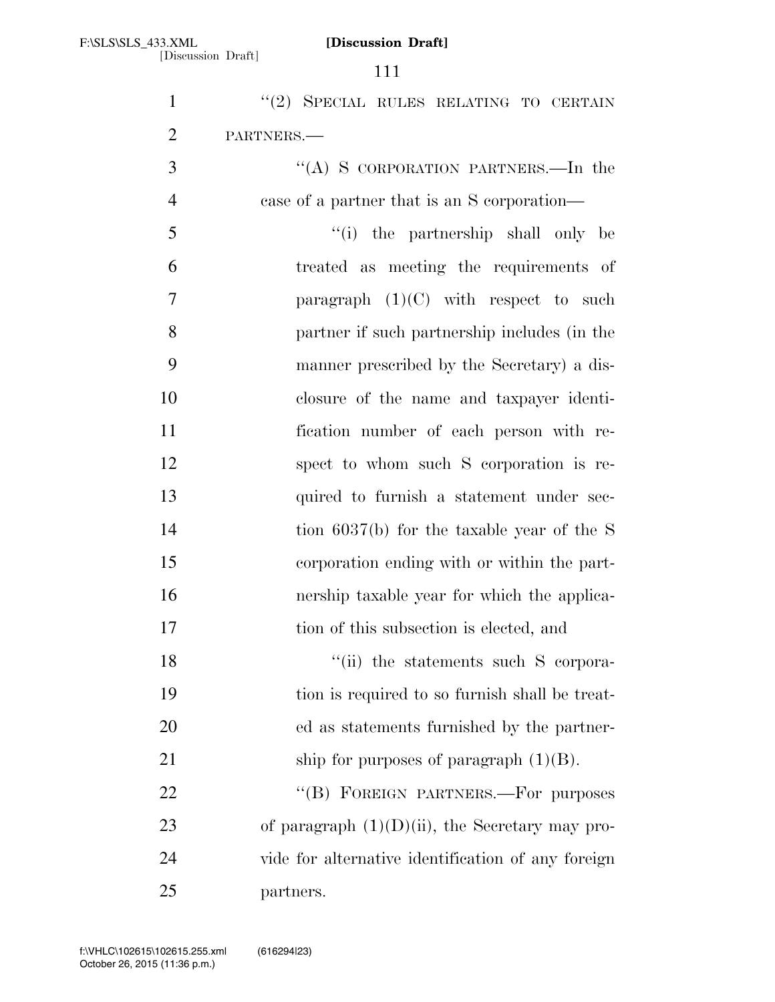| $\mathbf{1}$   | "(2) SPECIAL RULES RELATING TO CERTAIN             |
|----------------|----------------------------------------------------|
| $\overline{2}$ | PARTNERS.                                          |
| 3              | "(A) S CORPORATION PARTNERS.—In the                |
| $\overline{4}$ | case of a partner that is an S corporation—        |
| 5              | "(i) the partnership shall only be                 |
| 6              | treated as meeting the requirements of             |
| 7              | paragraph $(1)(C)$ with respect to such            |
| 8              | partner if such partnership includes (in the       |
| 9              | manner prescribed by the Secretary) a dis-         |
| 10             | closure of the name and taxpayer identi-           |
| 11             | fication number of each person with re-            |
| 12             | spect to whom such S corporation is re-            |
| 13             | quired to furnish a statement under sec-           |
| 14             | tion $6037(b)$ for the taxable year of the S       |
| 15             | corporation ending with or within the part-        |
| 16             | nership taxable year for which the applica-        |
| 17             | tion of this subsection is elected, and            |
| 18             | "(ii) the statements such S corpora-               |
| 19             | tion is required to so furnish shall be treat-     |
| 20             | ed as statements furnished by the partner-         |
| 21             | ship for purposes of paragraph $(1)(B)$ .          |
| 22             | "(B) FOREIGN PARTNERS.-For purposes                |
| 23             | of paragraph $(1)(D)(ii)$ , the Secretary may pro- |
| 24             | vide for alternative identification of any foreign |
| 25             | partners.                                          |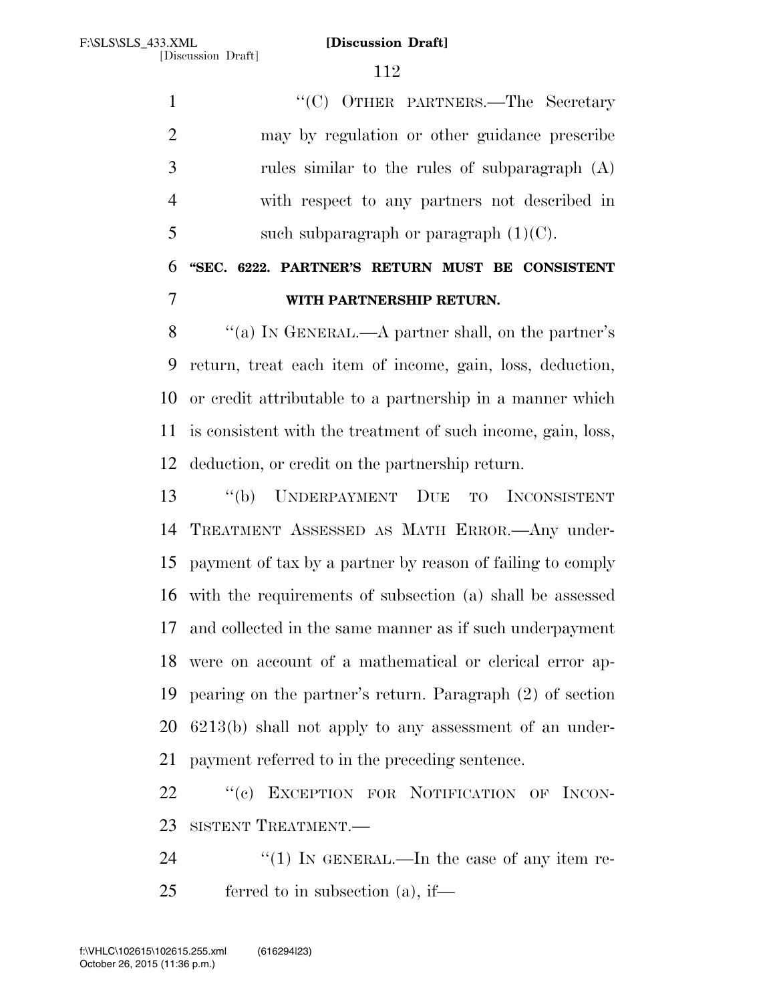1 "'(C) OTHER PARTNERS.—The Secretary may by regulation or other guidance prescribe rules similar to the rules of subparagraph (A) with respect to any partners not described in 5 such subparagraph or paragraph  $(1)(C)$ .

# **''SEC. 6222. PARTNER'S RETURN MUST BE CONSISTENT WITH PARTNERSHIP RETURN.**

 ''(a) IN GENERAL.—A partner shall, on the partner's return, treat each item of income, gain, loss, deduction, or credit attributable to a partnership in a manner which is consistent with the treatment of such income, gain, loss, deduction, or credit on the partnership return.

 ''(b) UNDERPAYMENT DUE TO INCONSISTENT TREATMENT ASSESSED AS MATH ERROR.—Any under- payment of tax by a partner by reason of failing to comply with the requirements of subsection (a) shall be assessed and collected in the same manner as if such underpayment were on account of a mathematical or clerical error ap- pearing on the partner's return. Paragraph (2) of section 6213(b) shall not apply to any assessment of an under-payment referred to in the preceding sentence.

22 "(c) EXCEPTION FOR NOTIFICATION OF INCON-SISTENT TREATMENT.—

24  $\frac{1}{2}$  (1) In GENERAL.—In the case of any item re-ferred to in subsection (a), if—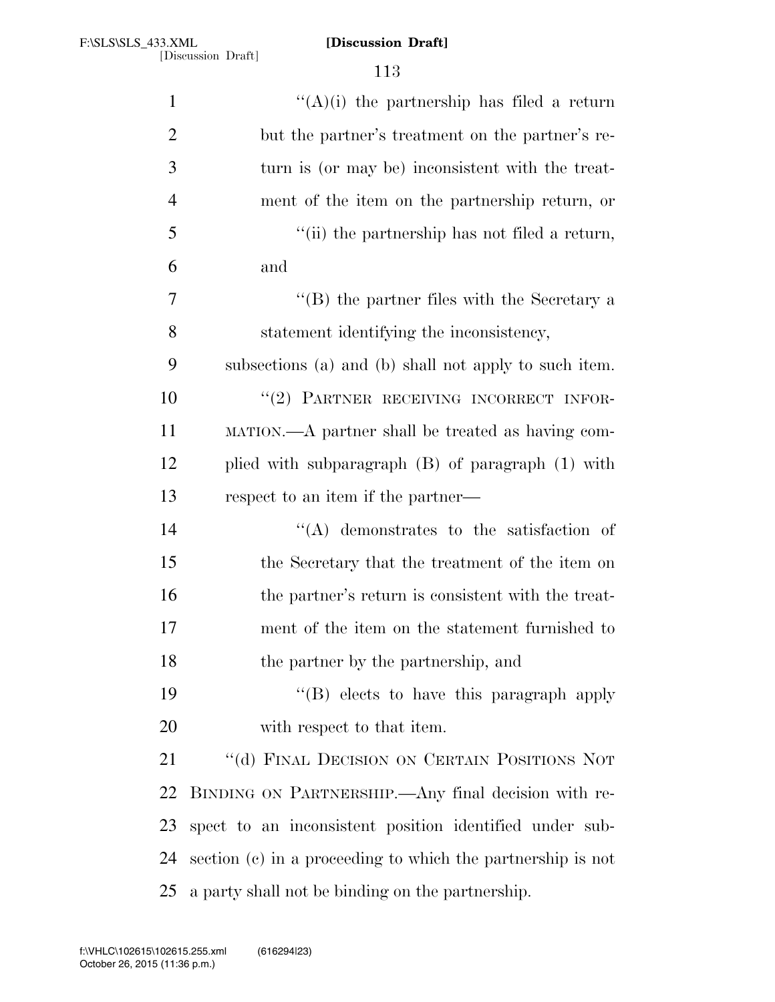| $\mathbf{1}$   | "(A)(i) the partnership has filed a return                    |
|----------------|---------------------------------------------------------------|
| $\overline{2}$ | but the partner's treatment on the partner's re-              |
| 3              | turn is (or may be) inconsistent with the treat-              |
| $\overline{4}$ | ment of the item on the partnership return, or                |
| 5              | $\lq$ (ii) the partnership has not filed a return,            |
| 6              | and                                                           |
| 7              | "(B) the partner files with the Secretary a                   |
| 8              | statement identifying the inconsistency,                      |
| 9              | subsections (a) and (b) shall not apply to such item.         |
| 10             | "(2) PARTNER RECEIVING INCORRECT INFOR-                       |
| 11             | MATION.—A partner shall be treated as having com-             |
| 12             | plied with subparagraph (B) of paragraph (1) with             |
| 13             | respect to an item if the partner—                            |
| 14             | $\lq\lq$ demonstrates to the satisfaction of                  |
| 15             | the Secretary that the treatment of the item on               |
| 16             | the partner's return is consistent with the treat-            |
| 17             | ment of the item on the statement furnished to                |
| 18             | the partner by the partnership, and                           |
| 19             | "(B) elects to have this paragraph apply                      |
| 20             | with respect to that item.                                    |
| 21             | "(d) FINAL DECISION ON CERTAIN POSITIONS NOT                  |
| 22             | BINDING ON PARTNERSHIP.—Any final decision with re-           |
| 23             | spect to an inconsistent position identified under sub-       |
| 24             | section $(c)$ in a proceeding to which the partnership is not |
| 25             | a party shall not be binding on the partnership.              |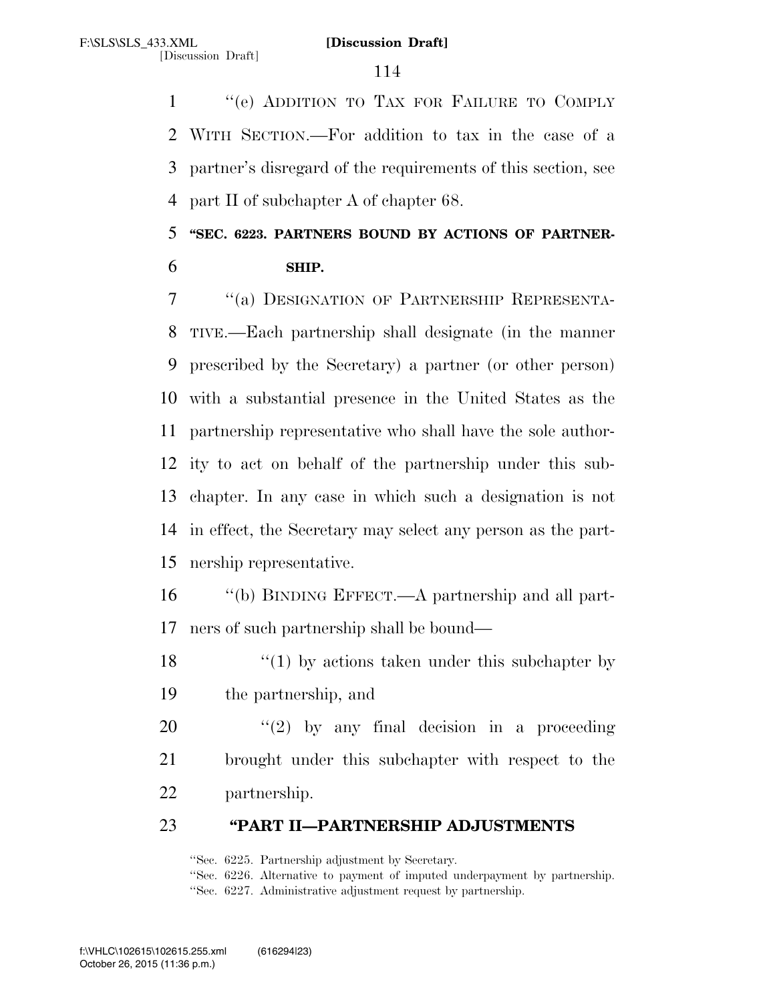''(e) ADDITION TO TAX FOR FAILURE TO COMPLY WITH SECTION.—For addition to tax in the case of a partner's disregard of the requirements of this section, see part II of subchapter A of chapter 68.

# **''SEC. 6223. PARTNERS BOUND BY ACTIONS OF PARTNER-SHIP.**

 ''(a) DESIGNATION OF PARTNERSHIP REPRESENTA- TIVE.—Each partnership shall designate (in the manner prescribed by the Secretary) a partner (or other person) with a substantial presence in the United States as the partnership representative who shall have the sole author- ity to act on behalf of the partnership under this sub- chapter. In any case in which such a designation is not in effect, the Secretary may select any person as the part-nership representative.

- ''(b) BINDING EFFECT.—A partnership and all part-ners of such partnership shall be bound—
- 18  $\frac{1}{2}$  (1) by actions taken under this subchapter by the partnership, and
- ''(2) by any final decision in a proceeding brought under this subchapter with respect to the partnership.

# **''PART II—PARTNERSHIP ADJUSTMENTS**

''Sec. 6225. Partnership adjustment by Secretary.

''Sec. 6226. Alternative to payment of imputed underpayment by partnership.

''Sec. 6227. Administrative adjustment request by partnership.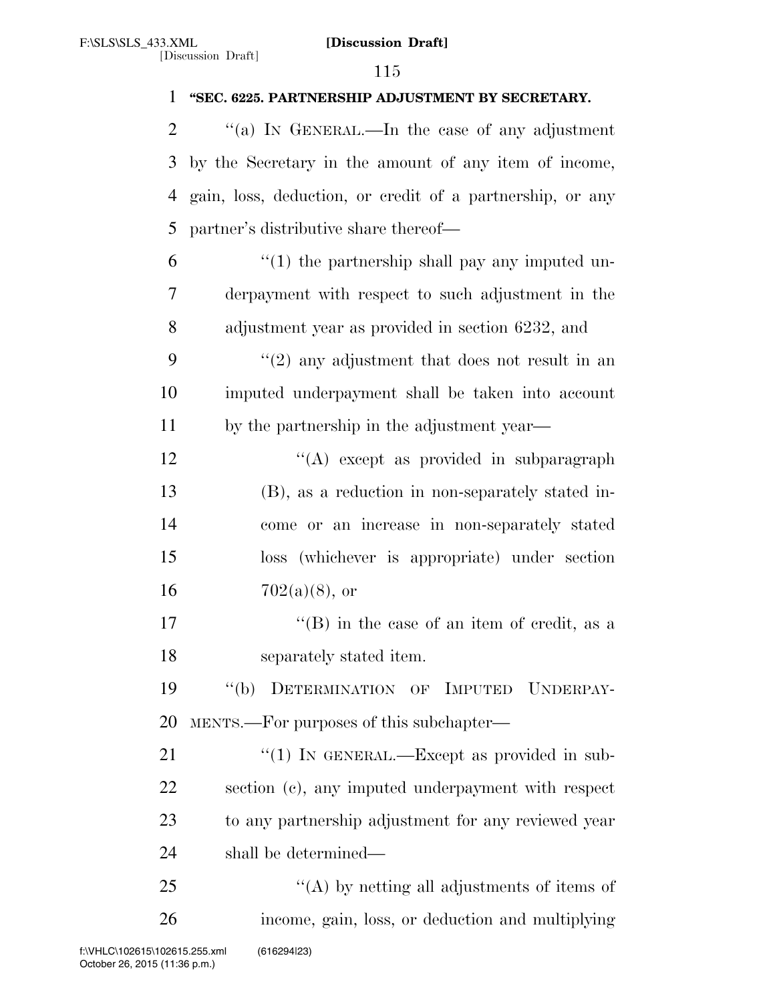# **''SEC. 6225. PARTNERSHIP ADJUSTMENT BY SECRETARY.**  2  $\gamma$  (a) In GENERAL.—In the case of any adjustment by the Secretary in the amount of any item of income, gain, loss, deduction, or credit of a partnership, or any partner's distributive share thereof—  $\frac{6}{1}$  <sup>"</sup>(1) the partnership shall pay any imputed un- derpayment with respect to such adjustment in the adjustment year as provided in section 6232, and ''(2) any adjustment that does not result in an imputed underpayment shall be taken into account by the partnership in the adjustment year— 12 "(A) except as provided in subparagraph (B), as a reduction in non-separately stated in- come or an increase in non-separately stated loss (whichever is appropriate) under section 16  $702(a)(8)$ , or 17 ''(B) in the case of an item of credit, as a separately stated item. ''(b) DETERMINATION OF IMPUTED UNDERPAY- MENTS.—For purposes of this subchapter— 21 "(1) IN GENERAL.—Except as provided in sub- section (c), any imputed underpayment with respect to any partnership adjustment for any reviewed year shall be determined— 25 "(A) by netting all adjustments of items of income, gain, loss, or deduction and multiplying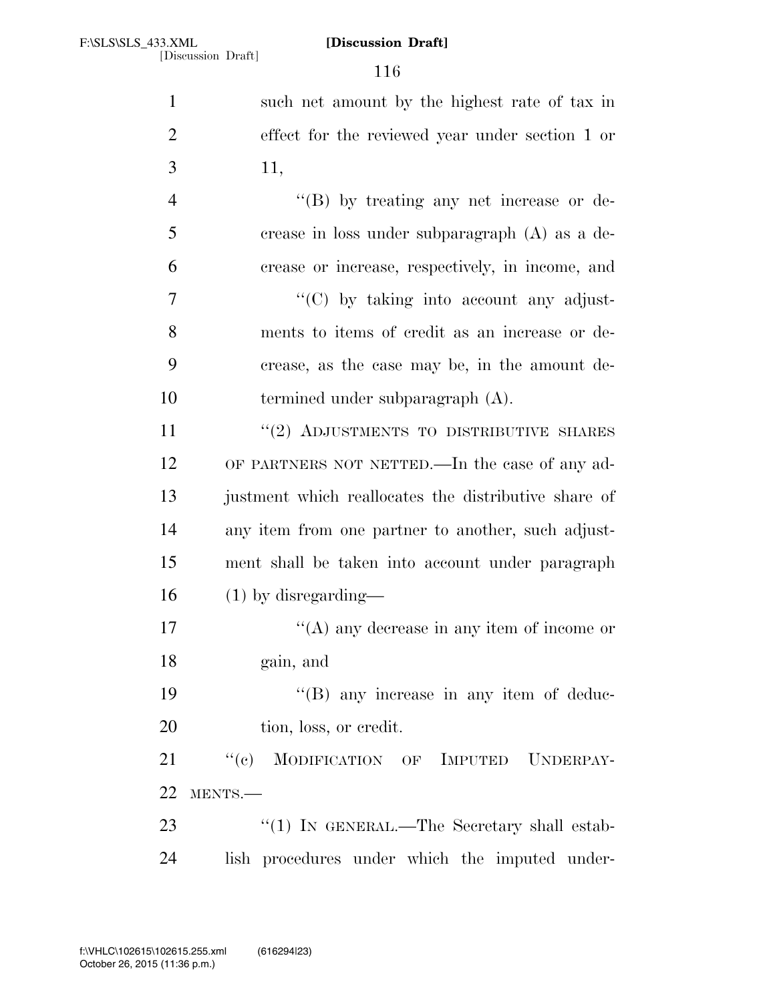| $\mathbf{1}$   | such net amount by the highest rate of tax in        |
|----------------|------------------------------------------------------|
| $\overline{2}$ | effect for the reviewed year under section 1 or      |
| 3              | 11,                                                  |
| $\overline{4}$ | $\lq\lq (B)$ by treating any net increase or de-     |
| 5              | crease in loss under subparagraph $(A)$ as a de-     |
| 6              | crease or increase, respectively, in income, and     |
| 7              | $\lq\lq$ (C) by taking into account any adjust-      |
| 8              | ments to items of credit as an increase or de-       |
| 9              | crease, as the case may be, in the amount de-        |
| 10             | termined under subparagraph $(A)$ .                  |
| 11             | $``(2)$ ADJUSTMENTS TO DISTRIBUTIVE SHARES           |
| 12             | OF PARTNERS NOT NETTED.—In the case of any ad-       |
| 13             | justment which reallocates the distributive share of |
| 14             | any item from one partner to another, such adjust-   |
| 15             | ment shall be taken into account under paragraph     |
| 16             | $(1)$ by disregarding—                               |
| 17             | "(A) any decrease in any item of income or           |
| 18             | gain, and                                            |
| 19             | $\lq\lq$ (B) any increase in any item of deduc-      |
| 20             | tion, loss, or credit.                               |
| 21             | "(c) MODIFICATION OF IMPUTED UNDERPAY-               |
| 22             | MENTS.-                                              |
| 23             | "(1) IN GENERAL.—The Secretary shall estab-          |
| 24             | lish procedures under which the imputed under-       |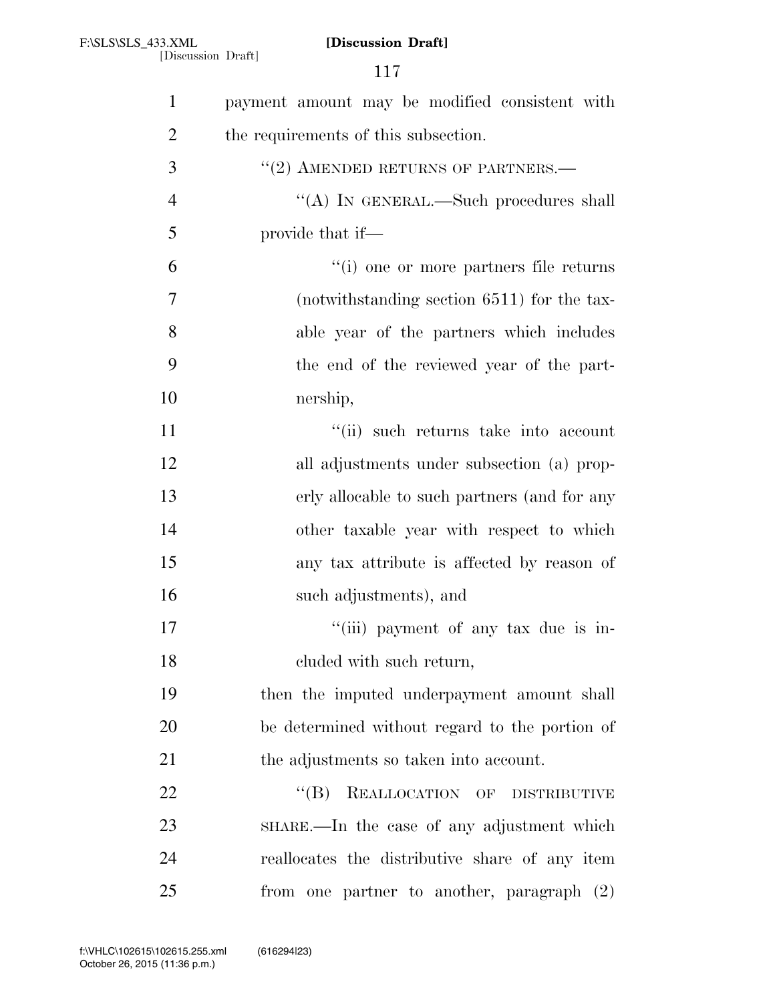| $\mathbf{1}$   | payment amount may be modified consistent with |
|----------------|------------------------------------------------|
| $\overline{2}$ | the requirements of this subsection.           |
| 3              | $"$ (2) AMENDED RETURNS OF PARTNERS.—          |
| $\overline{4}$ | "(A) IN GENERAL.—Such procedures shall         |
| 5              | provide that if—                               |
| 6              | "(i) one or more partners file returns         |
| $\overline{7}$ | (notwithstanding section 6511) for the tax-    |
| 8              | able year of the partners which includes       |
| 9              | the end of the reviewed year of the part-      |
| 10             | nership,                                       |
| 11             | "(ii) such returns take into account           |
| 12             | all adjustments under subsection (a) prop-     |
| 13             | erly allocable to such partners (and for any   |
| 14             | other taxable year with respect to which       |
| 15             | any tax attribute is affected by reason of     |
| 16             | such adjustments), and                         |
| 17             | "(iii) payment of any tax due is in-           |
| 18             | cluded with such return,                       |
| 19             | then the imputed underpayment amount shall     |
| 20             | be determined without regard to the portion of |
| 21             | the adjustments so taken into account.         |
| 22             | $\lq\lq (B)$<br>REALLOCATION OF DISTRIBUTIVE   |
| 23             | SHARE.—In the case of any adjustment which     |
| 24             | reallocates the distributive share of any item |
| 25             | from one partner to another, paragraph (2)     |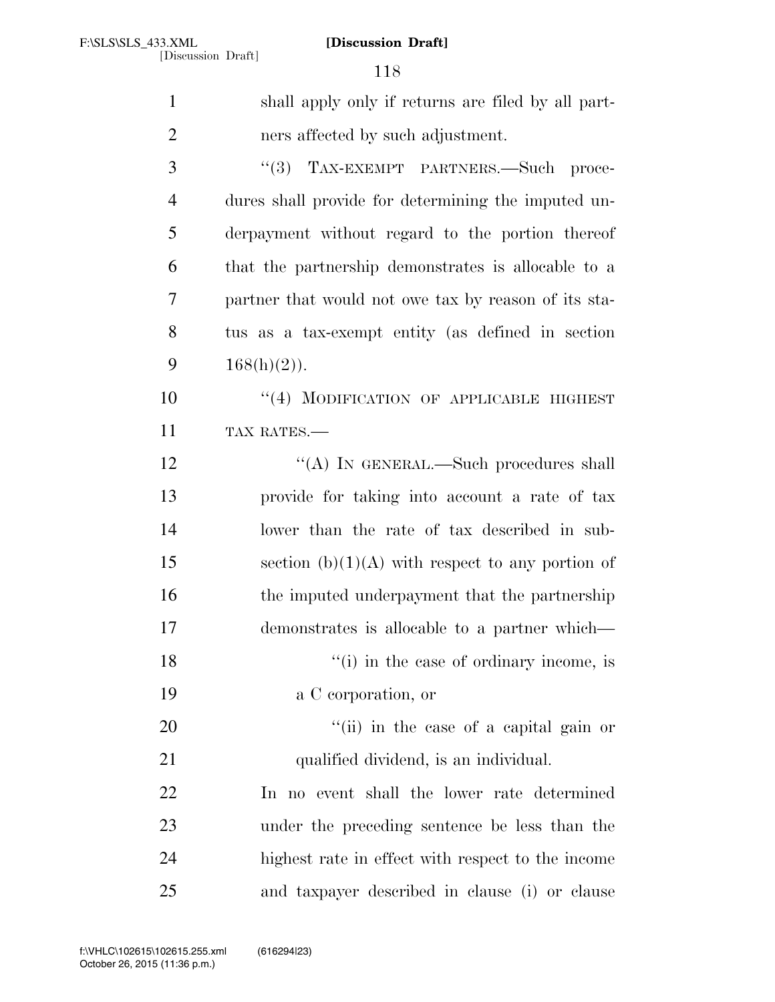| $\mathbf{1}$   | shall apply only if returns are filed by all part-   |
|----------------|------------------------------------------------------|
| $\overline{2}$ | ners affected by such adjustment.                    |
| 3              | "(3) TAX-EXEMPT PARTNERS.—Such proce-                |
| $\overline{4}$ | dures shall provide for determining the imputed un-  |
| 5              | derpayment without regard to the portion thereof     |
| 6              | that the partnership demonstrates is allocable to a  |
| 7              | partner that would not owe tax by reason of its sta- |
| 8              | tus as a tax-exempt entity (as defined in section    |
| 9              | $168(h)(2)$ ).                                       |
| 10             | "(4) MODIFICATION OF APPLICABLE HIGHEST              |
| 11             | TAX RATES.-                                          |
| 12             | "(A) IN GENERAL.—Such procedures shall               |
| 13             | provide for taking into account a rate of tax        |
| 14             | lower than the rate of tax described in sub-         |
| 15             | section $(b)(1)(A)$ with respect to any portion of   |
| 16             | the imputed underpayment that the partnership        |
| 17             | demonstrates is allocable to a partner which—        |
| 18             | "(i) in the case of ordinary income, is              |
| 19             | a C corporation, or                                  |
| 20             | "(ii) in the case of a capital gain or               |
| 21             | qualified dividend, is an individual.                |
| 22             | In no event shall the lower rate determined          |
| 23             | under the preceding sentence be less than the        |
| 24             | highest rate in effect with respect to the income    |
| 25             | and taxpayer described in clause (i) or clause       |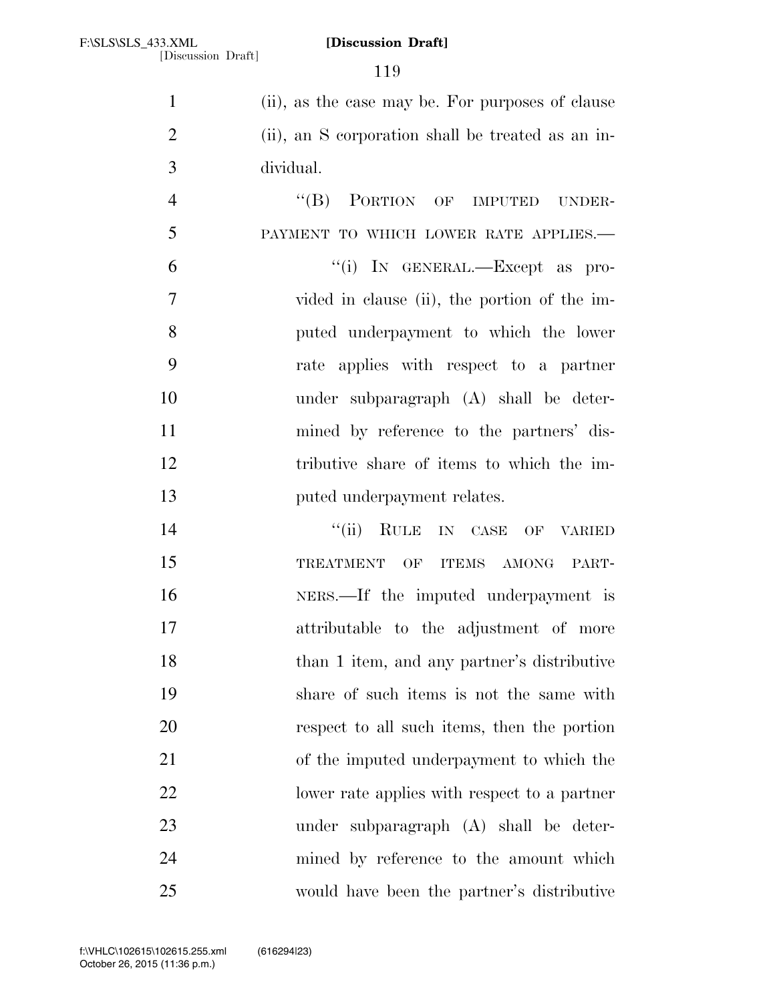(ii), as the case may be. For purposes of clause (ii), an S corporation shall be treated as an in-dividual.

4 "(B) PORTION OF IMPUTED UNDER- PAYMENT TO WHICH LOWER RATE APPLIES.— ''(i) IN GENERAL.—Except as pro- vided in clause (ii), the portion of the im- puted underpayment to which the lower rate applies with respect to a partner under subparagraph (A) shall be deter- mined by reference to the partners' dis- tributive share of items to which the im-**puted underpayment relates.** 

14 "(ii) RULE IN CASE OF VARIED 15 TREATMENT OF ITEMS AMONG PART- NERS.—If the imputed underpayment is attributable to the adjustment of more than 1 item, and any partner's distributive share of such items is not the same with respect to all such items, then the portion of the imputed underpayment to which the lower rate applies with respect to a partner under subparagraph (A) shall be deter- mined by reference to the amount which would have been the partner's distributive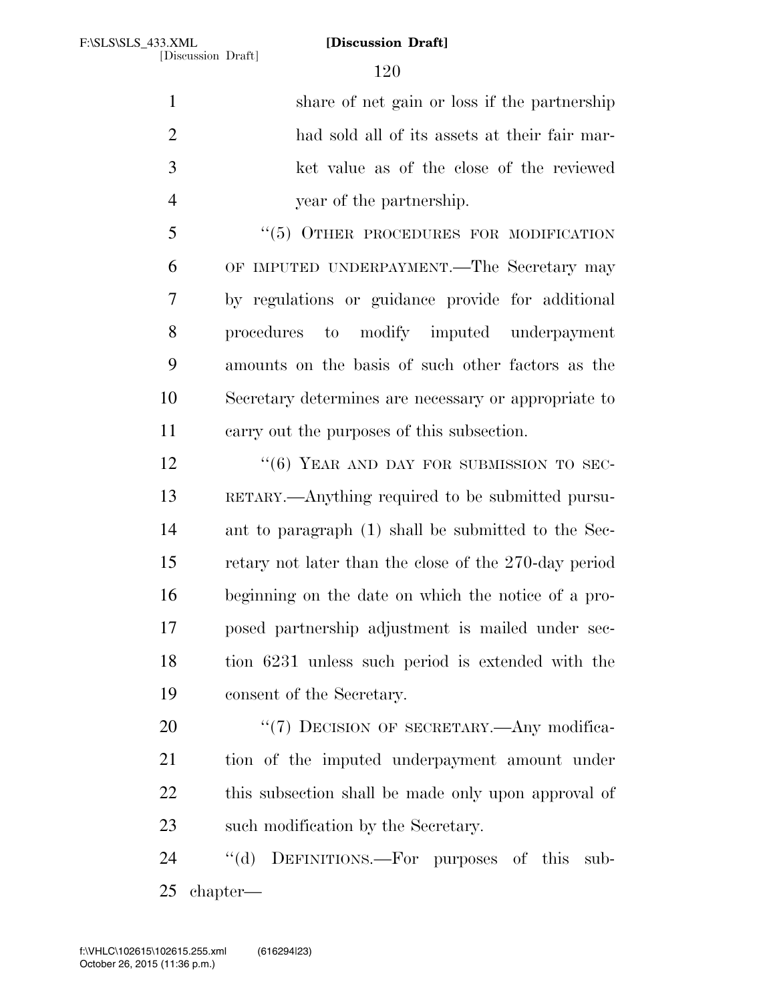share of net gain or loss if the partnership had sold all of its assets at their fair mar- ket value as of the close of the reviewed year of the partnership.

5 "(5) OTHER PROCEDURES FOR MODIFICATION OF IMPUTED UNDERPAYMENT.—The Secretary may by regulations or guidance provide for additional procedures to modify imputed underpayment amounts on the basis of such other factors as the Secretary determines are necessary or appropriate to carry out the purposes of this subsection.

12 "(6) YEAR AND DAY FOR SUBMISSION TO SEC- RETARY.—Anything required to be submitted pursu- ant to paragraph (1) shall be submitted to the Sec- retary not later than the close of the 270-day period beginning on the date on which the notice of a pro- posed partnership adjustment is mailed under sec- tion 6231 unless such period is extended with the consent of the Secretary.

20 "(7) DECISION OF SECRETARY.—Any modifica- tion of the imputed underpayment amount under this subsection shall be made only upon approval of 23 such modification by the Secretary.

 ''(d) DEFINITIONS.—For purposes of this sub-chapter—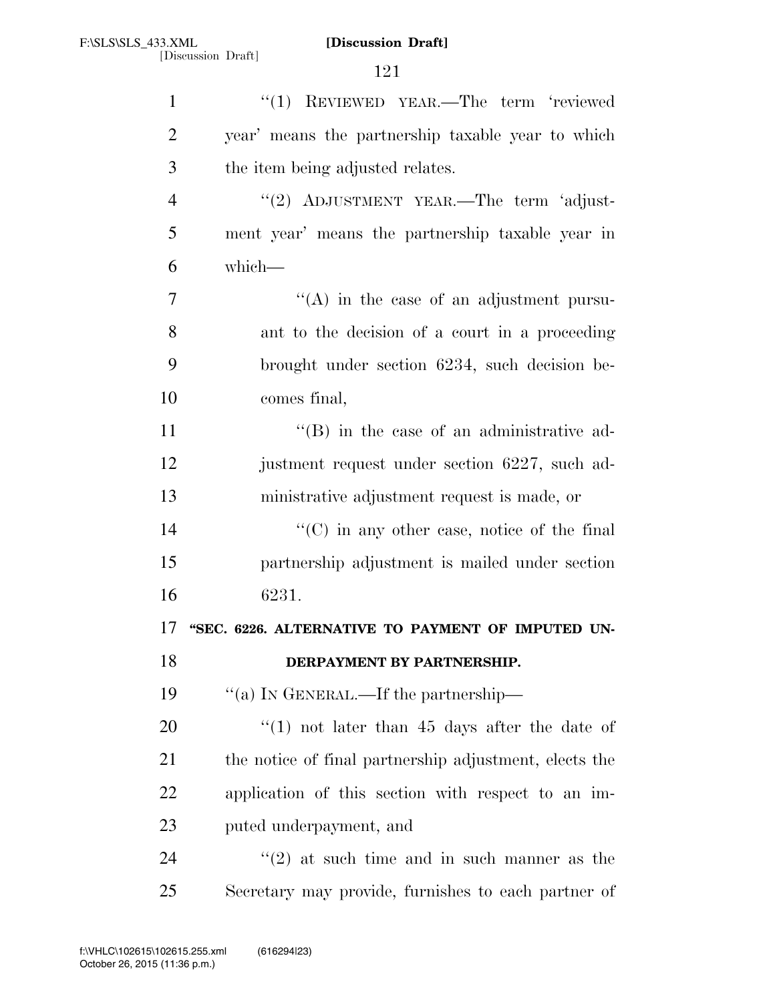| $\mathbf{1}$   | "(1) REVIEWED YEAR.—The term 'reviewed                 |
|----------------|--------------------------------------------------------|
| $\overline{2}$ | year' means the partnership taxable year to which      |
| 3              | the item being adjusted relates.                       |
| $\overline{4}$ | "(2) ADJUSTMENT YEAR.—The term 'adjust-                |
| 5              | ment year' means the partnership taxable year in       |
| 6              | which-                                                 |
| 7              | $\lq\lq$ in the case of an adjustment pursu-           |
| 8              | ant to the decision of a court in a proceeding         |
| 9              | brought under section 6234, such decision be-          |
| 10             | comes final,                                           |
| 11             | $\lq\lq (B)$ in the case of an administrative ad-      |
| 12             | justment request under section 6227, such ad-          |
| 13             | ministrative adjustment request is made, or            |
| 14             | $\lq\lq$ (C) in any other case, notice of the final    |
| 15             | partnership adjustment is mailed under section         |
| 16             | 6231.                                                  |
| 17             | "SEC. 6226. ALTERNATIVE TO PAYMENT OF IMPUTED UN-      |
| 18             | DERPAYMENT BY PARTNERSHIP.                             |
| 19             | "(a) IN GENERAL.—If the partnership—                   |
| 20             | $\cdot$ (1) not later than 45 days after the date of   |
| 21             | the notice of final partnership adjustment, elects the |
| 22             | application of this section with respect to an im-     |
| 23             | puted underpayment, and                                |
| 24             | $\lq(2)$ at such time and in such manner as the        |
| 25             | Secretary may provide, furnishes to each partner of    |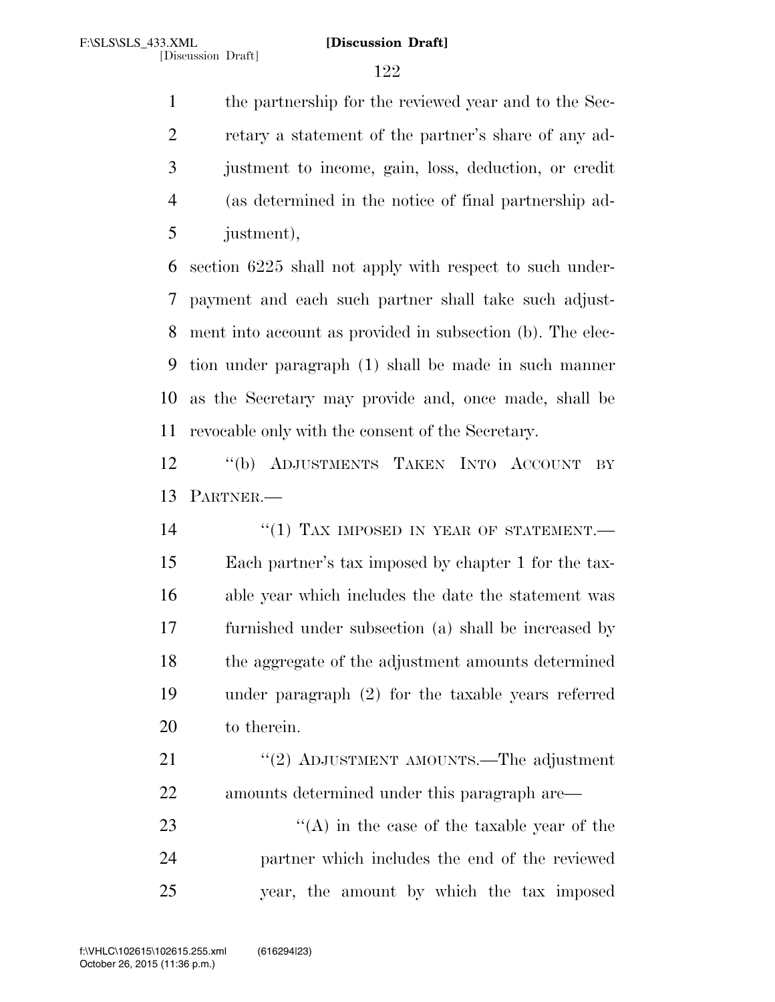the partnership for the reviewed year and to the Sec- retary a statement of the partner's share of any ad- justment to income, gain, loss, deduction, or credit (as determined in the notice of final partnership ad-justment),

 section 6225 shall not apply with respect to such under- payment and each such partner shall take such adjust- ment into account as provided in subsection (b). The elec- tion under paragraph (1) shall be made in such manner as the Secretary may provide and, once made, shall be revocable only with the consent of the Secretary.

 ''(b) ADJUSTMENTS TAKEN INTO ACCOUNT BY PARTNER.—

14 "(1) TAX IMPOSED IN YEAR OF STATEMENT. Each partner's tax imposed by chapter 1 for the tax- able year which includes the date the statement was furnished under subsection (a) shall be increased by the aggregate of the adjustment amounts determined under paragraph (2) for the taxable years referred to therein.

21 "(2) ADJUSTMENT AMOUNTS.—The adjustment amounts determined under this paragraph are—

23 ''(A) in the case of the taxable year of the partner which includes the end of the reviewed year, the amount by which the tax imposed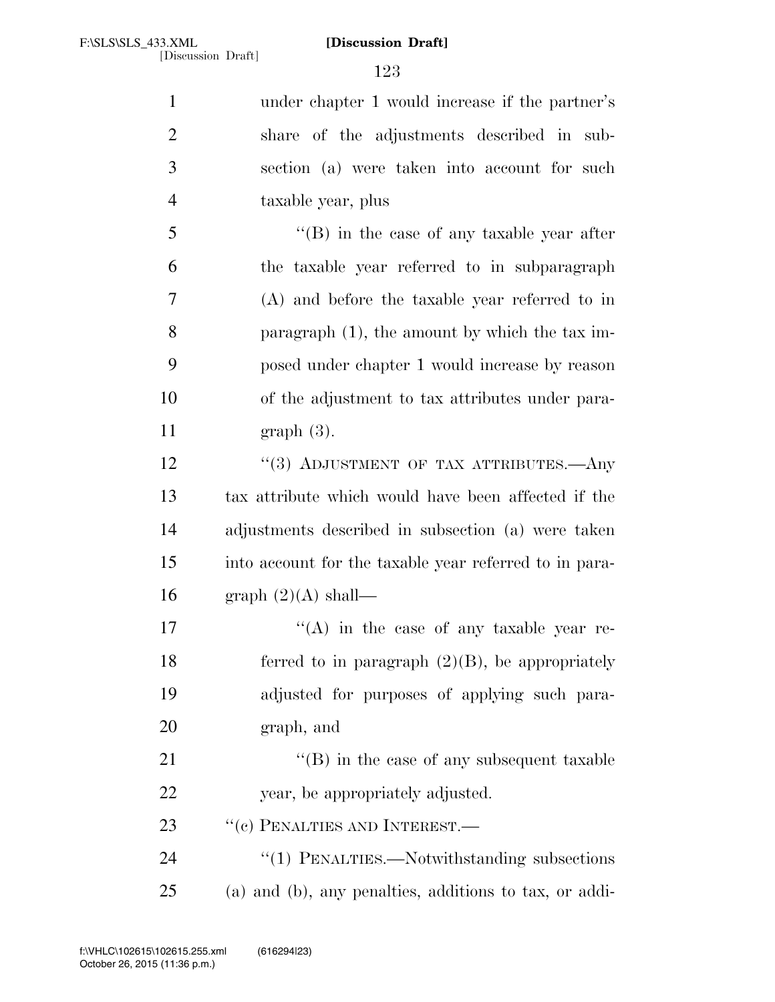| $\mathbf{1}$   | under chapter 1 would increase if the partner's        |
|----------------|--------------------------------------------------------|
| $\overline{2}$ | share of the adjustments described in sub-             |
| 3              | section (a) were taken into account for such           |
| $\overline{4}$ | taxable year, plus                                     |
| 5              | $\lq\lq (B)$ in the case of any taxable year after     |
| 6              | the taxable year referred to in subparagraph           |
| 7              | (A) and before the taxable year referred to in         |
| 8              | paragraph $(1)$ , the amount by which the tax im-      |
| 9              | posed under chapter 1 would increase by reason         |
| 10             | of the adjustment to tax attributes under para-        |
| 11             | $graph(3)$ .                                           |
| 12             | "(3) ADJUSTMENT OF TAX ATTRIBUTES.—Any                 |
| 13             | tax attribute which would have been affected if the    |
| 14             | adjustments described in subsection (a) were taken     |
| 15             | into account for the taxable year referred to in para- |
| 16             | graph $(2)(A)$ shall—                                  |
| 17             | $\lq\lq$ in the case of any taxable year re-           |
| 18             | ferred to in paragraph $(2)(B)$ , be appropriately     |
| 19             | adjusted for purposes of applying such para-           |
| 20             | graph, and                                             |
| 21             | $\lq\lq$ (B) in the case of any subsequent taxable     |
| 22             | year, be appropriately adjusted.                       |
| 23             | $``(c)$ PENALTIES AND INTEREST.—                       |
| 24             | "(1) PENALTIES.—Notwithstanding subsections            |
| 25             | (a) and (b), any penalties, additions to tax, or addi- |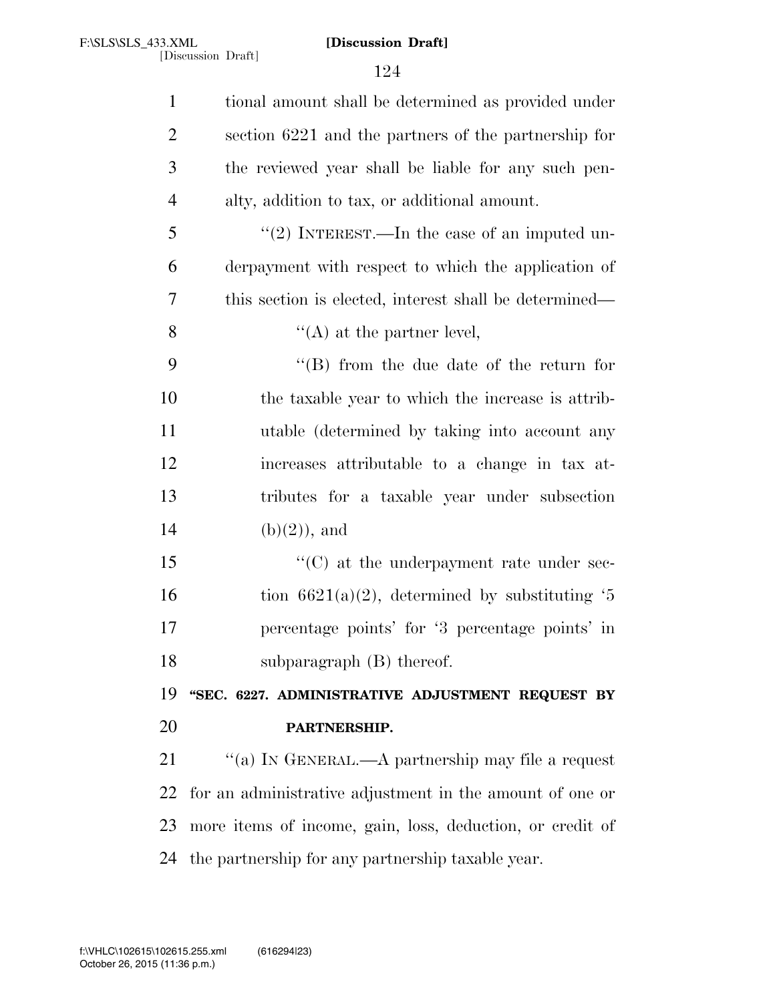| $\mathbf{1}$   | tional amount shall be determined as provided under       |
|----------------|-----------------------------------------------------------|
| $\overline{2}$ | section 6221 and the partners of the partnership for      |
| 3              | the reviewed year shall be liable for any such pen-       |
| $\overline{4}$ | alty, addition to tax, or additional amount.              |
| 5              | "(2) INTEREST.—In the case of an imputed un-              |
| 6              | derpayment with respect to which the application of       |
| 7              | this section is elected, interest shall be determined—    |
| 8              | $\lq\lq$ (A) at the partner level,                        |
| 9              | $\lq\lq$ from the due date of the return for              |
| 10             | the taxable year to which the increase is attrib-         |
| 11             | utable (determined by taking into account any             |
| 12             | increases attributable to a change in tax at-             |
| 13             | tributes for a taxable year under subsection              |
| 14             | $(b)(2)$ , and                                            |
| 15             | $\lq\lq$ (C) at the underpayment rate under sec-          |
| 16             | tion $6621(a)(2)$ , determined by substituting '5         |
| 17             | percentage points' for '3 percentage points' in           |
| 18             | subparagraph $(B)$ thereof.                               |
| 19             | "SEC. 6227. ADMINISTRATIVE ADJUSTMENT REQUEST BY          |
| 20             | PARTNERSHIP.                                              |
| 21             | "(a) IN GENERAL.—A partnership may file a request         |
| 22             | for an administrative adjustment in the amount of one or  |
| 23             | more items of income, gain, loss, deduction, or credit of |
| 24             | the partnership for any partnership taxable year.         |
|                |                                                           |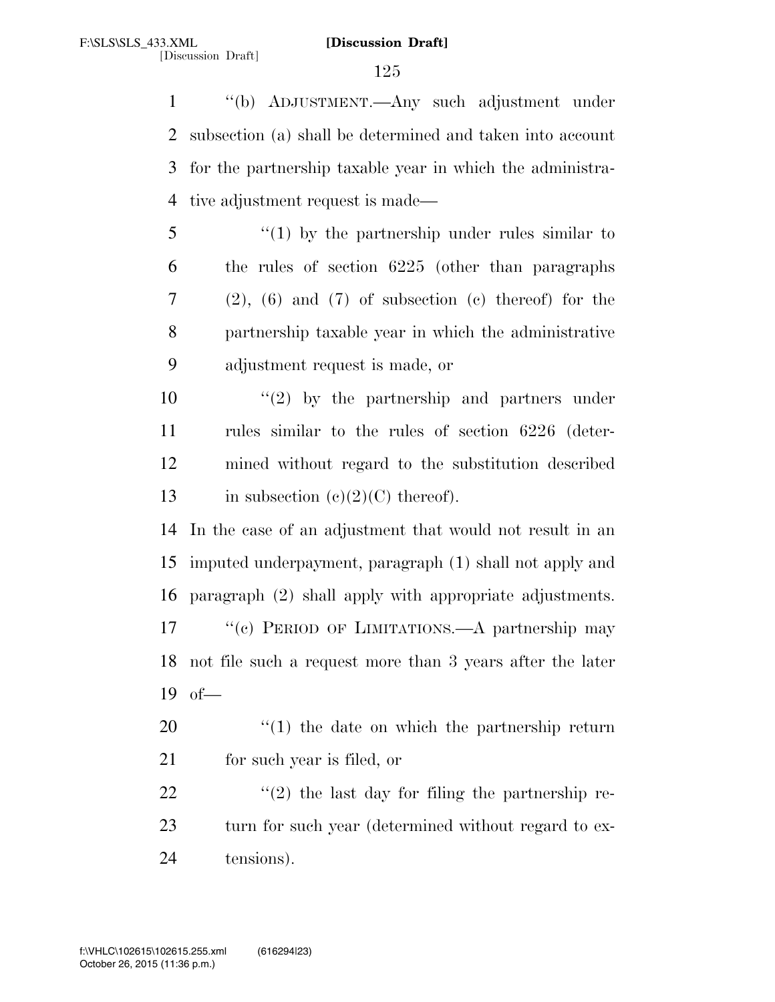''(b) ADJUSTMENT.—Any such adjustment under subsection (a) shall be determined and taken into account for the partnership taxable year in which the administra-tive adjustment request is made—

 ''(1) by the partnership under rules similar to the rules of section 6225 (other than paragraphs (2), (6) and (7) of subsection (c) thereof) for the partnership taxable year in which the administrative adjustment request is made, or

 $\frac{10}{2}$  <sup>''</sup>(2) by the partnership and partners under rules similar to the rules of section 6226 (deter- mined without regard to the substitution described 13 in subsection  $(e)(2)(C)$  thereof).

 In the case of an adjustment that would not result in an imputed underpayment, paragraph (1) shall not apply and paragraph (2) shall apply with appropriate adjustments. 17 "(c) PERIOD OF LIMITATIONS.—A partnership may not file such a request more than 3 years after the later of—

 ''(1) the date on which the partnership return for such year is filed, or

22  $\langle \hat{u}(2) \rangle$  the last day for filing the partnership re-23 turn for such year (determined without regard to ex-tensions).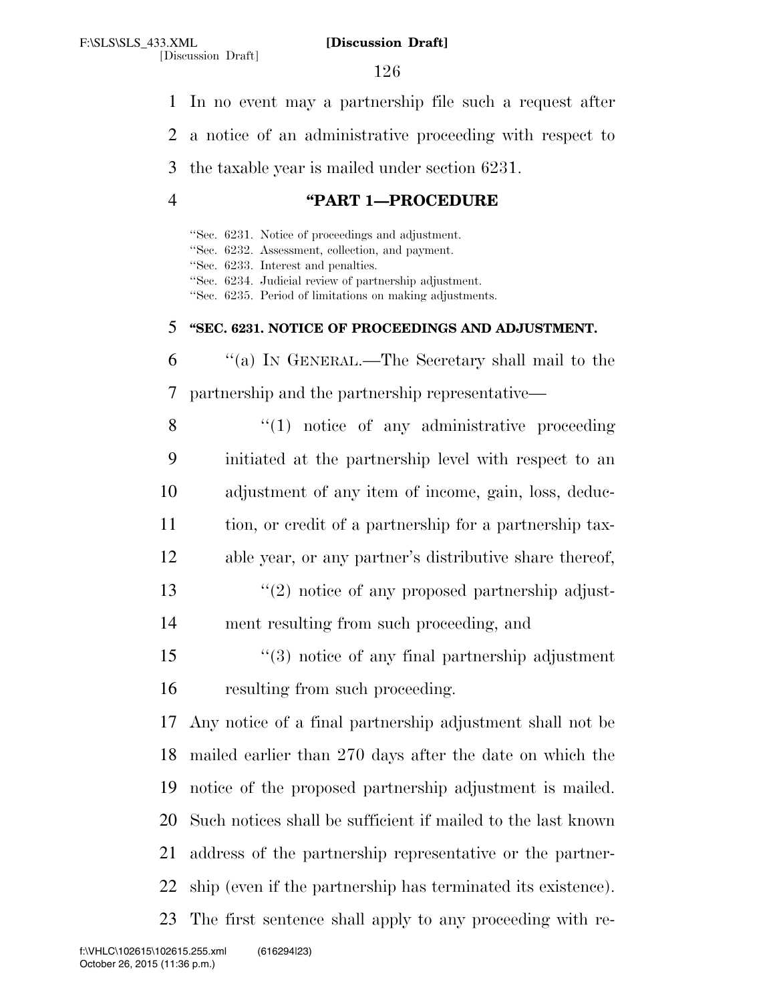[Discussion Draft]

In no event may a partnership file such a request after

a notice of an administrative proceeding with respect to

the taxable year is mailed under section 6231.

# **''PART 1—PROCEDURE**

''Sec. 6231. Notice of proceedings and adjustment. ''Sec. 6232. Assessment, collection, and payment. ''Sec. 6233. Interest and penalties. ''Sec. 6234. Judicial review of partnership adjustment. ''Sec. 6235. Period of limitations on making adjustments. **''SEC. 6231. NOTICE OF PROCEEDINGS AND ADJUSTMENT.**  ''(a) IN GENERAL.—The Secretary shall mail to the partnership and the partnership representative—

8 "(1) notice of any administrative proceeding initiated at the partnership level with respect to an adjustment of any item of income, gain, loss, deduc- tion, or credit of a partnership for a partnership tax- able year, or any partner's distributive share thereof, 13 ''(2) notice of any proposed partnership adjust-

ment resulting from such proceeding, and

 ''(3) notice of any final partnership adjustment resulting from such proceeding.

 Any notice of a final partnership adjustment shall not be mailed earlier than 270 days after the date on which the notice of the proposed partnership adjustment is mailed. Such notices shall be sufficient if mailed to the last known address of the partnership representative or the partner- ship (even if the partnership has terminated its existence). The first sentence shall apply to any proceeding with re-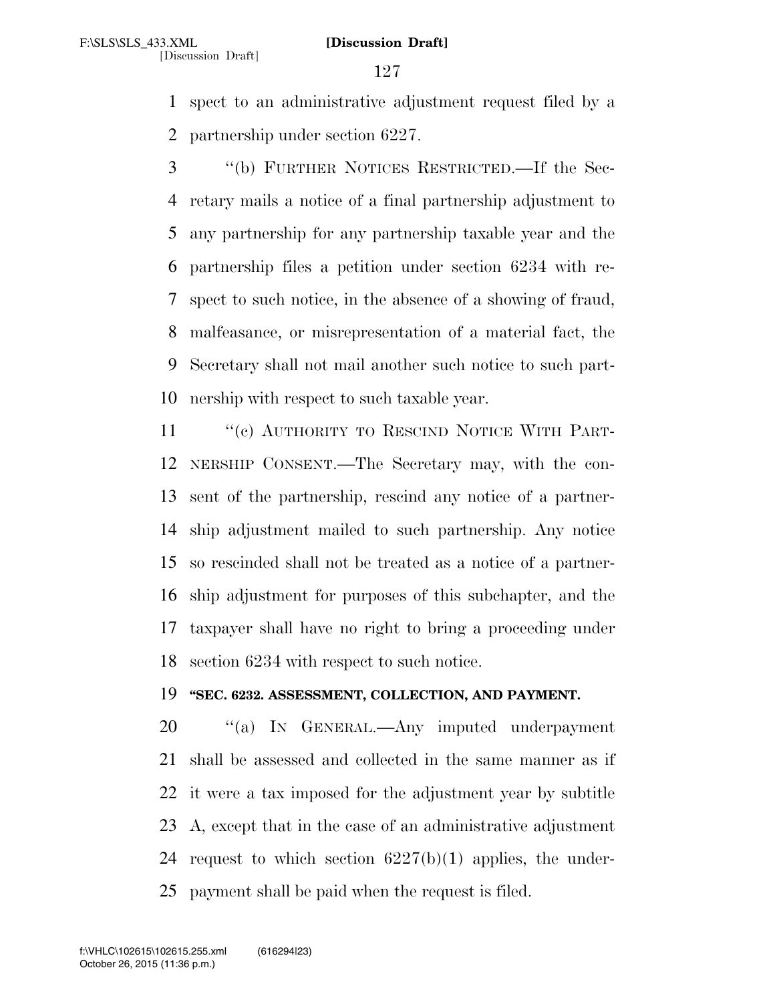spect to an administrative adjustment request filed by a partnership under section 6227.

 ''(b) FURTHER NOTICES RESTRICTED.—If the Sec- retary mails a notice of a final partnership adjustment to any partnership for any partnership taxable year and the partnership files a petition under section 6234 with re- spect to such notice, in the absence of a showing of fraud, malfeasance, or misrepresentation of a material fact, the Secretary shall not mail another such notice to such part-nership with respect to such taxable year.

11 "(c) AUTHORITY TO RESCIND NOTICE WITH PART- NERSHIP CONSENT.—The Secretary may, with the con- sent of the partnership, rescind any notice of a partner- ship adjustment mailed to such partnership. Any notice so rescinded shall not be treated as a notice of a partner- ship adjustment for purposes of this subchapter, and the taxpayer shall have no right to bring a proceeding under section 6234 with respect to such notice.

## **''SEC. 6232. ASSESSMENT, COLLECTION, AND PAYMENT.**

20 "(a) IN GENERAL.—Any imputed underpayment shall be assessed and collected in the same manner as if it were a tax imposed for the adjustment year by subtitle A, except that in the case of an administrative adjustment 24 request to which section  $6227(b)(1)$  applies, the under-payment shall be paid when the request is filed.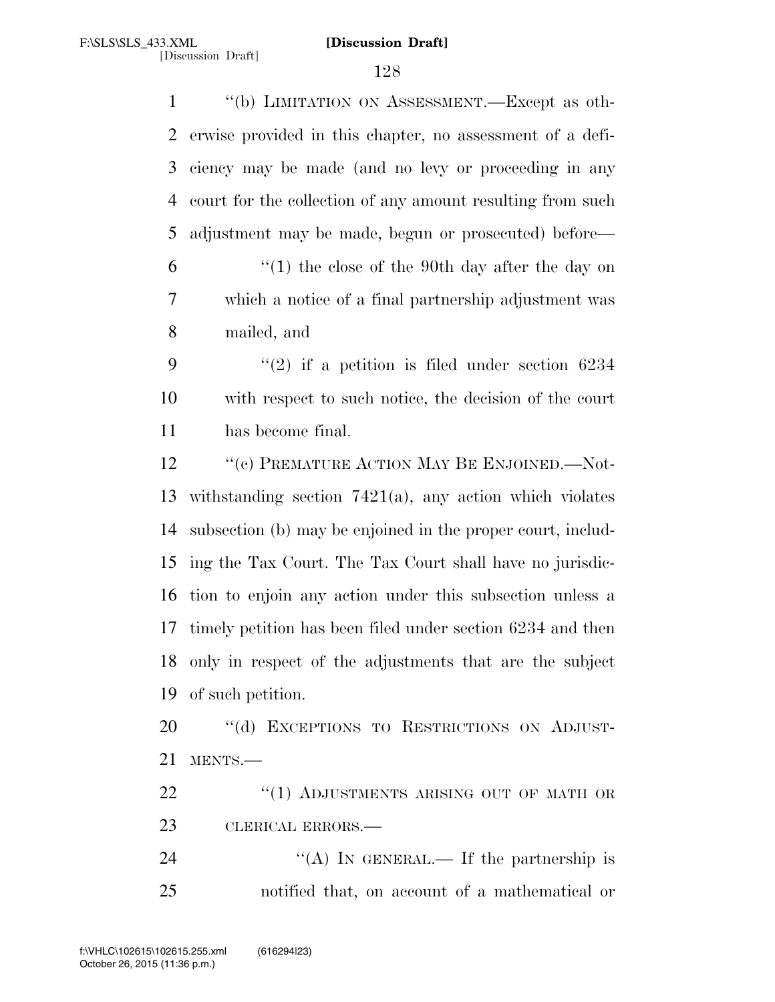''(b) LIMITATION ON ASSESSMENT.—Except as oth- erwise provided in this chapter, no assessment of a defi- ciency may be made (and no levy or proceeding in any court for the collection of any amount resulting from such adjustment may be made, begun or prosecuted) before— ''(1) the close of the 90th day after the day on which a notice of a final partnership adjustment was mailed, and  $\frac{4}{2}$  if a petition is filed under section 6234 with respect to such notice, the decision of the court has become final. 12 "(c) PREMATURE ACTION MAY BE ENJOINED.—Not- withstanding section 7421(a), any action which violates subsection (b) may be enjoined in the proper court, includ- ing the Tax Court. The Tax Court shall have no jurisdic- tion to enjoin any action under this subsection unless a timely petition has been filed under section 6234 and then only in respect of the adjustments that are the subject of such petition. 20 "(d) EXCEPTIONS TO RESTRICTIONS ON ADJUST- MENTS.— 22 "(1) ADJUSTMENTS ARISING OUT OF MATH OR CLERICAL ERRORS.—

24  $((A)$  In GENERAL.— If the partnership is notified that, on account of a mathematical or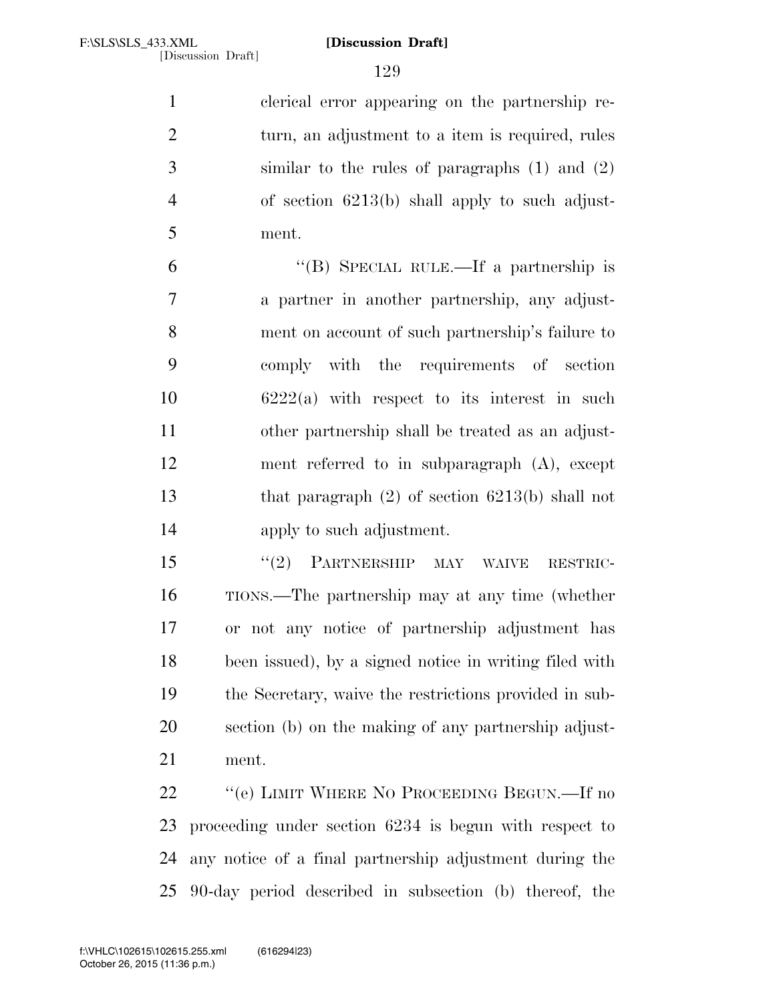clerical error appearing on the partnership re-2 turn, an adjustment to a item is required, rules similar to the rules of paragraphs (1) and (2) of section 6213(b) shall apply to such adjust-ment.

 ''(B) SPECIAL RULE.—If a partnership is a partner in another partnership, any adjust- ment on account of such partnership's failure to comply with the requirements of section 6222(a) with respect to its interest in such other partnership shall be treated as an adjust- ment referred to in subparagraph (A), except that paragraph (2) of section 6213(b) shall not apply to such adjustment.

 ''(2) PARTNERSHIP MAY WAIVE RESTRIC- TIONS.—The partnership may at any time (whether or not any notice of partnership adjustment has been issued), by a signed notice in writing filed with the Secretary, waive the restrictions provided in sub- section (b) on the making of any partnership adjust-ment.

22 "(e) LIMIT WHERE NO PROCEEDING BEGUN.—If no proceeding under section 6234 is begun with respect to any notice of a final partnership adjustment during the 90-day period described in subsection (b) thereof, the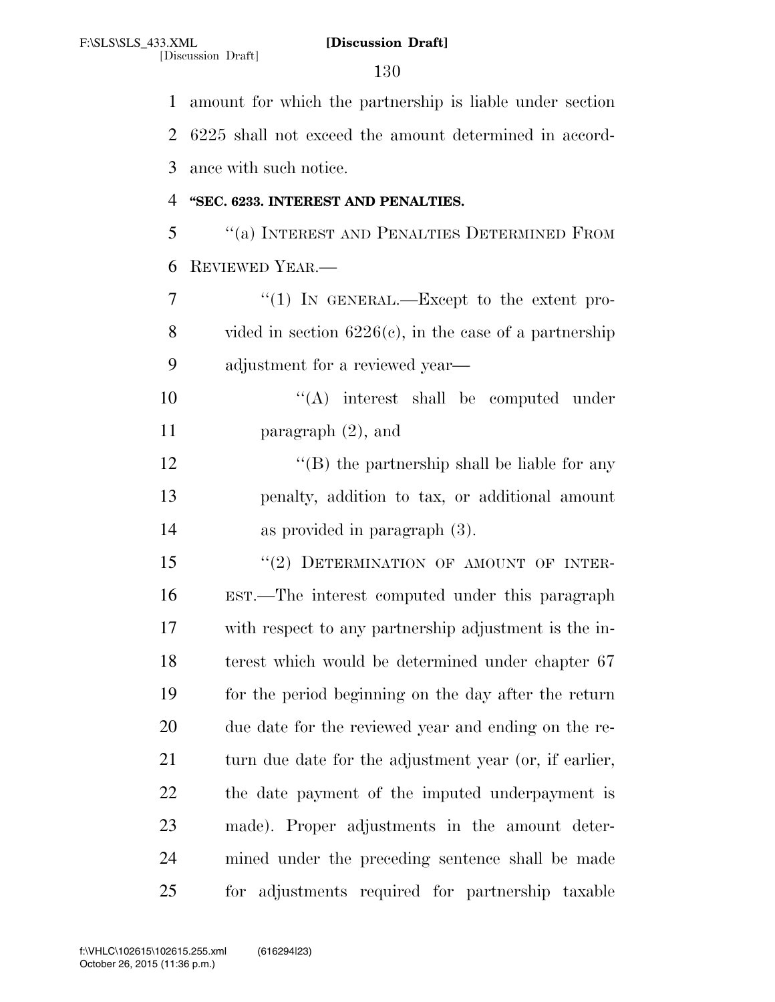[Discussion Draft]

 amount for which the partnership is liable under section 6225 shall not exceed the amount determined in accord- ance with such notice. **''SEC. 6233. INTEREST AND PENALTIES.**  ''(a) INTEREST AND PENALTIES DETERMINED FROM REVIEWED YEAR.— 7 "(1) IN GENERAL.—Except to the extent pro- vided in section 6226(c), in the case of a partnership adjustment for a reviewed year—  $\langle (A) \rangle$  interest shall be computed under paragraph (2), and 12 ''(B) the partnership shall be liable for any penalty, addition to tax, or additional amount as provided in paragraph (3). 15 "(2) DETERMINATION OF AMOUNT OF INTER- EST.—The interest computed under this paragraph with respect to any partnership adjustment is the in- terest which would be determined under chapter 67 for the period beginning on the day after the return due date for the reviewed year and ending on the re-21 turn due date for the adjustment year (or, if earlier, the date payment of the imputed underpayment is made). Proper adjustments in the amount deter- mined under the preceding sentence shall be made for adjustments required for partnership taxable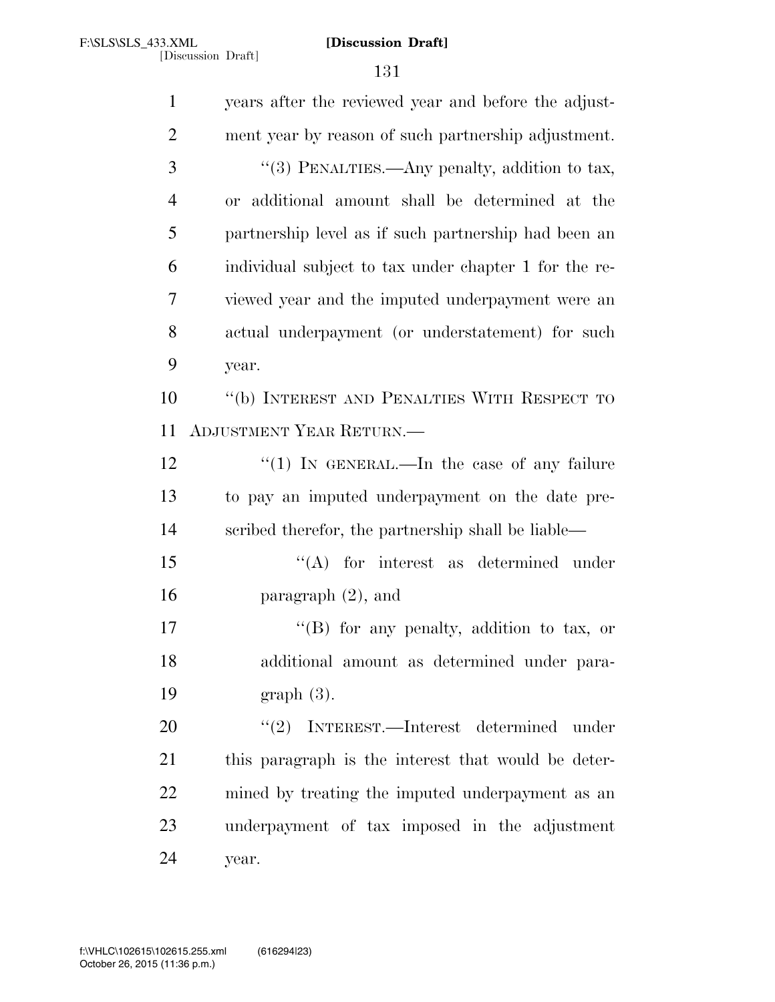years after the reviewed year and before the adjust- ment year by reason of such partnership adjustment. 3 "(3) PENALTIES.—Any penalty, addition to tax, or additional amount shall be determined at the partnership level as if such partnership had been an individual subject to tax under chapter 1 for the re- viewed year and the imputed underpayment were an actual underpayment (or understatement) for such year. ''(b) INTEREST AND PENALTIES WITH RESPECT TO ADJUSTMENT YEAR RETURN.— 12 "(1) IN GENERAL.—In the case of any failure to pay an imputed underpayment on the date pre- scribed therefor, the partnership shall be liable— 15 "(A) for interest as determined under paragraph (2), and 17 "'(B) for any penalty, addition to tax, or additional amount as determined under para- graph (3). 20 "(2) INTEREST.—Interest determined under this paragraph is the interest that would be deter- mined by treating the imputed underpayment as an underpayment of tax imposed in the adjustment year.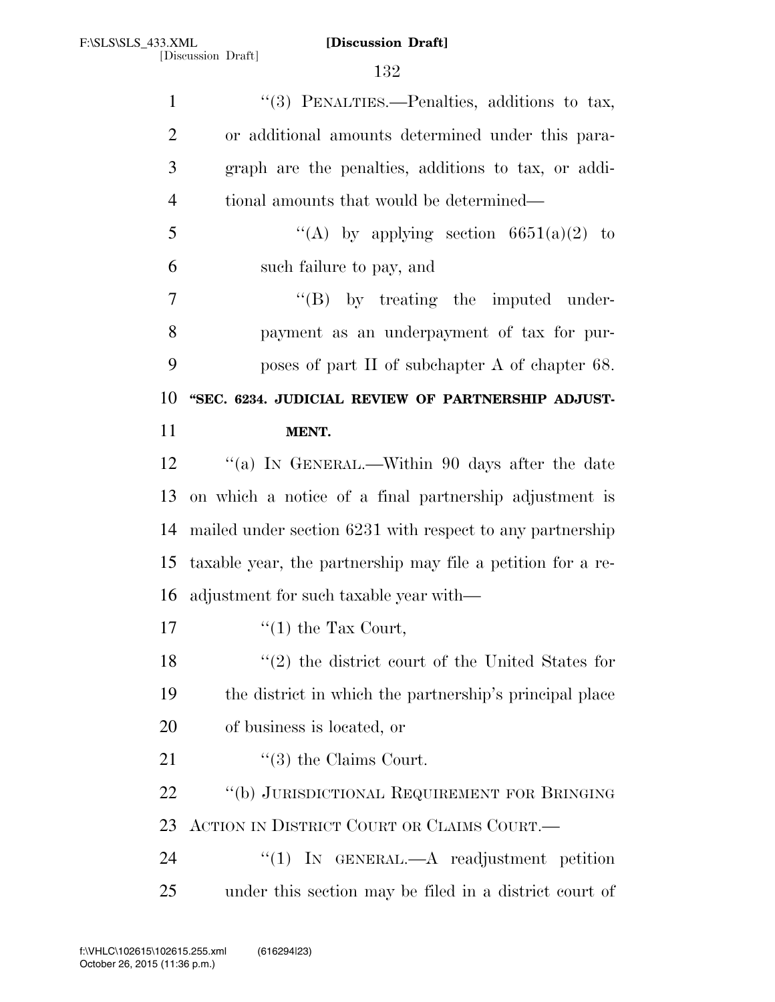| $\mathbf{1}$   | "(3) PENALTIES.—Penalties, additions to tax,                |
|----------------|-------------------------------------------------------------|
| $\overline{2}$ | or additional amounts determined under this para-           |
| 3              | graph are the penalties, additions to tax, or addi-         |
| $\overline{4}$ | tional amounts that would be determined—                    |
| 5              | "(A) by applying section $6651(a)(2)$ to                    |
| 6              | such failure to pay, and                                    |
| 7              | $\lq\lq (B)$ by treating the imputed under-                 |
| 8              | payment as an underpayment of tax for pur-                  |
| 9              | poses of part II of subchapter A of chapter 68.             |
| 10             | "SEC. 6234. JUDICIAL REVIEW OF PARTNERSHIP ADJUST-          |
| 11             | MENT.                                                       |
| 12             | "(a) IN GENERAL.—Within 90 days after the date              |
| 13             | on which a notice of a final partnership adjustment is      |
| 14             | mailed under section 6231 with respect to any partnership   |
| 15             | taxable year, the partnership may file a petition for a re- |
| 16             | adjustment for such taxable year with—                      |
| 17             | $\lq(1)$ the Tax Court,                                     |
| 18             | $(2)$ the district court of the United States for           |
| 19             | the district in which the partnership's principal place     |
| 20             | of business is located, or                                  |
| 21             | $\lq(3)$ the Claims Court.                                  |
| 22             | "(b) JURISDICTIONAL REQUIREMENT FOR BRINGING                |
| 23             | ACTION IN DISTRICT COURT OR CLAIMS COURT.—                  |
| 24             | "(1) IN GENERAL.— $A$ readjustment petition                 |
| 25             | under this section may be filed in a district court of      |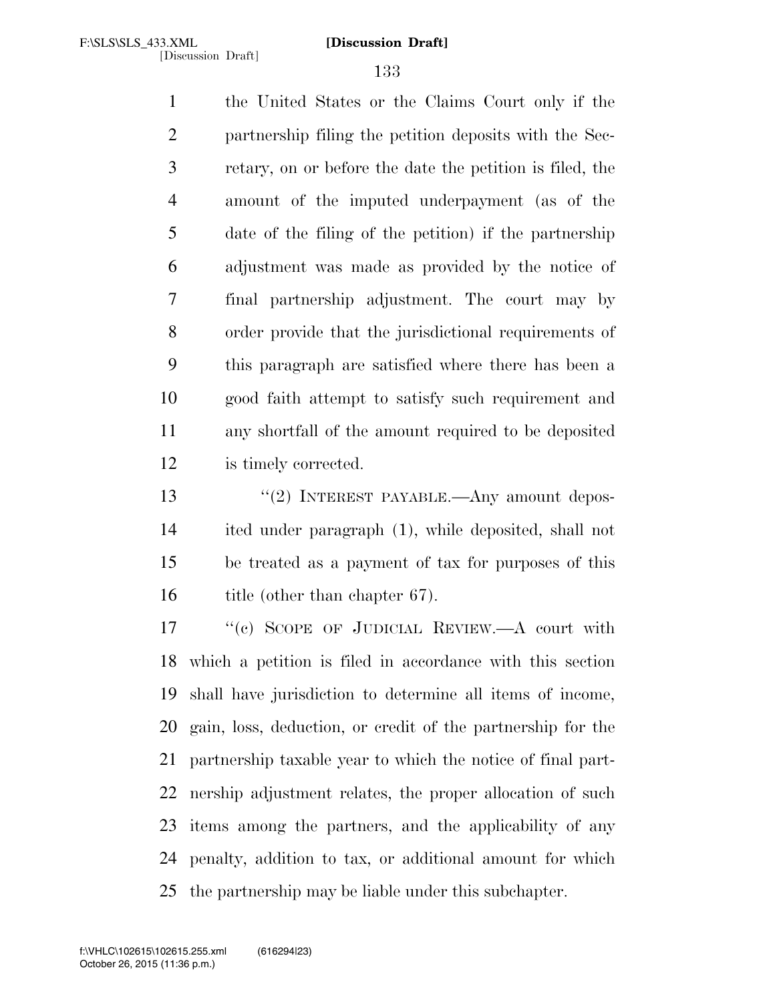the United States or the Claims Court only if the partnership filing the petition deposits with the Sec- retary, on or before the date the petition is filed, the amount of the imputed underpayment (as of the date of the filing of the petition) if the partnership adjustment was made as provided by the notice of final partnership adjustment. The court may by order provide that the jurisdictional requirements of this paragraph are satisfied where there has been a good faith attempt to satisfy such requirement and any shortfall of the amount required to be deposited is timely corrected.

13 "(2) INTEREST PAYABLE.—Any amount depos- ited under paragraph (1), while deposited, shall not be treated as a payment of tax for purposes of this 16 title (other than chapter 67).

17 "(c) SCOPE OF JUDICIAL REVIEW.—A court with which a petition is filed in accordance with this section shall have jurisdiction to determine all items of income, gain, loss, deduction, or credit of the partnership for the partnership taxable year to which the notice of final part- nership adjustment relates, the proper allocation of such items among the partners, and the applicability of any penalty, addition to tax, or additional amount for which the partnership may be liable under this subchapter.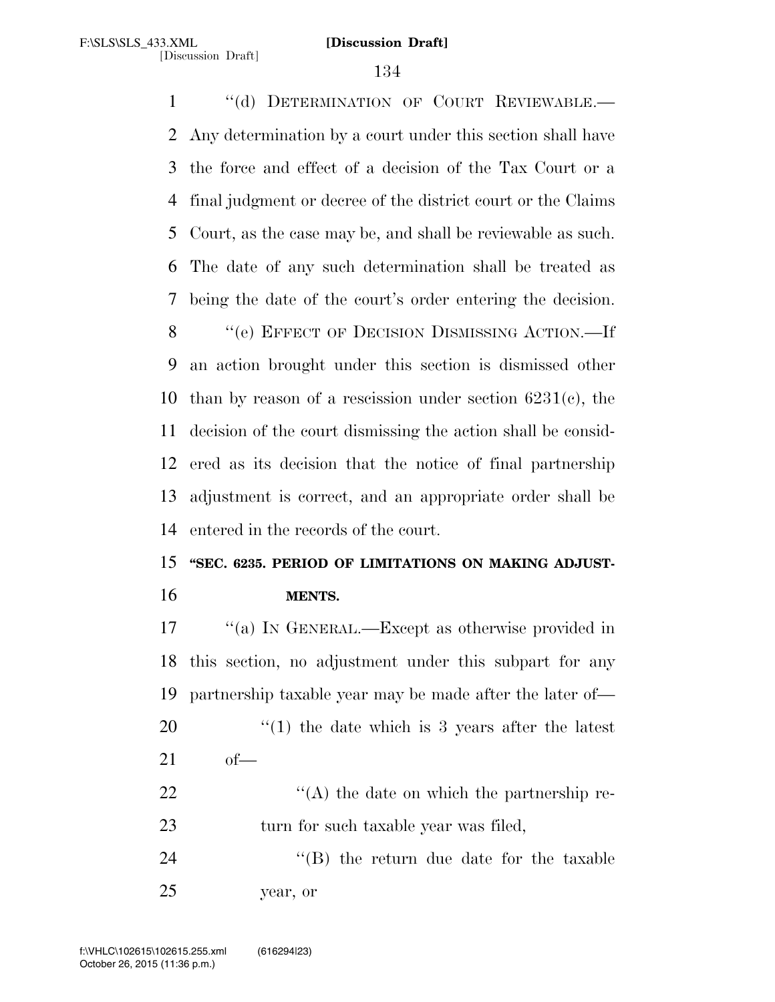1 "(d) DETERMINATION OF COURT REVIEWABLE. Any determination by a court under this section shall have the force and effect of a decision of the Tax Court or a final judgment or decree of the district court or the Claims Court, as the case may be, and shall be reviewable as such. The date of any such determination shall be treated as being the date of the court's order entering the decision. ''(e) EFFECT OF DECISION DISMISSING ACTION.—If an action brought under this section is dismissed other 10 than by reason of a rescission under section  $6231(e)$ , the decision of the court dismissing the action shall be consid- ered as its decision that the notice of final partnership adjustment is correct, and an appropriate order shall be entered in the records of the court.

# **''SEC. 6235. PERIOD OF LIMITATIONS ON MAKING ADJUST-MENTS.**

 ''(a) IN GENERAL.—Except as otherwise provided in this section, no adjustment under this subpart for any partnership taxable year may be made after the later of—  $\frac{1}{20}$  the date which is 3 years after the latest of—  $\langle (A) \rangle$  the date on which the partnership re-23 turn for such taxable year was filed, 24 ''(B) the return due date for the taxable year, or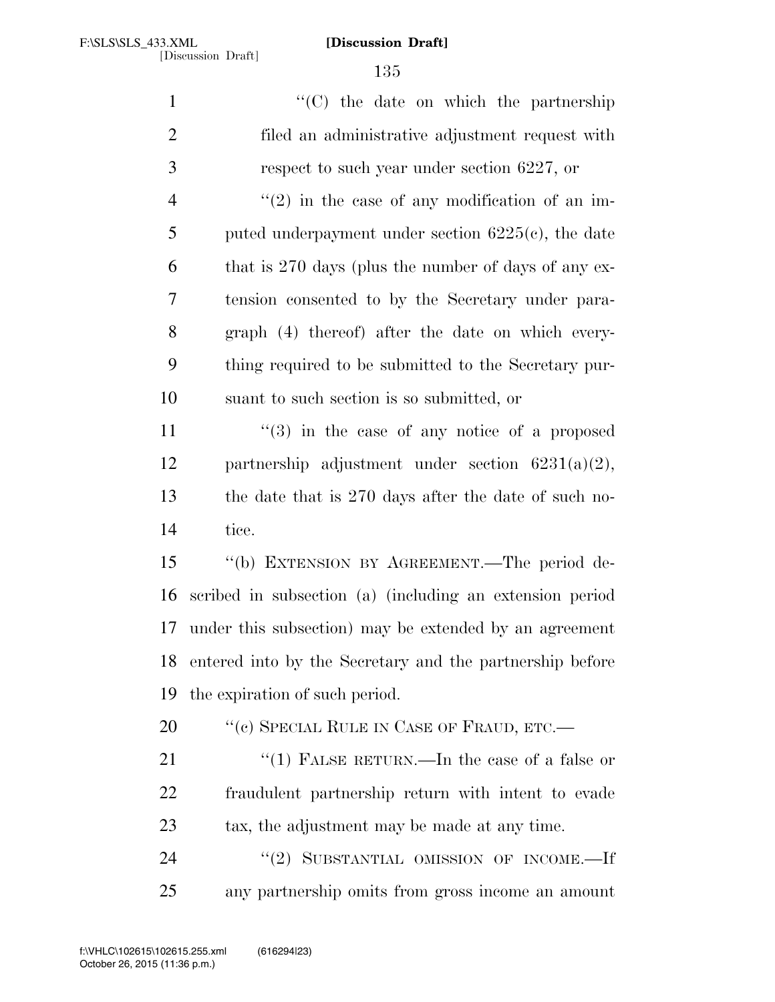| $\mathbf{1}$   | "(C) the date on which the partnership                   |
|----------------|----------------------------------------------------------|
| $\overline{2}$ | filed an administrative adjustment request with          |
| 3              | respect to such year under section 6227, or              |
| $\overline{4}$ | $\lq(2)$ in the case of any modification of an im-       |
| 5              | puted underpayment under section $6225(c)$ , the date    |
| 6              | that is 270 days (plus the number of days of any ex-     |
| 7              | tension consented to by the Secretary under para-        |
| 8              | graph (4) thereof) after the date on which every-        |
| 9              | thing required to be submitted to the Secretary pur-     |
| 10             | suant to such section is so submitted, or                |
| 11             | $(3)$ in the case of any notice of a proposed            |
| 12             | partnership adjustment under section $6231(a)(2)$ ,      |
| 13             | the date that is 270 days after the date of such no-     |
| 14             | tice.                                                    |
| 15             | "(b) EXTENSION BY AGREEMENT.—The period de-              |
| 16             | scribed in subsection (a) (including an extension period |
| 17             | under this subsection) may be extended by an agreement   |
| 18             | entered into by the Secretary and the partnership before |
| 19             | the expiration of such period.                           |
| 20             | "(c) SPECIAL RULE IN CASE OF FRAUD, ETC.—                |
| 21             | "(1) FALSE RETURN.—In the case of a false or             |
| 22             | fraudulent partnership return with intent to evade       |
| 23             | tax, the adjustment may be made at any time.             |
| 24             | $``(2)$ SUBSTANTIAL OMISSION OF INCOME.-If               |
| 25             | any partnership omits from gross income an amount        |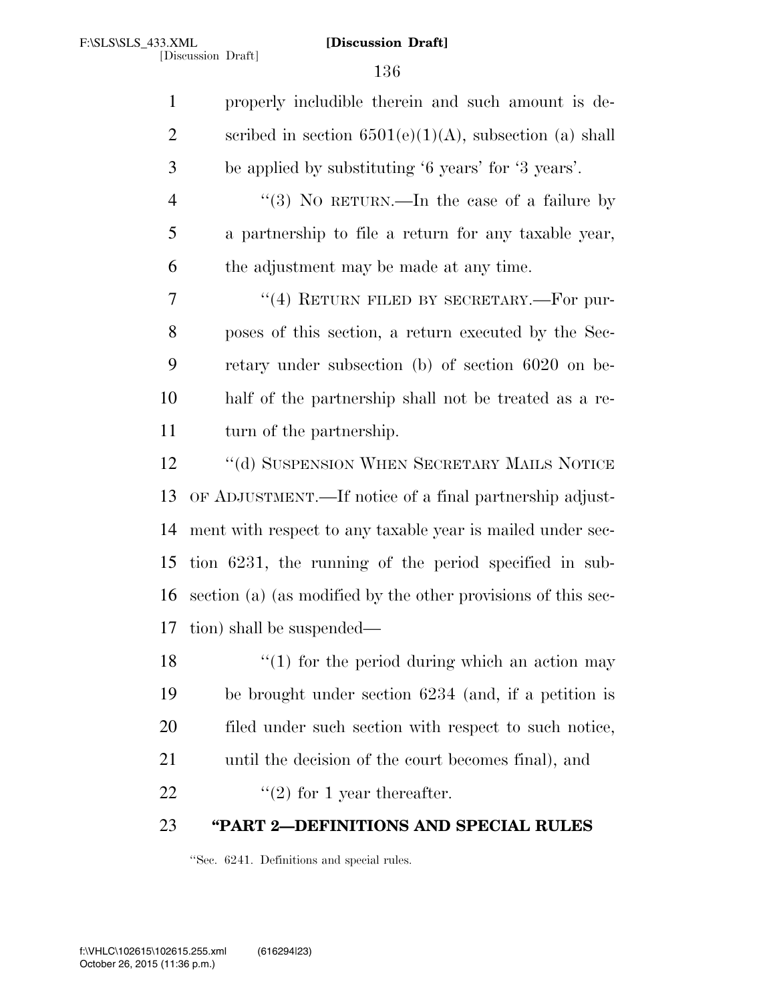| $\mathbf{1}$   | properly includible therein and such amount is de-            |
|----------------|---------------------------------------------------------------|
| $\overline{2}$ | scribed in section $6501(e)(1)(A)$ , subsection (a) shall     |
| 3              | be applied by substituting '6 years' for '3 years'.           |
| $\overline{4}$ | "(3) No RETURN.—In the case of a failure by                   |
| 5              | a partnership to file a return for any taxable year,          |
| 6              | the adjustment may be made at any time.                       |
| 7              | "(4) RETURN FILED BY SECRETARY.—For pur-                      |
| 8              | poses of this section, a return executed by the Sec-          |
| 9              | retary under subsection (b) of section 6020 on be-            |
| 10             | half of the partnership shall not be treated as a re-         |
| 11             | turn of the partnership.                                      |
| 12             | "(d) SUSPENSION WHEN SECRETARY MAILS NOTICE                   |
| 13             | OF ADJUSTMENT.—If notice of a final partnership adjust-       |
| 14             | ment with respect to any taxable year is mailed under sec-    |
| 15             | tion 6231, the running of the period specified in sub-        |
| 16             | section (a) (as modified by the other provisions of this sec- |
| 17             | tion) shall be suspended—                                     |
| 18             | $``(1)$ for the period during which an action may             |
| 19             | be brought under section 6234 (and, if a petition is          |
| 20             | filed under such section with respect to such notice,         |
| 21             | until the decision of the court becomes final), and           |
| 22             | $\lq(2)$ for 1 year thereafter.                               |
| 23             | "PART 2-DEFINITIONS AND SPECIAL RULES                         |

''Sec. 6241. Definitions and special rules.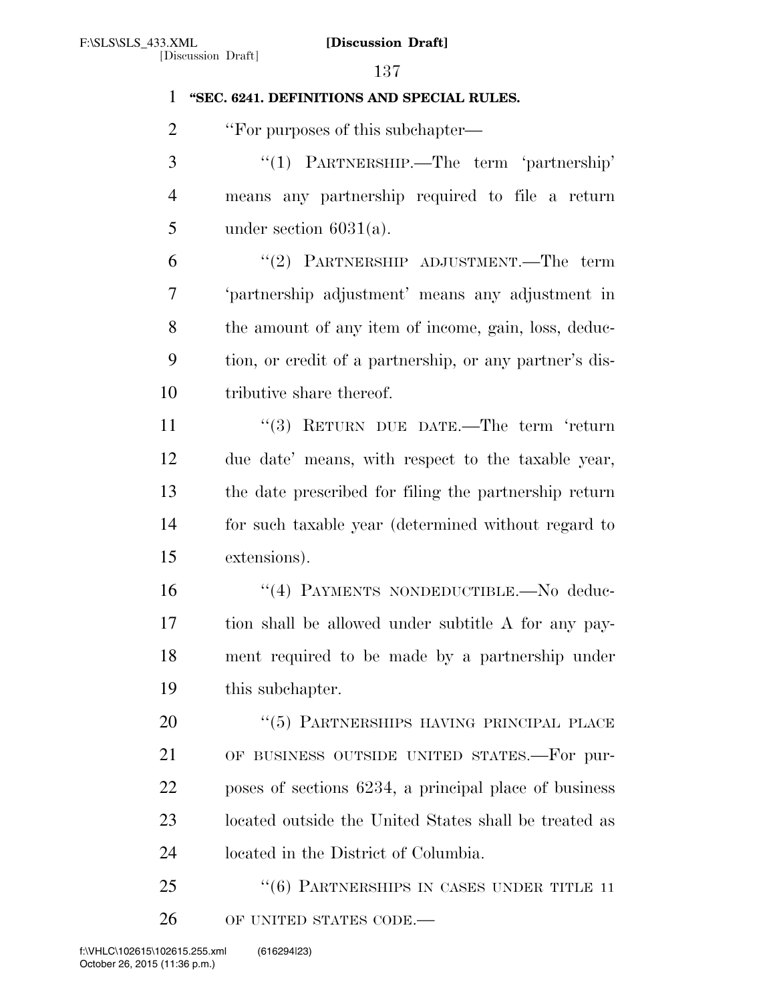## **''SEC. 6241. DEFINITIONS AND SPECIAL RULES.**

2 "For purposes of this subchapter—

 ''(1) PARTNERSHIP.—The term 'partnership' means any partnership required to file a return 5 under section  $6031(a)$ .

 ''(2) PARTNERSHIP ADJUSTMENT.—The term 'partnership adjustment' means any adjustment in the amount of any item of income, gain, loss, deduc- tion, or credit of a partnership, or any partner's dis-tributive share thereof.

11 ''(3) RETURN DUE DATE.—The term 'return due date' means, with respect to the taxable year, the date prescribed for filing the partnership return for such taxable year (determined without regard to extensions).

16 "(4) PAYMENTS NONDEDUCTIBLE.—No deduc- tion shall be allowed under subtitle A for any pay- ment required to be made by a partnership under this subchapter.

20 "(5) PARTNERSHIPS HAVING PRINCIPAL PLACE OF BUSINESS OUTSIDE UNITED STATES.—For pur- poses of sections 6234, a principal place of business located outside the United States shall be treated as located in the District of Columbia.

25 "(6) PARTNERSHIPS IN CASES UNDER TITLE 11 26 OF UNITED STATES CODE.—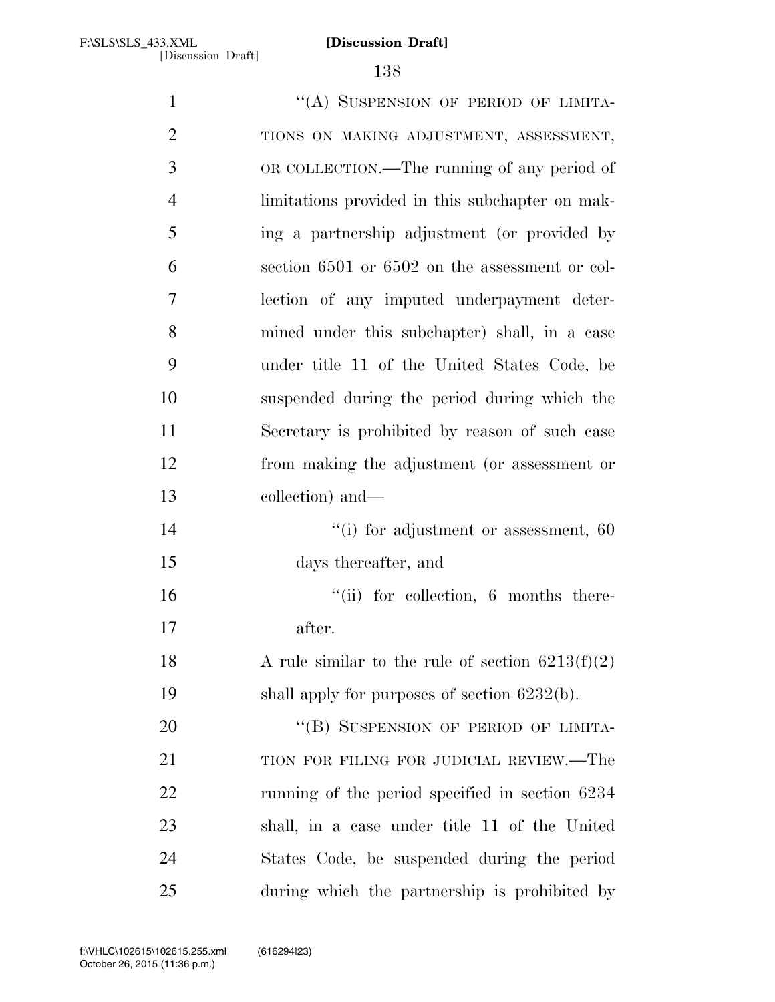1 "(A) SUSPENSION OF PERIOD OF LIMITA- TIONS ON MAKING ADJUSTMENT, ASSESSMENT, OR COLLECTION.—The running of any period of limitations provided in this subchapter on mak- ing a partnership adjustment (or provided by section 6501 or 6502 on the assessment or col- lection of any imputed underpayment deter- mined under this subchapter) shall, in a case under title 11 of the United States Code, be suspended during the period during which the Secretary is prohibited by reason of such case from making the adjustment (or assessment or collection) and—  $\frac{1}{10}$  for adjustment or assessment, 60 days thereafter, and  $"$ (ii) for collection, 6 months there- after. 18 A rule similar to the rule of section  $6213(f)(2)$ 19 shall apply for purposes of section 6232(b). 20 "(B) SUSPENSION OF PERIOD OF LIMITA-21 TION FOR FILING FOR JUDICIAL REVIEW.—The running of the period specified in section 6234 shall, in a case under title 11 of the United States Code, be suspended during the period during which the partnership is prohibited by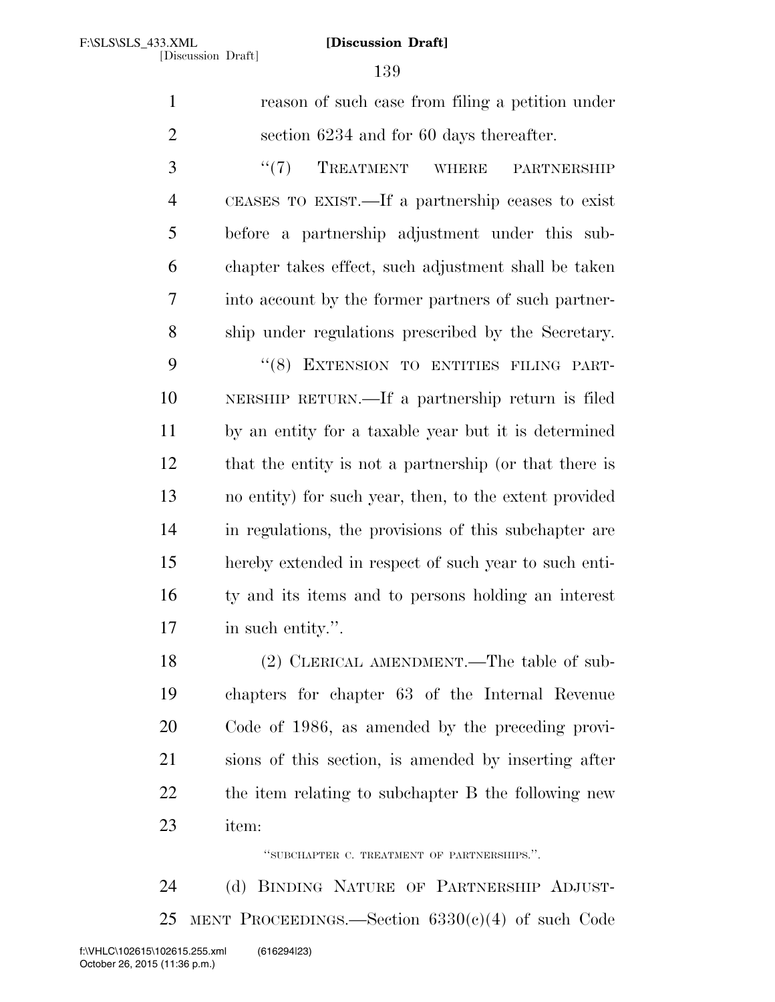reason of such case from filing a petition under section 6234 and for 60 days thereafter.

3 "(7) TREATMENT WHERE PARTNERSHIP CEASES TO EXIST.—If a partnership ceases to exist before a partnership adjustment under this sub- chapter takes effect, such adjustment shall be taken into account by the former partners of such partner-ship under regulations prescribed by the Secretary.

9 "(8) EXTENSION TO ENTITIES FILING PART- NERSHIP RETURN.—If a partnership return is filed by an entity for a taxable year but it is determined that the entity is not a partnership (or that there is no entity) for such year, then, to the extent provided in regulations, the provisions of this subchapter are hereby extended in respect of such year to such enti- ty and its items and to persons holding an interest in such entity.''.

 (2) CLERICAL AMENDMENT.—The table of sub- chapters for chapter 63 of the Internal Revenue Code of 1986, as amended by the preceding provi- sions of this section, is amended by inserting after the item relating to subchapter B the following new item:

''SUBCHAPTER C. TREATMENT OF PARTNERSHIPS.''.

 (d) BINDING NATURE OF PARTNERSHIP ADJUST-25 MENT PROCEEDINGS.—Section  $6330(c)(4)$  of such Code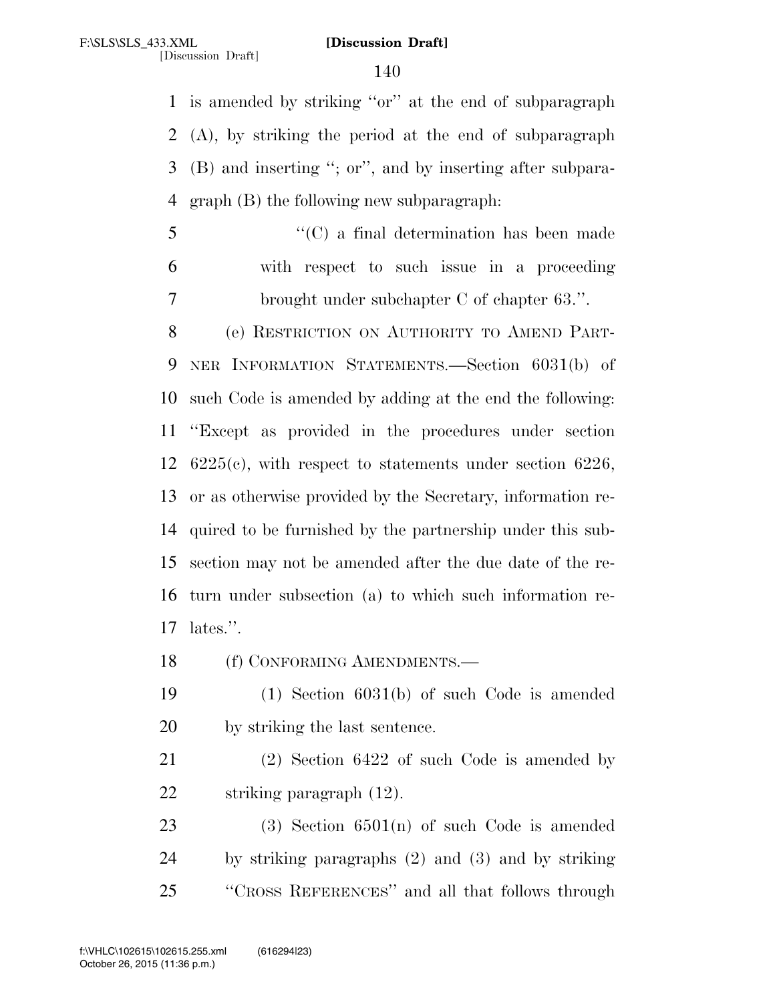is amended by striking ''or'' at the end of subparagraph (A), by striking the period at the end of subparagraph (B) and inserting ''; or'', and by inserting after subpara-graph (B) the following new subparagraph:

 ''(C) a final determination has been made with respect to such issue in a proceeding brought under subchapter C of chapter 63.''.

 (e) RESTRICTION ON AUTHORITY TO AMEND PART- NER INFORMATION STATEMENTS.—Section 6031(b) of such Code is amended by adding at the end the following: ''Except as provided in the procedures under section 6225(c), with respect to statements under section 6226, or as otherwise provided by the Secretary, information re- quired to be furnished by the partnership under this sub- section may not be amended after the due date of the re- turn under subsection (a) to which such information re-lates.''.

18 (f) CONFORMING AMENDMENTS.—

 (1) Section 6031(b) of such Code is amended by striking the last sentence.

 (2) Section 6422 of such Code is amended by striking paragraph (12).

23 (3) Section  $6501(n)$  of such Code is amended by striking paragraphs (2) and (3) and by striking ''CROSS REFERENCES'' and all that follows through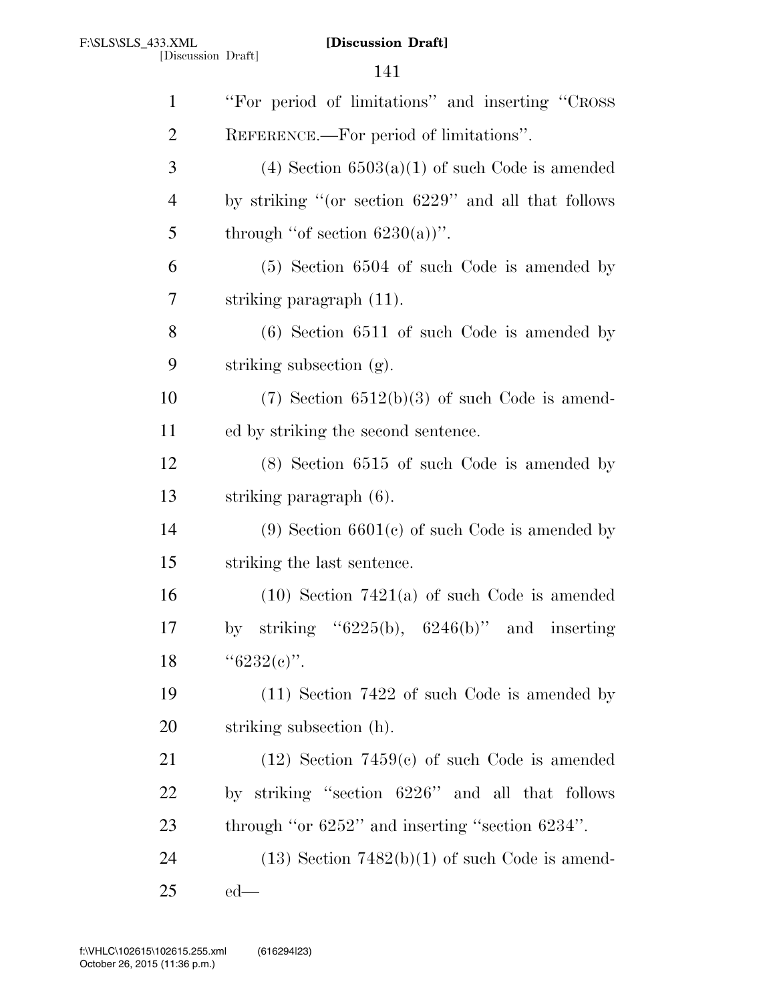| $\mathbf{1}$ | "For period of limitations" and inserting "CROSS"      |
|--------------|--------------------------------------------------------|
| 2            | REFERENCE.—For period of limitations".                 |
| 3            | $(4)$ Section 6503 $(a)(1)$ of such Code is amended    |
| 4            | by striking "(or section 6229" and all that follows    |
| 5            | through "of section $6230(a)$ ".                       |
| 6            | $(5)$ Section 6504 of such Code is amended by          |
| 7            | striking paragraph (11).                               |
| 8            | $(6)$ Section 6511 of such Code is amended by          |
| 9            | striking subsection (g).                               |
| 10           | $(7)$ Section 6512(b)(3) of such Code is amend-        |
| 11           | ed by striking the second sentence.                    |
| 12           | $(8)$ Section 6515 of such Code is amended by          |
| 13           | striking paragraph (6).                                |
| 14           | $(9)$ Section 6601 $(c)$ of such Code is amended by    |
| 15           | striking the last sentence.                            |
| 16           | $(10)$ Section 7421(a) of such Code is amended         |
| 17           | striking " $6225(b)$ , $6246(b)$ " and inserting<br>by |
| 18           | " $6232(e)$ ".                                         |
| 19           | $(11)$ Section 7422 of such Code is amended by         |
| 20           | striking subsection (h).                               |
| 21           | $(12)$ Section 7459(c) of such Code is amended         |
| 22           | by striking "section 6226" and all that follows        |
| 23           | through "or $6252"$ " and inserting "section $6234"$ . |
| 24           | $(13)$ Section 7482(b)(1) of such Code is amend-       |
| 25           | $ed$ —                                                 |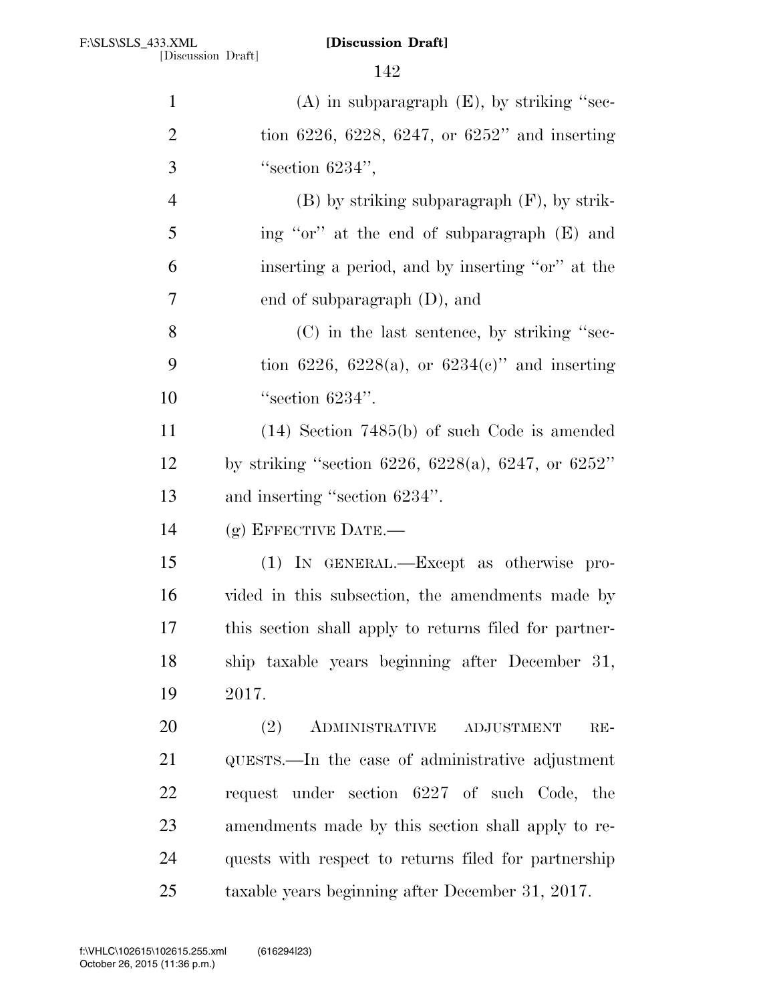| $\mathbf{1}$   | $(A)$ in subparagraph $(E)$ , by striking "sec-        |
|----------------|--------------------------------------------------------|
| $\overline{2}$ | tion 6226, 6228, 6247, or 6252" and inserting          |
| 3              | "section $6234"$ ,                                     |
| $\overline{4}$ | $(B)$ by striking subparagraph $(F)$ , by strik-       |
| 5              | ing "or" at the end of subparagraph (E) and            |
| 6              | inserting a period, and by inserting "or" at the       |
| $\overline{7}$ | end of subparagraph $(D)$ , and                        |
| 8              | (C) in the last sentence, by striking "sec-            |
| 9              | tion 6226, 6228(a), or 6234(c)" and inserting          |
| 10             | "section $6234$ ".                                     |
| 11             | $(14)$ Section 7485(b) of such Code is amended         |
| 12             | by striking "section 6226, 6228(a), 6247, or 6252"     |
| 13             | and inserting "section 6234".                          |
| 14             | $(g)$ EFFECTIVE DATE.—                                 |
| 15             | (1) IN GENERAL.—Except as otherwise pro-               |
| 16             | vided in this subsection, the amendments made by       |
| 17             | this section shall apply to returns filed for partner- |
| 18             | ship taxable years beginning after December 31,        |
| 19             | 2017.                                                  |
| 20             | (2)<br>ADMINISTRATIVE<br><b>ADJUSTMENT</b><br>$RE-$    |
| 21             | QUESTS.—In the case of administrative adjustment       |
| 22             | request under section 6227 of such Code, the           |
| 23             | amendments made by this section shall apply to re-     |
| 24             | quests with respect to returns filed for partnership   |
| 25             | taxable years beginning after December 31, 2017.       |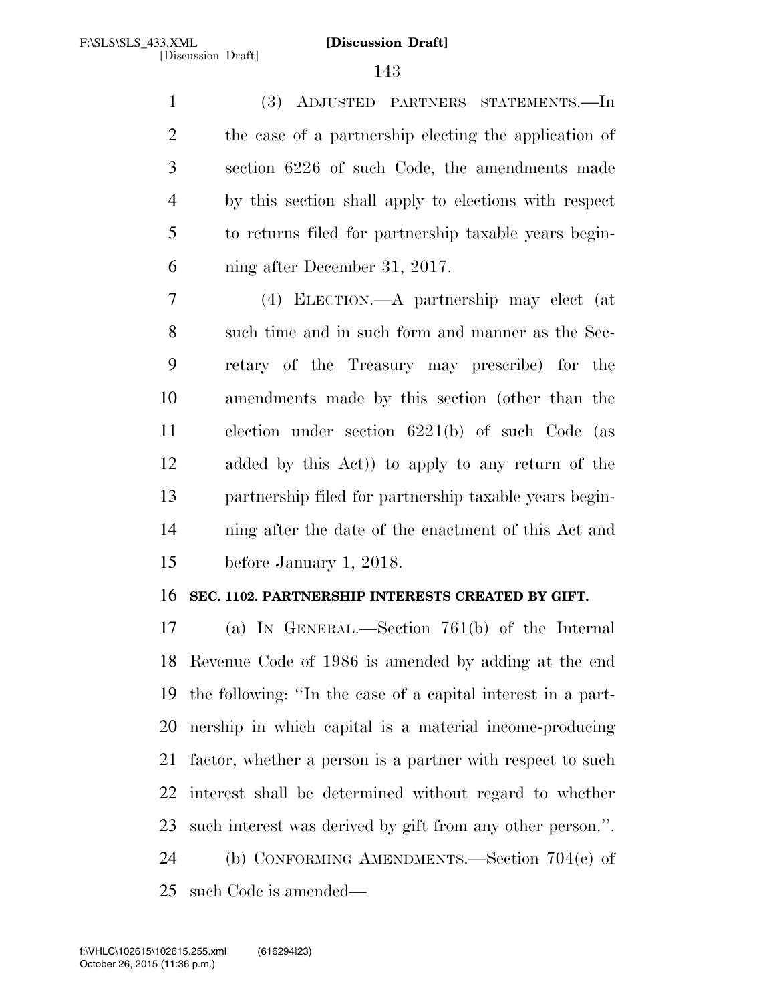(3) ADJUSTED PARTNERS STATEMENTS.—In the case of a partnership electing the application of section 6226 of such Code, the amendments made by this section shall apply to elections with respect to returns filed for partnership taxable years begin-ning after December 31, 2017.

 (4) ELECTION.—A partnership may elect (at such time and in such form and manner as the Sec- retary of the Treasury may prescribe) for the amendments made by this section (other than the election under section 6221(b) of such Code (as added by this Act)) to apply to any return of the partnership filed for partnership taxable years begin- ning after the date of the enactment of this Act and before January 1, 2018.

## **SEC. 1102. PARTNERSHIP INTERESTS CREATED BY GIFT.**

 (a) IN GENERAL.—Section 761(b) of the Internal Revenue Code of 1986 is amended by adding at the end the following: ''In the case of a capital interest in a part- nership in which capital is a material income-producing factor, whether a person is a partner with respect to such interest shall be determined without regard to whether such interest was derived by gift from any other person.''. (b) CONFORMING AMENDMENTS.—Section 704(e) of such Code is amended—